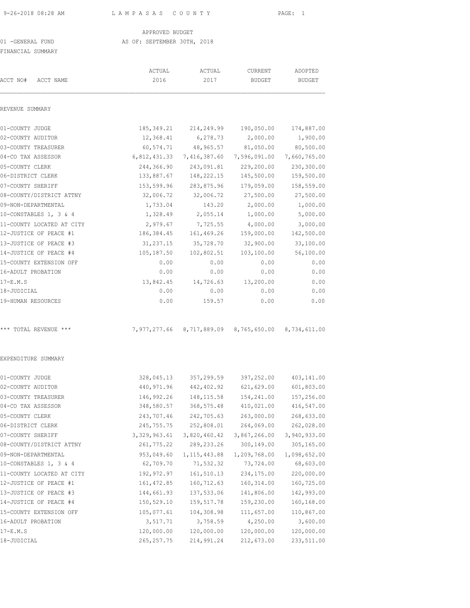9-26-2018 08:28 AM L A M P A S A S C O U N T Y PAGE: 1

### APPROVED BUDGET

## 01 -GENERAL FUND AS OF: SEPTEMBER 30TH, 2018

FINANCIAL SUMMARY

|                           | ACTUAL         | ACTUAL                                              | CURRENT       | ADOPTED       |
|---------------------------|----------------|-----------------------------------------------------|---------------|---------------|
| ACCT NO#<br>ACCT NAME     | 2016           | 2017                                                | <b>BUDGET</b> | <b>BUDGET</b> |
| REVENUE SUMMARY           |                |                                                     |               |               |
| 01-COUNTY JUDGE           | 185,349.21     | 214,249.99                                          | 190,050.00    | 174,887.00    |
| 02-COUNTY AUDITOR         | 12,368.41      | 6,278.73                                            | 2,000.00      | 1,900.00      |
| 03-COUNTY TREASURER       | 60,574.71      | 48,965.57                                           | 81,050.00     | 80,500.00     |
| 04-CO TAX ASSESSOR        | 6,812,431.33   | 7,416,387.60                                        | 7,596,091.00  | 7,660,765.00  |
| 05-COUNTY CLERK           | 244,366.90     | 243,091.81                                          | 229,200.00    | 230,300.00    |
| 06-DISTRICT CLERK         | 133,887.67     | 148,222.15                                          | 145,500.00    | 159,500.00    |
| 07-COUNTY SHERIFF         | 153,599.96     | 283,875.96                                          | 179,059.00    | 158,559.00    |
| 08-COUNTY/DISTRICT ATTNY  | 32,006.72      | 32,006.72                                           | 27,500.00     | 27,500.00     |
| 09-NON-DEPARTMENTAL       | 1,733.04       | 143.20                                              | 2,000.00      | 1,000.00      |
| 10-CONSTABLES 1, 3 & 4    | 1,328.49       | 2,055.14                                            | 1,000.00      | 5,000.00      |
| 11-COUNTY LOCATED AT CITY | 2,979.67       | 7,725.55                                            | 4,000.00      | 3,000.00      |
| 12-JUSTICE OF PEACE #1    | 186,384.45     | 161,469.26                                          | 159,000.00    | 142,500.00    |
| 13-JUSTICE OF PEACE #3    | 31,237.15      | 35,728.70                                           | 32,900.00     | 33,100.00     |
| 14-JUSTICE OF PEACE #4    | 105,187.50     | 102,802.51                                          | 103,100.00    | 56,100.00     |
| 15-COUNTY EXTENSION OFF   | 0.00           | 0.00                                                | 0.00          | 0.00          |
| 16-ADULT PROBATION        | 0.00           | 0.00                                                | 0.00          | 0.00          |
| $17-E.M.S$                | 13,842.45      | 14,726.63                                           | 13,200.00     | 0.00          |
| 18-JUDICIAL               | 0.00           | 0.00                                                | 0.00          | 0.00          |
| 19-HUMAN RESOURCES        | 0.00           | 159.57                                              | 0.00          | 0.00          |
| *** TOTAL REVENUE ***     |                | 7,977,277.66 8,717,889.09 8,765,650.00 8,734,611.00 |               |               |
| EXPENDITURE SUMMARY       |                |                                                     |               |               |
| 01-COUNTY JUDGE           | 328,045.13     | 357,299.59                                          | 397,252.00    | 403,141.00    |
| 02-COUNTY AUDITOR         | 440,971.96     | 442,402.92                                          | 621,629.00    | 601,803.00    |
| 03-COUNTY TREASURER       | 146,992.26     | 148, 115.58                                         | 154,241.00    | 157,256.00    |
| 04-CO TAX ASSESSOR        | 348,580.57     | 368,575.48                                          | 410,021.00    | 416,547.00    |
| 05-COUNTY CLERK           | 243,707.46     | 242,705.63                                          | 263,000.00    | 268,633.00    |
| 06-DISTRICT CLERK         | 245, 755. 75   | 252,808.01                                          | 264,069.00    | 262,028.00    |
| 07-COUNTY SHERIFF         | 3, 329, 963.61 | 3,820,460.42                                        | 3,867,266.00  | 3,940,933.00  |
| 08-COUNTY/DISTRICT ATTNY  | 261,775.22     | 289,233.26                                          | 300,149.00    | 305,165.00    |
| 09-NON-DEPARTMENTAL       | 953,049.60     | 1, 115, 443.88                                      | 1,209,768.00  | 1,098,652.00  |
| 10-CONSTABLES 1, 3 & 4    | 62,709.70      | 71,532.32                                           | 73,724.00     | 68,603.00     |
| 11-COUNTY LOCATED AT CITY | 192,972.97     | 161,510.13                                          | 234,175.00    | 220,000.00    |
| 12-JUSTICE OF PEACE #1    | 161, 472.85    | 160,712.63                                          | 160, 314.00   | 160,725.00    |
| 13-JUSTICE OF PEACE #3    | 144,661.93     | 137,533.06                                          | 141,806.00    | 142,993.00    |
| 14-JUSTICE OF PEACE #4    | 150,529.10     | 159,517.78                                          | 159,230.00    | 160,168.00    |
| 15-COUNTY EXTENSION OFF   | 105,077.61     | 104,308.98                                          | 111,657.00    | 110,867.00    |
| 16-ADULT PROBATION        | 3,517.71       | 3,758.59                                            | 4,250.00      | 3,600.00      |
| $17-E.M.S$                | 120,000.00     | 120,000.00                                          | 120,000.00    | 120,000.00    |
| 18-JUDICIAL               | 265, 257.75    | 214,991.24                                          | 212,673.00    | 233,511.00    |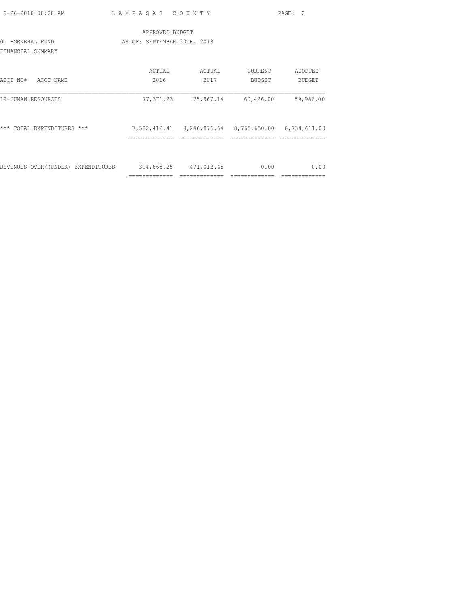| 9-26-2018 08:28 AM                     | LAMPASAS COUNTY             |                                                        |                     | PAGE: 2           |
|----------------------------------------|-----------------------------|--------------------------------------------------------|---------------------|-------------------|
|                                        | APPROVED BUDGET             |                                                        |                     |                   |
| 01 - GENERAL FUND<br>FINANCIAL SUMMARY | AS OF: SEPTEMBER 30TH, 2018 |                                                        |                     |                   |
| ACCT NO#<br>ACCT NAME                  | ACTUAL<br>2016              | ACTUAL<br>2017                                         | CURRENT<br>BUDGET   | ADOPTED<br>BUDGET |
| 19-HUMAN RESOURCES                     | 77,371.23                   |                                                        | 75,967.14 60,426.00 | 59,986.00         |
| TOTAL EXPENDITURES ***<br>***          |                             | 7,582,412.41  8,246,876.64  8,765,650.00  8,734,611.00 |                     |                   |
| REVENUES OVER/(UNDER) EXPENDITURES     | =============               | 394,865.25 471,012.45<br>=============                 | 0.00                | 0.00              |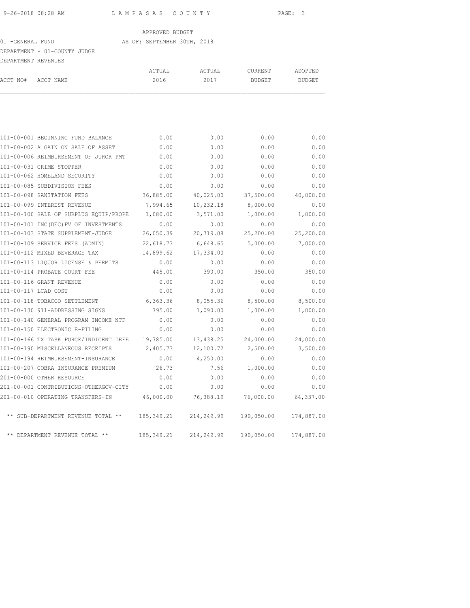#### 01 -GENERAL FUND AS OF: SEPTEMBER 30TH, 2018

# DEPARTMENT - 01-COUNTY JUDGE

| DEPARTMENT REVENUES |                                       |        |        |         |         |
|---------------------|---------------------------------------|--------|--------|---------|---------|
|                     |                                       | ACTUAL | ACTUAL | CURRENT | ADOPTED |
| ACCT NO#            | ACCT NAME                             | 2016   | 2017   | BUDGET  | BUDGET  |
|                     |                                       |        |        |         |         |
|                     |                                       |        |        |         |         |
|                     | 101-00-001 BEGINNING FUND BALANCE     | 0.00   | 0.00   | 0.00    | 0.00    |
|                     | 101-00-002 A GAIN ON SALE OF ASSET    | 0.00   | 0.00   | 0.00    | 0.00    |
|                     | 101-00-006 REIMBURSEMENT OF JUROR PMT | 0.00   | 0.00   | 0.00    | 0.00    |
|                     |                                       |        |        |         |         |

| 101-00-006 REIMBURSEMENT OF JUROR PMT<br>0.00<br>0.00<br>0.00<br>0.00<br>0.00<br>0.00<br>101-00-031 CRIME STOPPER<br>101-00-062 HOMELAND SECURITY<br>0.00<br>0.00<br>0.00<br>101-00-085 SUBDIVISION FEES<br>0.00<br>0.00<br>0.00<br>101-00-098 SANITATION FEES<br>36,885.00<br>40,025.00<br>37,500.00<br>8,000.00<br>101-00-099 INTEREST REVENUE<br>7,994.65<br>10,232.18<br>101-00-100 SALE OF SURPLUS EQUIP/PROPE<br>3,571.00<br>1,080.00<br>1,000.00<br>101-00-101 INC(DEC) FV OF INVESTMENTS<br>0.00<br>0.00<br>0.00<br>101-00-103 STATE SUPPLEMENT-JUDGE<br>26,050.39<br>20,719.08<br>25,200.00<br>101-00-109 SERVICE FEES (ADMIN)<br>6,648.65<br>5,000.00<br>22,618.73<br>101-00-112 MIXED BEVERAGE TAX<br>14,899.62<br>17,334.00<br>0.00<br>101-00-113 LIOUOR LICENSE & PERMITS<br>0.00<br>0.00<br>0.00<br>350.00<br>101-00-114 PROBATE COURT FEE<br>445.00<br>390.00 | 0.00       |
|------------------------------------------------------------------------------------------------------------------------------------------------------------------------------------------------------------------------------------------------------------------------------------------------------------------------------------------------------------------------------------------------------------------------------------------------------------------------------------------------------------------------------------------------------------------------------------------------------------------------------------------------------------------------------------------------------------------------------------------------------------------------------------------------------------------------------------------------------------------------------|------------|
|                                                                                                                                                                                                                                                                                                                                                                                                                                                                                                                                                                                                                                                                                                                                                                                                                                                                              |            |
|                                                                                                                                                                                                                                                                                                                                                                                                                                                                                                                                                                                                                                                                                                                                                                                                                                                                              | 0.00       |
|                                                                                                                                                                                                                                                                                                                                                                                                                                                                                                                                                                                                                                                                                                                                                                                                                                                                              | 0.00       |
|                                                                                                                                                                                                                                                                                                                                                                                                                                                                                                                                                                                                                                                                                                                                                                                                                                                                              | 0.00       |
|                                                                                                                                                                                                                                                                                                                                                                                                                                                                                                                                                                                                                                                                                                                                                                                                                                                                              | 40,000.00  |
|                                                                                                                                                                                                                                                                                                                                                                                                                                                                                                                                                                                                                                                                                                                                                                                                                                                                              | 0.00       |
|                                                                                                                                                                                                                                                                                                                                                                                                                                                                                                                                                                                                                                                                                                                                                                                                                                                                              | 1,000.00   |
|                                                                                                                                                                                                                                                                                                                                                                                                                                                                                                                                                                                                                                                                                                                                                                                                                                                                              | 0.00       |
|                                                                                                                                                                                                                                                                                                                                                                                                                                                                                                                                                                                                                                                                                                                                                                                                                                                                              | 25,200.00  |
|                                                                                                                                                                                                                                                                                                                                                                                                                                                                                                                                                                                                                                                                                                                                                                                                                                                                              | 7,000.00   |
|                                                                                                                                                                                                                                                                                                                                                                                                                                                                                                                                                                                                                                                                                                                                                                                                                                                                              | 0.00       |
|                                                                                                                                                                                                                                                                                                                                                                                                                                                                                                                                                                                                                                                                                                                                                                                                                                                                              | 0.00       |
|                                                                                                                                                                                                                                                                                                                                                                                                                                                                                                                                                                                                                                                                                                                                                                                                                                                                              | 350.00     |
| 101-00-116 GRANT REVENUE<br>0.00<br>0.00<br>0.00                                                                                                                                                                                                                                                                                                                                                                                                                                                                                                                                                                                                                                                                                                                                                                                                                             | 0.00       |
| 101-00-117 LCAD COST<br>0.00<br>0.00<br>0.00                                                                                                                                                                                                                                                                                                                                                                                                                                                                                                                                                                                                                                                                                                                                                                                                                                 | 0.00       |
| 101-00-118 TOBACCO SETTLEMENT<br>8,500.00<br>6,363.36<br>8,055.36                                                                                                                                                                                                                                                                                                                                                                                                                                                                                                                                                                                                                                                                                                                                                                                                            | 8,500.00   |
| 795.00<br>101-00-130 911-ADDRESSING SIGNS<br>1,090.00<br>1,000.00                                                                                                                                                                                                                                                                                                                                                                                                                                                                                                                                                                                                                                                                                                                                                                                                            | 1,000.00   |
| 101-00-140 GENERAL PROGRAM INCOME NTF<br>0.00<br>0.00<br>0.00                                                                                                                                                                                                                                                                                                                                                                                                                                                                                                                                                                                                                                                                                                                                                                                                                | 0.00       |
| 101-00-150 ELECTRONIC E-FILING<br>0.00<br>0.00<br>0.00                                                                                                                                                                                                                                                                                                                                                                                                                                                                                                                                                                                                                                                                                                                                                                                                                       | 0.00       |
| 101-00-166 TX TASK FORCE/INDIGENT DEFE<br>24,000.00<br>19,785.00<br>13,438.25                                                                                                                                                                                                                                                                                                                                                                                                                                                                                                                                                                                                                                                                                                                                                                                                | 24,000.00  |
| 101-00-190 MISCELLANEOUS RECEIPTS<br>2,405.73<br>12,100.72<br>2,500.00                                                                                                                                                                                                                                                                                                                                                                                                                                                                                                                                                                                                                                                                                                                                                                                                       | 3,500.00   |
| 101-00-194 REIMBURSEMENT-INSURANCE<br>0.00<br>4,250.00<br>0.00                                                                                                                                                                                                                                                                                                                                                                                                                                                                                                                                                                                                                                                                                                                                                                                                               | 0.00       |
| 101-00-207 COBRA INSURANCE PREMIUM<br>26.73<br>7.56<br>1,000.00                                                                                                                                                                                                                                                                                                                                                                                                                                                                                                                                                                                                                                                                                                                                                                                                              | 0.00       |
| 201-00-000 OTHER RESOURCE<br>0.00<br>0.00<br>0.00                                                                                                                                                                                                                                                                                                                                                                                                                                                                                                                                                                                                                                                                                                                                                                                                                            | 0.00       |
| 201-00-001 CONTRIBUTIONS-OTHERGOV-CITY<br>0.00<br>0.00<br>0.00                                                                                                                                                                                                                                                                                                                                                                                                                                                                                                                                                                                                                                                                                                                                                                                                               | 0.00       |
| 201-00-010 OPERATING TRANSFERS-IN 46,000.00<br>76,000.00<br>76,388.19                                                                                                                                                                                                                                                                                                                                                                                                                                                                                                                                                                                                                                                                                                                                                                                                        | 64,337.00  |
| 190,050.00<br>** SUB-DEPARTMENT REVENUE TOTAL **<br>185,349.21<br>214,249.99                                                                                                                                                                                                                                                                                                                                                                                                                                                                                                                                                                                                                                                                                                                                                                                                 | 174,887.00 |
| ** DEPARTMENT REVENUE TOTAL **<br>185, 349. 21<br>214,249.99<br>190,050.00                                                                                                                                                                                                                                                                                                                                                                                                                                                                                                                                                                                                                                                                                                                                                                                                   | 174,887.00 |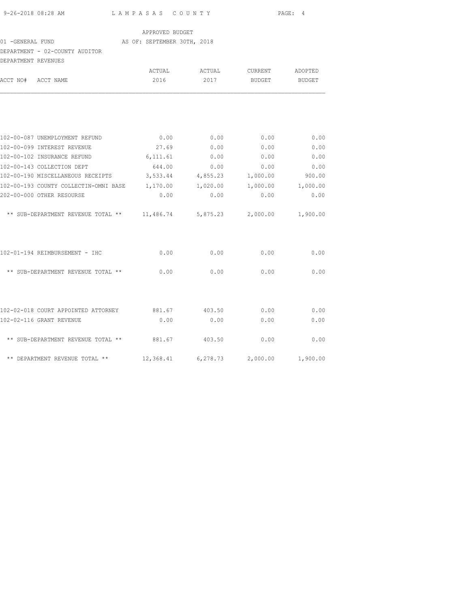| 9-26-2018 08:28 AM |  |
|--------------------|--|

L A M P A S A S C O U N T Y PAGE: 4

## APPROVED BUDGET

# 01 -GENERAL FUND **AS OF: SEPTEMBER 30TH, 2018**

# DEPARTMENT - 02-COUNTY AUDITOR

| DEPARTMENT REVENUES |                                                                                            |                |                    |                   |                          |
|---------------------|--------------------------------------------------------------------------------------------|----------------|--------------------|-------------------|--------------------------|
| ACCT NO#            | ACCT NAME                                                                                  | ACTUAL<br>2016 | ACTUAL<br>2017     | CURRENT<br>BUDGET | ADOPTED<br><b>BUDGET</b> |
|                     |                                                                                            |                |                    |                   |                          |
|                     |                                                                                            |                |                    |                   |                          |
|                     | 102-00-087 UNEMPLOYMENT REFUND                                                             | 0.00           | 0.00               | 0.00              | 0.00                     |
|                     | 102-00-099 INTEREST REVENUE<br>102-00-102 INSURANCE REFUND                                 | 27.69          | 0.00               | 0.00              | 0.00<br>0.00             |
|                     |                                                                                            | 6,111.61       | 0.00               | 0.00              |                          |
|                     | 102-00-143 COLLECTION DEPT<br>102-00-190 MISCELLANEOUS RECEIPTS 3,533.44 4,855.23 1,000.00 | 644.00         | 0.00               | 0.00              | 0.00                     |
|                     | 102-00-193 COUNTY COLLECTIN-OMNI BASE 1,170.00                                             |                | 1,020.00           | 1,000.00          | 900.00<br>1,000.00       |
|                     | 202-00-000 OTHER RESOURSE                                                                  | 0.00           | 0.00               | 0.00              | 0.00                     |
|                     |                                                                                            |                |                    |                   |                          |
|                     | ** SUB-DEPARTMENT REVENUE TOTAL **                                                         |                | 11,486.74 5,875.23 | 2,000.00          | 1,900.00                 |
|                     | 102-01-194 REIMBURSEMENT - IHC                                                             | 0.00           | 0.00               | 0.00              | 0.00                     |
|                     | ** SUB-DEPARTMENT REVENUE TOTAL **                                                         | 0.00           | 0.00               | 0.00              | 0.00                     |
|                     |                                                                                            |                |                    |                   |                          |
|                     | 102-02-018 COURT APPOINTED ATTORNEY 881.67                                                 |                | 403.50             | 0.00              | 0.00                     |
|                     | 102-02-116 GRANT REVENUE                                                                   | 0.00           | 0.00               | 0.00              | 0.00                     |
|                     | ** SUB-DEPARTMENT REVENUE TOTAL ** 881.67                                                  |                | 403.50             | 0.00              | 0.00                     |
|                     | ** DEPARTMENT REVENUE TOTAL **                                                             | 12,368.41      | 6,278.73           | 2,000.00          | 1,900.00                 |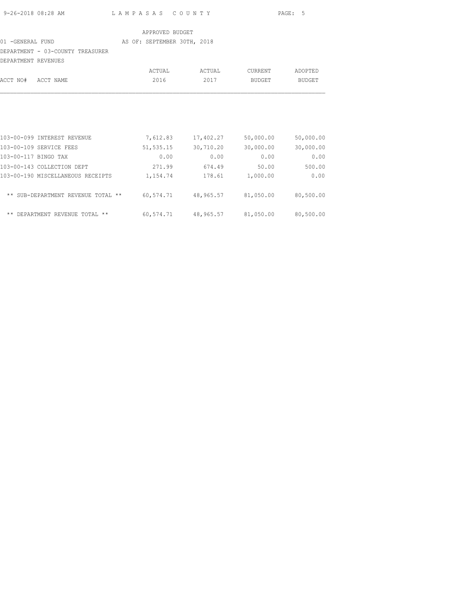| 9-26-2018 08:28 AM | LAMPASAS COUNTY | PAGE: 5 |
|--------------------|-----------------|---------|

#### 01 -GENERAL FUND AS OF: SEPTEMBER 30TH, 2018

## DEPARTMENT - 03-COUNTY TREASURER

|          | DEPARTMENT REVENUES |        |        |         |         |
|----------|---------------------|--------|--------|---------|---------|
|          |                     | ACTUAL | ACTUAL | CURRENT | ADOPTED |
| ACCT NO# | ACCT NAME           | 2016   | 2017   | BUDGET  | BUDGET  |
|          |                     |        |        |         |         |
|          |                     |        |        |         |         |
|          |                     |        |        |         |         |

| 103-00-099 INTEREST REVENUE        | 7,612.83  | 17,402.27 | 50,000.00 | 50,000.00 |
|------------------------------------|-----------|-----------|-----------|-----------|
| 103-00-109 SERVICE FEES            | 51,535.15 | 30,710.20 | 30,000.00 | 30,000.00 |
| 103-00-117 BINGO TAX               | 0.00      | 0.00      | 0.00      | 0.00      |
| 103-00-143 COLLECTION DEPT         | 271.99    | 674.49    | 50.00     | 500.00    |
| 103-00-190 MISCELLANEOUS RECEIPTS  | 1,154.74  | 178.61    | 1,000.00  | 0.00      |
| ** SUB-DEPARTMENT REVENUE TOTAL ** | 60,574.71 | 48,965.57 | 81,050.00 | 80,500.00 |
| ** DEPARTMENT REVENUE TOTAL **     | 60,574.71 | 48,965.57 | 81,050.00 | 80,500.00 |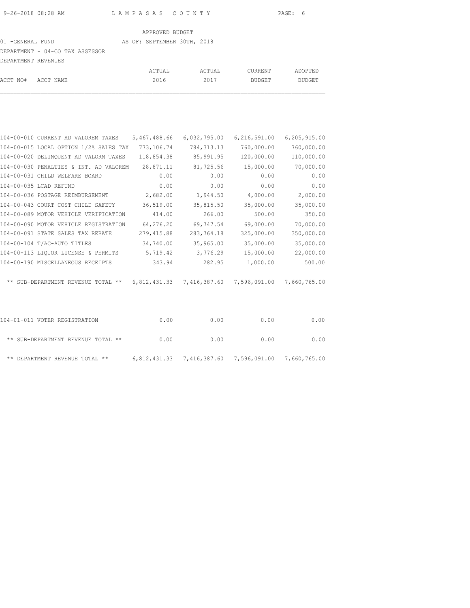# 01 -GENERAL FUND AS OF: SEPTEMBER 30TH, 2018

DEPARTMENT - 04-CO TAX ASSESSOR

| DEPARTMENT REVENUES |        |        |         |         |
|---------------------|--------|--------|---------|---------|
|                     | ACTUAL | ACTUAL | CURRENT | ADOPTED |
| ACCT NO# ACCT NAME  | 2016   | 2017   | BUDGET  | BUDGET  |

| 104-00-010 CURRENT AD VALOREM TAXES                                       | 5,467,488.66 | 6,032,795.00 | 6, 216, 591.00 | 6,205,915.00 |
|---------------------------------------------------------------------------|--------------|--------------|----------------|--------------|
| 104-00-015 LOCAL OPTION 1/2% SALES TAX                                    | 773,106.74   | 784, 313. 13 | 760,000.00     | 760,000.00   |
| 104-00-020 DELINQUENT AD VALORM TAXES                                     | 118,854.38   | 85,991.95    | 120,000.00     | 110,000.00   |
| 104-00-030 PENALTIES & INT. AD VALOREM                                    | 28,871.11    | 81,725.56    | 15,000.00      | 70,000.00    |
| 104-00-031 CHILD WELFARE BOARD                                            | 0.00         | 0.00         | 0.00           | 0.00         |
| 104-00-035 LCAD REFUND                                                    | 0.00         | 0.00         | 0.00           | 0.00         |
| 104-00-036 POSTAGE REIMBURSEMENT                                          | 2,682.00     | 1,944.50     | 4,000.00       | 2,000.00     |
| 104-00-043 COURT COST CHILD SAFETY                                        | 36,519.00    | 35,815.50    | 35,000.00      | 35,000.00    |
| 104-00-089 MOTOR VEHICLE VERIFICATION                                     | 414.00       | 266.00       | 500.00         | 350.00       |
| 104-00-090 MOTOR VEHICLE REGISTRATION                                     | 64,276.20    | 69,747.54    | 69,000.00      | 70,000.00    |
| 104-00-091 STATE SALES TAX REBATE                                         | 279,415.88   | 283,764.18   | 325,000.00     | 350,000.00   |
| 104-00-104 T/AC-AUTO TITLES                                               | 34,740.00    | 35,965.00    | 35,000.00      | 35,000.00    |
| 104-00-113 LIQUOR LICENSE & PERMITS                                       | 5,719.42     | 3,776.29     | 15,000.00      | 22,000.00    |
| 104-00-190 MISCELLANEOUS RECEIPTS                                         | 343.94       | 282.95       | 1,000.00       | 500.00       |
| ** SUB-DEPARTMENT REVENUE TOTAL ** 6,812,431.33 7,416,387.60 7,596,091.00 |              |              |                | 7,660,765.00 |
| 104-01-011 VOTER REGISTRATION                                             | 0.00         | 0.00         | 0.00           | 0.00         |
| ** SUB-DEPARTMENT REVENUE TOTAL **                                        | 0.00         | 0.00         | 0.00           | 0.00         |

\*\* DEPARTMENT REVENUE TOTAL \*\* 6,812,431.33 7,416,387.60 7,596,091.00 7,660,765.00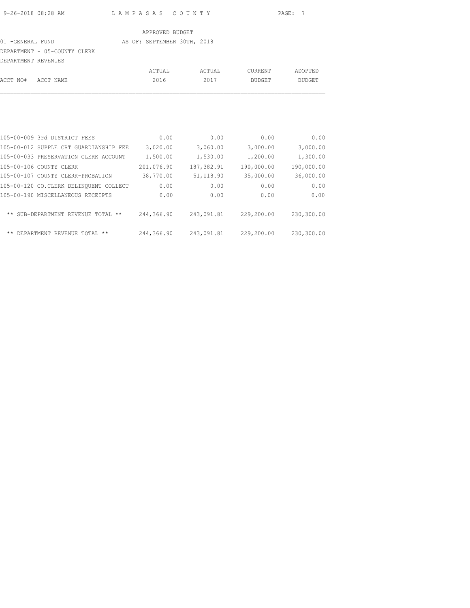### 01 -GENERAL FUND AS OF: SEPTEMBER 30TH, 2018

DEPARTMENT - 05-COUNTY CLERK

| DEPARTMENT REVENUES |        |        |         |         |
|---------------------|--------|--------|---------|---------|
|                     | ACTUAL | ACTUAL | CURRENT | ADOPTED |
| ACCT NO# ACCT NAME  | 2016   | 2017   | BUDGET  | BUDGET  |

| 105-00-009 3rd DISTRICT FEES           |            | 0.00<br>0.00 | 0.00       | 0.00       |
|----------------------------------------|------------|--------------|------------|------------|
| 105-00-012 SUPPLE CRT GUARDIANSHIP FEE | 3,020.00   | 3,060.00     | 3,000.00   | 3,000.00   |
| 105-00-033 PRESERVATION CLERK ACCOUNT  | 1,500.00   | 1,530.00     | 1,200.00   | 1,300.00   |
| 105-00-106 COUNTY CLERK                | 201,076.90 | 187,382.91   | 190,000.00 | 190,000.00 |
| 105-00-107 COUNTY CLERK-PROBATION      | 38,770.00  | 51, 118.90   | 35,000.00  | 36,000.00  |
| 105-00-120 CO.CLERK DELINOUENT COLLECT |            | 0.00<br>0.00 | 0.00       | 0.00       |
| 105-00-190 MISCELLANEOUS RECEIPTS      |            | 0.00<br>0.00 | 0.00       | 0.00       |
| ** SUB-DEPARTMENT REVENUE TOTAL **     | 244,366.90 | 243,091.81   | 229,200.00 | 230,300.00 |
| ** DEPARTMENT REVENUE TOTAL **         | 244,366.90 | 243,091.81   | 229,200.00 | 230,300.00 |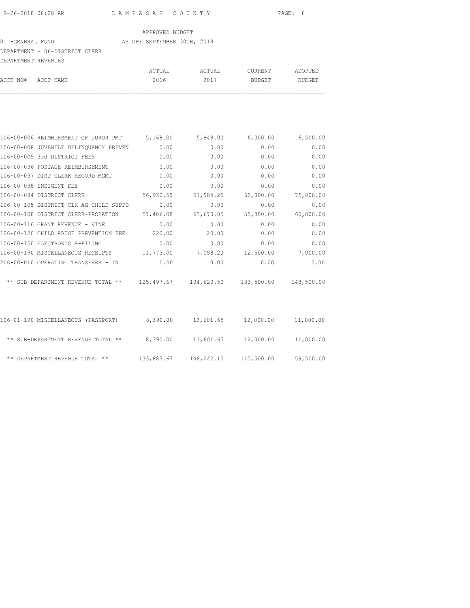#### 01 -GENERAL FUND AS OF: SEPTEMBER 30TH, 2018

### DEPARTMENT - 06-DISTRICT CLERK

| DEPARTMENT REVENUES |                    |        |        |         |         |
|---------------------|--------------------|--------|--------|---------|---------|
|                     |                    | ACTUAL | ACTUAL | CURRENT | ADOPTED |
|                     | ACCT NO# ACCT NAME | 2016   | 2017   | BUDGET  | BUDGET  |

| 106-00-006 REIMBURSMENT OF JUROR PMT   | 5,168.00  | 5,848.00  | 6,000.00                           | 6,500.00   |
|----------------------------------------|-----------|-----------|------------------------------------|------------|
| 106-00-008 JUVENILE DELINQUENCY PREVEN | 0.00      | 0.00      | 0.00                               | 0.00       |
| 106-00-009 3rd DISTRICT FEES           | 0.00      | 0.00      | 0.00                               | 0.00       |
| 106-00-036 POSTAGE REIMBURSEMENT       | 0.00      | 0.00      | 0.00                               | 0.00       |
| 106-00-037 DIST CLERK RECORD MGMT      | 0.00      | 0.00      | 0.00                               | 0.00       |
| 106-00-038 INDIGENT FEE                | 0.00      | 0.00      | 0.00                               | 0.00       |
| 106-00-094 DISTRICT CLERK              | 56,930.59 | 57,984.25 | 60,000.00                          | 75,000.00  |
| 106-00-105 DISTRICT CLK AG CHILD SUPPO | 0.00      | 0.00      | 0.00                               | 0.00       |
| 106-00-108 DISTRICT CLERK-PROBATION    | 51,406.08 | 63,670.05 | 55,000.00                          | 60,000.00  |
| 106-00-116 GRANT REVENUE - VINE        | 0.00      | 0.00      | 0.00                               | 0.00       |
| 106-00-120 CHILD ABUSE PREVENTION FEE  | 220.00    | 20.00     | 0.00                               | 0.00       |
| 106-00-150 ELECTRONIC E-FILING         | 0.00      | 0.00      | 0.00                               | 0.00       |
| 106-00-190 MISCELLANEOUS RECEIPTS      | 11,773.00 | 7,098.20  | 12,500.00                          | 7,000.00   |
| 206-00-010 OPERATING TRANSFERS - IN    | 0.00      | 0.00      | 0.00                               | 0.00       |
| ** SUB-DEPARTMENT REVENUE TOTAL **     |           |           | 125,497.67  134,620.50  133,500.00 | 148,500.00 |
|                                        |           |           |                                    |            |
| 106-01-190 MISCELLANEOUS (PASSPORT)    | 8,390.00  | 13,601.65 | 12,000.00                          | 11,000.00  |
| ** SUB-DEPARTMENT REVENUE TOTAL **     | 8,390.00  | 13,601.65 | 12,000.00                          | 11,000.00  |
| ** DEPARTMENT REVENUE TOTAL **         |           |           |                                    | 159,500.00 |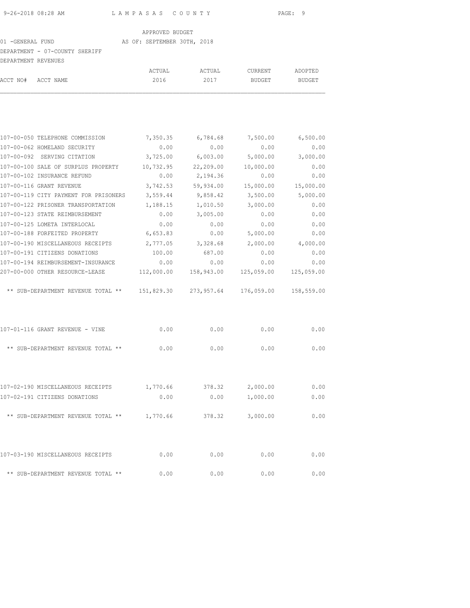#### 01 -GENERAL FUND AS OF: SEPTEMBER 30TH, 2018

# DEPARTMENT - 07-COUNTY SHERIFF

|                     | DEFANIMENI - V/-VUUNII SHENIFF        |           |                            |           |           |
|---------------------|---------------------------------------|-----------|----------------------------|-----------|-----------|
| DEPARTMENT REVENUES |                                       |           |                            |           |           |
|                     |                                       | ACTUAL    | ACTUAL                     | CURRENT   | ADOPTED   |
| ACCT NO#            | ACCT NAME                             | 2016      | 2017                       | BUDGET    | BUDGET    |
|                     |                                       |           |                            |           |           |
|                     | 107-00-050 TELEPHONE COMMISSION       |           | 7,350.35 6,784.68 7,500.00 |           | 6,500.00  |
|                     | 107-00-062 HOMELAND SECURITY          | 0.00      | 0.00                       | 0.00      | 0.00      |
|                     | 107-00-092 SERVING CITATION           | 3,725.00  | 6,003.00                   | 5,000.00  | 3,000.00  |
|                     | 107-00-100 SALE OF SURPLUS PROPERTY   | 10,732.95 | 22,209.00                  | 10,000.00 | 0.00      |
|                     | 107-00-102 INSURANCE REFUND           | 0.00      | 2,194.36                   | 0.00      | 0.00      |
|                     | 107-00-116 GRANT REVENUE              | 3,742.53  | 59,934.00                  | 15,000.00 | 15,000.00 |
|                     | 107-00-119 CITY PAYMENT FOR PRISONERS | 3,559.44  | 9,858.42                   | 3,500.00  | 5,000.00  |
|                     | 107-00-122 PRISONER TRANSPORTATION    | 1,188.15  | 1,010.50                   | 3,000.00  | 0.00      |
|                     | 107-00-123 STATE REIMBURSEMENT        | 0.00      | 3,005.00                   | 0.00      | 0.00      |
|                     | 107-00-125 LOMETA INTERLOCAL          | 0.00      | 0.00                       | 0.00      | 0.00      |
|                     | 107-00-188 FORFEITED PROPERTY         | 6,653.83  | 0.00                       | 5,000.00  | 0.00      |
|                     | 107-00-190 MISCELLANEOUS RECEIPTS     | 2,777.05  | 3,328.68                   | 2,000.00  | 4,000.00  |

| ILV7 VV 17V MIDVMINIMMUVOJ KEVEILIJ | 2.111.00   | <b>U.U.U.U.</b> | 2,000.00   | 7,000.00   |
|-------------------------------------|------------|-----------------|------------|------------|
| 107-00-191 CITIZENS DONATIONS       | 100.00     | 687.00          | 0.00       | 0.00       |
| 107-00-194 REIMBURSEMENT-INSURANCE  | 0.00       | 0.00            | 0.00       | 0.00       |
| 207-00-000 OTHER RESOURCE-LEASE     | 112,000.00 | 158,943.00      | 125,059.00 | 125,059.00 |
| ** SUB-DEPARTMENT REVENUE TOTAL **  | 151,829.30 | 273,957.64      | 176,059.00 | 158,559.00 |
|                                     |            |                 |            |            |
| 107-01-116 GRANT REVENUE - VINE     | 0.00       | 0.00            | 0.00       | 0.00       |
| ** SUB-DEPARTMENT REVENUE TOTAL **  | 0.00       | 0.00            | 0.00       | 0.00       |
|                                     |            |                 |            |            |

| 107-02-190 MISCELLANEOUS RECEIPTS  | 1,770.66 | 378.32 | 2,000.00 | 0.00 |
|------------------------------------|----------|--------|----------|------|
| 107-02-191 CITIZENS DONATIONS      | 0.00     | 0.00   | 1,000.00 | 0.00 |
| ** SUB-DEPARTMENT REVENUE TOTAL ** | 1,770.66 | 378.32 | 3,000.00 | 0.00 |
|                                    |          |        |          |      |
| 107-03-190 MISCELLANEOUS RECEIPTS  | 0.00     | 0.00   | 0.00     | 0.00 |
| ** SUB-DEPARTMENT REVENUE TOTAL ** | 0.00     | 0.00   | 0.00     | 0.00 |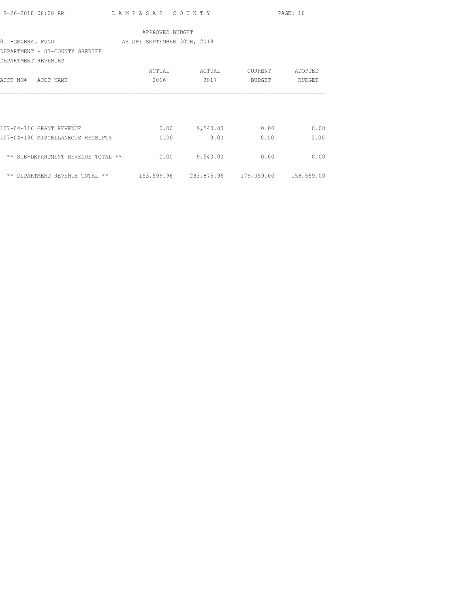|                     | 9-26-2018 08:28 AM                 | LAMPASAS COUNTY             |                 |          |                                             | PAGE: 10 |
|---------------------|------------------------------------|-----------------------------|-----------------|----------|---------------------------------------------|----------|
|                     |                                    |                             | APPROVED BUDGET |          |                                             |          |
| 01 -GENERAL FUND    |                                    | AS OF: SEPTEMBER 30TH, 2018 |                 |          |                                             |          |
|                     | DEPARTMENT - 07-COUNTY SHERIFF     |                             |                 |          |                                             |          |
| DEPARTMENT REVENUES |                                    |                             |                 |          |                                             |          |
|                     |                                    | ACTUAL                      |                 | ACTUAL   | CURRENT                                     | ADOPTED  |
| ACCT NO# ACCT NAME  |                                    | 2016                        |                 | 2017     | BUDGET                                      | BUDGET   |
|                     |                                    |                             |                 |          |                                             |          |
|                     |                                    |                             |                 |          |                                             |          |
|                     |                                    |                             |                 |          |                                             |          |
|                     |                                    |                             |                 |          |                                             |          |
|                     | 107-04-116 GRANT REVENUE           |                             | 0.00            | 9,540.00 | 0.00                                        | 0.00     |
|                     | 107-04-190 MISCELLANEOUS RECEIPTS  |                             | 0.00            | 0.00     | 0.00                                        | 0.00     |
|                     |                                    |                             |                 |          |                                             |          |
|                     | ** SUB-DEPARTMENT REVENUE TOTAL ** |                             | 0.00            | 9,540.00 | 0.00                                        | 0.00     |
|                     |                                    |                             |                 |          |                                             |          |
|                     | ** DEPARTMENT REVENUE TOTAL **     |                             |                 |          | 153,599.96 283,875.96 179,059.00 158,559.00 |          |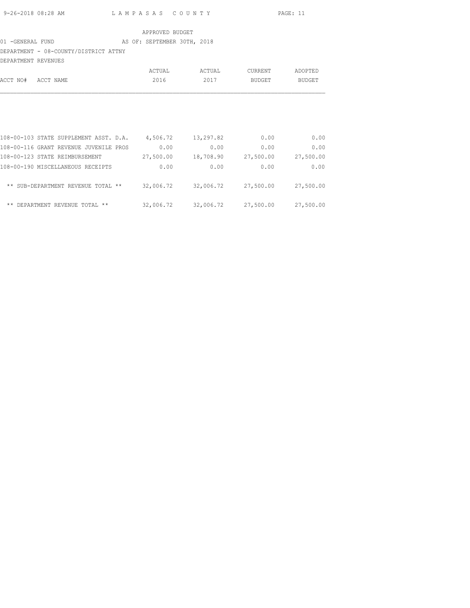## 01 -GENERAL FUND AS OF: SEPTEMBER 30TH, 2018

DEPARTMENT - 08-COUNTY/DISTRICT ATTNY

| DEPARTMENT REVENUES |                                        |           |           |           |               |
|---------------------|----------------------------------------|-----------|-----------|-----------|---------------|
|                     |                                        | ACTUAL    | ACTUAL    | CURRENT   | ADOPTED       |
| ACCT NO#            | ACCT NAME                              | 2016      | 2017      | BUDGET    | <b>BUDGET</b> |
|                     |                                        |           |           |           |               |
|                     | 108-00-103 STATE SUPPLEMENT ASST. D.A. | 4,506.72  | 13,297.82 | 0.00      | 0.00          |
|                     | 108-00-116 GRANT REVENUE JUVENILE PROS | 0.00      | 0.00      | 0.00      | 0.00          |
|                     | 108-00-123 STATE REIMBURSEMENT         | 27,500.00 | 18,708.90 | 27,500.00 | 27,500.00     |
|                     | 108-00-190 MISCELLANEOUS RECEIPTS      | 0.00      | 0.00      | 0.00      | 0.00          |
| $***$               | SUB-DEPARTMENT REVENUE TOTAL **        | 32,006.72 | 32,006.72 | 27,500.00 | 27,500.00     |
| $***$<br>DEPARTMENT | REVENUE TOTAL **                       | 32,006.72 | 32,006.72 | 27,500.00 | 27,500.00     |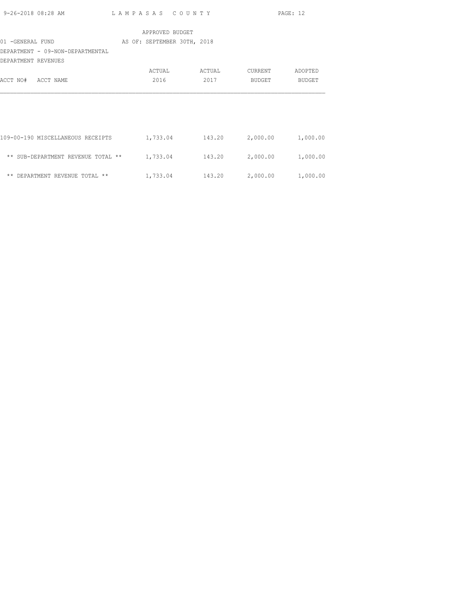| 9-26-2018 08:28 AM                                      | LAMPASAS COUNTY |                             | PAGE: 12 |          |
|---------------------------------------------------------|-----------------|-----------------------------|----------|----------|
|                                                         | APPROVED BUDGET |                             |          |          |
| 01 -GENERAL FUND                                        |                 | AS OF: SEPTEMBER 30TH, 2018 |          |          |
| DEPARTMENT - 09-NON-DEPARTMENTAL<br>DEPARTMENT REVENUES |                 |                             |          |          |
|                                                         | ACTUAL          | ACTUAL                      | CURRENT  | ADOPTED  |
| ACCT NO# ACCT NAME                                      | 2016            | 2017                        | BUDGET   | BUDGET   |
|                                                         |                 |                             |          |          |
| 109-00-190 MISCELLANEOUS RECEIPTS                       | 1,733.04        | 143.20                      | 2,000.00 | 1,000.00 |
| ** SUB-DEPARTMENT REVENUE TOTAL **                      | 1,733.04        | 143.20                      | 2,000.00 | 1,000.00 |
| ** DEPARTMENT REVENUE TOTAL **                          | 1,733.04        | 143.20                      | 2,000.00 | 1,000.00 |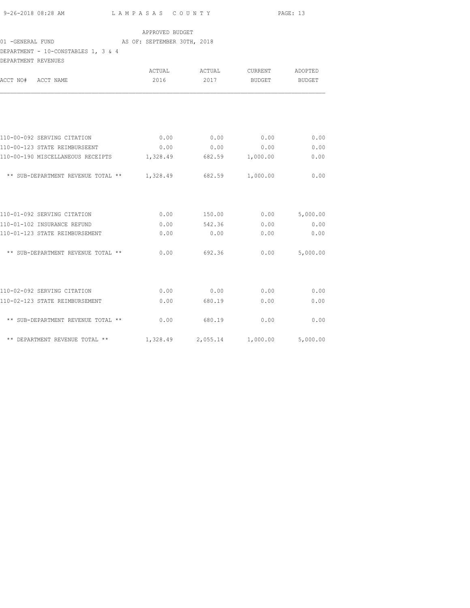| 9-26-2018 08:28 AM | LAMPASAS COUNTY | PAGE: 13 |
|--------------------|-----------------|----------|
|                    |                 |          |

## 01 -GENERAL FUND AS OF: SEPTEMBER 30TH, 2018

DEPARTMENT - 10-CONSTABLES 1, 3 & 4

| DEPARTMENT REVENUES                         |          |          |          |               |
|---------------------------------------------|----------|----------|----------|---------------|
|                                             | ACTUAL   | ACTUAL   | CURRENT  | ADOPTED       |
| ACCT NO# ACCT NAME                          | 2016     | 2017     | BUDGET   | <b>BUDGET</b> |
|                                             |          |          |          |               |
| 110-00-092 SERVING CITATION                 | 0.00     | 0.00     | 0.00     | 0.00          |
| 110-00-123 STATE REIMBURSEENT               | 0.00     | 0.00     | 0.00     | 0.00          |
| 110-00-190 MISCELLANEOUS RECEIPTS           | 1,328.49 | 682.59   | 1,000.00 | 0.00          |
| ** SUB-DEPARTMENT REVENUE TOTAL ** 1,328.49 |          | 682.59   | 1,000.00 | 0.00          |
| 110-01-092 SERVING CITATION                 | 0.00     | 150.00   | 0.00     | 5,000.00      |
| 110-01-102 INSURANCE REFUND                 | 0.00     | 542.36   | 0.00     | 0.00          |
| 110-01-123 STATE REIMBURSEMENT              | 0.00     | 0.00     | 0.00     | 0.00          |
| ** SUB-DEPARTMENT REVENUE TOTAL **          | 0.00     | 692.36   | 0.00     | 5,000.00      |
| 110-02-092 SERVING CITATION                 | 0.00     | 0.00     | 0.00     | 0.00          |
| 110-02-123 STATE REIMBURSEMENT              | 0.00     | 680.19   | 0.00     | 0.00          |
| ** SUB-DEPARTMENT REVENUE TOTAL **          | 0.00     | 680.19   | 0.00     | 0.00          |
| ** DEPARTMENT REVENUE TOTAL **              | 1,328.49 | 2,055.14 | 1,000.00 | 5,000.00      |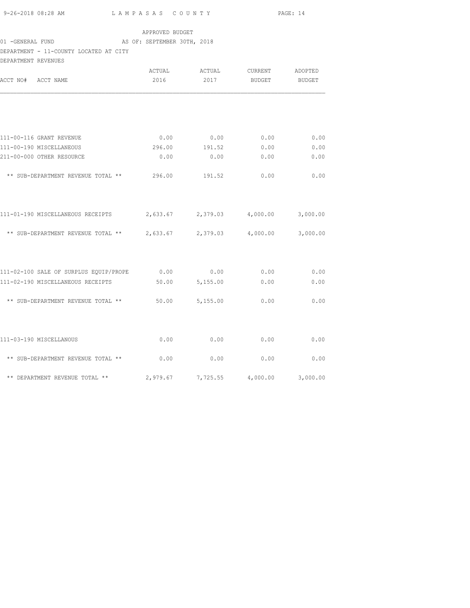| 9-26-2018 08:28 AM | LAMPASAS COUNTY | <b>PAGE: 14</b> |
|--------------------|-----------------|-----------------|

### 01 -GENERAL FUND AS OF: SEPTEMBER 30TH, 2018

## DEPARTMENT - 11-COUNTY LOCATED AT CITY

| DEPARTMENT REVENUES                                                 |          |                            |          |               |
|---------------------------------------------------------------------|----------|----------------------------|----------|---------------|
|                                                                     | ACTUAL   | ACTUAL                     | CURRENT  | ADOPTED       |
| ACCT NO# ACCT NAME                                                  | 2016     | 2017                       | BUDGET   | <b>BUDGET</b> |
|                                                                     |          |                            |          |               |
|                                                                     |          |                            |          |               |
| 111-00-116 GRANT REVENUE                                            | 0.00     | 0.00                       | 0.00     | 0.00          |
| 111-00-190 MISCELLANEOUS                                            | 296.00   | 191.52                     | 0.00     | 0.00          |
| 211-00-000 OTHER RESOURCE                                           | 0.00     | 0.00                       | 0.00     | 0.00          |
| ** SUB-DEPARTMENT REVENUE TOTAL ** 296.00                           |          | 191.52                     | 0.00     | 0.00          |
| 111-01-190 MISCELLANEOUS RECEIPTS                                   |          | 2,633.67 2,379.03 4,000.00 |          | 3,000.00      |
| ** SUB-DEPARTMENT REVENUE TOTAL ** $2,633.67$ $2,379.03$ $4,000.00$ |          |                            |          | 3,000.00      |
| 111-02-100 SALE OF SURPLUS EQUIP/PROPE 0.00 0.00 0.00 0.00          |          |                            |          | 0.00          |
| 111-02-190 MISCELLANEOUS RECEIPTS                                   |          | 50.00 5,155.00             | 0.00     | 0.00          |
| ** SUB-DEPARTMENT REVENUE TOTAL **                                  |          | 50.00 5,155.00             | 0.00     | 0.00          |
| 111-03-190 MISCELLANOUS                                             | 0.00     | 0.00                       | 0.00     | 0.00          |
| ** SUB-DEPARTMENT REVENUE TOTAL **                                  | 0.00     | 0.00                       | 0.00     | 0.00          |
| ** DEPARTMENT REVENUE TOTAL **                                      | 2,979.67 | 7,725.55                   | 4,000.00 | 3,000.00      |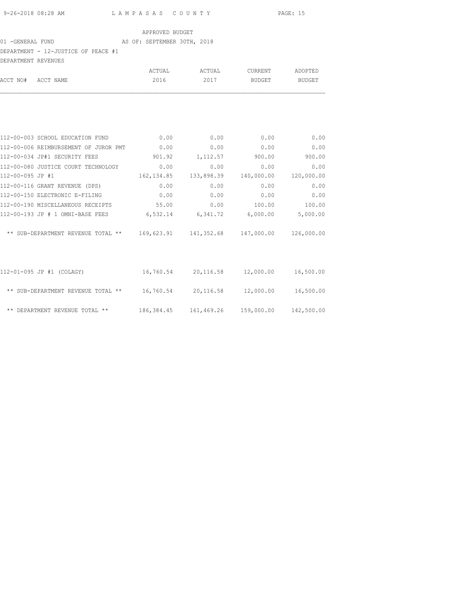# 01 -GENERAL FUND AS OF: SEPTEMBER 30TH, 2018

| DEPARTMENT - 12-JUSTICE OF PEACE #1                                            |            |                        |               |            |
|--------------------------------------------------------------------------------|------------|------------------------|---------------|------------|
| DEPARTMENT REVENUES                                                            |            |                        |               |            |
|                                                                                |            |                        |               |            |
| ACCT NO# ACCT NAME                                                             | 2016       | 2017                   | BUDGET        | BUDGET     |
|                                                                                |            |                        |               |            |
| 112-00-003 SCHOOL EDUCATION FUND 0.00                                          |            | 0.00                   | 0.00          | 0.00       |
| 112-00-006 REIMBURSEMENT OF JUROR PMT 0.00                                     |            | 0.00                   | 0.00          | 0.00       |
| 112-00-034 JP#1 SECURITY FEES                                                  |            | 901.92 1,112.57 900.00 |               | 900.00     |
| 112-00-080 JUSTICE COURT TECHNOLOGY 0.00                                       |            | 0.00                   | 0.00          | 0.00       |
| 112-00-095 JP #1                                                               | 162,134.85 | 133,898.39             | 140,000.00    | 120,000.00 |
| 112-00-116 GRANT REVENUE (DPS)                                                 | 0.00       | 0.00                   | 0.00          | 0.00       |
| 112-00-150 ELECTRONIC E-FILING 0.00                                            |            | 0.00                   | 0.00          | 0.00       |
| 112-00-190 MISCELLANEOUS RECEIPTS 55.00                                        |            |                        | $0.00$ 100.00 | 100.00     |
| 112-00-193 JP # 1 OMNI-BASE FEES 6,532.14 6,341.72 6,000.00 5,000.00           |            |                        |               |            |
| ** SUB-DEPARTMENT REVENUE TOTAL ** 169,623.91 141,352.68 147,000.00 126,000.00 |            |                        |               |            |
| $112-01-095$ JP #1 (COLAGY) $16,760.54$ 20,116.58 $12,000.00$                  |            |                        |               | 16,500.00  |
| ** SUB-DEPARTMENT REVENUE TOTAL ** $16,760.54$ 20,116.58                       |            |                        | 12,000.00     | 16,500.00  |
|                                                                                |            |                        |               |            |

\*\* DEPARTMENT REVENUE TOTAL \*\* 186,384.45 161,469.26 159,000.00 142,500.00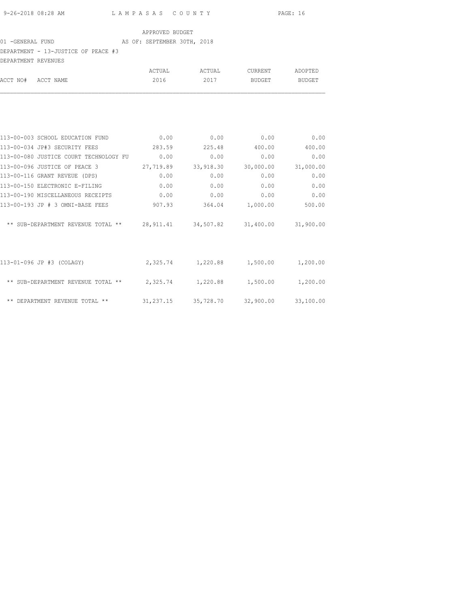### 01 -GENERAL FUND AS OF: SEPTEMBER 30TH, 2018

DEPARTMENT - 13-JUSTICE OF PEACE #3

| DEPARTMENT REVENUES |                                        |           |           |           |           |
|---------------------|----------------------------------------|-----------|-----------|-----------|-----------|
|                     |                                        | ACTUAL    | ACTUAL    | CURRENT   | ADOPTED   |
| ACCT NO#            | ACCT NAME                              | 2016      | 2017      | BUDGET    | BUDGET    |
|                     |                                        |           |           |           |           |
|                     | 113-00-003 SCHOOL EDUCATION FUND       | 0.00      | 0.00      | 0.00      | 0.00      |
|                     | 113-00-034 JP#3 SECURITY FEES          | 283.59    | 225.48    | 400.00    | 400.00    |
|                     | 113-00-080 JUSTICE COURT TECHNOLOGY FU | 0.00      | 0.00      | 0.00      | 0.00      |
|                     | 113-00-096 JUSTICE OF PEACE 3          | 27,719.89 | 33,918.30 | 30,000.00 | 31,000.00 |
|                     | 113-00-116 GRANT REVEUE (DPS)          | 0.00      | 0.00      | 0.00      | 0.00      |
|                     | 113-00-150 ELECTRONIC E-FILING         | 0.00      | 0.00      | 0.00      | 0.00      |
|                     | 113-00-190 MISCELLANEOUS RECEIPTS      | 0.00      | 0.00      | 0.00      | 0.00      |

| 113-00-150 ELECTRONIC E-FILING       | 0.00       | 0.00      | 0.00      | 0.00      |
|--------------------------------------|------------|-----------|-----------|-----------|
| 113-00-190 MISCELLANEOUS RECEIPTS    | 0.00       | 0.00      | 0.00      | 0.00      |
| 113-00-193 JP # 3 OMNI-BASE FEES     | 907.93     | 364.04    | 1,000.00  | 500.00    |
| ** SUB-DEPARTMENT REVENUE TOTAL **   | 28, 911.41 | 34,507.82 | 31,400.00 | 31,900.00 |
| 113-01-096 JP #3 (COLAGY)            | 2,325.74   | 1,220.88  | 1,500.00  | 1,200.00  |
| ** SUB-DEPARTMENT REVENUE TOTAL **   | 2,325.74   | 1,220.88  | 1,500.00  | 1,200.00  |
| $***$<br>DEPARTMENT REVENUE TOTAL ** | 31,237.15  | 35,728.70 | 32,900.00 | 33,100.00 |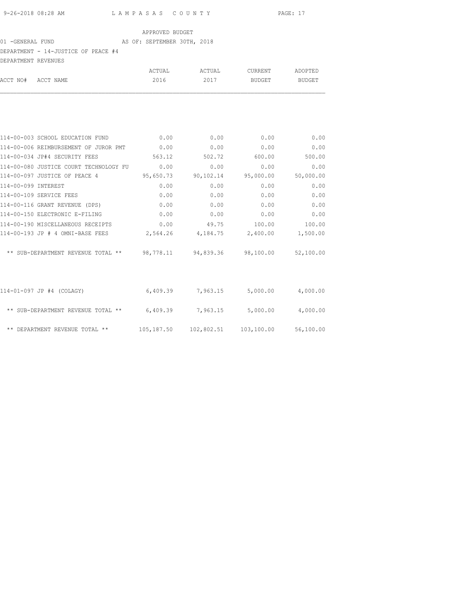## 01 -GENERAL FUND AS OF: SEPTEMBER 30TH, 2018 DEPARTMENT - 14-JUSTICE OF PEACE #4

| DRFARIMENI - 14-JUSIIUE UF FEAUE #4<br>DEPARTMENT REVENUES                 |             |        |                                               |         |
|----------------------------------------------------------------------------|-------------|--------|-----------------------------------------------|---------|
|                                                                            | ACTUAL      | ACTUAL | CURRENT                                       | ADOPTED |
| ACCT NO# ACCT NAME                                                         | 2016        | 2017   | BUDGET                                        | BUDGET  |
|                                                                            |             |        |                                               |         |
| 114-00-003 SCHOOL EDUCATION FUND                                           | 0.00        | 0.00   | 0.00                                          | 0.00    |
| 114-00-006 REIMBURSEMENT OF JUROR PMT 0.00                                 |             | 0.00   | 0.00                                          | 0.00    |
| 114-00-034 JP#4 SECURITY FEES                                              | 563.12      | 502.72 | 600.00                                        | 500.00  |
| 114-00-080 JUSTICE COURT TECHNOLOGY FU 0.00                                |             | 0.00   | 0.00                                          | 0.00    |
| 114-00-097 JUSTICE OF PEACE 4 95,650.73                                    |             |        | 90,102.14 95,000.00 50,000.00                 |         |
| 114-00-099 INTEREST                                                        | 0.00        | 0.00   | 0.00                                          | 0.00    |
| 114-00-109 SERVICE FEES                                                    | 0.00        | 0.00   | 0.00                                          | 0.00    |
| 114-00-116 GRANT REVENUE (DPS)                                             | 0.00        | 0.00   | 0.00                                          | 0.00    |
| 114-00-150 ELECTRONIC E-FILING                                             | $\sim$ 0.00 | 0.00   | 0.00                                          | 0.00    |
| 114-00-190 MISCELLANEOUS RECEIPTS                                          | 0.00        | 49.75  | 100.00                                        | 100.00  |
| 114-00-193 JP # 4 OMNI-BASE FEES 2,564.26 4,184.75 2,400.00 1,500.00       |             |        |                                               |         |
| ** SUB-DEPARTMENT REVENUE TOTAL ** 98,778.11 94,839.36 98,100.00 52,100.00 |             |        |                                               |         |
| 114-01-097 JP #4 (COLAGY)                                                  |             |        | $6,409.39$ $7,963.15$ $5,000.00$ $4,000.00$   |         |
| ** SUB-DEPARTMENT REVENUE TOTAL ** 6,409.39 7,963.15 5,000.00 4,000.00     |             |        |                                               |         |
| ** DEPARTMENT REVENUE TOTAL **                                             |             |        | 105,187.50  102,802.51  103,100.00  56,100.00 |         |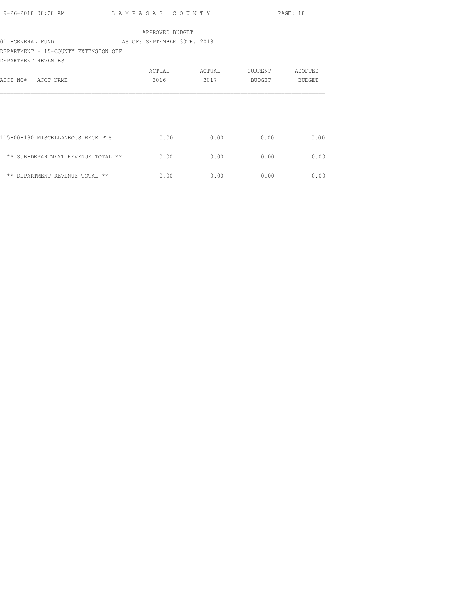|                     |                                      |  |      |                 |               |         | PAGE: 18     |
|---------------------|--------------------------------------|--|------|-----------------|---------------|---------|--------------|
|                     |                                      |  |      | APPROVED BUDGET |               |         |              |
|                     |                                      |  |      |                 |               |         |              |
| 01 -GENERAL FUND    | AS OF: SEPTEMBER 30TH, 2018          |  |      |                 |               |         |              |
|                     | DEPARTMENT - 15-COUNTY EXTENSION OFF |  |      |                 |               |         |              |
| DEPARTMENT REVENUES |                                      |  |      |                 |               |         |              |
|                     |                                      |  |      |                 | ACTUAL ACTUAL | CURRENT | ADOPTED      |
| ACCT NO# ACCT NAME  |                                      |  | 2016 |                 | 2017          | BUDGET  | BUDGET       |
|                     |                                      |  |      |                 |               |         |              |
|                     |                                      |  |      |                 |               |         |              |
|                     |                                      |  |      |                 |               |         |              |
|                     | 115-00-190 MISCELLANEOUS RECEIPTS    |  |      | 0.00            | 0.00          | 0.00    | 0.00         |
|                     | ** SUB-DEPARTMENT REVENUE TOTAL **   |  |      | 0.00            | 0.00          | 0.00    | 0.00         |
|                     |                                      |  |      |                 |               |         |              |
|                     | ** DEPARTMENT REVENUE TOTAL **       |  |      | 0.00            | 0.00          |         | 0.00<br>0.00 |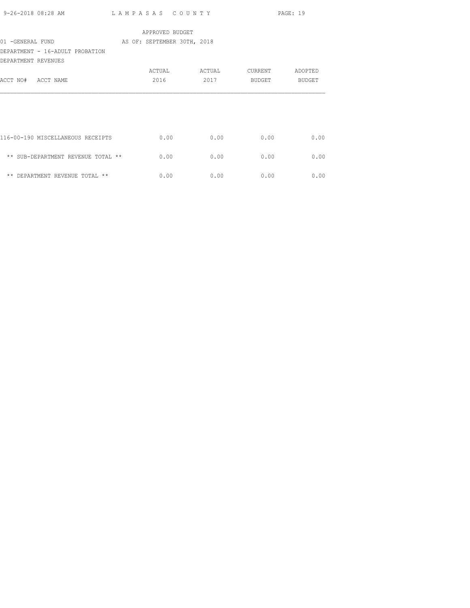| 9-26-2018 08:28 AM  |                                    | LAMPASAS COUNTY             |                 |         | PAGE: 19      |
|---------------------|------------------------------------|-----------------------------|-----------------|---------|---------------|
|                     |                                    |                             | APPROVED BUDGET |         |               |
| 01 -GENERAL FUND    |                                    | AS OF: SEPTEMBER 30TH, 2018 |                 |         |               |
|                     | DEPARTMENT - 16-ADULT PROBATION    |                             |                 |         |               |
| DEPARTMENT REVENUES |                                    |                             |                 |         |               |
|                     |                                    | ACTUAL                      | ACTUAL          | CURRENT | ADOPTED       |
| ACCT NO# ACCT NAME  |                                    | 2016                        | 2017            | BUDGET  | <b>BUDGET</b> |
|                     |                                    |                             |                 |         |               |
|                     |                                    |                             |                 |         |               |
|                     |                                    |                             |                 |         |               |
|                     |                                    |                             |                 |         |               |
|                     | 116-00-190 MISCELLANEOUS RECEIPTS  |                             | 0.00<br>0.00    | 0.00    | 0.00          |
|                     |                                    |                             |                 |         |               |
|                     | ** SUB-DEPARTMENT REVENUE TOTAL ** |                             | 0.00<br>0.00    | 0.00    | 0.00          |
|                     |                                    |                             |                 |         |               |
|                     | ** DEPARTMENT REVENUE TOTAL **     |                             | 0.00<br>0.00    | 0.00    | 0.00          |
|                     |                                    |                             |                 |         |               |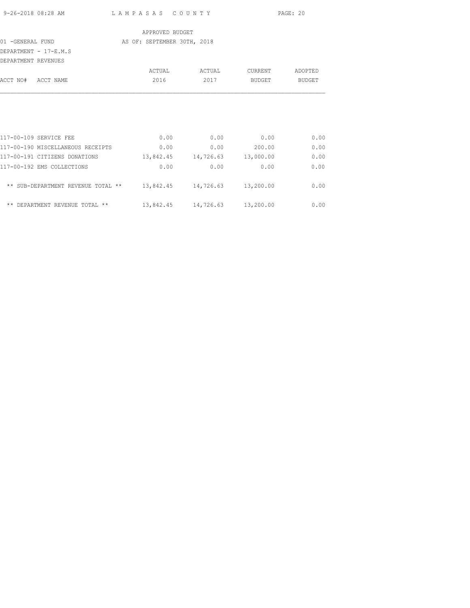|                     |                                                                        |                             |               |               | PAGE: 20 |
|---------------------|------------------------------------------------------------------------|-----------------------------|---------------|---------------|----------|
|                     |                                                                        | APPROVED BUDGET             |               |               |          |
| 01 -GENERAL FUND    |                                                                        | AS OF: SEPTEMBER 30TH, 2018 |               |               |          |
| DEPARTMENT REVENUES | DEPARTMENT - 17-E.M.S                                                  |                             |               |               |          |
|                     |                                                                        |                             | ACTUAL ACTUAL | CURRENT       | ADOPTED  |
| ACCT NO# ACCT NAME  |                                                                        | 2016                        | 2017          | BUDGET        | BUDGET   |
|                     |                                                                        |                             |               |               |          |
|                     |                                                                        |                             |               |               |          |
|                     | 117-00-109 SERVICE FEE                                                 | 0.00                        | 0.00          | 0.00          | 0.00     |
|                     | 117-00-190 MISCELLANEOUS RECEIPTS 0.00                                 |                             |               | $0.00$ 200.00 | 0.00     |
|                     | $117-00-191$ CITIZENS DONATIONS $13,842.45$ $14,726.63$ $13,000.00$    |                             |               |               | 0.00     |
|                     | 117-00-192 EMS COLLECTIONS                                             | 0.00                        | 0.00          | 0.00          | 0.00     |
|                     | ** SUB-DEPARTMENT REVENUE TOTAL ** $13,842.45$ $14,726.63$ $13,200.00$ |                             |               |               | 0.00     |

\*\* DEPARTMENT REVENUE TOTAL \*\* 13,842.45 14,726.63 13,200.00 0.00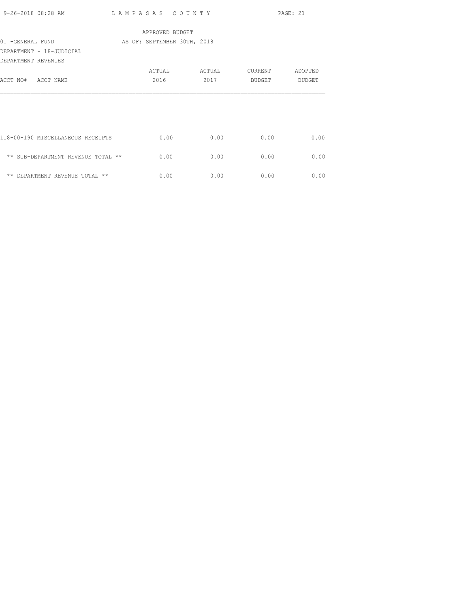| 9-26-2018 08:28 AM                              |                 | LAMPASAS COUNTY             |              | PAGE: 21 |
|-------------------------------------------------|-----------------|-----------------------------|--------------|----------|
|                                                 | APPROVED BUDGET |                             |              |          |
| 01 -GENERAL FUND                                |                 | AS OF: SEPTEMBER 30TH, 2018 |              |          |
| DEPARTMENT - 18-JUDICIAL<br>DEPARTMENT REVENUES |                 |                             |              |          |
|                                                 | ACTUAL          | ACTUAL                      | CURRENT      | ADOPTED  |
| ACCT NO# ACCT NAME                              | 2016            | 2017                        | BUDGET       | BUDGET   |
|                                                 |                 |                             |              |          |
| 118-00-190 MISCELLANEOUS RECEIPTS               | 0.00            |                             | 0.00<br>0.00 | 0.00     |
| ** SUB-DEPARTMENT REVENUE TOTAL **              | 0.00            |                             | 0.00<br>0.00 | 0.00     |
| ** DEPARTMENT REVENUE TOTAL **                  | 0.00            |                             | 0.00<br>0.00 | 0.00     |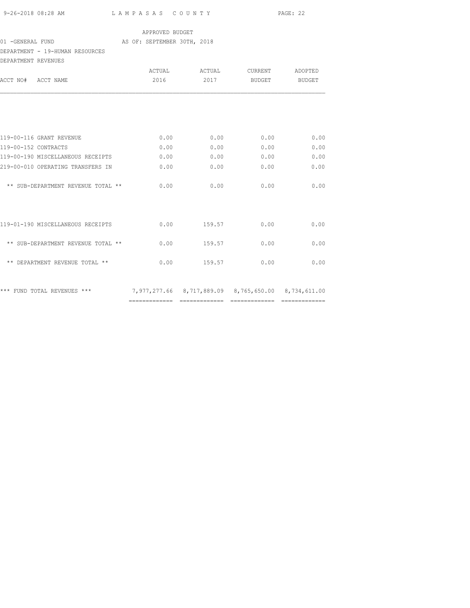| 9-26-2018 08:28 AM | LAMPASAS COUNTY | PAGE: 22 |
|--------------------|-----------------|----------|
|                    |                 |          |

### 01 -GENERAL FUND AS OF: SEPTEMBER 30TH, 2018

## DEPARTMENT - 19-HUMAN RESOURCES

| DEPARTMENT REVENUES  |                                    |        |        |                                                     |               |
|----------------------|------------------------------------|--------|--------|-----------------------------------------------------|---------------|
|                      |                                    | ACTUAL | ACTUAL | CURRENT                                             | ADOPTED       |
| ACCT NO# ACCT NAME   |                                    | 2016   | 2017   | BUDGET                                              | <b>BUDGET</b> |
|                      |                                    |        |        |                                                     |               |
|                      | 119-00-116 GRANT REVENUE           | 0.00   | 0.00   | 0.00                                                | 0.00          |
| 119-00-152 CONTRACTS |                                    | 0.00   | 0.00   | 0.00                                                | 0.00          |
|                      | 119-00-190 MISCELLANEOUS RECEIPTS  | 0.00   | 0.00   | 0.00                                                | 0.00          |
|                      | 219-00-010 OPERATING TRANSFERS IN  | 0.00   | 0.00   | 0.00                                                | 0.00          |
|                      | ** SUB-DEPARTMENT REVENUE TOTAL ** | 0.00   | 0.00   | 0.00                                                | 0.00          |
|                      | 119-01-190 MISCELLANEOUS RECEIPTS  | 0.00   | 159.57 | 0.00                                                | 0.00          |
|                      | ** SUB-DEPARTMENT REVENUE TOTAL ** | 0.00   | 159.57 | 0.00                                                | 0.00          |
|                      | ** DEPARTMENT REVENUE TOTAL **     | 0.00   | 159.57 | 0.00                                                | 0.00          |
|                      | *** FUND TOTAL REVENUES ***        |        |        | 7,977,277.66 8,717,889.09 8,765,650.00 8,734,611.00 |               |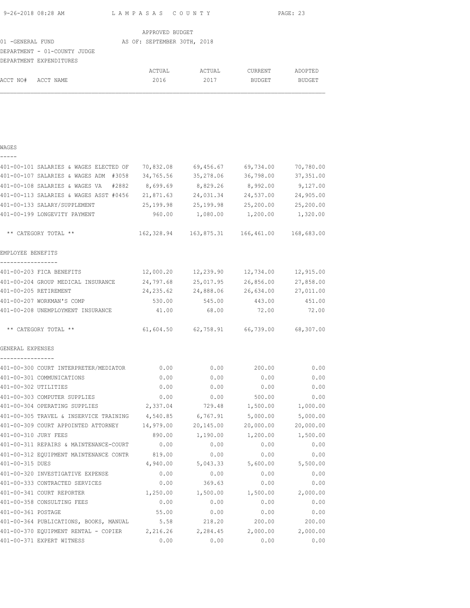| 9-26-2018 08:28 AM | LAMPASAS COUNTY | PAGE: 23 |
|--------------------|-----------------|----------|
|                    |                 |          |

| APPROVED BUDGET   |                              |  |                             |  |        |                |         |
|-------------------|------------------------------|--|-----------------------------|--|--------|----------------|---------|
| 01 - GENERAL FUND |                              |  | AS OF: SEPTEMBER 30TH, 2018 |  |        |                |         |
|                   | DEPARTMENT - 01-COUNTY JUDGE |  |                             |  |        |                |         |
|                   | DEPARTMENT EXPENDITURES      |  |                             |  |        |                |         |
|                   |                              |  | ACTUAL                      |  | ACTUAL | <b>CURRENT</b> | ADOPTED |
| ACCT NO#          | ACCT NAME                    |  | 2016                        |  | 2017   | <b>BUDGET</b>  | BUDGET  |

## WAGES

| - | - | - |  |
|---|---|---|--|
|   |   |   |  |

|                      | 401-00-101 SALARIES & WAGES ELECTED OF                          | 70,832.08  | 69,456.67                                       | 69,734.00 | 70,780.00  |
|----------------------|-----------------------------------------------------------------|------------|-------------------------------------------------|-----------|------------|
|                      | 401-00-107 SALARIES & WAGES ADM #3058                           | 34,765.56  | 35,278.06                                       | 36,798.00 | 37, 351.00 |
|                      | 401-00-108 SALARIES & WAGES VA<br>#2882                         | 8,699.69   | 8,829.26                                        | 8,992.00  | 9,127.00   |
|                      | 401-00-113 SALARIES & WAGES ASST #0456                          | 21,871.63  | 24,031.34                                       | 24,537.00 | 24,905.00  |
|                      | 401-00-133 SALARY/SUPPLEMENT                                    | 25,199.98  | 25,199.98                                       | 25,200.00 | 25,200.00  |
|                      | 401-00-199 LONGEVITY PAYMENT                                    | 960.00     | 1,080.00                                        | 1,200.00  | 1,320.00   |
|                      | ** CATEGORY TOTAL **                                            |            | 162,328.94    163,875.31    166,461.00          |           | 168,683.00 |
| EMPLOYEE BENEFITS    |                                                                 |            |                                                 |           |            |
| -----------------    | 401-00-203 FICA BENEFITS                                        | 12,000.20  | 12,239.90                                       | 12,734.00 | 12,915.00  |
|                      | 401-00-204 GROUP MEDICAL INSURANCE                              | 24,797.68  | 25,017.95                                       | 26,856.00 | 27,858.00  |
|                      | 401-00-205 RETIREMENT                                           | 24, 235.62 | 24,888.06                                       | 26,634.00 | 27,011.00  |
|                      | 401-00-207 WORKMAN'S COMP                                       | 530.00     | 545.00                                          | 443.00    | 451.00     |
|                      | 401-00-208 UNEMPLOYMENT INSURANCE                               | 41.00      | 68.00                                           | 72.00     | 72.00      |
|                      | ** CATEGORY TOTAL **                                            |            | $61,604.50$ $62,758.91$ $66,739.00$ $68,307.00$ |           |            |
| GENERAL EXPENSES     |                                                                 |            |                                                 |           |            |
| ----------------     | 401-00-300 COURT INTERPRETER/MEDIATOR 0.00                      |            | 0.00                                            | 200.00    | 0.00       |
|                      | 401-00-301 COMMUNICATIONS                                       | 0.00       | 0.00                                            | 0.00      | 0.00       |
| 401-00-302 UTILITIES |                                                                 | 0.00       | 0.00                                            | 0.00      | 0.00       |
|                      | 401-00-303 COMPUTER SUPPLIES                                    | 0.00       | 0.00                                            | 500.00    | 0.00       |
|                      | 401-00-304 OPERATING SUPPLIES                                   | 2,337.04   | 729.48                                          | 1,500.00  | 1,000.00   |
|                      | 401-00-305 TRAVEL & INSERVICE TRAINING                          | 4,540.85   | 6,767.91                                        | 5,000.00  | 5,000.00   |
|                      | 401-00-309 COURT APPOINTED ATTORNEY 14,979.00                   |            | 20,145.00                                       | 20,000.00 | 20,000.00  |
| 401-00-310 JURY FEES |                                                                 | 890.00     | 1,190.00                                        | 1,200.00  | 1,500.00   |
|                      | 401-00-311 REPAIRS & MAINTENANCE-COURT                          | 0.00       | 0.00                                            | 0.00      | 0.00       |
|                      | 401-00-312 EQUIPMENT MAINTENANCE CONTR                          | 819.00     | 0.00                                            | 0.00      | 0.00       |
| 401-00-315 DUES      |                                                                 | 4,940.00   | 5,043.33                                        | 5,600.00  | 5,500.00   |
|                      | 401-00-320 INVESTIGATIVE EXPENSE                                | 0.00       | 0.00                                            | 0.00      | 0.00       |
|                      | 401-00-333 CONTRACTED SERVICES                                  | 0.00       | 369.63                                          | 0.00      | 0.00       |
|                      | 401-00-341 COURT REPORTER                                       | 1,250.00   | 1,500.00                                        | 1,500.00  | 2,000.00   |
|                      | 401-00-358 CONSULTING FEES                                      | 0.00       | 0.00                                            | 0.00      | 0.00       |
| 401-00-361 POSTAGE   |                                                                 | 55.00      | 0.00                                            | 0.00      | 0.00       |
|                      | 401-00-364 PUBLICATIONS, BOOKS, MANUAL                          | 5.58       | 218.20                                          | 200.00    | 200.00     |
|                      | 401-00-370 EQUIPMENT RENTAL - COPIER 2,216.26 2,284.45 2,000.00 |            |                                                 |           | 2,000.00   |
|                      | 401-00-371 EXPERT WITNESS                                       | 0.00       | 0.00                                            | 0.00      | 0.00       |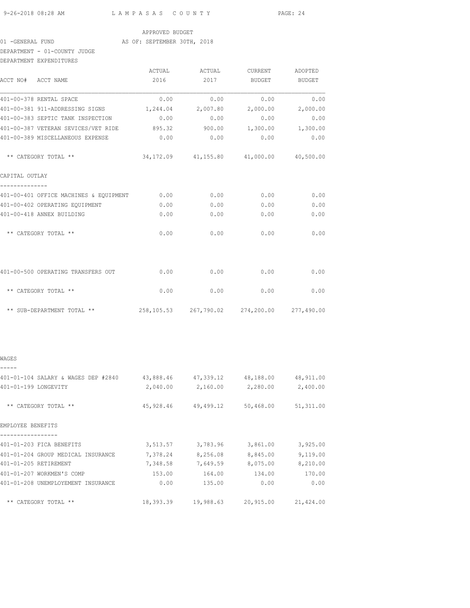9-26-2018 08:28 AM L A M P A S A S C O U N T Y PAGE: 24

### APPROVED BUDGET

### 01 -GENERAL FUND AS OF: SEPTEMBER 30TH, 2018

## DEPARTMENT - 01-COUNTY JUDGE

| DEPARTMENT EXPENDITURES                    |        |                   |                                             |               |
|--------------------------------------------|--------|-------------------|---------------------------------------------|---------------|
|                                            | ACTUAL | ACTUAL            | CURRENT                                     | ADOPTED       |
| ACCT NO# ACCT NAME                         | 2016   | 2017              | <b>BUDGET</b>                               | <b>BUDGET</b> |
| 401-00-378 RENTAL SPACE                    | 0.00   | 0.00              | 0.00                                        | 0.00          |
| 401-00-381 911-ADDRESSING SIGNS            |        | 1,244.04 2,007.80 | 2,000.00                                    | 2,000.00      |
| 401-00-383 SEPTIC TANK INSPECTION          | 0.00   | 0.00              | 0.00                                        | 0.00          |
| 401-00-387 VETERAN SEVICES/VET RIDE 895.32 |        | 900.00            | 1,300.00                                    | 1,300.00      |
| 401-00-389 MISCELLANEOUS EXPENSE           | 0.00   | 0.00              | 0.00                                        | 0.00          |
| ** CATEGORY TOTAL **                       |        |                   | 34,172.09 41,155.80 41,000.00               | 40,500.00     |
| CAPITAL OUTLAY                             |        |                   |                                             |               |
| 401-00-401 OFFICE MACHINES & EQUIPMENT     | 0.00   | 0.00              | 0.00                                        | 0.00          |
| 401-00-402 OPERATING EQUIPMENT             | 0.00   | 0.00              | 0.00                                        | 0.00          |
| 401-00-418 ANNEX BUILDING                  | 0.00   | 0.00              | 0.00                                        | 0.00          |
| ** CATEGORY TOTAL **                       | 0.00   | 0.00              | 0.00                                        | 0.00          |
| 401-00-500 OPERATING TRANSFERS OUT         | 0.00   | 0.00              | 0.00                                        | 0.00          |
| ** CATEGORY TOTAL **                       | 0.00   | 0.00              | 0.00                                        | 0.00          |
| ** SUB-DEPARTMENT TOTAL **                 |        |                   | 258,105.53 267,790.02 274,200.00 277,490.00 |               |
|                                            |        |                   |                                             |               |

## WAGES

| 401-01-104 SALARY & WAGES DEP #2840 | 43,888.46 | 47,339.12 | 48,188.00 | 48,911.00 |
|-------------------------------------|-----------|-----------|-----------|-----------|
| 401-01-199 LONGEVITY                | 2,040.00  | 2,160.00  | 2,280.00  | 2,400.00  |
| ** CATEGORY TOTAL **                | 45,928.46 | 49,499.12 | 50,468.00 | 51,311.00 |
| EMPLOYEE BENEFITS                   |           |           |           |           |
|                                     |           |           |           |           |
| 401-01-203 FICA BENEFITS            | 3,513.57  | 3,783.96  | 3,861.00  | 3,925.00  |
| 401-01-204 GROUP MEDICAL INSURANCE  | 7,378.24  | 8,256.08  | 8,845.00  | 9,119.00  |
| 401-01-205 RETIREMENT               | 7,348.58  | 7,649.59  | 8,075.00  | 8,210.00  |
| 401-01-207 WORKMEN'S COMP           | 153.00    | 164.00    | 134.00    | 170.00    |
| 401-01-208 UNEMPLOYEMENT INSURANCE  | 0.00      | 135.00    | 0.00      | 0.00      |
| ** CATEGORY TOTAL **                | 18,393.39 | 19,988.63 | 20,915.00 | 21,424.00 |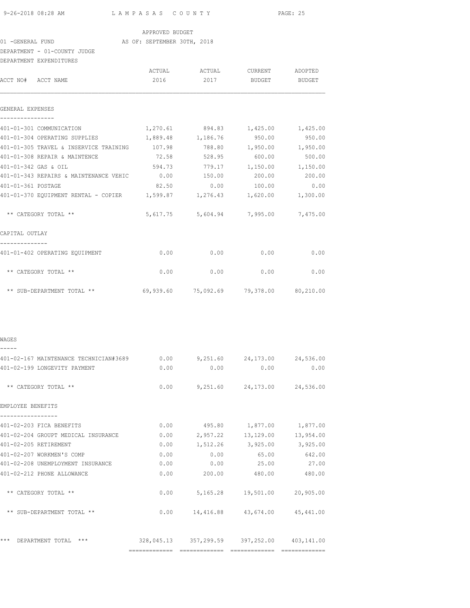| 9-26-2018 08:28 AM | LAMPASAS COUNTY | PAGE: 25 |
|--------------------|-----------------|----------|
|                    |                 |          |

01 -GENERAL FUND AS OF: SEPTEMBER 30TH, 2018

DEPARTMENT - 01-COUNTY JUDGE

|                       | DEPARTMENT EXPENDITURES                                                  |          |                                                 |                    |           |
|-----------------------|--------------------------------------------------------------------------|----------|-------------------------------------------------|--------------------|-----------|
|                       |                                                                          |          | ACTUAL ACTUAL CURRENT                           |                    | ADOPTED   |
| ACCT NO# ACCT NAME    |                                                                          | 2016     |                                                 | 2017 BUDGET BUDGET |           |
| GENERAL EXPENSES      |                                                                          |          |                                                 |                    |           |
| -------------         | 401-01-301 COMMUNICATION                                                 | 1,270.61 | 894.83                                          | 1,425.00           | 1,425.00  |
|                       | 401-01-304 OPERATING SUPPLIES                                            | 1,889.48 | 1,186.76                                        | 950.00             | 950.00    |
|                       | 401-01-305 TRAVEL & INSERVICE TRAINING                                   | 107.98   | 788.80                                          | 1,950.00           | 1,950.00  |
|                       | 401-01-308 REPAIR & MAINTENCE                                            | 72.58    | 528.95                                          | 600.00             | 500.00    |
| 401-01-342 GAS & OIL  |                                                                          | 594.73   | 779.17                                          | 1,150.00           | 1,150.00  |
|                       | 401-01-343 REPAIRS & MAINTENANCE VEHIC                                   | 0.00     | 150.00                                          | 200.00             | 200.00    |
| 401-01-361 POSTAGE    |                                                                          |          | 82.50 0.00 100.00                               |                    | 0.00      |
|                       | $401-01-370$ EQUIPMENT RENTAL - COPIER $1,599.87$ $1,276.43$ $1,620.00$  |          |                                                 |                    | 1,300.00  |
|                       | ** CATEGORY TOTAL **                                                     |          | 5,617.75 5,604.94 7,995.00 7,475.00             |                    |           |
| CAPITAL OUTLAY        |                                                                          |          |                                                 |                    |           |
|                       | 401-01-402 OPERATING EQUIPMENT                                           | 0.00     | 0.00                                            | 0.00               | 0.00      |
|                       | ** CATEGORY TOTAL **                                                     | 0.00     | 0.00                                            | 0.00               | 0.00      |
|                       | ** SUB-DEPARTMENT TOTAL **                                               |          | $69,939.60$ $75,092.69$ $79,378.00$ $80,210.00$ |                    |           |
| WAGES                 |                                                                          |          |                                                 |                    |           |
|                       |                                                                          |          |                                                 |                    |           |
|                       | 401-02-167 MAINTENANCE TECHNICIAN#3689 0.00 9,251.60 24,173.00 24,536.00 |          |                                                 |                    |           |
|                       | 401-02-199 LONGEVITY PAYMENT                                             | 0.00     | 0.00                                            | 0.00               | 0.00      |
|                       | ** CATEGORY TOTAL **                                                     |          | $0.00$ $9,251.60$ $24,173.00$ $24,536.00$       |                    |           |
| EMPLOYEE BENEFITS     |                                                                          |          |                                                 |                    |           |
|                       | 401-02-203 FICA BENEFITS                                                 |          | $0.00$ 495.80 $1,877.00$ 1,877.00               |                    |           |
|                       | 401-02-204 GROUPT MEDICAL INSURANCE                                      |          | $0.00$ 2,957.22 13,129.00 13,954.00             |                    |           |
| 401-02-205 RETIREMENT |                                                                          |          | $0.00$ 1,512.26 3,925.00 3,925.00               |                    |           |
|                       | 401-02-207 WORKMEN'S COMP                                                | 0.00     | 0.00                                            | 65.00              | 642.00    |
|                       | 401-02-208 UNEMPLOYMENT INSURANCE                                        | 0.00     | 0.00                                            | 25.00              | 27.00     |
|                       | 401-02-212 PHONE ALLOWANCE                                               | 0.00     | 200.00                                          | 480.00             | 480.00    |
|                       | ** CATEGORY TOTAL **                                                     |          | $0.00$ 5,165.28 19,501.00                       |                    | 20,905.00 |
|                       | ** SUB-DEPARTMENT TOTAL **                                               |          | $0.00$ 14,416.88 43,674.00 45,441.00            |                    |           |
|                       | *** DEPARTMENT TOTAL ***                                                 |          | 328,045.13 357,299.59 397,252.00 403,141.00     |                    |           |
|                       |                                                                          |          |                                                 |                    |           |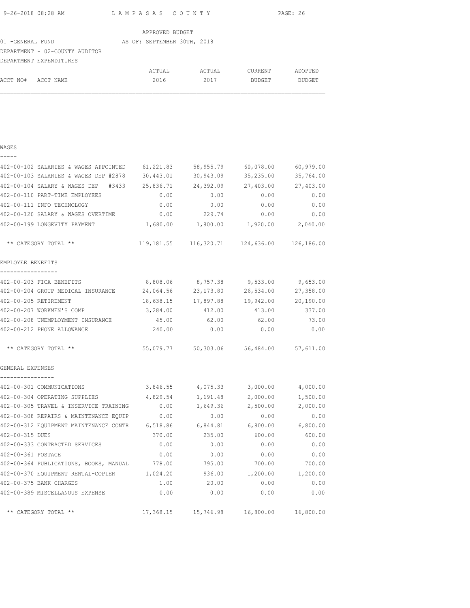| 9-26-2018 08:28 AM | LAMPASAS COUNTY | PAGE: 26 |
|--------------------|-----------------|----------|
|                    |                 |          |

ACCT NO# ACCT NAME 2016 2017 BUDGET BUDGET

|                                | APPROVED BUDGET             |        |         |         |
|--------------------------------|-----------------------------|--------|---------|---------|
| 01 -GENERAL FUND               | AS OF: SEPTEMBER 30TH, 2018 |        |         |         |
| DEPARTMENT - 02-COUNTY AUDITOR |                             |        |         |         |
| DEPARTMENT EXPENDITURES        |                             |        |         |         |
|                                | ACTUAL                      | ACTUAL | CURRENT | ADOPTED |

| WAGES<br>-----                                |           |                                                         |           |           |
|-----------------------------------------------|-----------|---------------------------------------------------------|-----------|-----------|
| 402-00-102 SALARIES & WAGES APPOINTED         | 61,221.83 | 58,955.79                                               | 60,078.00 | 60,979.00 |
| 402-00-103 SALARIES & WAGES DEP #2878         | 30,443.01 | 30,943.09                                               | 35,235.00 | 35,764.00 |
| 402-00-104 SALARY & WAGES DEP<br>#3433        | 25,836.71 | 24,392.09                                               | 27,403.00 | 27,403.00 |
| 402-00-110 PART-TIME EMPLOYEES                | 0.00      | 0.00                                                    | 0.00      | 0.00      |
| 402-00-111 INFO TECHNOLOGY                    | 0.00      | 0.00                                                    | 0.00      | 0.00      |
| 402-00-120 SALARY & WAGES OVERTIME            | 0.00      | 229.74                                                  | 0.00      | 0.00      |
| 402-00-199 LONGEVITY PAYMENT                  |           | 1,680.00  1,800.00  1,920.00  2,040.00                  |           |           |
|                                               |           |                                                         |           |           |
| ** CATEGORY TOTAL **                          |           | $119, 181.55$ $116, 320.71$ $124, 636.00$ $126, 186.00$ |           |           |
| EMPLOYEE BENEFITS                             |           |                                                         |           |           |
|                                               |           |                                                         |           |           |
| 402-00-203 FICA BENEFITS                      | 8,808.06  | 8,757.38                                                | 9,533.00  | 9,653.00  |
| 402-00-204 GROUP MEDICAL INSURANCE 24,064.56  |           | 23,173.80                                               | 26,534.00 | 27,358.00 |
| 402-00-205 RETIREMENT                         | 18,638.15 | 17,897.88                                               | 19,942.00 | 20,190.00 |
| 402-00-207 WORKMEN'S COMP                     | 3,284.00  | 412.00                                                  | 413.00    | 337.00    |
| 402-00-208 UNEMPLOYMENT INSURANCE             | 45.00     | 62.00                                                   | 62.00     | 73.00     |
| 402-00-212 PHONE ALLOWANCE                    | 240.00    | 0.00                                                    | 0.00      | 0.00      |
| ** CATEGORY TOTAL **                          |           | 55,079.77 50,303.06 56,484.00                           |           | 57,611.00 |
| GENERAL EXPENSES                              |           |                                                         |           |           |
| ----------------<br>402-00-301 COMMUNICATIONS |           | 3,846.55 4,075.33 3,000.00                              |           | 4,000.00  |
| 402-00-304 OPERATING SUPPLIES                 | 4,829.54  | 1,191.48                                                | 2,000.00  | 1,500.00  |
| 402-00-305 TRAVEL & INSERVICE TRAINING        | 0.00      | 1,649.36                                                | 2,500.00  | 2,000.00  |
| 402-00-308 REPAIRS & MAINTENANCE EQUIP        | 0.00      | 0.00                                                    | 0.00      | 0.00      |
| 402-00-312 EQUIPMENT MAINTENANCE CONTR        | 6,518.86  | 6,844.81                                                | 6,800.00  | 6,800.00  |
| 402-00-315 DUES                               | 370.00    | 235.00                                                  | 600.00    | 600.00    |
| 402-00-333 CONTRACTED SERVICES                | 0.00      | 0.00                                                    | 0.00      | 0.00      |
| 402-00-361 POSTAGE                            | 0.00      | 0.00                                                    | 0.00      | 0.00      |
| 402-00-364 PUBLICATIONS, BOOKS, MANUAL        | 778.00    | 795.00                                                  | 700.00    | 700.00    |
| 402-00-370 EQUIPMENT RENTAL-COPIER            | 1,024.20  | 936.00                                                  | 1,200.00  | 1,200.00  |
| 402-00-375 BANK CHARGES                       | 1.00      | 20.00                                                   | 0.00      | 0.00      |
| 402-00-389 MISCELLANOUS EXPENSE               | 0.00      | 0.00                                                    | 0.00      | 0.00      |
| ** CATEGORY TOTAL **                          | 17,368.15 | 15,746.98                                               | 16,800.00 | 16,800.00 |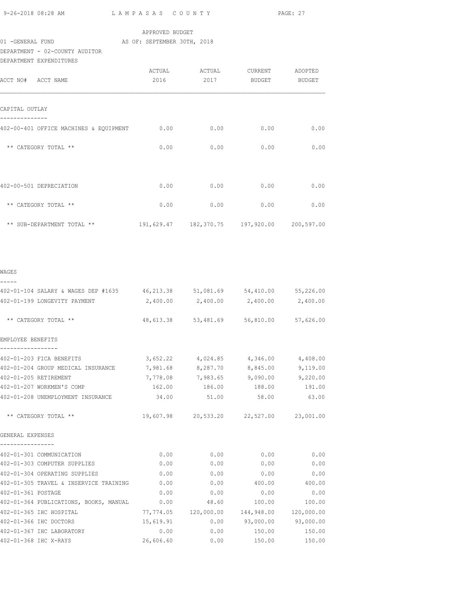| 9-26-2018 08:28 AM |  |  |  |
|--------------------|--|--|--|

L A M P A S A S C O U N T Y PAGE: 27

## APPROVED BUDGET

### 01 -GENERAL FUND AS OF: SEPTEMBER 30TH, 2018

DEPARTMENT - 02-COUNTY AUDITOR

| DEPARTMENT EXPENDITURES                |        |        |                                             |               |
|----------------------------------------|--------|--------|---------------------------------------------|---------------|
|                                        | ACTUAL | ACTUAL | CURRENT                                     | ADOPTED       |
| ACCT NO# ACCT NAME                     | 2016   | 2017   | BUDGET                                      | <b>BUDGET</b> |
|                                        |        |        |                                             |               |
|                                        |        |        |                                             |               |
| CAPITAL OUTLAY                         |        |        |                                             |               |
| 402-00-401 OFFICE MACHINES & EQUIPMENT | 0.00   | 0.00   | 0.00                                        | 0.00          |
|                                        |        |        |                                             |               |
| ** CATEGORY TOTAL **                   | 0.00   | 0.00   | 0.00                                        | 0.00          |
|                                        |        |        |                                             |               |
|                                        |        |        |                                             |               |
| 402-00-501 DEPRECIATION                | 0.00   | 0.00   | 0.00                                        | 0.00          |
|                                        |        |        |                                             |               |
| ** CATEGORY TOTAL **                   | 0.00   | 0.00   | 0.00                                        | 0.00          |
|                                        |        |        |                                             |               |
| ** SUB-DEPARTMENT TOTAL **             |        |        | 191,629.47 182,370.75 197,920.00 200,597.00 |               |

| 402-01-104 SALARY & WAGES DEP #1635 46,213.38 51,081.69 54,410.00 55,226.00 |           |                                             |                      |        |
|-----------------------------------------------------------------------------|-----------|---------------------------------------------|----------------------|--------|
| 402-01-199 LONGEVITY PAYMENT 2,400.00 2,400.00 2,400.00 2,400.00            |           |                                             |                      |        |
| ** CATEGORY TOTAL **                                                        |           | 48,613.38 53,481.69 56,810.00 57,626.00     |                      |        |
| EMPLOYEE BENEFITS                                                           |           |                                             |                      |        |
| 402-01-203 FICA BENEFITS                                                    |           | $3,652.22$ $4,024.85$ $4,346.00$ $4,408.00$ |                      |        |
| 402-01-204 GROUP MEDICAL INSURANCE 7,981.68 8,287.70 8,845.00 9,119.00      |           |                                             |                      |        |
| 402-01-205 RETIREMENT                                                       |           | 7,778.08 7,983.65 9,090.00 9,220.00         |                      |        |
| 402-01-207 WORKMEN'S COMP                                                   |           | 162.00 186.00 188.00 191.00                 |                      |        |
| 402-01-208 UNEMPLOYMENT INSURANCE 34.00 51.00 58.00 58.00 63.00             |           |                                             |                      |        |
| ** CATEGORY TOTAL **                                                        |           | 19,607.98 20,533.20 22,527.00 23,001.00     |                      |        |
| GENERAL EXPENSES                                                            |           |                                             |                      |        |
| 402-01-301 COMMUNICATION                                                    | 0.00      |                                             | $0.00$ 0.00          | 0.00   |
| 402-01-303 COMPUTER SUPPLIES                                                | 0.00      | $0.00$ 0.00                                 |                      | 0.00   |
| 402-01-304 OPERATING SUPPLIES                                               | 0.00      | $0.00$ 0.00                                 |                      | 0.00   |
| 402-01-305 TRAVEL & INSERVICE TRAINING                                      | 0.00      |                                             | $0.00$ 400.00 400.00 |        |
| 402-01-361 POSTAGE                                                          | 0.00      |                                             | $0.00$ 0.00          | 0.00   |
| 402-01-364 PUBLICATIONS, BOOKS, MANUAL 0.00                                 |           | 48.60                                       | 100.00               | 100.00 |
| 402-01-365 IHC HOSPITAL                                                     |           | 77,774.05 120,000.00 144,948.00 120,000.00  |                      |        |
| 402-01-366 IHC DOCTORS                                                      |           | 15,619.91 0.00 93,000.00 93,000.00          |                      |        |
| 402-01-367 IHC LABORATORY                                                   |           | $0.00$ 0.00 150.00 150.00                   |                      |        |
| 402-01-368 IHC X-RAYS                                                       | 26,606.60 | 0.00                                        | 150.00               | 150.00 |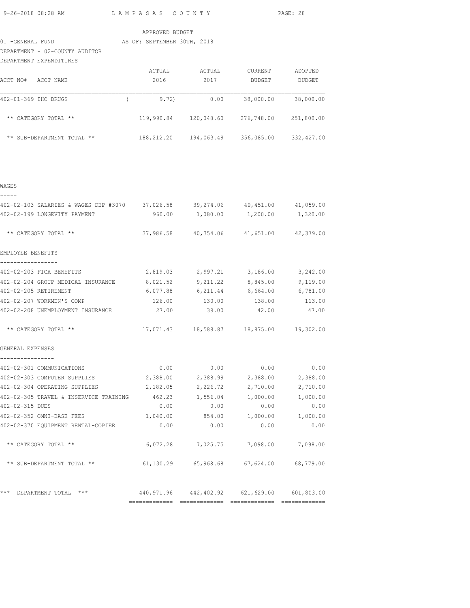9-26-2018 08:28 AM L A M P A S A S C O U N T Y PAGE: 28

## APPROVED BUDGET

# 01 -GENERAL FUND AS OF: SEPTEMBER 30TH, 2018

DEPARTMENT - 02-COUNTY AUDITOR

| DEPARTMENT EXPENDITURES          |            |            |            |               |
|----------------------------------|------------|------------|------------|---------------|
|                                  | ACTUAL     | ACTUAL     | CURRENT    | ADOPTED       |
| ACCT NO#<br>ACCT NAME            | 2016       | 2017       | BUDGET     | <b>BUDGET</b> |
| 402-01-369 IHC DRUGS             | 9.72)      | 0.00       | 38,000.00  | 38,000.00     |
| CATEGORY TOTAL **<br>$***$       | 119,990.84 | 120,048.60 | 276,748.00 | 251,800.00    |
| SUB-DEPARTMENT TOTAL **<br>$***$ | 188,212.20 | 194,063.49 | 356,085.00 | 332,427.00    |

WAGES

| 402-02-103 SALARIES & WAGES DEP #3070 37,026.58 39,274.06 40,451.00 41,059.00 |      |      |                                                |          |
|-------------------------------------------------------------------------------|------|------|------------------------------------------------|----------|
| 402-02-199 LONGEVITY PAYMENT                                                  |      |      | 960.00  1,080.00  1,200.00  1,320.00           |          |
| ** CATEGORY TOTAL **                                                          |      |      | 37,986.58  40,354.06  41,651.00  42,379.00     |          |
| EMPLOYEE BENEFITS                                                             |      |      |                                                |          |
| -----------------                                                             |      |      |                                                |          |
| 402-02-203 FICA BENEFITS                                                      |      |      | $2,819.03$ $2,997.21$ $3,186.00$ $3,242.00$    |          |
| 402-02-204 GROUP MEDICAL INSURANCE 8,021.52 9,211.22 8,845.00 9,119.00        |      |      |                                                |          |
| 402-02-205 RETIREMENT                                                         |      |      | $6,077.88$ $6,211.44$ $6,664.00$ $6,781.00$    |          |
| 402-02-207 WORKMEN'S COMP                                                     |      |      | 126.00  130.00  138.00  113.00                 |          |
| 402-02-208 UNEMPLOYMENT INSURANCE $27.00$ 39.00 $42.00$ 47.00                 |      |      |                                                |          |
| ** CATEGORY TOTAL **                                                          |      |      | 17,071.43  18,588.87  18,875.00  19,302.00     |          |
| GENERAL EXPENSES                                                              |      |      |                                                |          |
| --------------<br>402-02-301 COMMUNICATIONS                                   |      |      | $0.00$ $0.00$ $0.00$ $0.00$ $0.00$             |          |
| 402-02-303 COMPUTER SUPPLIES 2,388.00 2,388.99 2,388.00 2,388.00              |      |      |                                                |          |
| 402-02-304 OPERATING SUPPLIES                                                 |      |      | 2,182.05 2,226.72 2,710.00                     | 2,710.00 |
| 402-02-305 TRAVEL & INSERVICE TRAINING $462.23$ 1,556.04 1,000.00 1,000.00    |      |      |                                                |          |
| 402-02-315 DUES                                                               |      |      | $0.00$ 0.00 0.00                               | 0.00     |
| 402-02-352 OMNI-BASE FEES $1,040.00$ 854.00 $1,000.00$ 1,000.00 $1,000.00$    |      |      |                                                |          |
| 402-02-370 EQUIPMENT RENTAL-COPIER                                            | 0.00 | 0.00 | 0.00                                           | 0.00     |
| ** CATEGORY TOTAL **                                                          |      |      | 6,072.28 7,025.75 7,098.00 7,098.00            |          |
| ** SUB-DEPARTMENT TOTAL ** 61,130.29 65,968.68 67,624.00 68,779.00            |      |      |                                                |          |
| *** DEPARTMENT TOTAL ***                                                      |      |      | 440,971.96  442,402.92  621,629.00  601,803.00 |          |
|                                                                               |      |      |                                                |          |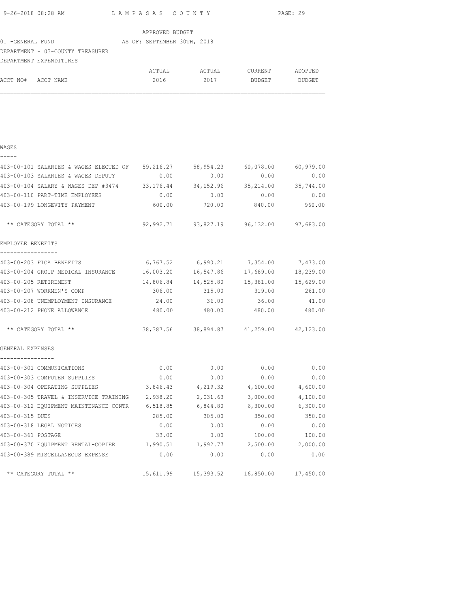|                       |                                                                                    |                                             |                 |                      |      |               |        | PAGE: 29                                   |       |
|-----------------------|------------------------------------------------------------------------------------|---------------------------------------------|-----------------|----------------------|------|---------------|--------|--------------------------------------------|-------|
|                       |                                                                                    |                                             | APPROVED BUDGET |                      |      |               |        |                                            |       |
|                       |                                                                                    |                                             |                 |                      |      |               |        |                                            |       |
|                       | DEPARTMENT - 03-COUNTY TREASURER                                                   |                                             |                 |                      |      |               |        |                                            |       |
|                       | DEPARTMENT EXPENDITURES                                                            |                                             |                 |                      |      |               |        |                                            |       |
|                       |                                                                                    |                                             |                 |                      |      |               |        |                                            |       |
| ACCT NO# ACCT NAME    |                                                                                    |                                             | 2016            |                      | 2017 |               | BUDGET | BUDGET                                     |       |
|                       |                                                                                    |                                             |                 |                      |      |               |        |                                            |       |
|                       |                                                                                    |                                             |                 |                      |      |               |        |                                            |       |
|                       |                                                                                    |                                             |                 |                      |      |               |        |                                            |       |
|                       |                                                                                    |                                             |                 |                      |      |               |        |                                            |       |
| WAGES                 |                                                                                    |                                             |                 |                      |      |               |        |                                            |       |
|                       |                                                                                    |                                             |                 |                      |      |               |        |                                            |       |
|                       | 403-00-101 SALARIES & WAGES ELECTED OF 59,216.27 58,954.23 60,078.00 60,979.00     |                                             |                 |                      |      |               |        |                                            |       |
|                       | 403-00-103 SALARIES & WAGES DEPUTY                                                 |                                             | 0.00            |                      | 0.00 |               | 0.00   |                                            | 0.00  |
|                       | 403-00-104 SALARY & WAGES DEP #3474 33,176.44 34,152.96 35,214.00 35,744.00        |                                             |                 |                      |      |               |        |                                            |       |
|                       | 403-00-110 PART-TIME EMPLOYEES                                                     |                                             | 0.00            |                      | 0.00 |               | 0.00   |                                            | 0.00  |
|                       | 403-00-199 LONGEVITY PAYMENT                                                       |                                             | 600.00          |                      |      | 720.00 840.00 |        | 960.00                                     |       |
|                       | ** CATEGORY TOTAL **                                                               |                                             |                 |                      |      |               |        | 92,992.71  93,827.19  96,132.00  97,683.00 |       |
| EMPLOYEE BENEFITS     |                                                                                    |                                             |                 |                      |      |               |        |                                            |       |
| -----------------     | 403-00-203 FICA BENEFITS                                                           | $6,767.52$ $6,990.21$ $7,354.00$ $7,473.00$ |                 |                      |      |               |        |                                            |       |
|                       | 403-00-204 GROUP MEDICAL INSURANCE $16,003.20$ $16,547.86$ $17,689.00$ $18,239.00$ |                                             |                 |                      |      |               |        |                                            |       |
| 403-00-205 RETIREMENT |                                                                                    |                                             |                 |                      |      |               |        | 14,806.84  14,525.80  15,381.00  15,629.00 |       |
|                       | 403-00-207 WORKMEN'S COMP                                                          |                                             |                 | 306.00 315.00 319.00 |      |               |        | 261.00                                     |       |
|                       | 403-00-208 UNEMPLOYMENT INSURANCE $24.00$ 36.00 36.00 36.00                        |                                             |                 |                      |      |               |        |                                            | 41.00 |
|                       | 403-00-212 PHONE ALLOWANCE                                                         |                                             | 480.00          |                      |      |               |        | 480.00 480.00 480.00                       |       |
|                       | ** CATEGORY TOTAL **                                                               |                                             |                 |                      |      |               |        | 38,387.56 38,894.87 41,259.00 42,123.00    |       |
| GENERAL EXPENSES      |                                                                                    |                                             |                 |                      |      |               |        |                                            |       |

| 403-00-301 COMMUNICATIONS              | 0.00      | 0.00      | 0.00      | 0.00      |
|----------------------------------------|-----------|-----------|-----------|-----------|
| 403-00-303 COMPUTER SUPPLIES           | 0.00      | 0.00      | 0.00      | 0.00      |
| 403-00-304 OPERATING SUPPLIES          | 3,846.43  | 4,219.32  | 4,600.00  | 4,600.00  |
| 403-00-305 TRAVEL & INSERVICE TRAINING | 2,938.20  | 2,031.63  | 3,000.00  | 4,100.00  |
| 403-00-312 EOUIPMENT MAINTENANCE CONTR | 6,518.85  | 6,844.80  | 6,300.00  | 6,300.00  |
| 403-00-315 DUES                        | 285.00    | 305.00    | 350.00    | 350.00    |
| 403-00-318 LEGAL NOTICES               | 0.00      | 0.00      | 0.00      | 0.00      |
| 403-00-361 POSTAGE                     | 33.00     | 0.00      | 100.00    | 100.00    |
| 403-00-370 EQUIPMENT RENTAL-COPIER     | 1,990.51  | 1,992.77  | 2,500.00  | 2,000.00  |
| 403-00-389 MISCELLANEOUS EXPENSE       | 0.00      | 0.00      | 0.00      | 0.00      |
| ** CATEGORY TOTAL **                   | 15,611.99 | 15,393.52 | 16,850.00 | 17,450.00 |
|                                        |           |           |           |           |
|                                        |           |           |           |           |

----------------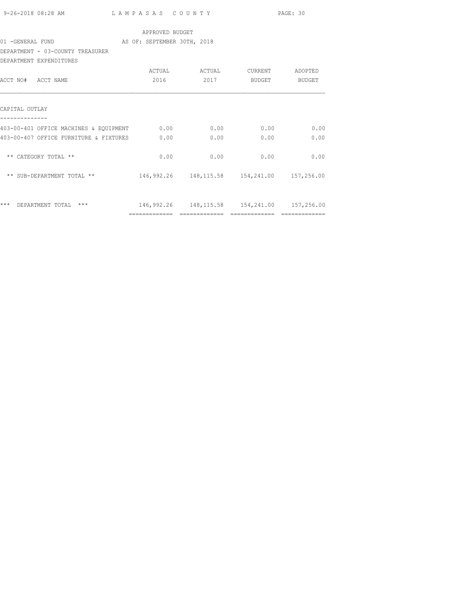|                                                                        |                                                |      |                   | PAGE: 30      |
|------------------------------------------------------------------------|------------------------------------------------|------|-------------------|---------------|
|                                                                        | APPROVED BUDGET                                |      |                   |               |
| 01 - GENERAL FUND AS OF: SEPTEMBER 30TH, 2018                          |                                                |      |                   |               |
| DEPARTMENT - 03-COUNTY TREASURER                                       |                                                |      |                   |               |
| DEPARTMENT EXPENDITURES                                                |                                                |      |                   |               |
|                                                                        |                                                |      |                   |               |
| ACCT NO# ACCT NAME                                                     |                                                |      | 2016  2017 BUDGET | BUDGET        |
|                                                                        |                                                |      |                   |               |
| CAPITAL OUTLAY                                                         |                                                |      |                   |               |
| 403-00-401 OFFICE MACHINES & EQUIPMENT 0.00 0.00 0.00                  |                                                |      | 0.00              | 0.00          |
| 403-00-407 OFFICE FURNITURE & FIXTURES 0.00                            |                                                | 0.00 | 0.00              | 0.00          |
|                                                                        |                                                |      |                   |               |
| ** CATEGORY TOTAL **                                                   | 0.00                                           | 0.00 | 0.00              | 0.00          |
|                                                                        |                                                |      |                   |               |
| ** SUB-DEPARTMENT TOTAL ** 146,992.26 148,115.58 154,241.00 157,256.00 |                                                |      |                   |               |
|                                                                        |                                                |      |                   |               |
|                                                                        |                                                |      |                   |               |
| *** DEPARTMENT TOTAL ***                                               | 146,992.26  148,115.58  154,241.00  157,256.00 |      |                   |               |
|                                                                        |                                                |      |                   | ============= |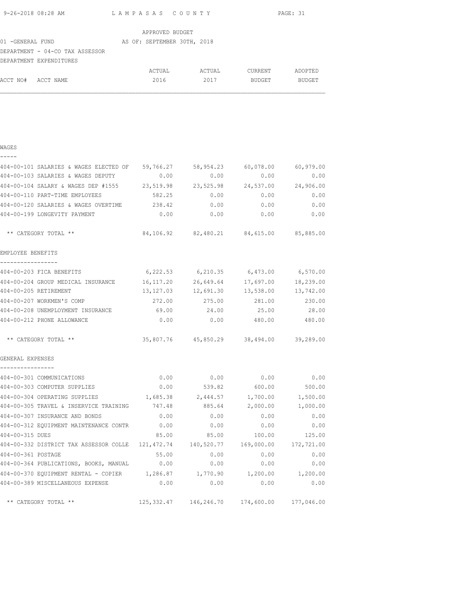| 9-26-2018 08:28 AM | LAMPASAS COUNTY | PAGE: 31 |
|--------------------|-----------------|----------|
|                    |                 |          |

| APPROVED BUDGET   |                                 |  |                             |  |        |               |               |
|-------------------|---------------------------------|--|-----------------------------|--|--------|---------------|---------------|
| 01 - GENERAL FUND |                                 |  | AS OF: SEPTEMBER 30TH, 2018 |  |        |               |               |
|                   | DEPARTMENT - 04-CO TAX ASSESSOR |  |                             |  |        |               |               |
|                   | DEPARTMENT EXPENDITURES         |  |                             |  |        |               |               |
|                   |                                 |  | ACTUAL                      |  | ACTUAL | CURRENT       | ADOPTED       |
| ACCT NO#          | ACCT NAME                       |  | 2016                        |  | 2017   | <b>BUDGET</b> | <b>BUDGET</b> |

## WAGES -----

| 404-00-101 SALARIES & WAGES ELECTED OF 59,766.27 58,954.23                        |           |                                                    | 60,078.00               | 60,979.00  |
|-----------------------------------------------------------------------------------|-----------|----------------------------------------------------|-------------------------|------------|
| 404-00-103 SALARIES & WAGES DEPUTY                                                | 0.00      | 0.00                                               | 0.00                    | 0.00       |
| 404-00-104 SALARY & WAGES DEP #1555 23,519.98 23,525.98                           |           |                                                    | 24,537.00               | 24,906.00  |
| 404-00-110 PART-TIME EMPLOYEES                                                    | 582.25    | 0.00                                               | 0.00                    | 0.00       |
| 404-00-120 SALARIES & WAGES OVERTIME                                              | 238.42    | 0.00                                               | 0.00                    | 0.00       |
| 404-00-199 LONGEVITY PAYMENT                                                      | 0.00      | 0.00                                               | 0.00                    | 0.00       |
| ** CATEGORY TOTAL **                                                              |           | 84,106.92 82,480.21 84,615.00 85,885.00            |                         |            |
| EMPLOYEE BENEFITS                                                                 |           |                                                    |                         |            |
| -----------------<br>404-00-203 FICA BENEFITS 6,222.53 6,210.35 6,473.00 6,570.00 |           |                                                    |                         |            |
| 404-00-204 GROUP MEDICAL INSURANCE 16,117.20 26,649.64                            |           |                                                    | 17,697.00               | 18,239.00  |
| 404-00-205 RETIREMENT                                                             | 13,127.03 | 12,691.30                                          | 13,538.00               | 13,742.00  |
| 404-00-207 WORKMEN'S COMP                                                         | 272.00    | 275.00                                             | 281.00                  | 230.00     |
| 404-00-208 UNEMPLOYMENT INSURANCE                                                 | 69.00     | 24.00                                              | 25.00                   | 28.00      |
| 404-00-212 PHONE ALLOWANCE                                                        | 0.00      | 0.00                                               | 480.00                  | 480.00     |
| ** CATEGORY TOTAL **                                                              |           | 35,807.76  45,850.29  38,494.00  39,289.00         |                         |            |
| GENERAL EXPENSES<br>----------------                                              |           |                                                    |                         |            |
| 404-00-301 COMMUNICATIONS                                                         |           | $0.00$ $0.00$ $0.00$ $0.00$                        |                         | 0.00       |
| 404-00-303 COMPUTER SUPPLIES                                                      | 0.00      | 539.82                                             | 600.00                  | 500.00     |
| 404-00-304 OPERATING SUPPLIES                                                     |           | 1,685.38 2,444.57                                  | 1,700.00                | 1,500.00   |
| 404-00-305 TRAVEL & INSERVICE TRAINING 747.48                                     |           | 885.64                                             | 2,000.00                | 1,000.00   |
| 404-00-307 INSURANCE AND BONDS                                                    | 0.00      | 0.00                                               | 0.00                    | 0.00       |
| 404-00-312 EQUIPMENT MAINTENANCE CONTR 0.00                                       |           | 0.00                                               | 0.00                    | 0.00       |
| 404-00-315 DUES                                                                   | 85.00     | 85.00                                              | 100.00                  | 125.00     |
| 404-00-332 DISTRICT TAX ASSESSOR COLLE 121,472.74                                 |           |                                                    | 140,520.77   169,000.00 | 172,721.00 |
| 404-00-361 POSTAGE                                                                | 55.00     | 0.00                                               | 0.00                    | 0.00       |
| 404-00-364 PUBLICATIONS, BOOKS, MANUAL 0.00                                       |           | 0.00                                               | 0.00                    | 0.00       |
| 404-00-370 EQUIPMENT RENTAL - COPIER 1,286.87 1,770.90 1,200.00 1,200.00          |           |                                                    |                         |            |
| 404-00-389 MISCELLANEOUS EXPENSE                                                  | 0.00      | 0.00                                               | 0.00                    | 0.00       |
| ** CATEGORY TOTAL **                                                              |           | 125, 332.47  146, 246.70  174, 600.00  177, 046.00 |                         |            |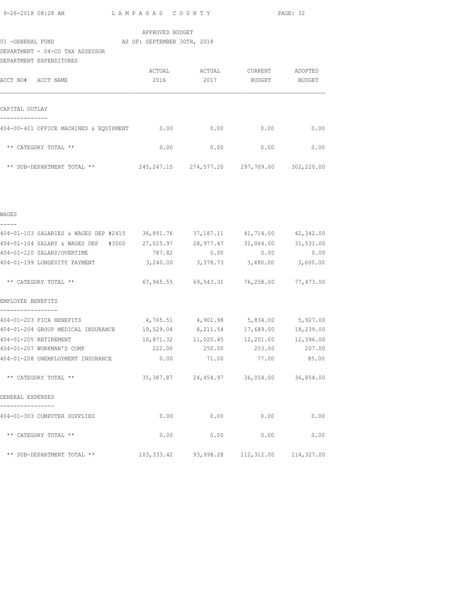L A M P A S A S C O U N T Y PAGE: 32

## APPROVED BUDGET

# 01 -GENERAL FUND AS OF: SEPTEMBER 30TH, 2018

DEPARTMENT - 04-CO TAX ASSESSOR

| DEPARTMENT EXPENDITURES                 |              |            |            |            |
|-----------------------------------------|--------------|------------|------------|------------|
|                                         | ACTUAL       | ACTUAL     | CURRENT    | ADOPTED    |
| ACCT NO#<br>ACCT NAME                   | 2016         | 2017       | BUDGET     | BUDGET     |
|                                         |              |            |            |            |
| CAPITAL OUTLAY                          |              |            |            |            |
| 404-00-401 OFFICE MACHINES & EOUIPMENT  | 0.00         | 0.00       | 0.00       | 0.00       |
| $***$<br>CATEGORY TOTAL **              | 0.00         | 0.00       | 0.00       | 0.00       |
| SUB-DEPARTMENT TOTAL **<br>$\star\star$ | 245, 247. 15 | 274,577.20 | 297,709.00 | 302,220.00 |

| WAGES                                                                         |                                             |             |                             |              |
|-------------------------------------------------------------------------------|---------------------------------------------|-------------|-----------------------------|--------------|
| 404-01-103 SALARIES & WAGES DEP #2415 36,891.76 37,187.11 41,714.00 42,342.00 |                                             |             |                             |              |
| 404-01-104 SALARY & WAGES DEP #3000 27,025.97 28,977.47 31,064.00             |                                             |             |                             | 31,531.00    |
| 404-01-120 SALARY/OVERTIME                                                    | $787.82$ 0.00 0.00                          |             |                             | 0.00         |
| 404-01-199 LONGEVITY PAYMENT                                                  | $3,240.00$ $3,378.73$ $3,480.00$ $3,600.00$ |             |                             |              |
|                                                                               |                                             |             |                             |              |
| EMPLOYEE BENEFITS                                                             |                                             |             |                             |              |
| 404-01-203 FICA BENEFITS                                                      | $4,765.51$ $4,901.98$ $5,834.00$ $5,927.00$ |             |                             |              |
| 404-01-204 GROUP MEDICAL INSURANCE 19,529.04 8,211.54 17,689.00 18,239.00     |                                             |             |                             |              |
| 404-01-205 RETIREMENT                                                         | $10,871.32$ $11,020.45$ $12,201.00$         |             |                             | 12,396.00    |
| 404-01-207 WORKMAN'S COMP                                                     | 222.00  250.00  253.00  207.00              |             |                             |              |
| 404-01-208 UNEMPLOYMENT INSURANCE $0.00$ 71.00 77.00                          |                                             |             |                             | 85.00        |
| ** CATEGORY TOTAL **                                                          | 35,387.87  24,454.97  36,054.00  36,854.00  |             |                             |              |
| GENERAL EXPENSES                                                              |                                             |             |                             |              |
| 404-01-303 COMPUTER SUPPLIES                                                  |                                             |             | $0.00$ $0.00$ $0.00$ $0.00$ | 0.00         |
| ** CATEGORY TOTAL **                                                          |                                             | $0.00$ 0.00 |                             | 0.00<br>0.00 |
| ** SUB-DEPARTMENT TOTAL ** 103,333.42 93,998.28 112,312.00 114,327.00         |                                             |             |                             |              |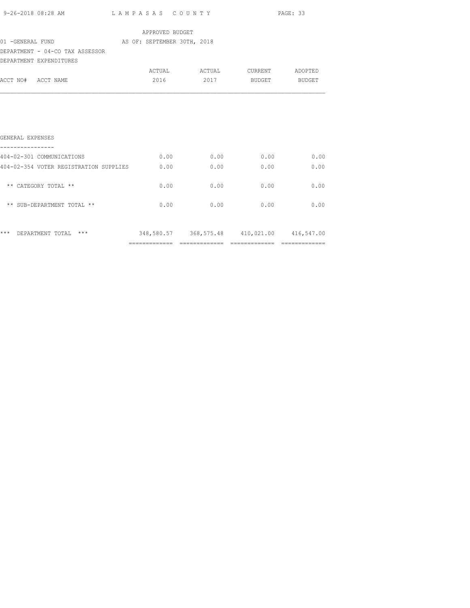|                                               |                 |      |                               | PAGE: 33 |
|-----------------------------------------------|-----------------|------|-------------------------------|----------|
|                                               | APPROVED BUDGET |      |                               |          |
| 01 - GENERAL FUND AS OF: SEPTEMBER 30TH, 2018 |                 |      |                               |          |
| DEPARTMENT - 04-CO TAX ASSESSOR               |                 |      |                               |          |
| DEPARTMENT EXPENDITURES                       |                 |      |                               |          |
|                                               |                 |      | ACTUAL ACTUAL CURRENT ADOPTED |          |
| ACCT NO# ACCT NAME                            |                 |      | 2016 2017 BUDGET BUDGET       |          |
|                                               |                 |      |                               |          |
| GENERAL EXPENSES<br>----------------          |                 |      |                               |          |
| 404-02-301 COMMUNICATIONS                     |                 |      | $0.00$ 0.00 0.00 0.00 0.00    |          |
| 404-02-354 VOTER REGISTRATION SUPPLIES 0.00   |                 |      | 0.00<br>0.00                  | 0.00     |
| ** CATEGORY TOTAL **                          | 0.00            | 0.00 | 0.00                          | 0.00     |
| ** SUB-DEPARTMENT TOTAL **                    |                 | 0.00 | $0.00$ 0.00                   | 0.00     |
|                                               |                 |      |                               |          |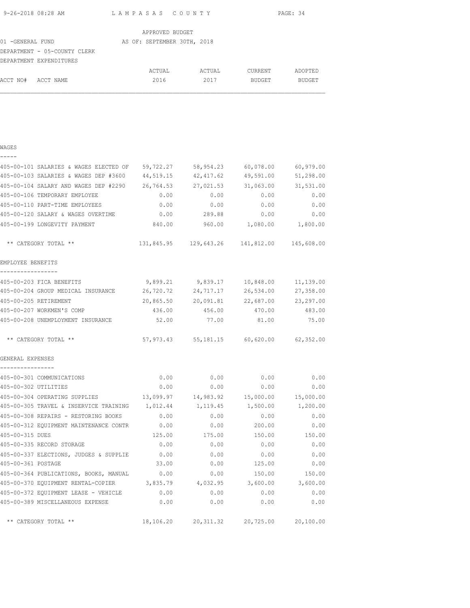| 9-26-2018 08:28 AM | LAMPASAS COUNTY | PAGE: 34 |
|--------------------|-----------------|----------|
|                    |                 |          |

| 01 -GENERAL FUND             |        |                 |                             |               |
|------------------------------|--------|-----------------|-----------------------------|---------------|
| DEPARTMENT - 05-COUNTY CLERK |        |                 |                             |               |
| DEPARTMENT EXPENDITURES      |        |                 |                             |               |
|                              | ACTUAL | ACTUAL          | CURRENT                     | ADOPTED       |
| ACCT NAME                    | 2016   | 2017            | <b>BUDGET</b>               | <b>BUDGET</b> |
|                              |        | APPROVED BUDGET | AS OF: SEPTEMBER 30TH, 2018 |               |

## WAGES

| - | - | - |  |
|---|---|---|--|
|   |   |   |  |

| 405-00-101 SALARIES & WAGES ELECTED OF 59,722.27       |           | 58,954.23                                      | 60,078.00 | 60,979.00 |
|--------------------------------------------------------|-----------|------------------------------------------------|-----------|-----------|
| 405-00-103 SALARIES & WAGES DEP #3600 44,519.15        |           | 42,417.62                                      | 49,591.00 | 51,298.00 |
| 405-00-104 SALARY AND WAGES DEP #2290 26,764.53        |           | 27,021.53                                      | 31,063.00 | 31,531.00 |
| 405-00-106 TEMPORARY EMPLOYEE                          | 0.00      | 0.00                                           | 0.00      | 0.00      |
| 405-00-110 PART-TIME EMPLOYEES                         | 0.00      | 0.00                                           | 0.00      | 0.00      |
| 405-00-120 SALARY & WAGES OVERTIME                     | 0.00      | 289.88                                         | 0.00      | 0.00      |
| 405-00-199 LONGEVITY PAYMENT                           | 840.00    | 960.00                                         | 1,080.00  | 1,800.00  |
| ** CATEGORY TOTAL **                                   |           | 131,845.95  129,643.26  141,812.00  145,608.00 |           |           |
| EMPLOYEE BENEFITS<br>-----------------                 |           |                                                |           |           |
| 405-00-203 FICA BENEFITS                               |           | 9,899.21 9,839.17                              | 10,848.00 | 11,139.00 |
| 405-00-204 GROUP MEDICAL INSURANCE 26,720.72 24,717.17 |           |                                                | 26,534.00 | 27,358.00 |
| 405-00-205 RETIREMENT                                  | 20,865.50 | 20,091.81                                      | 22,687.00 | 23,297.00 |
| 405-00-207 WORKMEN'S COMP                              | 436.00    | 456.00                                         | 470.00    | 483.00    |
| 405-00-208 UNEMPLOYMENT INSURANCE                      | 52.00     | 77.00                                          | 81.00     | 75.00     |
| ** CATEGORY TOTAL **                                   |           | 57,973.43 55,181.15 60,620.00 62,352.00        |           |           |
| GENERAL EXPENSES                                       |           |                                                |           |           |
| ----------------<br>405-00-301 COMMUNICATIONS          | 0.00      | 0.00                                           | 0.00      | 0.00      |
| 405-00-302 UTILITIES                                   | 0.00      | 0.00                                           | 0.00      | 0.00      |
| 405-00-304 OPERATING SUPPLIES                          |           | 13,099.97    14,983.92                         | 15,000.00 | 15,000.00 |
| 405-00-305 TRAVEL & INSERVICE TRAINING                 | 1,012.44  | 1,119.45                                       | 1,500.00  | 1,200.00  |
| 405-00-308 REPAIRS - RESTORING BOOKS                   | 0.00      | 0.00                                           | 0.00      | 0.00      |
| 405-00-312 EQUIPMENT MAINTENANCE CONTR                 | 0.00      | 0.00                                           | 200.00    | 0.00      |
| 405-00-315 DUES                                        | 125.00    | 175.00                                         | 150.00    | 150.00    |
| 405-00-335 RECORD STORAGE                              | 0.00      | 0.00                                           | 0.00      | 0.00      |
| 405-00-337 ELECTIONS, JUDGES & SUPPLIE                 | 0.00      | 0.00                                           | 0.00      | 0.00      |
| 405-00-361 POSTAGE                                     | 33.00     | 0.00                                           | 125.00    | 0.00      |
| 405-00-364 PUBLICATIONS, BOOKS, MANUAL                 | 0.00      | 0.00                                           | 150.00    | 150.00    |
| 405-00-370 EQUIPMENT RENTAL-COPIER                     | 3,835.79  | 4,032.95                                       | 3,600.00  | 3,600.00  |
| 405-00-372 EQUIPMENT LEASE - VEHICLE                   | 0.00      | 0.00                                           | 0.00      | 0.00      |
| 405-00-389 MISCELLANEOUS EXPENSE                       | 0.00      | 0.00                                           | 0.00      | 0.00      |
| ** CATEGORY TOTAL **                                   |           | 18,106.20 20,311.32 20,725.00                  |           | 20,100.00 |
|                                                        |           |                                                |           |           |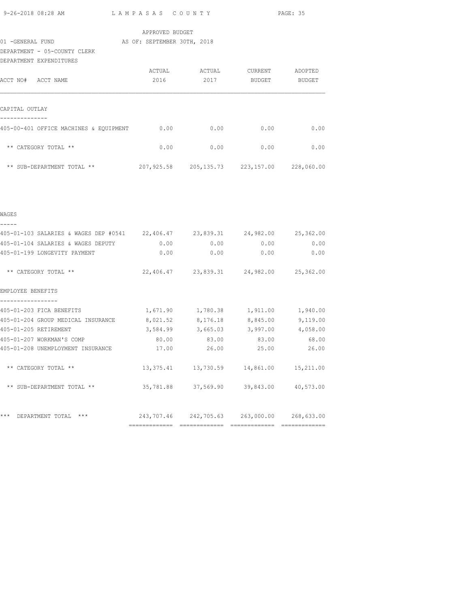|  | 9-26-2018 08:28 AM |  |
|--|--------------------|--|
|  |                    |  |

L A M P A S A S C O U N T Y PAGE: 35

|                              | APPROVED BUDGET             |        |         |         |
|------------------------------|-----------------------------|--------|---------|---------|
| 01 - GENERAL FUND            | AS OF: SEPTEMBER 30TH, 2018 |        |         |         |
| DEPARTMENT - 05-COUNTY CLERK |                             |        |         |         |
| DEPARTMENT EXPENDITURES      |                             |        |         |         |
|                              | ACTUAL                      | ACTUAL | CURRENT | ADOPTED |

| ACCT NO#<br>ACCT NAME                  | 2016       | 2017         | BUDGET     | BUDGET     |
|----------------------------------------|------------|--------------|------------|------------|
| CAPITAL OUTLAY                         |            |              |            |            |
| 405-00-401 OFFICE MACHINES & EQUIPMENT | 0.00       | 0.00         | 0.00       | 0.00       |
| ** CATEGORY TOTAL **                   | 0.00       | 0.00         | 0.00       | 0.00       |
| ** SUB-DEPARTMENT TOTAL **             | 207,925.58 | 205, 135. 73 | 223,157.00 | 228,060.00 |

| WAGES                                                     |                            |                     |                                             |                     |
|-----------------------------------------------------------|----------------------------|---------------------|---------------------------------------------|---------------------|
| 405-01-103 SALARIES & WAGES DEP #0541 22,406.47 23,839.31 |                            |                     | 24,982.00                                   | 25,362.00           |
| 405-01-104 SALARIES & WAGES DEPUTY                        | 0.00                       | 0.00                | 0.00                                        | 0.00                |
| 405-01-199 LONGEVITY PAYMENT                              | 0.00                       | 0.00                | 0.00                                        | 0.00                |
| ** CATEGORY TOTAL **                                      |                            |                     | 22,406.47 23,839.31 24,982.00               | 25,362.00           |
| EMPLOYEE BENEFITS                                         |                            |                     |                                             |                     |
| 405-01-203 FICA BENEFITS                                  |                            |                     | 1,671.90    1,780.38    1,911.00            | 1,940.00            |
| 405-01-204 GROUP MEDICAL INSURANCE                        | 8,021.52 8,176.18 8,845.00 |                     |                                             | 9,119.00            |
| 405-01-205 RETIREMENT                                     |                            |                     | $3,584.99$ $3,665.03$ $3,997.00$            | 4,058.00            |
| 405-01-207 WORKMAN'S COMP                                 | 80.00                      | 83.00               | 83.00                                       | 68.00               |
| 405-01-208 UNEMPLOYMENT INSURANCE                         | 17.00                      | 26.00               | 25.00                                       | 26.00               |
| ** CATEGORY TOTAL **                                      |                            |                     | 13, 375.41 13, 730.59 14, 861.00 15, 211.00 |                     |
| ** SUB-DEPARTMENT TOTAL **                                |                            | 35,781.88 37,569.90 |                                             | 39,843.00 40,573.00 |
| ***<br>$***$<br>DEPARTMENT TOTAL                          |                            |                     | 243,707.46 242,705.63 263,000.00 268,633.00 |                     |
|                                                           | -------------              |                     | -------------- --------------               |                     |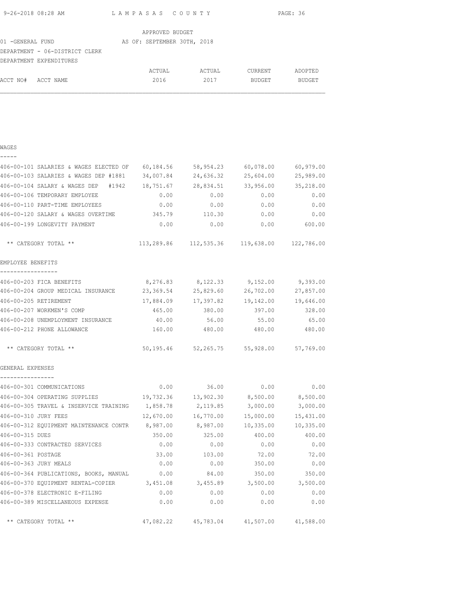| 9-26-2018 08:28 AM | LAMPASAS COUNTY | PAGE: 36 |
|--------------------|-----------------|----------|
|                    | APPROVED RHDCFT |          |

|                                | APPROVED BUDGET             |        |               |               |
|--------------------------------|-----------------------------|--------|---------------|---------------|
| 01 - GENERAL FUND              | AS OF: SEPTEMBER 30TH, 2018 |        |               |               |
| DEPARTMENT - 06-DISTRICT CLERK |                             |        |               |               |
| DEPARTMENT EXPENDITURES        |                             |        |               |               |
|                                | ACTUAL                      | ACTUAL | CURRENT       | ADOPTED       |
| ACCT NO#<br>ACCT NAME          | 2016                        | 2017   | <b>BUDGET</b> | <b>BUDGET</b> |

|  | ۰, | ۰, |  |
|--|----|----|--|
|  |    |    |  |
|  |    |    |  |

| 406-00-101 SALARIES & WAGES ELECTED OF        | 60,184.56 | 58,954.23                                      | 60,078.00 | 60,979.00 |
|-----------------------------------------------|-----------|------------------------------------------------|-----------|-----------|
| 406-00-103 SALARIES & WAGES DEP #1881         | 34,007.84 | 24,636.32                                      | 25,604.00 | 25,989.00 |
| 406-00-104 SALARY & WAGES DEP<br>#1942        | 18,751.67 | 28,834.51                                      | 33,956.00 | 35,218.00 |
| 406-00-106 TEMPORARY EMPLOYEE                 | 0.00      | 0.00                                           | 0.00      | 0.00      |
| 406-00-110 PART-TIME EMPLOYEES                | 0.00      | 0.00                                           | 0.00      | 0.00      |
| 406-00-120 SALARY & WAGES OVERTIME            | 345.79    | 110.30                                         | 0.00      | 0.00      |
| 406-00-199 LONGEVITY PAYMENT                  | 0.00      | 0.00                                           | 0.00      | 600.00    |
| ** CATEGORY TOTAL **                          |           | 113,289.86  112,535.36  119,638.00  122,786.00 |           |           |
| EMPLOYEE BENEFITS                             |           |                                                |           |           |
| 406-00-203 FICA BENEFITS                      | 8,276.83  | 8,122.33                                       | 9,152.00  | 9,393.00  |
| 406-00-204 GROUP MEDICAL INSURANCE            | 23,369.54 | 25,829.60                                      | 26,702.00 | 27,857.00 |
| 406-00-205 RETIREMENT                         | 17,884.09 | 17,397.82                                      | 19,142.00 | 19,646.00 |
| 406-00-207 WORKMEN'S COMP                     | 465.00    | 380.00                                         | 397.00    | 328.00    |
| 406-00-208 UNEMPLOYMENT INSURANCE             | 40.00     | 56.00                                          | 55.00     | 65.00     |
| 406-00-212 PHONE ALLOWANCE                    | 160.00    | 480.00                                         | 480.00    | 480.00    |
| ** CATEGORY TOTAL **                          |           | 50,195.46 52,265.75 55,928.00 57,769.00        |           |           |
| GENERAL EXPENSES                              |           |                                                |           |           |
| ----------------<br>406-00-301 COMMUNICATIONS | 0.00      | 36.00                                          | 0.00      | 0.00      |
| 406-00-304 OPERATING SUPPLIES                 | 19,732.36 | 13,902.30                                      | 8,500.00  | 8,500.00  |
| 406-00-305 TRAVEL & INSERVICE TRAINING        | 1,858.78  | 2,119.85                                       | 3,000.00  | 3,000.00  |
| 406-00-310 JURY FEES                          | 12,670.00 | 16,770.00                                      | 15,000.00 | 15,431.00 |
| 406-00-312 EQUIPMENT MAINTENANCE CONTR        | 8,987.00  | 8,987.00                                       | 10,335.00 | 10,335.00 |
| 406-00-315 DUES                               | 350.00    | 325.00                                         | 400.00    | 400.00    |
| 406-00-333 CONTRACTED SERVICES                | 0.00      | 0.00                                           | 0.00      | 0.00      |
| 406-00-361 POSTAGE                            | 33.00     | 103.00                                         | 72.00     | 72.00     |
| 406-00-363 JURY MEALS                         | 0.00      | 0.00                                           | 350.00    | 0.00      |
| 406-00-364 PUBLICATIONS, BOOKS, MANUAL        | 0.00      | 84.00                                          | 350.00    | 350.00    |
| 406-00-370 EQUIPMENT RENTAL-COPIER 3,451.08   |           | 3,455.89                                       | 3,500.00  | 3,500.00  |
| 406-00-378 ELECTRONIC E-FILING                | 0.00      | 0.00                                           | 0.00      | 0.00      |
| 406-00-389 MISCELLANEOUS EXPENSE              | 0.00      | 0.00                                           | 0.00      | 0.00      |
| ** CATEGORY TOTAL **                          |           | 47,082.22  45,783.04  41,507.00  41,588.00     |           |           |
|                                               |           |                                                |           |           |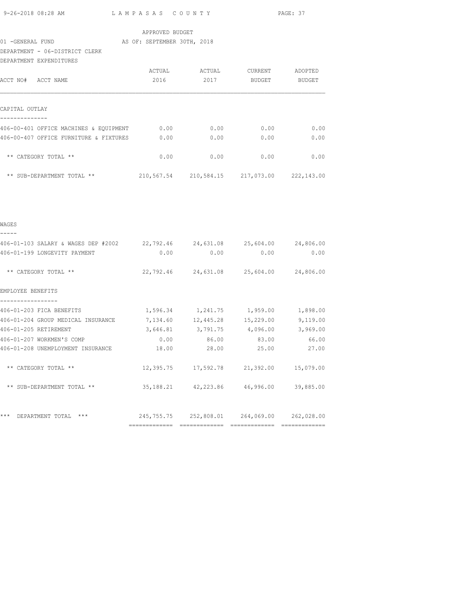| DEPARTMENT EXPENDITURES |                          | 9-26-2018 08:28 AM<br>PAGE: 37<br>LAMPASAS COUNTY<br>APPROVED BUDGET<br>DEPARTMENT - 06-DISTRICT CLERK<br>ACTUAL ACTUAL CURRENT ADOPTED<br>ACCT NO# ACCT NAME<br>2016 2017 BUDGET BUDGET<br>--------------<br>406-00-401 OFFICE MACHINES & EQUIPMENT 0.00<br>0.00<br>0.00<br>0.00<br>406-00-407 OFFICE FURNITURE & FIXTURES<br>0.00<br>0.00<br>0.00<br>0.00<br>** CATEGORY TOTAL **<br>0.00<br>0.00<br>0.00<br>0.00<br>** SUB-DEPARTMENT TOTAL ** $210,567.54$ $210,584.15$ $217,073.00$ $222,143.00$<br>406-01-103 SALARY & WAGES DEP #2002 22,792.46 24,631.08 25,604.00 24,806.00<br>0.00<br>406-01-199 LONGEVITY PAYMENT<br>0.00<br>0.00<br>0.00<br>22,792.46 24,631.08 25,604.00 24,806.00<br>** CATEGORY TOTAL **<br>EMPLOYEE BENEFITS<br>-----------------<br>406-01-203 FICA BENEFITS 4,596.34 1,241.75 1,959.00 1,898.00<br>406-01-204 GROUP MEDICAL INSURANCE 7,134.60 12,445.28 15,229.00 9,119.00<br>$3,646.81$ $3,791.75$ $4,096.00$ $3,969.00$<br>406-01-205 RETIREMENT<br>406-01-207 WORKMEN'S COMP<br>86.00<br>83.00<br>66.00<br>0.00<br>25.00<br>28.00<br>27.00<br>406-01-208 UNEMPLOYMENT INSURANCE 18.00<br>** CATEGORY TOTAL **<br>12,395.75<br>17,592.78<br>21,392.00<br>15,079.00<br>42,223.86<br>46,996.00<br>** SUB-DEPARTMENT TOTAL **<br>35, 188. 21<br>39,885.00 |            |            |            |
|-------------------------|--------------------------|---------------------------------------------------------------------------------------------------------------------------------------------------------------------------------------------------------------------------------------------------------------------------------------------------------------------------------------------------------------------------------------------------------------------------------------------------------------------------------------------------------------------------------------------------------------------------------------------------------------------------------------------------------------------------------------------------------------------------------------------------------------------------------------------------------------------------------------------------------------------------------------------------------------------------------------------------------------------------------------------------------------------------------------------------------------------------------------------------------------------------------------------------------------------------------------------------------------------------------------------------------------------------------------------|------------|------------|------------|
|                         |                          |                                                                                                                                                                                                                                                                                                                                                                                                                                                                                                                                                                                                                                                                                                                                                                                                                                                                                                                                                                                                                                                                                                                                                                                                                                                                                             |            |            |            |
|                         |                          |                                                                                                                                                                                                                                                                                                                                                                                                                                                                                                                                                                                                                                                                                                                                                                                                                                                                                                                                                                                                                                                                                                                                                                                                                                                                                             |            |            |            |
| CAPITAL OUTLAY          |                          |                                                                                                                                                                                                                                                                                                                                                                                                                                                                                                                                                                                                                                                                                                                                                                                                                                                                                                                                                                                                                                                                                                                                                                                                                                                                                             |            |            |            |
|                         |                          |                                                                                                                                                                                                                                                                                                                                                                                                                                                                                                                                                                                                                                                                                                                                                                                                                                                                                                                                                                                                                                                                                                                                                                                                                                                                                             |            |            |            |
|                         |                          |                                                                                                                                                                                                                                                                                                                                                                                                                                                                                                                                                                                                                                                                                                                                                                                                                                                                                                                                                                                                                                                                                                                                                                                                                                                                                             |            |            |            |
|                         |                          |                                                                                                                                                                                                                                                                                                                                                                                                                                                                                                                                                                                                                                                                                                                                                                                                                                                                                                                                                                                                                                                                                                                                                                                                                                                                                             |            |            |            |
|                         |                          |                                                                                                                                                                                                                                                                                                                                                                                                                                                                                                                                                                                                                                                                                                                                                                                                                                                                                                                                                                                                                                                                                                                                                                                                                                                                                             |            |            |            |
|                         |                          |                                                                                                                                                                                                                                                                                                                                                                                                                                                                                                                                                                                                                                                                                                                                                                                                                                                                                                                                                                                                                                                                                                                                                                                                                                                                                             |            |            |            |
| WAGES<br>-----          |                          |                                                                                                                                                                                                                                                                                                                                                                                                                                                                                                                                                                                                                                                                                                                                                                                                                                                                                                                                                                                                                                                                                                                                                                                                                                                                                             |            |            |            |
|                         |                          |                                                                                                                                                                                                                                                                                                                                                                                                                                                                                                                                                                                                                                                                                                                                                                                                                                                                                                                                                                                                                                                                                                                                                                                                                                                                                             |            |            |            |
|                         |                          |                                                                                                                                                                                                                                                                                                                                                                                                                                                                                                                                                                                                                                                                                                                                                                                                                                                                                                                                                                                                                                                                                                                                                                                                                                                                                             |            |            |            |
|                         |                          |                                                                                                                                                                                                                                                                                                                                                                                                                                                                                                                                                                                                                                                                                                                                                                                                                                                                                                                                                                                                                                                                                                                                                                                                                                                                                             |            |            |            |
|                         |                          |                                                                                                                                                                                                                                                                                                                                                                                                                                                                                                                                                                                                                                                                                                                                                                                                                                                                                                                                                                                                                                                                                                                                                                                                                                                                                             |            |            |            |
|                         |                          |                                                                                                                                                                                                                                                                                                                                                                                                                                                                                                                                                                                                                                                                                                                                                                                                                                                                                                                                                                                                                                                                                                                                                                                                                                                                                             |            |            |            |
|                         |                          |                                                                                                                                                                                                                                                                                                                                                                                                                                                                                                                                                                                                                                                                                                                                                                                                                                                                                                                                                                                                                                                                                                                                                                                                                                                                                             |            |            |            |
|                         |                          |                                                                                                                                                                                                                                                                                                                                                                                                                                                                                                                                                                                                                                                                                                                                                                                                                                                                                                                                                                                                                                                                                                                                                                                                                                                                                             |            |            |            |
|                         |                          |                                                                                                                                                                                                                                                                                                                                                                                                                                                                                                                                                                                                                                                                                                                                                                                                                                                                                                                                                                                                                                                                                                                                                                                                                                                                                             |            |            |            |
|                         |                          |                                                                                                                                                                                                                                                                                                                                                                                                                                                                                                                                                                                                                                                                                                                                                                                                                                                                                                                                                                                                                                                                                                                                                                                                                                                                                             |            |            |            |
|                         |                          |                                                                                                                                                                                                                                                                                                                                                                                                                                                                                                                                                                                                                                                                                                                                                                                                                                                                                                                                                                                                                                                                                                                                                                                                                                                                                             |            |            |            |
|                         |                          |                                                                                                                                                                                                                                                                                                                                                                                                                                                                                                                                                                                                                                                                                                                                                                                                                                                                                                                                                                                                                                                                                                                                                                                                                                                                                             |            |            |            |
|                         | *** DEPARTMENT TOTAL *** | 245,755.75                                                                                                                                                                                                                                                                                                                                                                                                                                                                                                                                                                                                                                                                                                                                                                                                                                                                                                                                                                                                                                                                                                                                                                                                                                                                                  | 252,808.01 | 264,069.00 | 262,028.00 |
|                         |                          |                                                                                                                                                                                                                                                                                                                                                                                                                                                                                                                                                                                                                                                                                                                                                                                                                                                                                                                                                                                                                                                                                                                                                                                                                                                                                             |            |            |            |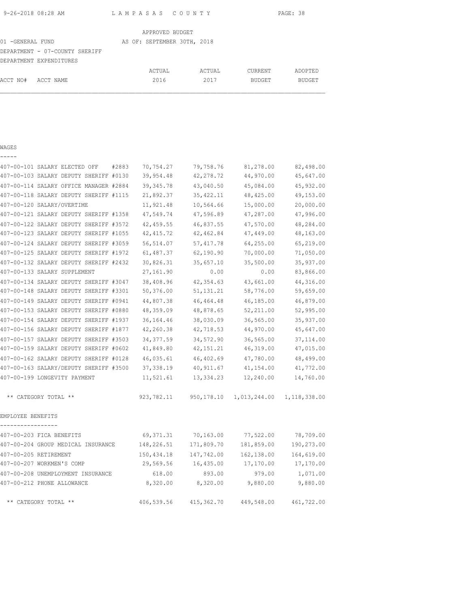| 9-26-2018 08:28 AM | LAMPASAS COUNTY | PAGE: 38 |
|--------------------|-----------------|----------|
|                    |                 |          |

|                                | APPROVED BUDGET             |        |               |               |
|--------------------------------|-----------------------------|--------|---------------|---------------|
| 01 -GENERAL FUND               | AS OF: SEPTEMBER 30TH, 2018 |        |               |               |
| DEPARTMENT - 07-COUNTY SHERIFF |                             |        |               |               |
| DEPARTMENT EXPENDITURES        |                             |        |               |               |
|                                | ACTUAL                      | ACTUAL | CURRENT       | ADOPTED       |
| ACCT NO#<br>ACCT NAME          | 2016                        | 2017   | <b>BUDGET</b> | <b>BUDGET</b> |
|                                |                             |        |               |               |

| _ |  | ___ |  |
|---|--|-----|--|
|   |  |     |  |

| 407-00-101 SALARY ELECTED OFF<br>#2883 | 70,754.27  | 79,758.76   | 81,278.00    | 82,498.00    |
|----------------------------------------|------------|-------------|--------------|--------------|
| 407-00-103 SALARY DEPUTY SHERIFF #0130 | 39,954.48  | 42,278.72   | 44,970.00    | 45,647.00    |
| 407-00-114 SALARY OFFICE MANAGER #2884 | 39, 345.78 | 43,040.50   | 45,084.00    | 45,932.00    |
| 407-00-118 SALARY DEPUTY SHERIFF #1115 | 21,892.37  | 35, 422.11  | 48,425.00    | 49,153.00    |
| 407-00-120 SALARY/OVERTIME             | 11,921.48  | 10,564.66   | 15,000.00    | 20,000.00    |
| 407-00-121 SALARY DEPUTY SHERIFF #1358 | 47,549.74  | 47,596.89   | 47,287.00    | 47,996.00    |
| 407-00-122 SALARY DEPUTY SHERIFF #3572 | 42,459.55  | 46,837.55   | 47,570.00    | 48,284.00    |
| 407-00-123 SALARY DEPUTY SHERIFF #1055 | 42, 415.72 | 42,462.84   | 47,449.00    | 48,163.00    |
| 407-00-124 SALARY DEPUTY SHERIFF #3059 | 56, 514.07 | 57, 417.78  | 64,255.00    | 65,219.00    |
| 407-00-125 SALARY DEPUTY SHERIFF #1972 | 61,487.37  | 62,190.90   | 70,000.00    | 71,050.00    |
| 407-00-132 SALARY DEPUTY SHERIFF #2432 | 30,826.31  | 35,657.10   | 35,500.00    | 35,937.00    |
| 407-00-133 SALARY SUPPLEMENT           | 27,161.90  | 0.00        | 0.00         | 83,866.00    |
| 407-00-134 SALARY DEPUTY SHERIFF #3047 | 38,408.96  | 42,354.63   | 43,661.00    | 44,316.00    |
| 407-00-148 SALARY DEPUTY SHERIFF #3301 | 50,376.00  | 51, 131. 21 | 58,776.00    | 59,659.00    |
| 407-00-149 SALARY DEPUTY SHERIFF #0941 | 44,807.38  | 46, 464. 48 | 46,185.00    | 46,879.00    |
| 407-00-153 SALARY DEPUTY SHERIFF #0880 | 48,359.09  | 48,878.65   | 52,211.00    | 52,995.00    |
| 407-00-154 SALARY DEPUTY SHERIFF #1937 | 36,164.46  | 38,030.09   | 36,565.00    | 35,937.00    |
| 407-00-156 SALARY DEPUTY SHERIFF #1877 | 42,260.38  | 42,718.53   | 44,970.00    | 45,647.00    |
| 407-00-157 SALARY DEPUTY SHERIFF #3503 | 34, 377.59 | 34,572.90   | 36,565.00    | 37, 114.00   |
| 407-00-159 SALARY DEPUTY SHERIFF #0602 | 41,849.80  | 42, 151. 21 | 46,319.00    | 47,015.00    |
| 407-00-162 SALARY DEPUTY SHERIFF #0128 | 46,035.61  | 46,402.69   | 47,780.00    | 48,499.00    |
| 407-00-163 SALARY/DEPUTY SHERIFF #3500 | 37, 338.19 | 40, 911.67  | 41,154.00    | 41,772.00    |
| 407-00-199 LONGEVITY PAYMENT           | 11,521.61  | 13, 334.23  | 12,240.00    | 14,760.00    |
| ** CATEGORY TOTAL **                   | 923,782.11 | 950,178.10  | 1,013,244.00 | 1,118,338.00 |
| EMPLOYEE BENEFITS                      |            |             |              |              |
| 407-00-203 FICA BENEFITS               | 69,371.31  | 70,163.00   | 77,522.00    | 78,709.00    |
| 407-00-204 GROUP MEDICAL INSURANCE     | 148,226.51 | 171,809.70  | 181,859.00   | 190,273.00   |
| 407-00-205 RETIREMENT                  | 150,434.18 | 147,742.00  | 162,138.00   | 164,619.00   |
| 407-00-207 WORKMEN'S COMP              | 29,569.56  | 16,435.00   | 17,170.00    | 17,170.00    |
| 407-00-208 UNEMPLOYMENT INSURANCE      | 618.00     | 893.00      | 979.00       | 1,071.00     |
| 407-00-212 PHONE ALLOWANCE             | 8,320.00   | 8,320.00    | 9,880.00     | 9,880.00     |
| ** CATEGORY TOTAL **                   | 406,539.56 | 415,362.70  | 449,548.00   | 461,722.00   |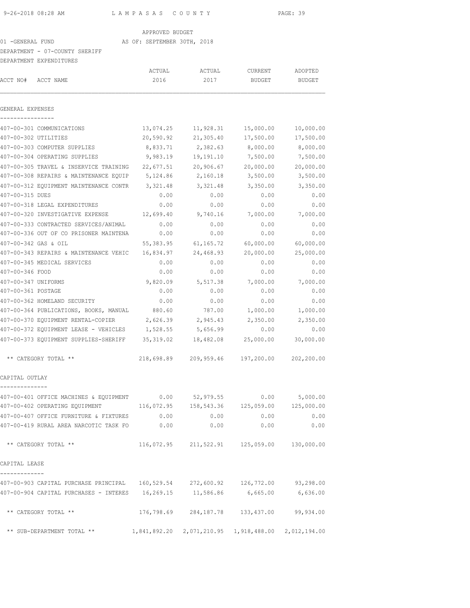### APPROVED BUDGET

## 01 -GENERAL FUND AS OF: SEPTEMBER 30TH, 2018

### DEPARTMENT - 07-COUNTY SHERIFF

|                      | DEPARTMENT EXPENDITURES                                                      |            |                                                     |               |               |
|----------------------|------------------------------------------------------------------------------|------------|-----------------------------------------------------|---------------|---------------|
|                      |                                                                              | ACTUAL     | ACTUAL                                              | CURRENT       | ADOPTED       |
| ACCT NO#             | ACCT NAME                                                                    | 2016       | 2017                                                | <b>BUDGET</b> | <b>BUDGET</b> |
| GENERAL EXPENSES     |                                                                              |            |                                                     |               |               |
|                      | 407-00-301 COMMUNICATIONS                                                    | 13,074.25  | 11,928.31                                           | 15,000.00     | 10,000.00     |
| 407-00-302 UTILITIES |                                                                              | 20,590.92  | 21,305.40                                           | 17,500.00     | 17,500.00     |
|                      | 407-00-303 COMPUTER SUPPLIES                                                 | 8,833.71   | 2,382.63                                            | 8,000.00      | 8,000.00      |
|                      | 407-00-304 OPERATING SUPPLIES                                                | 9,983.19   | 19,191.10                                           | 7,500.00      | 7,500.00      |
|                      | 407-00-305 TRAVEL & INSERVICE TRAINING                                       | 22,677.51  | 20,906.67                                           | 20,000.00     | 20,000.00     |
|                      | 407-00-308 REPAIRS & MAINTENANCE EQUIP                                       | 5,124.86   | 2,160.18                                            | 3,500.00      | 3,500.00      |
|                      | 407-00-312 EQUIPMENT MAINTENANCE CONTR                                       | 3,321.48   | 3,321.48                                            | 3,350.00      | 3,350.00      |
| 407-00-315 DUES      |                                                                              | 0.00       | 0.00                                                | 0.00          | 0.00          |
|                      | 407-00-318 LEGAL EXPENDITURES                                                | 0.00       | 0.00                                                | 0.00          | 0.00          |
|                      | 407-00-320 INVESTIGATIVE EXPENSE                                             | 12,699.40  | 9,740.16                                            | 7,000.00      | 7,000.00      |
|                      | 407-00-333 CONTRACTED SERVICES/ANIMAL                                        | 0.00       | 0.00                                                | 0.00          | 0.00          |
|                      | 407-00-336 OUT OF CO PRISONER MAINTENA                                       | 0.00       | 0.00                                                | 0.00          | 0.00          |
| 407-00-342 GAS & OIL |                                                                              | 55, 383.95 | 61,165.72                                           | 60,000.00     | 60,000.00     |
|                      | 407-00-343 REPAIRS & MAINTENANCE VEHIC                                       | 16,834.97  | 24,468.93                                           | 20,000.00     | 25,000.00     |
|                      | 407-00-345 MEDICAL SERVICES                                                  | 0.00       | 0.00                                                | 0.00          | 0.00          |
| 407-00-346 FOOD      |                                                                              | 0.00       | 0.00                                                | 0.00          | 0.00          |
| 407-00-347 UNIFORMS  |                                                                              | 9,820.09   | 5,517.38                                            | 7,000.00      | 7,000.00      |
| 407-00-361 POSTAGE   |                                                                              | 0.00       | 0.00                                                | 0.00          | 0.00          |
|                      | 407-00-362 HOMELAND SECURITY                                                 | 0.00       | 0.00                                                | 0.00          | 0.00          |
|                      | 407-00-364 PUBLICATIONS, BOOKS, MANUAL                                       | 880.60     | 787.00                                              | 1,000.00      | 1,000.00      |
|                      | 407-00-370 EQUIPMENT RENTAL-COPIER                                           | 2,626.39   | 2,945.43                                            | 2,350.00      | 2,350.00      |
|                      | 407-00-372 EQUIPMENT LEASE - VEHICLES                                        | 1,528.55   | 5,656.99                                            | 0.00          | 0.00          |
|                      | 407-00-373 EQUIPMENT SUPPLIES-SHERIFF                                        | 35,319.02  | 18,482.08                                           | 25,000.00     | 30,000.00     |
|                      | ** CATEGORY TOTAL **                                                         | 218,698.89 | 209,959.46                                          | 197,200.00    | 202,200.00    |
| CAPITAL OUTLAY       |                                                                              |            |                                                     |               |               |
|                      | 407-00-401 OFFICE MACHINES & EQUIPMENT                                       | 0.00       | 52,979.55                                           | 0.00          | 5,000.00      |
|                      | 407-00-402 OPERATING EQUIPMENT                                               |            | 116,072.95  158,543.36  125,059.00  125,000.00      |               |               |
|                      | 407-00-407 OFFICE FURNITURE & FIXTURES 0.00                                  |            |                                                     | 0.00<br>0.00  | 0.00          |
|                      | 407-00-419 RURAL AREA NARCOTIC TASK FO $0.00$                                |            |                                                     | 0.00<br>0.00  | 0.00          |
|                      | ** CATEGORY TOTAL **                                                         |            | $116,072.95$ $211,522.91$ $125,059.00$ $130,000.00$ |               |               |
| CAPITAL LEASE        |                                                                              |            |                                                     |               |               |
|                      |                                                                              |            |                                                     |               |               |
|                      | 407-00-904 CAPITAL PURCHASES - INTERES 16,269.15 11,586.86 6,665.00 6,636.00 |            |                                                     |               |               |
|                      | ** CATEGORY TOTAL **                                                         |            | 176,798.69 284,187.78 133,437.00                    |               | 99,934.00     |
|                      | ** SUB-DEPARTMENT TOTAL **                                                   |            | 1,841,892.20 2,071,210.95 1,918,488.00 2,012,194.00 |               |               |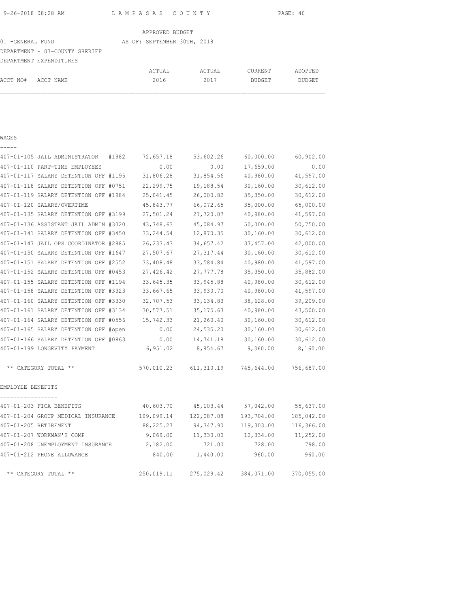|  | 9-26-2018 08:28 AM |  |
|--|--------------------|--|
|  |                    |  |

9-26-2018 08:28 AM L A M P A S A S C O U N T Y PAGE: 40

|                                |  | APPROVED BUDGET             |        |               |               |  |
|--------------------------------|--|-----------------------------|--------|---------------|---------------|--|
| 01 - GENERAL FUND              |  | AS OF: SEPTEMBER 30TH, 2018 |        |               |               |  |
| DEPARTMENT - 07-COUNTY SHERIFF |  |                             |        |               |               |  |
| DEPARTMENT EXPENDITURES        |  |                             |        |               |               |  |
|                                |  | ACTUAL                      | ACTUAL | CURRENT       | ADOPTED       |  |
| ACCT NO#<br>ACCT NAME          |  | 2016                        | 2017   | <b>BUDGET</b> | <b>BUDGET</b> |  |

### WAGES -----

| 407-01-105 JAIL ADMINISTRATOR<br>#1982 | 72,657.18  | 53,602.26  | 60,000.00  | 60,902.00  |
|----------------------------------------|------------|------------|------------|------------|
| 407-01-110 PART-TIME EMPLOYEES         | 0.00       | 0.00       | 17,659.00  | 0.00       |
| 407-01-117 SALARY DETENTION OFF #1195  | 31,806.28  | 31,854.56  | 40,980.00  | 41,597.00  |
| 407-01-118 SALARY DETENTION OFF #0751  | 22,299.75  | 19,188.54  | 30,160.00  | 30,612.00  |
| 407-01-119 SALARY DETENTION OFF #1984  | 25,041.45  | 26,000.82  | 35, 350.00 | 30,612.00  |
| 407-01-120 SALARY/OVERTIME             | 45,843.77  | 66,072.65  | 35,000.00  | 65,000.00  |
| 407-01-135 SALARY DETENTION OFF #3199  | 27,501.24  | 27,720.07  | 40,980.00  | 41,597.00  |
| 407-01-136 ASSISTANT JAIL ADMIN #3020  | 43,748.63  | 45,084.97  | 50,000.00  | 50,750.00  |
| 407-01-141 SALARY DETENTION OFF #3450  | 33, 244.54 | 12,870.35  | 30,160.00  | 30,612.00  |
| 407-01-147 JAIL OPS COORDINATOR #2885  | 26, 233.43 | 34,657.42  | 37,457.00  | 42,000.00  |
| 407-01-150 SALARY DETENTION OFF #1647  | 27,507.67  | 27, 317.44 | 30,160.00  | 30,612.00  |
| 407-01-151 SALARY DETENTION OFF #2552  | 33,408.48  | 33,584.84  | 40,980.00  | 41,597.00  |
| 407-01-152 SALARY DETENTION OFF #0453  | 27,426.42  | 27,777.78  | 35,350.00  | 35,882.00  |
| 407-01-155 SALARY DETENTION OFF #1194  | 33,645.35  | 33,945.88  | 40,980.00  | 30,612.00  |
| 407-01-158 SALARY DETENTION OFF #3323  | 33,667.65  | 33,930.70  | 40,980.00  | 41,597.00  |
| 407-01-160 SALARY DETENTION OFF #3330  | 32,707.53  | 33, 134.83 | 38,628.00  | 39,209.00  |
| 407-01-161 SALARY DETENTION OFF #3134  | 30,577.51  | 35, 175.63 | 40,980.00  | 43,500.00  |
| 407-01-164 SALARY DETENTION OFF #0556  | 15,742.33  | 21,260.40  | 30,160.00  | 30,612.00  |
| 407-01-165 SALARY DETENTION OFF #open  | 0.00       | 24,535.20  | 30, 160.00 | 30,612.00  |
| 407-01-166 SALARY DETENTION OFF #0863  | 0.00       | 14,741.18  | 30,160.00  | 30,612.00  |
| 407-01-199 LONGEVITY PAYMENT           | 6,951.02   | 8,854.67   | 9,360.00   | 8,160.00   |
| ** CATEGORY TOTAL **                   | 570,010.23 | 611,310.19 | 745,644.00 | 756,687.00 |
| EMPLOYEE BENEFITS<br>----------------- |            |            |            |            |
| 407-01-203 FICA BENEFITS               | 40,603.70  | 45,103.44  | 57,042.00  | 55,637.00  |
| 407-01-204 GROUP MEDICAL INSURANCE     | 109,099.14 | 122,087.08 | 193,704.00 | 185,042.00 |
| 407-01-205 RETIREMENT                  | 88,225.27  | 94,347.90  | 119,303.00 | 116,366.00 |
| 407-01-207 WORKMAN'S COMP              | 9,069.00   | 11,330.00  | 12,334.00  | 11,252.00  |
| 407-01-208 UNEMPLOYMENT INSURANCE      | 2,182.00   | 721.00     | 728.00     | 798.00     |
| 407-01-212 PHONE ALLOWANCE             | 840.00     | 1,440.00   | 960.00     | 960.00     |
| ** CATEGORY TOTAL **                   | 250,019.11 | 275,029.42 | 384,071.00 | 370,055.00 |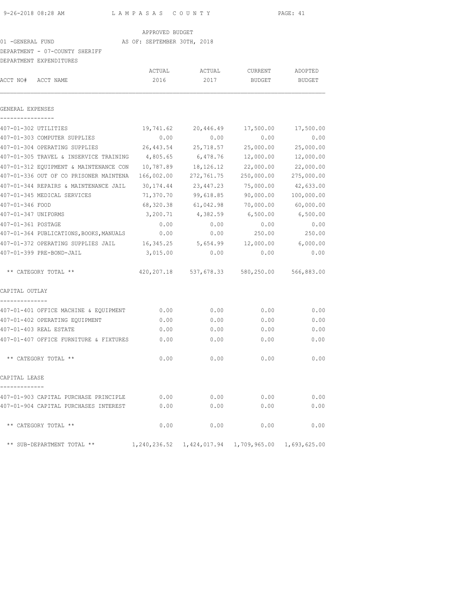APPROVED BUDGET

# 01 -GENERAL FUND **AS OF: SEPTEMBER 30TH, 2018**

### DEPARTMENT - 07-COUNTY SHERIFF

|                      | DEPARTMENT EXPENDITURES                 |              |              |            |                           |
|----------------------|-----------------------------------------|--------------|--------------|------------|---------------------------|
|                      |                                         | ACTUAL       | ACTUAL       | CURRENT    | ADOPTED                   |
| ACCT NO#             | ACCT NAME                               | 2016         | 2017         | BUDGET     | <b>BUDGET</b>             |
| GENERAL EXPENSES     |                                         |              |              |            |                           |
| 407-01-302 UTILITIES |                                         | 19,741.62    | 20,446.49    | 17,500.00  | 17,500.00                 |
|                      | 407-01-303 COMPUTER SUPPLIES            | 0.00         | 0.00         | 0.00       | 0.00                      |
|                      | 407-01-304 OPERATING SUPPLIES           | 26,443.54    | 25,718.57    | 25,000.00  | 25,000.00                 |
|                      | 407-01-305 TRAVEL & INSERVICE TRAINING  | 4,805.65     | 6,478.76     | 12,000.00  | 12,000.00                 |
|                      | 407-01-312 EQUIPMENT & MAINTENANCE CON  | 10,787.89    | 18,126.12    | 22,000.00  | 22,000.00                 |
|                      | 407-01-336 OUT OF CO PRISONER MAINTENA  | 166,002.00   | 272,761.75   | 250,000.00 | 275,000.00                |
|                      | 407-01-344 REPAIRS & MAINTENANCE JAIL   | 30,174.44    | 23,447.23    | 75,000.00  | 42,633.00                 |
|                      | 407-01-345 MEDICAL SERVICES             | 71,370.70    | 99,618.85    | 90,000.00  | 100,000.00                |
| 407-01-346 FOOD      |                                         | 68,320.38    | 61,042.98    | 70,000.00  | 60,000.00                 |
| 407-01-347 UNIFORMS  |                                         | 3,200.71     | 4,382.59     | 6,500.00   | 6,500.00                  |
| 407-01-361 POSTAGE   |                                         | 0.00         | 0.00         | 0.00       | 0.00                      |
|                      | 407-01-364 PUBLICATIONS, BOOKS, MANUALS | 0.00         | 0.00         | 250.00     | 250.00                    |
|                      | 407-01-372 OPERATING SUPPLIES JAIL      | 16,345.25    | 5,654.99     | 12,000.00  | 6,000.00                  |
|                      | 407-01-399 PRE-BOND-JAIL                | 3,015.00     | 0.00         | 0.00       | 0.00                      |
|                      | ** CATEGORY TOTAL **                    | 420,207.18   | 537,678.33   |            | 580,250.00 566,883.00     |
| CAPITAL OUTLAY       |                                         |              |              |            |                           |
|                      | 407-01-401 OFFICE MACHINE & EQUIPMENT   | 0.00         | 0.00         | 0.00       | 0.00                      |
|                      | 407-01-402 OPERATING EQUIPMENT          | 0.00         | 0.00         | 0.00       | 0.00                      |
|                      | 407-01-403 REAL ESTATE                  | 0.00         | 0.00         | 0.00       | 0.00                      |
|                      | 407-01-407 OFFICE FURNITURE & FIXTURES  | 0.00         | 0.00         | 0.00       | 0.00                      |
|                      | ** CATEGORY TOTAL **                    | 0.00         | 0.00         | 0.00       | 0.00                      |
| CAPITAL LEASE        |                                         |              |              |            |                           |
|                      | 407-01-903 CAPITAL PURCHASE PRINCIPLE   | 0.00         | 0.00         | 0.00       | 0.00                      |
|                      | 407-01-904 CAPITAL PURCHASES INTEREST   | 0.00         | 0.00         | 0.00       | 0.00                      |
|                      | ** CATEGORY TOTAL **                    | 0.00         | 0.00         | 0.00       | 0.00                      |
|                      | ** SUB-DEPARTMENT TOTAL **              | 1,240,236.52 | 1,424,017.94 |            | 1,709,965.00 1,693,625.00 |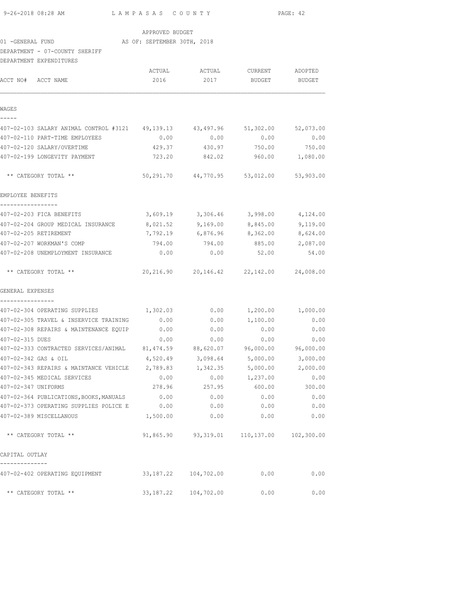|                                  | 9-26-2018 08:28 AM<br>LAMPASAS COUNTY                                          |                 |                                            |                 | PAGE: 42  |
|----------------------------------|--------------------------------------------------------------------------------|-----------------|--------------------------------------------|-----------------|-----------|
|                                  |                                                                                | APPROVED BUDGET |                                            |                 |           |
|                                  | 01 -GENERAL FUND AS OF: SEPTEMBER 30TH, 2018                                   |                 |                                            |                 |           |
|                                  | DEPARTMENT - 07-COUNTY SHERIFF                                                 |                 |                                            |                 |           |
|                                  | DEPARTMENT EXPENDITURES                                                        |                 |                                            |                 |           |
|                                  |                                                                                |                 |                                            |                 |           |
| ACCT NO# ACCT NAME               |                                                                                | 2016            | 2017                                       | BUDGET BUDGET   |           |
| WAGES<br>-----                   |                                                                                |                 |                                            |                 |           |
|                                  | 407-02-103 SALARY ANIMAL CONTROL #3121 49,139.13 43,497.96 51,302.00 52,073.00 |                 |                                            |                 |           |
|                                  | 407-02-110 PART-TIME EMPLOYEES                                                 | 0.00            | 0.00                                       | 0.00            | 0.00      |
|                                  | 407-02-120 SALARY/OVERTIME                                                     | 429.37          | 430.97                                     | 750.00          | 750.00    |
|                                  | 407-02-199 LONGEVITY PAYMENT                                                   |                 | 723.20 842.02 960.00 1,080.00              |                 |           |
|                                  | ** CATEGORY TOTAL **                                                           |                 | 50,291.70  44,770.95  53,012.00  53,903.00 |                 |           |
| EMPLOYEE BENEFITS                |                                                                                |                 |                                            |                 |           |
| -----------------                | 407-02-203 FICA BENEFITS                                                       |                 | 3,609.19 3,306.46 3,998.00 4,124.00        |                 |           |
|                                  | 407-02-204 GROUP MEDICAL INSURANCE                                             | 8,021.52        | 9,169.00                                   | 8,845.00        | 9,119.00  |
|                                  | 407-02-205 RETIREMENT                                                          | 7,792.19        | 6,876.96                                   | 8,362.00        | 8,624.00  |
|                                  | 407-02-207 WORKMAN'S COMP                                                      | 794.00          | 794.00                                     | 885.00          | 2,087.00  |
|                                  | 407-02-208 UNEMPLOYMENT INSURANCE                                              | 0.00            | 0.00                                       | 52.00           | 54.00     |
|                                  | ** CATEGORY TOTAL **                                                           |                 | 20,216.90  20,146.42  22,142.00  24,008.00 |                 |           |
| GENERAL EXPENSES<br>------------ |                                                                                |                 |                                            |                 |           |
|                                  | 407-02-304 OPERATING SUPPLIES $1,302.03$ 0.00 $1,200.00$ 1,000.00              |                 |                                            |                 |           |
|                                  | 407-02-305 TRAVEL & INSERVICE TRAINING 0.00                                    |                 |                                            | $0.00$ 1,100.00 | 0.00      |
|                                  | 407-02-308 REPAIRS & MAINTENANCE EQUIP                                         | 0.00            | 0.00                                       | 0.00            | 0.00      |
| 407-02-315 DUES                  |                                                                                | 0.00            | 0.00                                       | 0.00            | 0.00      |
|                                  | 407-02-333 CONTRACTED SERVICES/ANIMAL 81,474.59 88,620.07 96,000.00            |                 |                                            |                 | 96,000.00 |
| 407-02-342 GAS & OIL             |                                                                                | 4,520.49        | 3,098.64                                   | 5,000.00        | 3,000.00  |
|                                  | 407-02-343 REPAIRS & MAINTANCE VEHICLE                                         | 2,789.83        | 1,342.35                                   | 5,000.00        | 2,000.00  |
|                                  | 407-02-345 MEDICAL SERVICES                                                    | 0.00            | 0.00                                       | 1,237.00        | 0.00      |
| 407-02-347 UNIFORMS              |                                                                                | 278.96          | 257.95                                     | 600.00          | 300.00    |
|                                  | 407-02-364 PUBLICATIONS, BOOKS, MANUALS                                        | 0.00            | 0.00                                       | 0.00            | 0.00      |
|                                  | 407-02-373 OPERATING SUPPLIES POLICE E                                         | 0.00            | 0.00                                       | 0.00            | 0.00      |
|                                  | 407-02-389 MISCELLANOUS                                                        | 1,500.00        | 0.00                                       | 0.00            | 0.00      |

CAPITAL OUTLAY

| 407-02-402 OPERATING EQUIPMENT | 33,187.22 | 104,702.00 | 0.00 | 0.00 |
|--------------------------------|-----------|------------|------|------|
| ** CATEGORY TOTAL **           | 33,187.22 | 104,702.00 | 0.00 | 0.00 |

\*\* CATEGORY TOTAL \*\* 91,865.90 93,319.01 110,137.00 102,300.00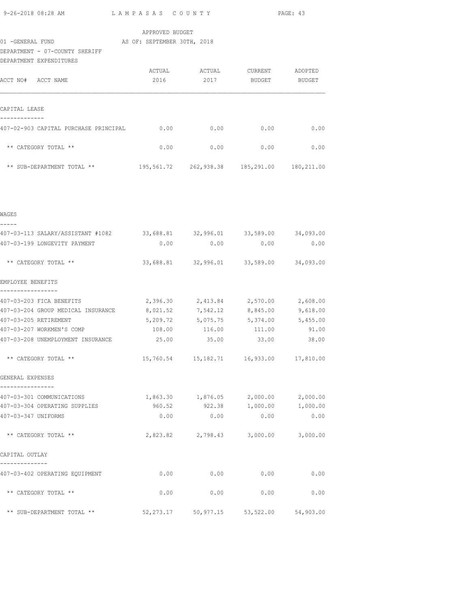| 9-26-2018 08:28 AM             | LAMPASAS COUNTY             |        | PAGE: 43      |         |
|--------------------------------|-----------------------------|--------|---------------|---------|
|                                | APPROVED BUDGET             |        |               |         |
| 01 - GENERAL FUND              | AS OF: SEPTEMBER 30TH, 2018 |        |               |         |
| DEPARTMENT - 07-COUNTY SHERIFF |                             |        |               |         |
| DEPARTMENT EXPENDITURES        |                             |        |               |         |
|                                | ACTUAL                      | ACTUAL | CURRENT       | ADOPTED |
| ACCT NO#<br>ACCT NAME          | 2016                        | 2017   | <b>BUDGET</b> | BUDGET  |

| CAPITAL LEASE                         |            |            |            |            |
|---------------------------------------|------------|------------|------------|------------|
| 407-02-903 CAPITAL PURCHASE PRINCIPAL | 0.00       | 0.00       | 0.00       | 0.00       |
| ** CATEGORY TOTAL **                  | 0.00       | 0.00       | 0.00       | 0.00       |
| $***$<br>SUB-DEPARTMENT TOTAL **      | 195,561.72 | 262,938.38 | 185,291.00 | 180,211.00 |

| WAGES                                                                     |                                         |                                               |             |       |
|---------------------------------------------------------------------------|-----------------------------------------|-----------------------------------------------|-------------|-------|
| 407-03-113 SALARY/ASSISTANT #1082 33,688.81 32,996.01 33,589.00 34,093.00 |                                         |                                               |             |       |
| 407-03-199 LONGEVITY PAYMENT                                              | 0.00                                    | 0.00                                          | 0.00        | 0.00  |
| ** CATEGORY TOTAL **                                                      |                                         | 33,688.81 32,996.01 33,589.00 34,093.00       |             |       |
| EMPLOYEE BENEFITS                                                         |                                         |                                               |             |       |
| 407-03-203 FICA BENEFITS                                                  |                                         | 2,396.30 2,413.84 2,570.00 2,608.00           |             |       |
| 407-03-204 GROUP MEDICAL INSURANCE                                        |                                         | 8,021.52 7,542.12 8,845.00 9,618.00           |             |       |
| 407-03-205 RETIREMENT                                                     |                                         | 5,209.72 5,075.75 5,374.00 5,455.00           |             |       |
| 407-03-207 WORKMEN'S COMP                                                 |                                         | 108.00   116.00   111.00                      |             | 91.00 |
| 407-03-208 UNEMPLOYMENT INSURANCE                                         |                                         | 25.00 35.00 33.00 38.00                       |             |       |
| ** CATEGORY TOTAL **                                                      |                                         | 15,760.54   15,182.71   16,933.00   17,810.00 |             |       |
| GENERAL EXPENSES<br>----------------                                      |                                         |                                               |             |       |
| 407-03-301 COMMUNICATIONS                                                 |                                         | $1,863.30$ $1,876.05$ $2,000.00$ $2,000.00$   |             |       |
| 407-03-304 OPERATING SUPPLIES                                             |                                         | 960.52 922.38 1,000.00 1,000.00               |             |       |
| 407-03-347 UNIFORMS                                                       | 0.00                                    |                                               | $0.00$ 0.00 | 0.00  |
| ** CATEGORY TOTAL **                                                      |                                         | 2,823.82 2,798.43 3,000.00 3,000.00           |             |       |
| CAPITAL OUTLAY                                                            |                                         |                                               |             |       |
| --------------<br>407-03-402 OPERATING EOUIPMENT                          | 0.00                                    | $0.00$ 0.00                                   |             | 0.00  |
| ** CATEGORY TOTAL **                                                      |                                         | $0.00$ 0.00 0.00                              |             | 0.00  |
| ** SUB-DEPARTMENT TOTAL **                                                | 52,273.17 50,977.15 53,522.00 54,903.00 |                                               |             |       |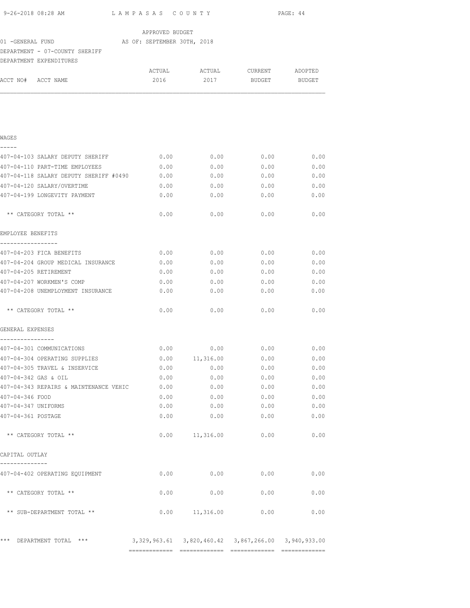|                                               |                    |      | PAGE: 44         |      |  |
|-----------------------------------------------|--------------------|------|------------------|------|--|
|                                               | APPROVED BUDGET    |      |                  |      |  |
| 01 -GENERAL FUND (AS OF: SEPTEMBER 30TH, 2018 |                    |      |                  |      |  |
| DEPARTMENT - 07-COUNTY SHERIFF                |                    |      |                  |      |  |
| DEPARTMENT EXPENDITURES                       |                    |      |                  |      |  |
|                                               |                    |      |                  |      |  |
| ACCT NO# ACCT NAME                            | 2016               | 2017 | BUDGET BUDGET    |      |  |
|                                               |                    |      |                  |      |  |
| WAGES                                         |                    |      |                  |      |  |
|                                               |                    |      |                  |      |  |
| 407-04-103 SALARY DEPUTY SHERIFF              | 0.00               | 0.00 | 0.00             | 0.00 |  |
| 407-04-110 PART-TIME EMPLOYEES                | 0.00               | 0.00 | 0.00             | 0.00 |  |
| 407-04-118 SALARY DEPUTY SHERIFF #0490        | 0.00               | 0.00 | 0.00             | 0.00 |  |
| 407-04-120 SALARY/OVERTIME                    | 0.00               | 0.00 | 0.00             | 0.00 |  |
| 407-04-199 LONGEVITY PAYMENT                  | 0.00               | 0.00 | 0.00             | 0.00 |  |
| ** CATEGORY TOTAL **                          | 0.00               | 0.00 | 0.00             | 0.00 |  |
| EMPLOYEE BENEFITS<br>-----------------        |                    |      |                  |      |  |
| 407-04-203 FICA BENEFITS                      | 0.00               |      | $0.00$ 0.00 0.00 |      |  |
| 407-04-204 GROUP MEDICAL INSURANCE            | 0.00               | 0.00 | 0.00             | 0.00 |  |
| 407-04-205 RETIREMENT                         | 0.00               | 0.00 | 0.00             | 0.00 |  |
| 407-04-207 WORKMEN'S COMP                     | 0.00               | 0.00 | 0.00             | 0.00 |  |
| 407-04-208 UNEMPLOYMENT INSURANCE             | 0.00               | 0.00 | 0.00             | 0.00 |  |
| ** CATEGORY TOTAL **                          | 0.00               | 0.00 | 0.00             | 0.00 |  |
| GENERAL EXPENSES                              |                    |      |                  |      |  |
| ----------------<br>407-04-301 COMMUNICATIONS | 0.00               | 0.00 | 0.00             | 0.00 |  |
| 407-04-304 OPERATING SUPPLIES                 | $0.00$ $11,316.00$ |      | 0.00             | 0.00 |  |
| 407-04-305 TRAVEL & INSERVICE                 | 0.00               | 0.00 | 0.00             | 0.00 |  |
| 407-04-342 GAS & OIL                          | 0.00               | 0.00 | 0.00             | 0.00 |  |
| 407-04-343 REPAIRS & MAINTENANCE VEHIC        | 0.00               | 0.00 | 0.00             | 0.00 |  |
| 407-04-346 FOOD                               | 0.00               | 0.00 | 0.00             | 0.00 |  |
| 407-04-347 UNIFORMS                           | 0.00               | 0.00 | 0.00             | 0.00 |  |
| 407-04-361 POSTAGE                            | 0.00               | 0.00 | 0.00             | 0.00 |  |
| ** CATEGORY TOTAL **                          | $0.00$ 11, 316.00  |      | 0.00             | 0.00 |  |
| CAPITAL OUTLAY                                |                    |      |                  |      |  |
| 407-04-402 OPERATING EQUIPMENT                | 0.00               | 0.00 | 0.00             | 0.00 |  |
| ** CATEGORY TOTAL **                          | 0.00               | 0.00 | 0.00             | 0.00 |  |
| ** SUB-DEPARTMENT TOTAL **                    | $0.00$ 11,316.00   |      | 0.00             | 0.00 |  |
| *** DEPARTMENT TOTAL ***                      |                    |      |                  |      |  |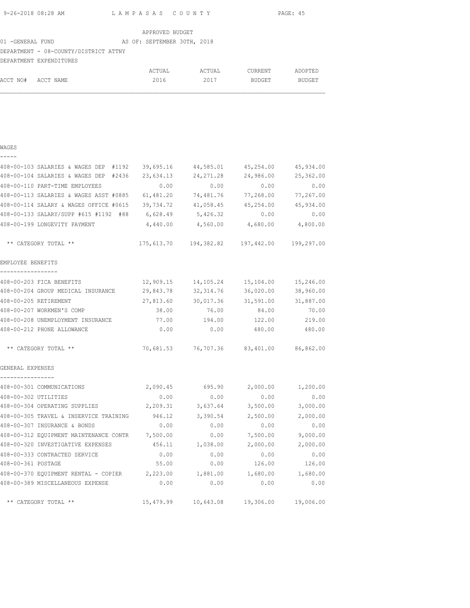| 9-26-2018 08:28 AM | LAMPASAS COUNTY | PAGE: 45 |
|--------------------|-----------------|----------|

| APPROVED BUDGET |  |
|-----------------|--|
|                 |  |

#### 01 -GENERAL FUND AS OF: SEPTEMBER 30TH, 2018

## DEPARTMENT - 08-COUNTY/DISTRICT ATTNY

|                    | DEPARTMENT EXPENDITURES |                  |         |         |
|--------------------|-------------------------|------------------|---------|---------|
|                    |                         | ACTUAL<br>ACTUAL | CURRENT | ADOPTED |
| ACCT NO# ACCT NAME |                         | 2016<br>2017     | BUDGET  | BUDGET  |

| - | - | - |  |
|---|---|---|--|
|   |   |   |  |

| 408-00-103 SALARIES & WAGES DEP #1192                     |                   |                     | 39,695.16 44,585.01 45,254.00                  | 45,934.00 |
|-----------------------------------------------------------|-------------------|---------------------|------------------------------------------------|-----------|
| 408-00-104 SALARIES & WAGES DEP #2436                     | 23,634.13         | 24,271.28           | 24,986.00                                      | 25,362.00 |
| 408-00-110 PART-TIME EMPLOYEES                            | 0.00              | 0.00                | 0.00                                           | 0.00      |
| 408-00-113 SALARIES & WAGES ASST #0885                    | 61,481.20         | 74,481.76           | 77,268.00                                      | 77,267.00 |
| 408-00-114 SALARY & WAGES OFFICE #0615                    |                   | 39,734.72 41,058.45 | 45,254.00                                      | 45,934.00 |
| 408-00-133 SALARY/SUPP #615 #1192 #88                     | 6,628.49          | 5,426.32            | 0.00                                           | 0.00      |
| 408-00-199 LONGEVITY PAYMENT                              | 4,440.00          |                     | 4,560.00 4,680.00                              | 4,800.00  |
| ** CATEGORY TOTAL **                                      |                   |                     | 175,613.70  194,382.82  197,442.00  199,297.00 |           |
| EMPLOYEE BENEFITS<br>-----------------                    |                   |                     |                                                |           |
| 408-00-203 FICA BENEFITS                                  | 12,909.15         |                     | 14,105.24 15,104.00                            | 15,246.00 |
| 408-00-204 GROUP MEDICAL INSURANCE 29,843.78              |                   | 32,314.76           | 36,020.00                                      | 38,960.00 |
| 408-00-205 RETIREMENT                                     | 27,813.60         | 30,017.36           | 31,591.00                                      | 31,887.00 |
| 408-00-207 WORKMEN'S COMP                                 | 38.00             | 76.00               | 84.00                                          | 70.00     |
| 408-00-208 UNEMPLOYMENT INSURANCE 400 77.00 194.00 122.00 |                   |                     |                                                | 219.00    |
| 408-00-212 PHONE ALLOWANCE                                | 0.00              | 0.00                | 480.00                                         | 480.00    |
| ** CATEGORY TOTAL **                                      |                   |                     | 70,681.53 76,707.36 83,401.00 86,862.00        |           |
| GENERAL EXPENSES<br>----------------                      |                   |                     |                                                |           |
| 408-00-301 COMMUNICATIONS                                 |                   | 2,090.45 695.90     | 2,000.00                                       | 1,200.00  |
| 408-00-302 UTILITIES                                      | 0.00              | 0.00                | 0.00                                           | 0.00      |
| 408-00-304 OPERATING SUPPLIES                             | 2,209.31 3,637.64 |                     | 3,500.00                                       | 3,000.00  |
| 408-00-305 TRAVEL & INSERVICE TRAINING 946.12             |                   | 3,390.54            | 2,500.00                                       | 2,000.00  |
| 408-00-307 INSURANCE & BONDS                              | 0.00              | 0.00                | 0.00                                           | 0.00      |
| 408-00-312 EQUIPMENT MAINTENANCE CONTR 7,500.00           |                   |                     | $0.00$ 7,500.00                                | 9,000.00  |
| 408-00-320 INVESTIGATIVE EXPENSES                         | 456.11            | 1,038.00            | 2,000.00                                       | 2,000.00  |
| 408-00-333 CONTRACTED SERVICE                             | 0.00              | 0.00                | 0.00                                           | 0.00      |
| 408-00-361 POSTAGE                                        | 55.00             | 0.00                | 126.00                                         | 126.00    |
| 408-00-370 EQUIPMENT RENTAL - COPIER 2,223.00             |                   | 1,881.00            | 1,680.00                                       | 1,680.00  |
| 408-00-389 MISCELLANEOUS EXPENSE                          | 0.00              | 0.00                | 0.00                                           | 0.00      |
| ** CATEGORY TOTAL **                                      |                   |                     | 15,479.99 10,643.08 19,306.00                  | 19,006.00 |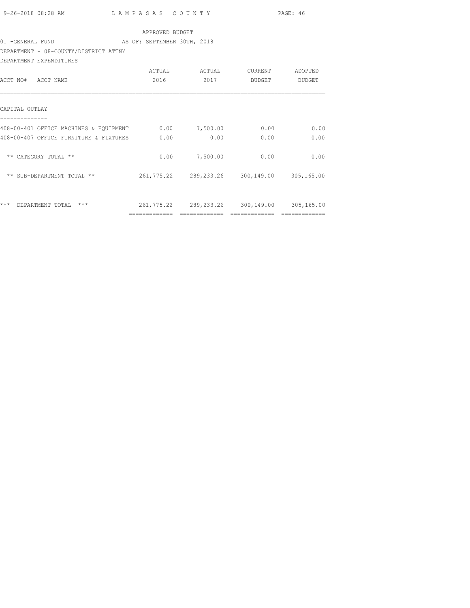|                                                                     |                 |                                             |               | PAGE: 46 |  |
|---------------------------------------------------------------------|-----------------|---------------------------------------------|---------------|----------|--|
|                                                                     | APPROVED BUDGET |                                             |               |          |  |
|                                                                     |                 |                                             |               |          |  |
| DEPARTMENT - 08-COUNTY/DISTRICT ATTNY                               |                 |                                             |               |          |  |
| DEPARTMENT EXPENDITURES                                             |                 |                                             |               |          |  |
|                                                                     |                 |                                             |               |          |  |
| ACCT NO# ACCT NAME                                                  | 2016            |                                             | 2017 BUDGET   | BUDGET   |  |
|                                                                     |                 |                                             |               |          |  |
|                                                                     |                 |                                             |               |          |  |
| CAPITAL OUTLAY                                                      |                 |                                             |               |          |  |
|                                                                     |                 |                                             |               |          |  |
| 408-00-401 OFFICE MACHINES & EQUIPMENT 0.00 7,500.00 0.00 0.00 0.00 |                 |                                             |               |          |  |
| 408-00-407 OFFICE FURNITURE & FIXTURES                              | 0.00            | 0.00                                        | 0.00          | 0.00     |  |
|                                                                     |                 |                                             |               |          |  |
| ** CATEGORY TOTAL **                                                |                 | $0.00$ 7,500.00 0.00                        |               | 0.00     |  |
|                                                                     |                 |                                             |               |          |  |
| ** SUB-DEPARTMENT TOTAL **                                          |                 | 261,775.22 289,233.26 300,149.00 305,165.00 |               |          |  |
|                                                                     |                 |                                             |               |          |  |
| *** DEPARTMENT TOTAL ***                                            |                 | 261,775.22 289,233.26 300,149.00 305,165.00 |               |          |  |
|                                                                     | =============   | =============                               | ============= |          |  |
|                                                                     |                 |                                             |               |          |  |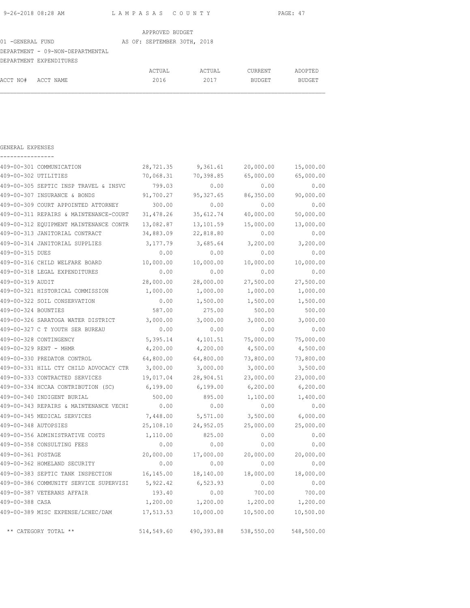| 9-26-2018 08:28 AM | LAMPASAS COUNTY |                 | PAGE: 47 |
|--------------------|-----------------|-----------------|----------|
|                    |                 | APPROVED BUDGET |          |

| 01 - GENERAL FUND  |                                  | AS OF: SEPTEMBER 30TH, 2018 |        |               |               |
|--------------------|----------------------------------|-----------------------------|--------|---------------|---------------|
|                    | DEPARTMENT - 09-NON-DEPARTMENTAL |                             |        |               |               |
|                    | DEPARTMENT EXPENDITURES          |                             |        |               |               |
|                    |                                  | ACTUAL                      | ACTUAL | CURRENT       | ADOPTED       |
| ACCT NO# ACCT NAME |                                  | 2016                        | 2017   | <b>BUDGET</b> | <b>BUDGET</b> |

| GENERAL EXPENSES     |                                        |            |            |            |            |
|----------------------|----------------------------------------|------------|------------|------------|------------|
|                      | 409-00-301 COMMUNICATION               | 28,721.35  | 9,361.61   | 20,000.00  | 15,000.00  |
| 409-00-302 UTILITIES |                                        | 70,068.31  | 70,398.85  | 65,000.00  | 65,000.00  |
|                      | 409-00-305 SEPTIC INSP TRAVEL & INSVC  | 799.03     | 0.00       | 0.00       | 0.00       |
|                      | 409-00-307 INSURANCE & BONDS           | 91,700.27  | 95, 327.65 | 86,350.00  | 90,000.00  |
|                      | 409-00-309 COURT APPOINTED ATTORNEY    | 300.00     | 0.00       | 0.00       | 0.00       |
|                      | 409-00-311 REPAIRS & MAINTENANCE-COURT | 31,478.26  | 35,612.74  | 40,000.00  | 50,000.00  |
|                      | 409-00-312 EOUIPMENT MAINTENANCE CONTR | 13,082.87  | 13,101.59  | 15,000.00  | 13,000.00  |
|                      | 409-00-313 JANITORIAL CONTRACT         | 34,883.09  | 22,818.80  | 0.00       | 0.00       |
|                      | 409-00-314 JANITORIAL SUPPLIES         | 3,177.79   | 3,685.64   | 3,200.00   | 3,200.00   |
| 409-00-315 DUES      |                                        | 0.00       | 0.00       | 0.00       | 0.00       |
|                      | 409-00-316 CHILD WELFARE BOARD         | 10,000.00  | 10,000.00  | 10,000.00  | 10,000.00  |
|                      | 409-00-318 LEGAL EXPENDITURES          | 0.00       | 0.00       | 0.00       | 0.00       |
| 409-00-319 AUDIT     |                                        | 28,000.00  | 28,000.00  | 27,500.00  | 27,500.00  |
|                      | 409-00-321 HISTORICAL COMMISSION       | 1,000.00   | 1,000.00   | 1,000.00   | 1,000.00   |
|                      | 409-00-322 SOIL CONSERVATION           | 0.00       | 1,500.00   | 1,500.00   | 1,500.00   |
| 409-00-324 BOUNTIES  |                                        | 587.00     | 275.00     | 500.00     | 500.00     |
|                      | 409-00-326 SARATOGA WATER DISTRICT     | 3,000.00   | 3,000.00   | 3,000.00   | 3,000.00   |
|                      | 409-00-327 C T YOUTH SER BUREAU        | 0.00       | 0.00       | 0.00       | 0.00       |
|                      | 409-00-328 CONTINGENCY                 | 5,395.14   | 4,101.51   | 75,000.00  | 75,000.00  |
|                      | 409-00-329 RENT - MHMR                 | 4,200.00   | 4,200.00   | 4,500.00   | 4,500.00   |
|                      | 409-00-330 PREDATOR CONTROL            | 64,800.00  | 64,800.00  | 73,800.00  | 73,800.00  |
|                      | 409-00-331 HILL CTY CHILD ADVOCACY CTR | 3,000.00   | 3,000.00   | 3,000.00   | 3,500.00   |
|                      | 409-00-333 CONTRACTED SERVICES         | 19,017.04  | 28,904.51  | 23,000.00  | 23,000.00  |
|                      | 409-00-334 HCCAA CONTRIBUTION (SC)     | 6,199.00   | 6,199.00   | 6,200.00   | 6, 200.00  |
|                      | 409-00-340 INDIGENT BURIAL             | 500.00     | 895.00     | 1,100.00   | 1,400.00   |
|                      | 409-00-343 REPAIRS & MAINTENANCE VECHI | 0.00       | 0.00       | 0.00       | 0.00       |
|                      | 409-00-345 MEDICAL SERVICES            | 7,448.00   | 5,571.00   | 3,500.00   | 6,000.00   |
| 409-00-348 AUTOPSIES |                                        | 25,108.10  | 24,952.05  | 25,000.00  | 25,000.00  |
|                      | 409-00-356 ADMINISTRATIVE COSTS        | 1,110.00   | 825.00     | 0.00       | 0.00       |
|                      | 409-00-358 CONSULTING FEES             | 0.00       | 0.00       | 0.00       | 0.00       |
| 409-00-361 POSTAGE   |                                        | 20,000.00  | 17,000.00  | 20,000.00  | 20,000.00  |
|                      | 409-00-362 HOMELAND SECURITY           | 0.00       | 0.00       | 0.00       | 0.00       |
|                      | 409-00-383 SEPTIC TANK INSPECTION      | 16,145.00  | 18,140.00  | 18,000.00  | 18,000.00  |
|                      | 409-00-386 COMMUNITY SERVICE SUPERVISI | 5,922.42   | 6,523.93   | 0.00       | 0.00       |
|                      | 409-00-387 VETERANS AFFAIR             | 193.40     | 0.00       | 700.00     | 700.00     |
| 409-00-388 CASA      |                                        | 1,200.00   | 1,200.00   | 1,200.00   | 1,200.00   |
|                      | 409-00-389 MISC EXPENSE/LCHEC/DAM      | 17,513.53  | 10,000.00  | 10,500.00  | 10,500.00  |
|                      | ** CATEGORY TOTAL **                   | 514,549.60 | 490,393.88 | 538,550.00 | 548,500.00 |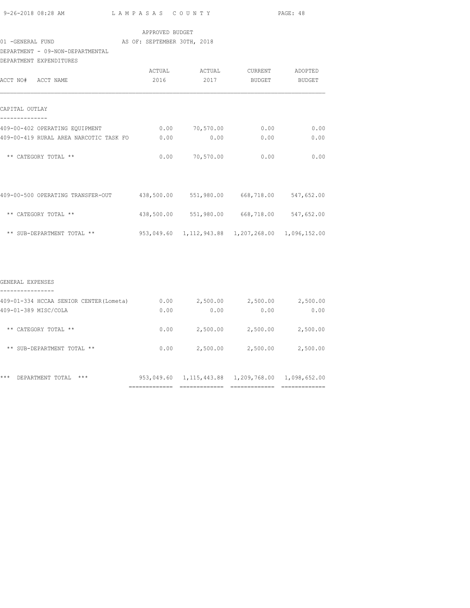| 9-26-2018 08:28 AM |  |
|--------------------|--|
|                    |  |

## APPROVED BUDGET

## 01 -GENERAL FUND AS OF: SEPTEMBER 30TH, 2018

## DEPARTMENT - 09-NON-DEPARTMENTAL

| DEPARTMENT EXPENDITURES                |        |                                                   |         |         |
|----------------------------------------|--------|---------------------------------------------------|---------|---------|
|                                        | ACTUAL | ACTUAL                                            | CURRENT | ADOPTED |
| ACCT NO# ACCT NAME                     | 2016   | 2017                                              | BUDGET  | BUDGET  |
|                                        |        |                                                   |         |         |
| CAPITAL OUTLAY<br>--------------       |        |                                                   |         |         |
| 409-00-402 OPERATING EQUIPMENT         | 0.00   | 70,570.00                                         | 0.00    | 0.00    |
| 409-00-419 RURAL AREA NARCOTIC TASK FO | 0.00   | 0.00                                              | 0.00    | 0.00    |
| ** CATEGORY TOTAL **                   | 0.00   | 70,570.00                                         | 0.00    | 0.00    |
|                                        |        |                                                   |         |         |
| 409-00-500 OPERATING TRANSFER-OUT      |        | 438,500.00 551,980.00 668,718.00 547,652.00       |         |         |
| ** CATEGORY TOTAL **                   |        | 438,500.00 551,980.00 668,718.00 547,652.00       |         |         |
| ** SUB-DEPARTMENT TOTAL **             |        | 953,049.60 1,112,943.88 1,207,268.00 1,096,152.00 |         |         |

| GENERAL EXPENSES |  |
|------------------|--|
|                  |  |

| 409-01-334 HCCAA SENIOR CENTER (Lometa) | 0.00       | 2,500.00     | 2,500.00 | 2,500.00                  |
|-----------------------------------------|------------|--------------|----------|---------------------------|
| 409-01-389 MISC/COLA                    | 0.00       | 0.00         | 0.00     | 0.00                      |
| CATEGORY TOTAL **<br>$***$              | 0.00       | 2,500.00     | 2,500.00 | 2,500.00                  |
| SUB-DEPARTMENT TOTAL **<br>$***$        | 0.00       | 2,500.00     | 2,500.00 | 2,500.00                  |
| $***$<br>$***$<br>DEPARTMENT TOTAL      | 953,049.60 | 1,115,443.88 |          | 1,209,768.00 1,098,652.00 |
|                                         |            |              |          |                           |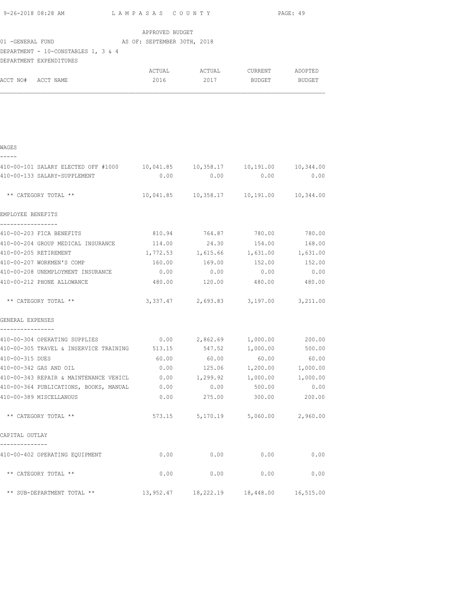| 9-26-2018 08:28 AM LAMPASAS COUNTY                                                   |                             |                 | PAGE: 49                                   |                   |
|--------------------------------------------------------------------------------------|-----------------------------|-----------------|--------------------------------------------|-------------------|
| 01 -GENERAL FUND (AS OF: SEPTEMBER 30TH, 2018<br>DEPARTMENT - 10-CONSTABLES 1, 3 & 4 | APPROVED BUDGET             |                 |                                            |                   |
| DEPARTMENT EXPENDITURES                                                              |                             |                 |                                            |                   |
|                                                                                      |                             |                 |                                            |                   |
| ACCT NO# ACCT NAME                                                                   | 2016                        | 2017            | <b>BUDGET</b>                              | <b>BUDGET</b>     |
|                                                                                      |                             |                 |                                            |                   |
| WAGES                                                                                |                             |                 |                                            |                   |
| 410-00-101 SALARY ELECTED OFF #1000   10,041.85   10,358.17   10,191.00   10,344.00  |                             |                 |                                            |                   |
| 410-00-133 SALARY-SUPPLEMENT                                                         | 0.00                        | 0.00            | 0.00                                       | 0.00              |
| ** CATEGORY TOTAL **                                                                 |                             |                 | 10,041.85  10,358.17  10,191.00  10,344.00 |                   |
| EMPLOYEE BENEFITS                                                                    |                             |                 |                                            |                   |
| -----------------<br>410-00-203 FICA BENEFITS                                        | 810.94 764.87 780.00 780.00 |                 |                                            |                   |
| 410-00-204 GROUP MEDICAL INSURANCE 114.00 24.30 154.00 168.00                        |                             |                 |                                            |                   |
| 410-00-205 RETIREMENT                                                                |                             |                 | 1,772.53 1,615.66 1,631.00 1,631.00        |                   |
| 410-00-207 WORKMEN'S COMP                                                            |                             |                 | 160.00    169.00    152.00                 | 152.00            |
| 410-00-208 UNEMPLOYMENT INSURANCE                                                    | 0.00                        | 0.00            | 0.00                                       | 0.00              |
| 410-00-212 PHONE ALLOWANCE                                                           | 480.00                      | 120.00          | 480.00                                     | 480.00            |
| ** CATEGORY TOTAL **                                                                 |                             |                 | 3,337.47 2,693.83 3,197.00 3,211.00        |                   |
| GENERAL EXPENSES<br>----------------                                                 |                             |                 |                                            |                   |
| 410-00-304 OPERATING SUPPLIES $0.00$ $2,862.69$ $1,000.00$ $200.00$                  |                             |                 |                                            |                   |
| 410-00-305 TRAVEL & INSERVICE TRAINING 513.15 547.52 1,000.00                        |                             |                 |                                            | 500.00            |
| 410-00-315 DUES                                                                      | 60.00                       | 60.00           | 60.00                                      | 60.00             |
| 410-00-342 GAS AND OIL                                                               |                             |                 | $0.00$ 125.06 1,200.00 1,000.00            |                   |
| 410-00-343 REPAIR & MAINTENANCE VEHICL $0.00$ 1,299.92 1,000.00 1,000.00             |                             |                 |                                            |                   |
| 410-00-364 PUBLICATIONS, BOOKS, MANUAL                                               | 0.00                        | 0.00            | 500.00                                     | 0.00              |
| 410-00-389 MISCELLANOUS                                                              | 0.00                        | 275.00          | 300.00                                     | 200.00            |
| ** CATEGORY TOTAL **                                                                 |                             | 573.15 5,170.19 |                                            | 5,060.00 2,960.00 |
| CAPITAL OUTLAY                                                                       |                             |                 |                                            |                   |
|                                                                                      |                             |                 |                                            |                   |
|                                                                                      |                             |                 |                                            |                   |

410-00-402 OPERATING EQUIPMENT 0.00 0.00 0.00 0.00

\*\* CATEGORY TOTAL \*\*  $0.00$  0.00 0.00 0.00 0.00

\*\* SUB-DEPARTMENT TOTAL \*\* 13,952.47 18,222.19 18,448.00 16,515.00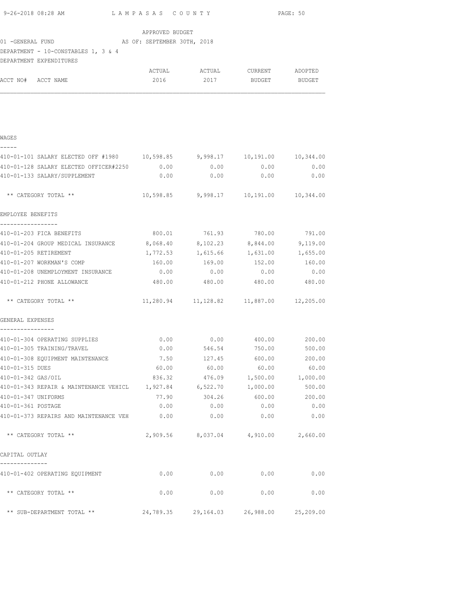| 9-26-2018 08:28 AM                                                         | LAMPASAS COUNTY |                                               |                   | PAGE: 50 |
|----------------------------------------------------------------------------|-----------------|-----------------------------------------------|-------------------|----------|
|                                                                            | APPROVED BUDGET |                                               |                   |          |
| 01 -GENERAL FUND (AS OF: SEPTEMBER 30TH, 2018                              |                 |                                               |                   |          |
| DEPARTMENT - 10-CONSTABLES 1, 3 & 4                                        |                 |                                               |                   |          |
| DEPARTMENT EXPENDITURES                                                    |                 |                                               |                   |          |
|                                                                            |                 | ACTUAL ACTUAL CURRENT ADOPTED                 |                   |          |
| ACCT NO# ACCT NAME                                                         |                 | 2016 2017 BUDGET BUDGET                       |                   |          |
|                                                                            |                 |                                               |                   |          |
|                                                                            |                 |                                               |                   |          |
| WAGES                                                                      |                 |                                               |                   |          |
| 410-01-101 SALARY ELECTED OFF #1980 10,598.85 9,998.17 10,191.00 10,344.00 |                 |                                               |                   |          |
| 410-01-128 SALARY ELECTED OFFICER#2250 0.00                                |                 | 0.00                                          | 0.00              | 0.00     |
| 410-01-133 SALARY/SUPPLEMENT                                               | 0.00            | 0.00                                          | 0.00              | 0.00     |
| ** CATEGORY TOTAL **                                                       |                 | 10,598.85 9,998.17 10,191.00 10,344.00        |                   |          |
| EMPLOYEE BENEFITS                                                          |                 |                                               |                   |          |
| -----------------<br>410-01-203 FICA BENEFITS                              |                 | 800.01 761.93 780.00 791.00                   |                   |          |
| 410-01-204 GROUP MEDICAL INSURANCE 8,068.40                                |                 |                                               | 8,102.23 8,844.00 | 9,119.00 |
| 410-01-205 RETIREMENT                                                      | 1,772.53        | 1,615.66                                      | 1,631.00          | 1,655.00 |
| 410-01-207 WORKMAN'S COMP                                                  | 160.00          | 169.00                                        | 152.00            | 160.00   |
| 410-01-208 UNEMPLOYMENT INSURANCE                                          | 0.00            | 0.00                                          | 0.00              | 0.00     |
| 410-01-212 PHONE ALLOWANCE                                                 |                 | 480.00 480.00 480.00 480.00                   |                   |          |
| ** CATEGORY TOTAL **                                                       |                 | 11,280.94   11,128.82   11,887.00   12,205.00 |                   |          |
| GENERAL EXPENSES<br>------------                                           |                 |                                               |                   |          |
| 410-01-304 OPERATING SUPPLIES                                              |                 | $0.00$ $0.00$ $400.00$ $200.00$               |                   |          |
| 410-01-305 TRAINING/TRAVEL                                                 |                 | $0.00$ 546.54 750.00 500.00                   |                   |          |
| 410-01-308 EQUIPMENT MAINTENANCE                                           | 7.50            | 127.45                                        | 600.00            | 200.00   |
| 410-01-315 DUES                                                            | 60.00           | 60.00                                         | 60.00             | 60.00    |
| 410-01-342 GAS/OIL                                                         | 836.32          | 476.09                                        | 1,500.00          | 1,000.00 |
| 410-01-343 REPAIR & MAINTENANCE VEHICL                                     | 1,927.84        | 6,522.70                                      | 1,000.00          | 500.00   |
| 410-01-347 UNIFORMS                                                        | 77.90           | 304.26                                        | 600.00            | 200.00   |
| 410-01-361 POSTAGE                                                         | 0.00            | 0.00                                          | 0.00              | 0.00     |
| 410-01-373 REPAIRS AND MAINTENANCE VEH                                     | 0.00            | 0.00                                          | 0.00              | 0.00     |
| ** CATEGORY TOTAL **                                                       |                 | 2,909.56 8,037.04 4,910.00                    |                   | 2,660.00 |
| CAPITAL OUTLAY                                                             |                 |                                               |                   |          |
| 410-01-402 OPERATING EQUIPMENT                                             | 0.00            | 0.00                                          | 0.00              | 0.00     |
| ** CATEGORY TOTAL **                                                       | 0.00            | 0.00                                          | 0.00              | 0.00     |
| ** SUB-DEPARTMENT TOTAL **                                                 |                 | 24,789.35 29,164.03 26,988.00 25,209.00       |                   |          |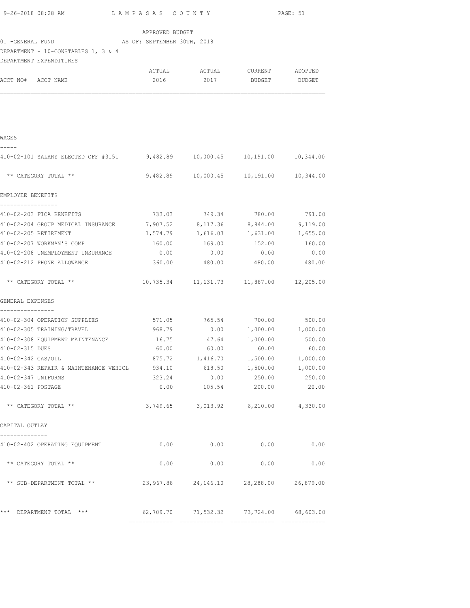| 9-26-2018 08:28 AM                                                         | LAMPASAS COUNTY                     |                                               |               | PAGE: 51 |
|----------------------------------------------------------------------------|-------------------------------------|-----------------------------------------------|---------------|----------|
|                                                                            | APPROVED BUDGET                     |                                               |               |          |
| AS OF: SEPTEMBER 30TH, 2018<br>01 -GENERAL FUND                            |                                     |                                               |               |          |
| DEPARTMENT - 10-CONSTABLES 1, 3 & 4<br>DEPARTMENT EXPENDITURES             |                                     |                                               |               |          |
|                                                                            |                                     | ACTUAL ACTUAL CURRENT ADOPTED                 |               |          |
| ACCT NO# ACCT NAME                                                         | 2016                                | 2017                                          | <b>BUDGET</b> | BUDGET   |
|                                                                            |                                     |                                               |               |          |
| WAGES                                                                      |                                     |                                               |               |          |
| 410-02-101 SALARY ELECTED OFF #3151 9,482.89 10,000.45 10,191.00 10,344.00 |                                     |                                               |               |          |
| ** CATEGORY TOTAL **                                                       |                                     | $9,482.89$ 10,000.45 10,191.00 10,344.00      |               |          |
| EMPLOYEE BENEFITS                                                          |                                     |                                               |               |          |
| -----------------<br>410-02-203 FICA BENEFITS                              |                                     | 733.03 749.34 780.00 791.00                   |               |          |
| 410-02-204 GROUP MEDICAL INSURANCE 7,907.52 8,117.36 8,844.00 9,119.00     |                                     |                                               |               |          |
| 410-02-205 RETIREMENT                                                      |                                     | 1,574.79    1,616.03    1,631.00    1,655.00  |               |          |
| 410-02-207 WORKMAN'S COMP                                                  |                                     |                                               |               |          |
| 410-02-208 UNEMPLOYMENT INSURANCE $0.00$ $0.00$ $0.00$ 0.00 $0.00$ 0.00    |                                     |                                               |               |          |
| 410-02-212 PHONE ALLOWANCE                                                 |                                     | 360.00 480.00 480.00 480.00                   |               |          |
| ** CATEGORY TOTAL **                                                       |                                     | 10,735.34   11,131.73   11,887.00   12,205.00 |               |          |
| GENERAL EXPENSES                                                           |                                     |                                               |               |          |
| 410-02-304 OPERATION SUPPLIES                                              |                                     | 571.05 765.54 700.00 500.00                   |               |          |
| 410-02-305 TRAINING/TRAVEL                                                 | 968.79   0.00   1,000.00   1,000.00 |                                               |               |          |
| 410-02-308 EQUIPMENT MAINTENANCE 16.75 47.64 1,000.00 500.00               |                                     |                                               |               |          |
| 410-02-315 DUES                                                            |                                     | $60.00$ $60.00$ $60.00$ $60.00$ $60.00$       |               |          |
| 410-02-342 GAS/OIL                                                         | 875.72                              | 1,416.70                                      | 1,500.00      | 1,000.00 |
| 410-02-343 REPAIR & MAINTENANCE VEHICL                                     | 934.10                              | 618.50                                        | 1,500.00      | 1,000.00 |
| 410-02-347 UNIFORMS                                                        | 323.24                              | 0.00                                          | 250.00        | 250.00   |
| 410-02-361 POSTAGE                                                         | 0.00                                | 105.54                                        | 200.00        | 20.00    |
| ** CATEGORY TOTAL **                                                       |                                     | 3,749.65 3,013.92 6,210.00 4,330.00           |               |          |
| CAPITAL OUTLAY<br>--------------                                           |                                     |                                               |               |          |
| 410-02-402 OPERATING EQUIPMENT                                             | 0.00                                | 0.00                                          | 0.00          | 0.00     |
| ** CATEGORY TOTAL **                                                       | 0.00                                | 0.00                                          | 0.00          | 0.00     |
| ** SUB-DEPARTMENT TOTAL **                                                 |                                     | 23,967.88  24,146.10  28,288.00  26,879.00    |               |          |
|                                                                            |                                     |                                               |               |          |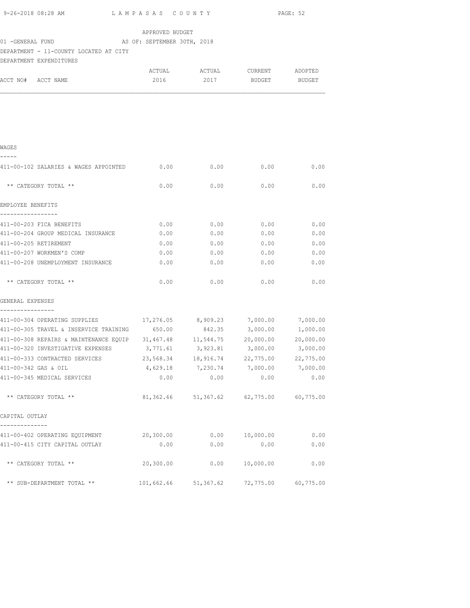| 9-26-2018 08:28 AM                                                             | LAMPASAS COUNTY       |                                         |                       | PAGE: 52              |
|--------------------------------------------------------------------------------|-----------------------|-----------------------------------------|-----------------------|-----------------------|
|                                                                                | APPROVED BUDGET       |                                         |                       |                       |
| 01 - GENERAL FUND AS OF: SEPTEMBER 30TH, 2018                                  |                       |                                         |                       |                       |
| DEPARTMENT - 11-COUNTY LOCATED AT CITY                                         |                       |                                         |                       |                       |
| DEPARTMENT EXPENDITURES                                                        |                       |                                         |                       |                       |
|                                                                                |                       | ACTUAL ACTUAL CURRENT ADOPTED           |                       |                       |
| ACCT NO# ACCT NAME                                                             | 2016                  |                                         | 2017 BUDGET BUDGET    |                       |
|                                                                                |                       |                                         |                       |                       |
|                                                                                |                       |                                         |                       |                       |
|                                                                                |                       |                                         |                       |                       |
|                                                                                |                       |                                         |                       |                       |
|                                                                                |                       |                                         |                       |                       |
| WAGES                                                                          |                       |                                         |                       |                       |
| -----                                                                          |                       |                                         |                       |                       |
| 411-00-102 SALARIES & WAGES APPOINTED 0.00                                     |                       | 0.00                                    | 0.00                  | 0.00                  |
|                                                                                |                       |                                         |                       |                       |
| ** CATEGORY TOTAL **                                                           | 0.00                  | 0.00                                    | 0.00                  | 0.00                  |
|                                                                                |                       |                                         |                       |                       |
| EMPLOYEE BENEFITS                                                              |                       |                                         |                       |                       |
| -----------------                                                              |                       |                                         |                       |                       |
| 411-00-203 FICA BENEFITS<br>411-00-204 GROUP MEDICAL INSURANCE                 | 0.00<br>0.00          | 0.00<br>0.00                            | 0.00<br>0.00          | 0.00<br>0.00          |
| 411-00-205 RETIREMENT                                                          | 0.00                  | 0.00                                    | 0.00                  | 0.00                  |
| 411-00-207 WORKMEN'S COMP                                                      | 0.00                  | 0.00                                    | 0.00                  | 0.00                  |
| 411-00-208 UNEMPLOYMENT INSURANCE                                              | 0.00                  | 0.00                                    | 0.00                  | 0.00                  |
|                                                                                |                       |                                         |                       |                       |
| ** CATEGORY TOTAL **                                                           | 0.00                  | 0.00                                    | 0.00                  | 0.00                  |
|                                                                                |                       |                                         |                       |                       |
| GENERAL EXPENSES                                                               |                       |                                         |                       |                       |
| ----------------                                                               |                       |                                         |                       |                       |
| 411-00-304 OPERATING SUPPLIES $17,276.05$ 8,909.23 7,000.00 7,000.00           |                       |                                         |                       |                       |
| 411-00-305 TRAVEL & INSERVICE TRAINING 650.00 842.35 3,000.00 1,000.00         |                       |                                         |                       |                       |
| 411-00-308 REPAIRS & MAINTENANCE EQUIP 31,467.48 11,544.75 20,000.00 20,000.00 |                       |                                         |                       |                       |
| 411-00-320 INVESTIGATIVE EXPENSES 3,771.61 3,923.81 3,000.00 3,000.00          |                       |                                         |                       |                       |
| 411-00-333 CONTRACTED SERVICES<br>411-00-342 GAS & OIL                         | 23,568.34<br>4,629.18 | 18,916.74<br>7,230.74                   | 22,775.00<br>7,000.00 | 22,775.00<br>7,000.00 |
| 411-00-345 MEDICAL SERVICES                                                    | 0.00                  | 0.00                                    | 0.00                  | 0.00                  |
|                                                                                |                       |                                         |                       |                       |
| ** CATEGORY TOTAL **                                                           |                       | 81,362.66 51,367.62 62,775.00 60,775.00 |                       |                       |
|                                                                                |                       |                                         |                       |                       |
| CAPITAL OUTLAY                                                                 |                       |                                         |                       |                       |
| --------------                                                                 |                       |                                         |                       |                       |
| 411-00-402 OPERATING EQUIPMENT                                                 | 20,300.00             | 0.00                                    | 10,000.00             | 0.00                  |
| 411-00-415 CITY CAPITAL OUTLAY                                                 | 0.00                  | 0.00                                    | 0.00                  | 0.00                  |
| ** CATEGORY TOTAL **                                                           | 20,300.00             |                                         |                       |                       |
|                                                                                |                       | 0.00                                    | 10,000.00             | 0.00                  |
| ** SUB-DEPARTMENT TOTAL **                                                     | 101,662.66            | 51, 367.62                              | 72,775.00             | 60,775.00             |
|                                                                                |                       |                                         |                       |                       |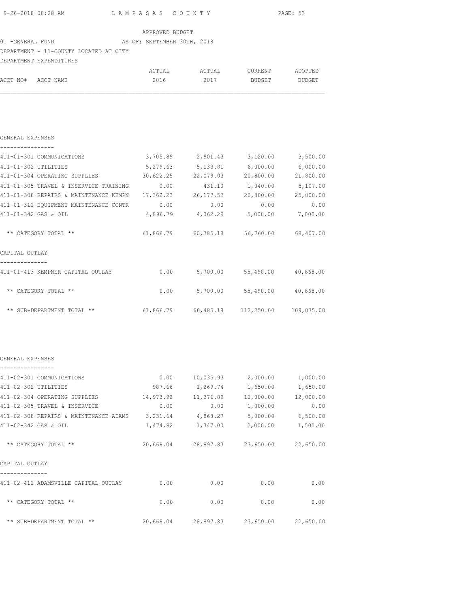| 9-26-2018 08:28 AM | LAMPASAS COUNTY | PAGE: 53 |
|--------------------|-----------------|----------|

| APPROVED BUDGET |  |
|-----------------|--|
|                 |  |

# 01 -GENERAL FUND AS OF: SEPTEMBER 30TH, 2018

### DEPARTMENT - 11-COUNTY LOCATED AT CITY

|                    | DEPARTMENT EXPENDITURES |        |        |         |         |
|--------------------|-------------------------|--------|--------|---------|---------|
|                    |                         | ACTUAL | ACTUAL | CURRENT | ADOPTED |
| ACCT NO# ACCT NAME |                         | 2016   | 2017   | BUDGET  | BUDGET  |

#### GENERAL EXPENSES

|  |  |  |  | ---------------- |  |  |  |  |
|--|--|--|--|------------------|--|--|--|--|

| 3,705.89  | 2,901.43   | 3,120.00  | 3,500.00             |
|-----------|------------|-----------|----------------------|
| 5,279.63  | 5,133.81   | 6,000.00  | 6,000.00             |
| 30,622.25 | 22,079.03  | 20,800.00 | 21,800.00            |
| 0.00      | 431.10     | 1,040.00  | 5,107.00             |
| 17,362.23 | 26, 177.52 | 20,800.00 | 25,000.00            |
| 0.00      | 0.00       | 0.00      | 0.00                 |
| 4,896.79  | 4,062.29   | 5,000.00  | 7,000.00             |
|           |            |           |                      |
| 61,866.79 | 60,785.18  | 56,760.00 | 68,407.00            |
|           |            |           |                      |
|           |            |           |                      |
|           |            |           |                      |
| 0.00      | 5,700.00   | 55,490.00 | 40,668.00            |
|           |            |           |                      |
| 0.00      | 5,700.00   | 55,490.00 | 40,668.00            |
|           |            |           |                      |
|           |            |           | 109,075.00           |
|           |            | 61,866.79 | 66,485.18 112,250.00 |

#### GENERAL EXPENSES ----------------

| 411-02-301 COMMUNICATIONS              | 0.00      | 10,035.93 | 2,000.00  | 1,000.00  |
|----------------------------------------|-----------|-----------|-----------|-----------|
| 411-02-302 UTILITIES                   | 987.66    | 1,269.74  | 1,650.00  | 1,650.00  |
| 411-02-304 OPERATING SUPPLIES          | 14,973.92 | 11,376.89 | 12,000.00 | 12,000.00 |
| 411-02-305 TRAVEL & INSERVICE          | 0.00      | 0.00      | 1,000.00  | 0.00      |
| 411-02-308 REPAIRS & MAINTENANCE ADAMS | 3,231.64  | 4,868.27  | 5,000.00  | 6,500.00  |
| 411-02-342 GAS & OIL                   | 1,474.82  | 1,347.00  | 2,000.00  | 1,500.00  |
| ** CATEGORY TOTAL **                   | 20,668.04 | 28,897.83 | 23,650.00 | 22,650.00 |
| CAPITAL OUTLAY                         |           |           |           |           |
| 411-02-412 ADAMSVILLE CAPITAL OUTLAY   | 0.00      | 0.00      | 0.00      | 0.00      |
| ** CATEGORY TOTAL **                   | 0.00      | 0.00      | 0.00      | 0.00      |
| ** SUB-DEPARTMENT TOTAL **             | 20,668.04 | 28,897.83 | 23,650.00 | 22,650.00 |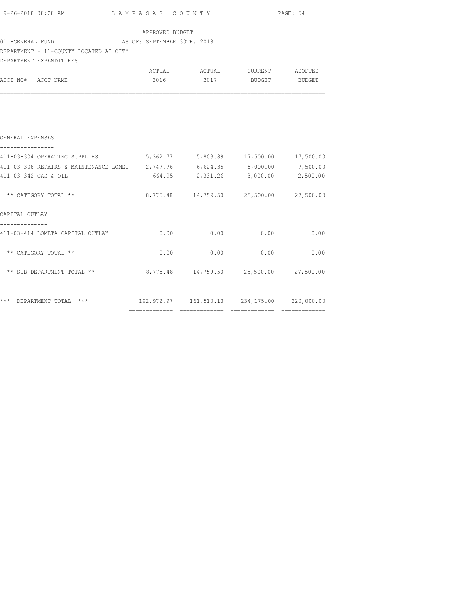| $9-26-2018$ 08:28 AM $L$ A M P A S A S $C$ O U N T Y $RGE: 54$             |                 |                                        |  |  |  |  |  |
|----------------------------------------------------------------------------|-----------------|----------------------------------------|--|--|--|--|--|
|                                                                            | APPROVED BUDGET |                                        |  |  |  |  |  |
| 01 -GENERAL FUND AS OF: SEPTEMBER 30TH, 2018                               |                 |                                        |  |  |  |  |  |
| DEPARTMENT - 11-COUNTY LOCATED AT CITY                                     |                 |                                        |  |  |  |  |  |
| DEPARTMENT EXPENDITURES                                                    |                 |                                        |  |  |  |  |  |
|                                                                            |                 | ACTUAL ACTUAL CURRENT ADOPTED          |  |  |  |  |  |
| ACCT NO# ACCT NAME                                                         |                 | 2016 2017 BUDGET BUDGET                |  |  |  |  |  |
| GENERAL EXPENSES                                                           |                 |                                        |  |  |  |  |  |
| 411-03-304 OPERATING SUPPLIES 6,362.77 5,803.89 17,500.00 17,500.00        |                 |                                        |  |  |  |  |  |
| 411-03-308 REPAIRS & MAINTENANCE LOMET 2,747.76 6,624.35 5,000.00 7,500.00 |                 |                                        |  |  |  |  |  |
| 411-03-342 GAS & OIL                                                       |                 | 664.95 2,331.26 3,000.00 2,500.00      |  |  |  |  |  |
| ** CATEGORY TOTAL **                                                       |                 | 8,775.48 14,759.50 25,500.00 27,500.00 |  |  |  |  |  |
| CAPITAL OUTLAY                                                             |                 |                                        |  |  |  |  |  |
| --------------<br>411-03-414 LOMETA CAPITAL OUTLAY                         |                 | $0.00$ $0.00$ $0.00$ $0.00$ $0.00$     |  |  |  |  |  |
| ** CATEGORY TOTAL **                                                       |                 | $0.00$ $0.00$ $0.00$ $0.00$ $0.00$     |  |  |  |  |  |
| ** SUB-DEPARTMENT TOTAL **                                                 |                 | 8,775.48 14,759.50 25,500.00 27,500.00 |  |  |  |  |  |
|                                                                            |                 |                                        |  |  |  |  |  |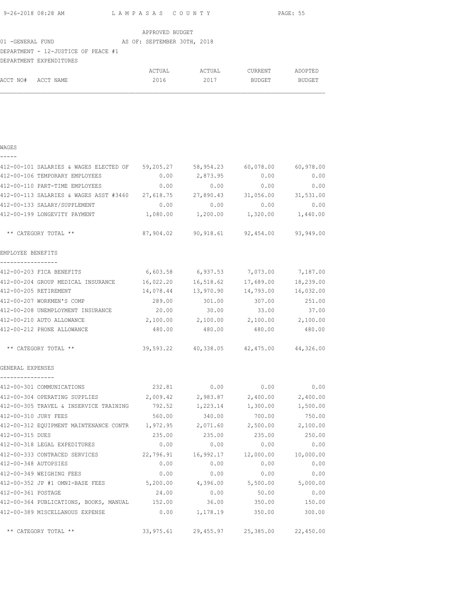| 9-26-2018 08:28 AM | LAMPASAS COUNTY | PAGE: 55 |
|--------------------|-----------------|----------|
|                    |                 |          |

|                                     |  | APPROVED BUDGET             |  |
|-------------------------------------|--|-----------------------------|--|
| 01 -GENERAL FUND                    |  | AS OF: SEPTEMBER 30TH, 2018 |  |
| DEPARTMENT - 12-JUSTICE OF PEACE #1 |  |                             |  |
| DEPARTMENT EXPENDITURES             |  |                             |  |

|                    | ACTUAL | ACTUAL | CURRENT | ADOPTED |
|--------------------|--------|--------|---------|---------|
| ACCT NO# ACCT NAME | 2016   | 2017   | BUDGET  | BUDGET  |

| 412-00-101 SALARIES & WAGES ELECTED OF 59,205.27                     |           | 58,954.23                                              | 60,078.00 | 60,978.00 |
|----------------------------------------------------------------------|-----------|--------------------------------------------------------|-----------|-----------|
| 412-00-106 TEMPORARY EMPLOYEES                                       | 0.00      | 2,873.95                                               | 0.00      | 0.00      |
| 412-00-110 PART-TIME EMPLOYEES 0.00                                  |           | 0.00                                                   | 0.00      | 0.00      |
| 412-00-113 SALARIES & WAGES ASST #3460 27,618.75 27,890.43 31,056.00 |           |                                                        |           | 31,531.00 |
| 412-00-133 SALARY/SUPPLEMENT                                         | 0.00      | 0.00                                                   | 0.00      | 0.00      |
| 412-00-199 LONGEVITY PAYMENT                                         |           | $1,080.00$ $1,200.00$ $1,320.00$ $1,440.00$            |           |           |
| ** CATEGORY TOTAL **                                                 |           | 87,904.02 90,918.61 92,454.00 93,949.00                |           |           |
| EMPLOYEE BENEFITS                                                    |           |                                                        |           |           |
| -----------------<br>412-00-203 FICA BENEFITS                        | 6,603.58  | 6,937.53                                               | 7,073.00  | 7,187.00  |
| 412-00-204 GROUP MEDICAL INSURANCE                                   | 16,022.20 | 16,518.62                                              | 17,689.00 | 18,239.00 |
| 412-00-205 RETIREMENT                                                | 14,078.44 | 13,970.90                                              | 14,793.00 | 16,032.00 |
| 412-00-207 WORKMEN'S COMP                                            | 289.00    | 301.00                                                 | 307.00    | 251.00    |
| 412-00-208 UNEMPLOYMENT INSURANCE                                    | 20.00     | 30.00                                                  | 33.00     | 37.00     |
| 412-00-210 AUTO ALLOWANCE                                            |           | $2,100.00$ $2,100.00$ $2,100.00$ $2,100.00$ $2,100.00$ |           |           |
| 412-00-212 PHONE ALLOWANCE                                           |           | 480.00 480.00 480.00 480.00                            |           |           |
| ** CATEGORY TOTAL **                                                 |           | 39,593.22 40,338.05 42,475.00 44,326.00                |           |           |
| GENERAL EXPENSES                                                     |           |                                                        |           |           |
| 412-00-301 COMMUNICATIONS                                            | 232.81    | 0.00                                                   | 0.00      | 0.00      |
| 412-00-304 OPERATING SUPPLIES                                        | 2,009.42  | 2,983.87                                               | 2,400.00  | 2,400.00  |
| 412-00-305 TRAVEL & INSERVICE TRAINING                               | 792.52    | 1,223.14                                               | 1,300.00  | 1,500.00  |
| 412-00-310 JURY FEES                                                 | 560.00    | 340.00                                                 | 700.00    | 750.00    |
| 412-00-312 EQUIPMENT MAINTENANCE CONTR 1,972.95 2,071.60 2,500.00    |           |                                                        |           | 2,100.00  |
| 412-00-315 DUES                                                      | 235.00    | 235.00                                                 | 235.00    | 250.00    |
| 412-00-318 LEGAL EXPEDITURES                                         | 0.00      | 0.00                                                   | 0.00      | 0.00      |
| 412-00-333 CONTRACED SERVICES 22,796.91                              |           | 16,992.17                                              | 12,000.00 | 10,000.00 |
| 412-00-348 AUTOPSIES                                                 | 0.00      | 0.00                                                   | 0.00      | 0.00      |
| 412-00-349 WEIGHING FEES                                             | 0.00      | 0.00                                                   | 0.00      | 0.00      |
| 412-00-352 JP #1 OMNI-BASE FEES                                      | 5,200.00  | 4,396.00                                               | 5,500.00  | 5,000.00  |
| 412-00-361 POSTAGE                                                   | 24.00     | 0.00                                                   | 50.00     | 0.00      |
| 412-00-364 PUBLICATIONS, BOOKS, MANUAL 152.00                        |           | 36.00                                                  | 350.00    | 150.00    |
| 412-00-389 MISCELLANOUS EXPENSE                                      |           | $0.00$ 1,178.19                                        | 350.00    | 300.00    |
| ** CATEGORY TOTAL **                                                 |           | 33,975.61 29,455.97 25,385.00 22,450.00                |           |           |
|                                                                      |           |                                                        |           |           |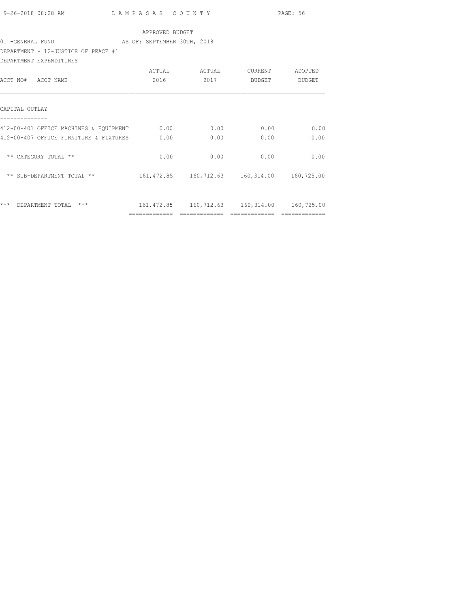|                                                              |                 |                                                |               | PAGE: 56      |
|--------------------------------------------------------------|-----------------|------------------------------------------------|---------------|---------------|
|                                                              | APPROVED BUDGET |                                                |               |               |
| 01 - GENERAL FUND THE RESOLUTION AS OF: SEPTEMBER 30TH, 2018 |                 |                                                |               |               |
| DEPARTMENT - 12-JUSTICE OF PEACE #1                          |                 |                                                |               |               |
| DEPARTMENT EXPENDITURES                                      |                 |                                                |               |               |
|                                                              |                 | ACTUAL ACTUAL                                  | CURRENT       | ADOPTED       |
| ACCT NO# ACCT NAME                                           |                 | 2016 2017                                      | <b>BUDGET</b> | <b>BUDGET</b> |
|                                                              |                 |                                                |               |               |
| CAPITAL OUTLAY                                               |                 |                                                |               |               |
| 412-00-401 OFFICE MACHINES & EQUIPMENT 0.00 0.00 0.00        |                 |                                                | 0.00          | 0.00          |
| 412-00-407 OFFICE FURNITURE & FIXTURES 0.00                  |                 | 0.00                                           | 0.00          | 0.00          |
|                                                              |                 |                                                |               |               |
| ** CATEGORY TOTAL **                                         | 0.00            | 0.00                                           | 0.00          | 0.00          |
|                                                              |                 |                                                |               |               |
| *** DEPARTMENT TOTAL ***                                     |                 | 161,472.85  160,712.63  160,314.00  160,725.00 |               |               |
|                                                              |                 | ============================                   | ============= | ============= |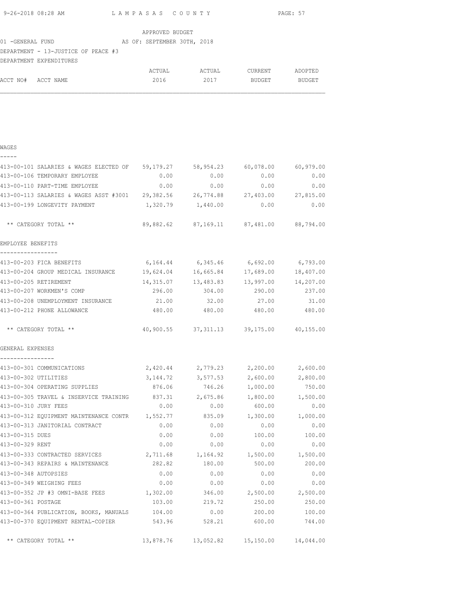| 9-26-2018 08:28 AM | LAMPASAS COUNTY | PAGE: 57 |
|--------------------|-----------------|----------|

| 01 -GENERAL FUND<br>DEPARTMENT EXPENDITURES |  | DEPARTMENT - 13-JUSTICE OF PEACE #3 |  | APPROVED BUDGET | AS OF: SEPTEMBER 30TH, 2018 |
|---------------------------------------------|--|-------------------------------------|--|-----------------|-----------------------------|

|                    | ACTUAL | ACTUAL | CURRENT | ADOPTED |
|--------------------|--------|--------|---------|---------|
| ACCT NO# ACCT NAME | 2016   | 2017   | BUDGET  | BUDGET  |
|                    |        |        |         |         |

| - 1 | __ | $\overline{\phantom{a}}$ |  |
|-----|----|--------------------------|--|
|     |    |                          |  |

| 413-00-101 SALARIES & WAGES ELECTED OF 59,179.27           |           | 58,954.23                               | 60,078.00 | 60,979.00 |
|------------------------------------------------------------|-----------|-----------------------------------------|-----------|-----------|
| 413-00-106 TEMPORARY EMPLOYEE                              | 0.00      | 0.00                                    | 0.00      | 0.00      |
| 413-00-110 PART-TIME EMPLOYEE                              | 0.00      | 0.00                                    | 0.00      | 0.00      |
| 413-00-113 SALARIES & WAGES ASST #3001 29,382.56 26,774.88 |           |                                         | 27,403.00 | 27,815.00 |
| 413-00-199 LONGEVITY PAYMENT                               | 1,320.79  | 1,440.00                                | 0.00      | 0.00      |
| ** CATEGORY TOTAL **                                       |           | 89,882.62 87,169.11 87,481.00 88,794.00 |           |           |
| EMPLOYEE BENEFITS<br>_________________                     |           |                                         |           |           |
| 413-00-203 FICA BENEFITS                                   | 6,164.44  | 6,345.46                                | 6,692.00  | 6,793.00  |
| 413-00-204 GROUP MEDICAL INSURANCE                         | 19,624.04 | 16,665.84                               | 17,689.00 | 18,407.00 |
| 413-00-205 RETIREMENT                                      | 14,315.07 | 13,483.83                               | 13,997.00 | 14,207.00 |
| 413-00-207 WORKMEN'S COMP                                  | 296.00    | 304.00                                  | 290.00    | 237.00    |
| 413-00-208 UNEMPLOYMENT INSURANCE                          | 21.00     | 32.00                                   | 27.00     | 31.00     |
| 413-00-212 PHONE ALLOWANCE                                 | 480.00    | 480.00                                  | 480.00    | 480.00    |
| ** CATEGORY TOTAL **                                       |           | 40,900.55 37,311.13 39,175.00 40,155.00 |           |           |
| GENERAL EXPENSES                                           |           |                                         |           |           |
| ----------------<br>413-00-301 COMMUNICATIONS              |           | 2,420.44 2,779.23 2,200.00              |           | 2,600.00  |
| 413-00-302 UTILITIES                                       |           | 3, 144. 72 3, 577. 53                   | 2,600.00  | 2,800.00  |
| 413-00-304 OPERATING SUPPLIES                              | 876.06    | 746.26                                  | 1,000.00  | 750.00    |
| 413-00-305 TRAVEL & INSERVICE TRAINING                     | 837.31    | 2,675.86                                | 1,800.00  | 1,500.00  |
| 413-00-310 JURY FEES                                       | 0.00      | 0.00                                    | 600.00    | 0.00      |
| 413-00-312 EQUIPMENT MAINTENANCE CONTR 1,552.77            |           | 835.09                                  | 1,300.00  | 1,000.00  |
| 413-00-313 JANITORIAL CONTRACT                             | 0.00      | 0.00                                    | 0.00      | 0.00      |
| 413-00-315 DUES                                            | 0.00      | 0.00                                    | 100.00    | 100.00    |
| 413-00-329 RENT                                            | 0.00      | 0.00                                    | 0.00      | 0.00      |
| 413-00-333 CONTRACTED SERVICES                             | 2,711.68  | 1,164.92                                | 1,500.00  | 1,500.00  |
| 413-00-343 REPAIRS & MAINTENANCE                           | 282.82    | 180.00                                  | 500.00    | 200.00    |
| 413-00-348 AUTOPSIES                                       | 0.00      | 0.00                                    | 0.00      | 0.00      |
| 413-00-349 WEIGHING FEES                                   | 0.00      | 0.00                                    | 0.00      | 0.00      |
| 413-00-352 JP #3 OMNI-BASE FEES                            | 1,302.00  | 346.00                                  | 2,500.00  | 2,500.00  |
| 413-00-361 POSTAGE                                         | 103.00    | 219.72                                  | 250.00    | 250.00    |
| 413-00-364 PUBLICATION, BOOKS, MANUALS 104.00              |           | 0.00                                    | 200.00    | 100.00    |
| 413-00-370 EQUIPMENT RENTAL-COPIER                         | 543.96    | 528.21                                  | 600.00    | 744.00    |
| ** CATEGORY TOTAL **                                       | 13,878.76 | 13,052.82                               | 15,150.00 | 14,044.00 |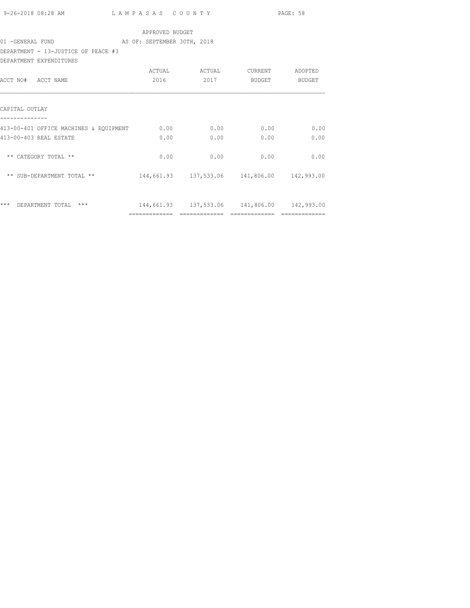|                                                            |                 |                                             |               | PAGE: 58           |
|------------------------------------------------------------|-----------------|---------------------------------------------|---------------|--------------------|
|                                                            | APPROVED BUDGET |                                             |               |                    |
| 01 - GENERAL FUND AS OF: SEPTEMBER 30TH, 2018              |                 |                                             |               |                    |
| DEPARTMENT - 13-JUSTICE OF PEACE #3                        |                 |                                             |               |                    |
| DEPARTMENT EXPENDITURES                                    |                 |                                             |               |                    |
|                                                            |                 | ACTUAL ACTUAL CURRENT                       |               | ADOPTED            |
| ACCT NO# ACCT NAME                                         | 2016            | 2017                                        |               | BUDGET BUDGET      |
|                                                            |                 |                                             |               |                    |
| CAPITAL OUTLAY                                             |                 |                                             |               |                    |
| 413-00-401 OFFICE MACHINES & EQUIPMENT 0.00 0.00 0.00 0.00 |                 |                                             |               | 0.00               |
| 413-00-403 REAL ESTATE                                     | 0.00            | 0.00                                        | 0.00          | 0.00               |
|                                                            |                 |                                             |               |                    |
| ** CATEGORY TOTAL **                                       | 0.00            | 0.00                                        | 0.00          | 0.00               |
|                                                            |                 |                                             |               |                    |
|                                                            |                 |                                             |               |                    |
|                                                            |                 |                                             |               |                    |
|                                                            |                 |                                             |               |                    |
| *** DEPARTMENT TOTAL ***                                   |                 | 144,661.93 137,533.06 141,806.00 142,993.00 |               |                    |
|                                                            |                 | -------------- --------------               | ------------- | $2222222222222222$ |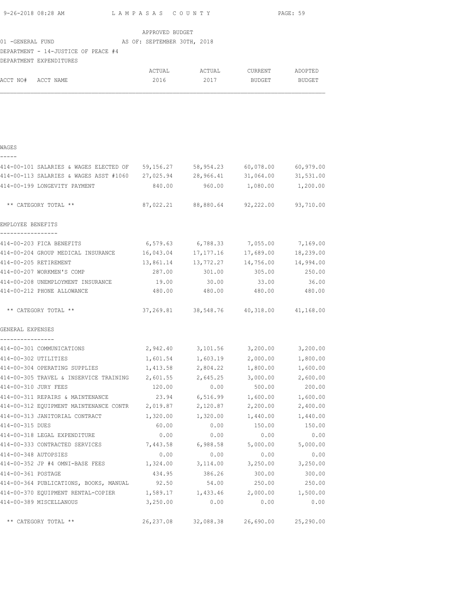|                                      | 9-26-2018 08:28 AM                                                             | LAMPASAS COUNTY |                                             |                     | PAGE: 59  |
|--------------------------------------|--------------------------------------------------------------------------------|-----------------|---------------------------------------------|---------------------|-----------|
|                                      |                                                                                | APPROVED BUDGET |                                             |                     |           |
|                                      | 01 - GENERAL FUND AS OF: SEPTEMBER 30TH, 2018                                  |                 |                                             |                     |           |
|                                      | DEPARTMENT - 14-JUSTICE OF PEACE #4<br>DEPARTMENT EXPENDITURES                 |                 |                                             |                     |           |
|                                      |                                                                                |                 |                                             |                     |           |
| ACCT NO# ACCT NAME                   |                                                                                | 2016            |                                             | 2017 BUDGET BUDGET  |           |
|                                      |                                                                                |                 |                                             |                     |           |
|                                      |                                                                                |                 |                                             |                     |           |
| WAGES                                |                                                                                |                 |                                             |                     |           |
| -----                                | 414-00-101 SALARIES & WAGES ELECTED OF 59,156.27 58,954.23 60,078.00 60,979.00 |                 |                                             |                     |           |
|                                      | 414-00-113 SALARIES & WAGES ASST #1060 27,025.94 28,966.41 31,064.00 31,531.00 |                 |                                             |                     |           |
|                                      | 414-00-199 LONGEVITY PAYMENT                                                   |                 | 840.00  960.00  1,080.00  1,200.00          |                     |           |
|                                      | ** CATEGORY TOTAL **                                                           |                 | 87,022.21 88,880.64 92,222.00 93,710.00     |                     |           |
| EMPLOYEE BENEFITS                    |                                                                                |                 |                                             |                     |           |
|                                      | 414-00-203 FICA BENEFITS                                                       |                 | $6,579.63$ $6,788.33$ $7,055.00$ $7,169.00$ |                     |           |
|                                      | 414-00-204 GROUP MEDICAL INSURANCE                                             |                 | 16,043.04 17,177.16                         | 17,689.00           | 18,239.00 |
|                                      | 414-00-205 RETIREMENT                                                          |                 | 13,861.14 13,772.27                         | 14,756.00 14,994.00 |           |
|                                      | 414-00-207 WORKMEN'S COMP                                                      | 287.00          | 301.00                                      | 305.00              | 250.00    |
|                                      | 414-00-208 UNEMPLOYMENT INSURANCE                                              | 19.00           | 30.00                                       | 33.00               | 36.00     |
|                                      | 414-00-212 PHONE ALLOWANCE                                                     | 480.00          | 480.00                                      | 480.00              | 480.00    |
|                                      | ** CATEGORY TOTAL **                                                           |                 | 37,269.81 38,548.76 40,318.00 41,168.00     |                     |           |
| GENERAL EXPENSES<br>---------------- |                                                                                |                 |                                             |                     |           |
|                                      | 414-00-301 COMMUNICATIONS                                                      |                 | 2,942.40 3,101.56 3,200.00 3,200.00         |                     |           |
| 414-00-302 UTILITIES                 |                                                                                | 1,601.54        | 1,603.19                                    | 2,000.00            | 1,800.00  |
|                                      | 414-00-304 OPERATING SUPPLIES                                                  | 1,413.58        | 2,804.22                                    | 1,800.00            | 1,600.00  |
|                                      | 414-00-305 TRAVEL & INSERVICE TRAINING                                         | 2,601.55        | 2,645.25                                    | 3,000.00            | 2,600.00  |
| 414-00-310 JURY FEES                 |                                                                                | 120.00          | 0.00                                        | 500.00              | 200.00    |
|                                      | 414-00-311 REPAIRS & MAINTENANCE                                               | 23.94           | 6,516.99                                    | 1,600.00            | 1,600.00  |
|                                      | 414-00-312 EQUIPMENT MAINTENANCE CONTR                                         | 2,019.87        | 2,120.87                                    | 2,200.00            | 2,400.00  |
|                                      | 414-00-313 JANITORIAL CONTRACT                                                 | 1,320.00        | 1,320.00                                    | 1,440.00            | 1,440.00  |
| 414-00-315 DUES                      |                                                                                | 60.00           | 0.00                                        | 150.00              | 150.00    |
|                                      | 414-00-318 LEGAL EXPENDITURE                                                   | 0.00            | 0.00                                        | 0.00                | 0.00      |
|                                      | 414-00-333 CONTRACTED SERVICES                                                 | 7,443.58        | 6,988.58                                    | 5,000.00            | 5,000.00  |
| 414-00-348 AUTOPSIES                 |                                                                                | 0.00            | 0.00                                        | 0.00                | 0.00      |
|                                      | 414-00-352 JP #4 OMNI-BASE FEES                                                | 1,324.00        | 3,114.00                                    | 3,250.00            | 3,250.00  |
| 414-00-361 POSTAGE                   |                                                                                | 434.95          | 386.26                                      | 300.00              | 300.00    |
|                                      | 414-00-364 PUBLICATIONS, BOOKS, MANUAL                                         | 92.50           | 54.00                                       | 250.00              | 250.00    |
|                                      | 414-00-370 EQUIPMENT RENTAL-COPIER 1,589.17                                    |                 | 1,433.46                                    | 2,000.00            | 1,500.00  |
|                                      | 414-00-389 MISCELLANOUS                                                        | 3,250.00        | 0.00                                        | 0.00                | 0.00      |
|                                      | ** CATEGORY TOTAL **                                                           | 26, 237.08      | 32,088.38                                   | 26,690.00           | 25,290.00 |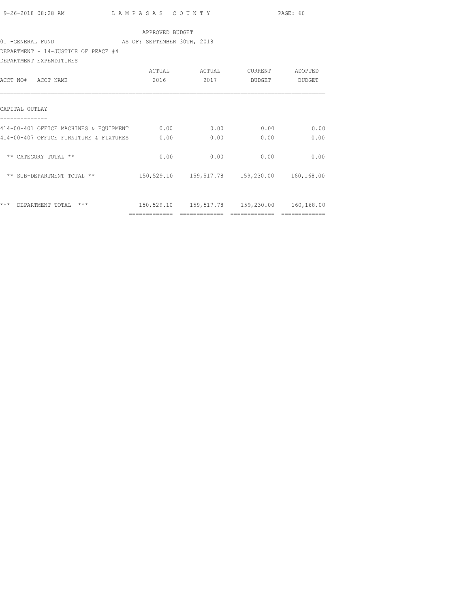|                                                       |                 |                                                |               | PAGE: 60      |
|-------------------------------------------------------|-----------------|------------------------------------------------|---------------|---------------|
|                                                       | APPROVED BUDGET |                                                |               |               |
| 01 - GENERAL FUND AS OF: SEPTEMBER 30TH, 2018         |                 |                                                |               |               |
| DEPARTMENT - 14-JUSTICE OF PEACE #4                   |                 |                                                |               |               |
| DEPARTMENT EXPENDITURES                               |                 |                                                |               |               |
|                                                       |                 | ACTUAL ACTUAL CURRENT                          |               | ADOPTED       |
| ACCT NO# ACCT NAME                                    |                 | 2016 2017                                      | <b>BUDGET</b> | BUDGET        |
| CAPITAL OUTLAY                                        |                 |                                                |               |               |
| 414-00-401 OFFICE MACHINES & EQUIPMENT 0.00 0.00 0.00 |                 |                                                |               | $0.00$ 0.00   |
| 414-00-407 OFFICE FURNITURE & FIXTURES 0.00           |                 | 0.00                                           | 0.00          | 0.00          |
| ** CATEGORY TOTAL **                                  | 0.00            | 0.00                                           | 0.00          | 0.00          |
|                                                       |                 |                                                |               |               |
| *** DEPARTMENT TOTAL ***                              |                 | 150,529.10  159,517.78  159,230.00  160,168.00 |               |               |
|                                                       | =============   | =============                                  | ============= | ============= |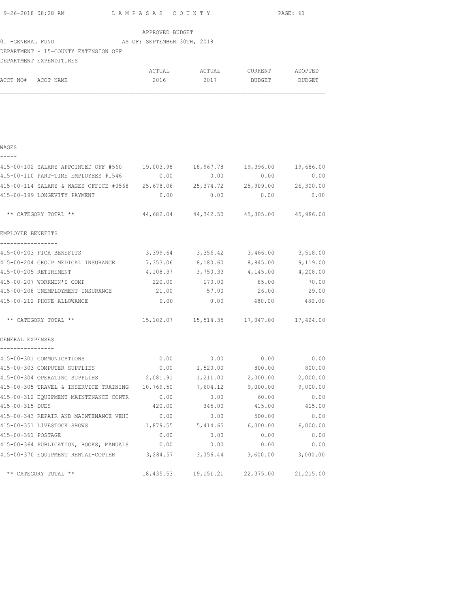| APPROVED BUDGET<br>DEPARTMENT - 15-COUNTY EXTENSION OFF<br>DEPARTMENT EXPENDITURES<br>2017 BUDGET BUDGET<br>ACCT NO# ACCT NAME<br>2016<br>WAGES<br>-----<br>415-00-102 SALARY APPOINTED OFF #560 19,003.98 18,967.78 19,396.00 19,686.00<br>415-00-110 PART-TIME EMPLOYEES #1546 0.00 0.00 0.00<br>0.00<br>0.00<br>415-00-114 SALARY & WAGES OFFICE #0568 25,678.06 25,374.72 25,909.00 26,300.00<br>0.00<br>0.00<br>415-00-199 LONGEVITY PAYMENT<br>0.00<br>0.00<br>44,682.04 44,342.50 45,305.00 45,986.00<br>** CATEGORY TOTAL **<br>EMPLOYEE BENEFITS<br>-----------------<br>3,399.64 3,356.42 3,466.00 3,518.00<br>415-00-203 FICA BENEFITS<br>415-00-204 GROUP MEDICAL INSURANCE 7,353.06 8,180.60 8,845.00 9,119.00<br>415-00-205 RETIREMENT<br>$4,108.37$ $3,750.33$ $4,145.00$ $4,208.00$<br>220.00 170.00 85.00 70.00<br>415-00-207 WORKMEN'S COMP<br>415-00-208 UNEMPLOYMENT INSURANCE $21.00$ 57.00 $26.00$ 29.00<br>0.00<br>480.00 480.00<br>415-00-212 PHONE ALLOWANCE<br>0.00<br>15, 102.07   15, 514.35   17, 047.00   17, 424.00<br>** CATEGORY TOTAL **<br>GENERAL EXPENSES<br>415-00-301 COMMUNICATIONS<br>0.00<br>0.00<br>0.00<br>0.00<br>800.00<br>415-00-303 COMPUTER SUPPLIES<br>0.00<br>1,520.00<br>800.00<br>415-00-304 OPERATING SUPPLIES<br>1,211.00<br>2,000.00<br>2,000.00<br>2,081.91<br>415-00-305 TRAVEL & INSERVICE TRAINING<br>10,769.50<br>7,604.12<br>9,000.00<br>9,000.00<br>415-00-312 EOUIPMENT MAINTENANCE CONTR<br>0.00<br>0.00<br>60.00<br>0.00 |
|--------------------------------------------------------------------------------------------------------------------------------------------------------------------------------------------------------------------------------------------------------------------------------------------------------------------------------------------------------------------------------------------------------------------------------------------------------------------------------------------------------------------------------------------------------------------------------------------------------------------------------------------------------------------------------------------------------------------------------------------------------------------------------------------------------------------------------------------------------------------------------------------------------------------------------------------------------------------------------------------------------------------------------------------------------------------------------------------------------------------------------------------------------------------------------------------------------------------------------------------------------------------------------------------------------------------------------------------------------------------------------------------------------------------------------------------------------------------------------------------|
|                                                                                                                                                                                                                                                                                                                                                                                                                                                                                                                                                                                                                                                                                                                                                                                                                                                                                                                                                                                                                                                                                                                                                                                                                                                                                                                                                                                                                                                                                            |
|                                                                                                                                                                                                                                                                                                                                                                                                                                                                                                                                                                                                                                                                                                                                                                                                                                                                                                                                                                                                                                                                                                                                                                                                                                                                                                                                                                                                                                                                                            |
|                                                                                                                                                                                                                                                                                                                                                                                                                                                                                                                                                                                                                                                                                                                                                                                                                                                                                                                                                                                                                                                                                                                                                                                                                                                                                                                                                                                                                                                                                            |
|                                                                                                                                                                                                                                                                                                                                                                                                                                                                                                                                                                                                                                                                                                                                                                                                                                                                                                                                                                                                                                                                                                                                                                                                                                                                                                                                                                                                                                                                                            |
|                                                                                                                                                                                                                                                                                                                                                                                                                                                                                                                                                                                                                                                                                                                                                                                                                                                                                                                                                                                                                                                                                                                                                                                                                                                                                                                                                                                                                                                                                            |
|                                                                                                                                                                                                                                                                                                                                                                                                                                                                                                                                                                                                                                                                                                                                                                                                                                                                                                                                                                                                                                                                                                                                                                                                                                                                                                                                                                                                                                                                                            |
|                                                                                                                                                                                                                                                                                                                                                                                                                                                                                                                                                                                                                                                                                                                                                                                                                                                                                                                                                                                                                                                                                                                                                                                                                                                                                                                                                                                                                                                                                            |
|                                                                                                                                                                                                                                                                                                                                                                                                                                                                                                                                                                                                                                                                                                                                                                                                                                                                                                                                                                                                                                                                                                                                                                                                                                                                                                                                                                                                                                                                                            |
|                                                                                                                                                                                                                                                                                                                                                                                                                                                                                                                                                                                                                                                                                                                                                                                                                                                                                                                                                                                                                                                                                                                                                                                                                                                                                                                                                                                                                                                                                            |
|                                                                                                                                                                                                                                                                                                                                                                                                                                                                                                                                                                                                                                                                                                                                                                                                                                                                                                                                                                                                                                                                                                                                                                                                                                                                                                                                                                                                                                                                                            |
|                                                                                                                                                                                                                                                                                                                                                                                                                                                                                                                                                                                                                                                                                                                                                                                                                                                                                                                                                                                                                                                                                                                                                                                                                                                                                                                                                                                                                                                                                            |
|                                                                                                                                                                                                                                                                                                                                                                                                                                                                                                                                                                                                                                                                                                                                                                                                                                                                                                                                                                                                                                                                                                                                                                                                                                                                                                                                                                                                                                                                                            |
|                                                                                                                                                                                                                                                                                                                                                                                                                                                                                                                                                                                                                                                                                                                                                                                                                                                                                                                                                                                                                                                                                                                                                                                                                                                                                                                                                                                                                                                                                            |
|                                                                                                                                                                                                                                                                                                                                                                                                                                                                                                                                                                                                                                                                                                                                                                                                                                                                                                                                                                                                                                                                                                                                                                                                                                                                                                                                                                                                                                                                                            |
|                                                                                                                                                                                                                                                                                                                                                                                                                                                                                                                                                                                                                                                                                                                                                                                                                                                                                                                                                                                                                                                                                                                                                                                                                                                                                                                                                                                                                                                                                            |
|                                                                                                                                                                                                                                                                                                                                                                                                                                                                                                                                                                                                                                                                                                                                                                                                                                                                                                                                                                                                                                                                                                                                                                                                                                                                                                                                                                                                                                                                                            |
|                                                                                                                                                                                                                                                                                                                                                                                                                                                                                                                                                                                                                                                                                                                                                                                                                                                                                                                                                                                                                                                                                                                                                                                                                                                                                                                                                                                                                                                                                            |
|                                                                                                                                                                                                                                                                                                                                                                                                                                                                                                                                                                                                                                                                                                                                                                                                                                                                                                                                                                                                                                                                                                                                                                                                                                                                                                                                                                                                                                                                                            |
|                                                                                                                                                                                                                                                                                                                                                                                                                                                                                                                                                                                                                                                                                                                                                                                                                                                                                                                                                                                                                                                                                                                                                                                                                                                                                                                                                                                                                                                                                            |
|                                                                                                                                                                                                                                                                                                                                                                                                                                                                                                                                                                                                                                                                                                                                                                                                                                                                                                                                                                                                                                                                                                                                                                                                                                                                                                                                                                                                                                                                                            |
|                                                                                                                                                                                                                                                                                                                                                                                                                                                                                                                                                                                                                                                                                                                                                                                                                                                                                                                                                                                                                                                                                                                                                                                                                                                                                                                                                                                                                                                                                            |
|                                                                                                                                                                                                                                                                                                                                                                                                                                                                                                                                                                                                                                                                                                                                                                                                                                                                                                                                                                                                                                                                                                                                                                                                                                                                                                                                                                                                                                                                                            |
|                                                                                                                                                                                                                                                                                                                                                                                                                                                                                                                                                                                                                                                                                                                                                                                                                                                                                                                                                                                                                                                                                                                                                                                                                                                                                                                                                                                                                                                                                            |
|                                                                                                                                                                                                                                                                                                                                                                                                                                                                                                                                                                                                                                                                                                                                                                                                                                                                                                                                                                                                                                                                                                                                                                                                                                                                                                                                                                                                                                                                                            |
|                                                                                                                                                                                                                                                                                                                                                                                                                                                                                                                                                                                                                                                                                                                                                                                                                                                                                                                                                                                                                                                                                                                                                                                                                                                                                                                                                                                                                                                                                            |
|                                                                                                                                                                                                                                                                                                                                                                                                                                                                                                                                                                                                                                                                                                                                                                                                                                                                                                                                                                                                                                                                                                                                                                                                                                                                                                                                                                                                                                                                                            |
|                                                                                                                                                                                                                                                                                                                                                                                                                                                                                                                                                                                                                                                                                                                                                                                                                                                                                                                                                                                                                                                                                                                                                                                                                                                                                                                                                                                                                                                                                            |
|                                                                                                                                                                                                                                                                                                                                                                                                                                                                                                                                                                                                                                                                                                                                                                                                                                                                                                                                                                                                                                                                                                                                                                                                                                                                                                                                                                                                                                                                                            |
|                                                                                                                                                                                                                                                                                                                                                                                                                                                                                                                                                                                                                                                                                                                                                                                                                                                                                                                                                                                                                                                                                                                                                                                                                                                                                                                                                                                                                                                                                            |
|                                                                                                                                                                                                                                                                                                                                                                                                                                                                                                                                                                                                                                                                                                                                                                                                                                                                                                                                                                                                                                                                                                                                                                                                                                                                                                                                                                                                                                                                                            |
|                                                                                                                                                                                                                                                                                                                                                                                                                                                                                                                                                                                                                                                                                                                                                                                                                                                                                                                                                                                                                                                                                                                                                                                                                                                                                                                                                                                                                                                                                            |
|                                                                                                                                                                                                                                                                                                                                                                                                                                                                                                                                                                                                                                                                                                                                                                                                                                                                                                                                                                                                                                                                                                                                                                                                                                                                                                                                                                                                                                                                                            |
|                                                                                                                                                                                                                                                                                                                                                                                                                                                                                                                                                                                                                                                                                                                                                                                                                                                                                                                                                                                                                                                                                                                                                                                                                                                                                                                                                                                                                                                                                            |
| 415-00-315 DUES<br>420.00<br>345.00<br>415.00<br>415.00                                                                                                                                                                                                                                                                                                                                                                                                                                                                                                                                                                                                                                                                                                                                                                                                                                                                                                                                                                                                                                                                                                                                                                                                                                                                                                                                                                                                                                    |
| 0.00<br>500.00<br>0.00<br>415-00-343 REPAIR AND MAINTENANCE VEHI<br>0.00                                                                                                                                                                                                                                                                                                                                                                                                                                                                                                                                                                                                                                                                                                                                                                                                                                                                                                                                                                                                                                                                                                                                                                                                                                                                                                                                                                                                                   |
| 415-00-351 LIVESTOCK SHOWS<br>5,414.65<br>6,000.00<br>6,000.00<br>1,879.55                                                                                                                                                                                                                                                                                                                                                                                                                                                                                                                                                                                                                                                                                                                                                                                                                                                                                                                                                                                                                                                                                                                                                                                                                                                                                                                                                                                                                 |
| 0.00<br>0.00<br>0.00<br>415-00-361 POSTAGE<br>0.00                                                                                                                                                                                                                                                                                                                                                                                                                                                                                                                                                                                                                                                                                                                                                                                                                                                                                                                                                                                                                                                                                                                                                                                                                                                                                                                                                                                                                                         |
| 415-00-364 PUBLICATION, BOOKS, MANUALS<br>0.00<br>0.00<br>0.00<br>0.00                                                                                                                                                                                                                                                                                                                                                                                                                                                                                                                                                                                                                                                                                                                                                                                                                                                                                                                                                                                                                                                                                                                                                                                                                                                                                                                                                                                                                     |
| 415-00-370 EQUIPMENT RENTAL-COPIER<br>3,056.44<br>3,284.57<br>3,600.00<br>3,000.00                                                                                                                                                                                                                                                                                                                                                                                                                                                                                                                                                                                                                                                                                                                                                                                                                                                                                                                                                                                                                                                                                                                                                                                                                                                                                                                                                                                                         |
| ** CATEGORY TOTAL **<br>18,435.53<br>19,151.21<br>22,375.00<br>21,215.00                                                                                                                                                                                                                                                                                                                                                                                                                                                                                                                                                                                                                                                                                                                                                                                                                                                                                                                                                                                                                                                                                                                                                                                                                                                                                                                                                                                                                   |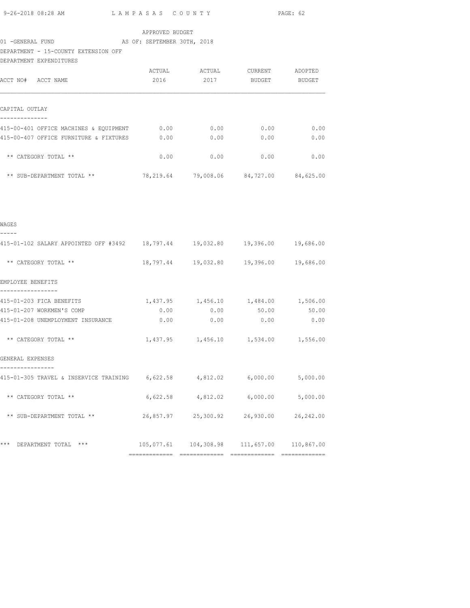|                                                                               |                 |             |                                                     | PAGE: 62 |
|-------------------------------------------------------------------------------|-----------------|-------------|-----------------------------------------------------|----------|
|                                                                               | APPROVED BUDGET |             |                                                     |          |
| DEPARTMENT - 15-COUNTY EXTENSION OFF<br>DEPARTMENT EXPENDITURES               |                 |             |                                                     |          |
| ACCT NO# ACCT NAME                                                            | 2016            |             | ACTUAL ACTUAL CURRENT ADOPTED<br>2017 BUDGET BUDGET |          |
| CAPITAL OUTLAY<br>--------------                                              |                 |             |                                                     |          |
| 415-00-401 OFFICE MACHINES & EQUIPMENT 0.00 0.00 0.00 0.00 0.00 0.00          |                 |             |                                                     |          |
| 415-00-407 OFFICE FURNITURE & FIXTURES $0.00$ $0.00$ $0.00$ $0.00$ $0.00$     |                 |             |                                                     |          |
| ** CATEGORY TOTAL **                                                          |                 | $0.00$ 0.00 | 0.00                                                | 0.00     |
| ** SUB-DEPARTMENT TOTAL ** 78,219.64 79,008.06 84,727.00 84,625.00            |                 |             |                                                     |          |
|                                                                               |                 |             |                                                     |          |
| WAGES<br>-----                                                                |                 |             |                                                     |          |
| 415-01-102 SALARY APPOINTED OFF #3492 18,797.44 19,032.80 19,396.00 19,686.00 |                 |             |                                                     |          |
| ** CATEGORY TOTAL **                                                          |                 |             | 18,797.44  19,032.80  19,396.00  19,686.00          |          |
| EMPLOYEE BENEFITS                                                             |                 |             |                                                     |          |
| 415-01-203 FICA BENEFITS                                                      |                 |             | $1,437.95$ $1,456.10$ $1,484.00$ $1,506.00$         |          |
| 415-01-207 WORKMEN'S COMP                                                     | 0.00            | 0.00        | 50.00                                               | 50.00    |
| 415-01-208 UNEMPLOYMENT INSURANCE 0.00                                        |                 | 0.00        | 0.00                                                | 0.00     |
| ** CATEGORY TOTAL **                                                          |                 |             | 1,437.95 1,456.10 1,534.00 1,556.00                 |          |
| GENERAL EXPENSES<br>----------                                                |                 |             |                                                     |          |
| 415-01-305 TRAVEL & INSERVICE TRAINING 6,622.58 4,812.02 6,000.00 5,000.00    |                 |             |                                                     |          |
| ** CATEGORY TOTAL **                                                          |                 |             | $6,622.58$ $4,812.02$ $6,000.00$ $5,000.00$         |          |
| ** SUB-DEPARTMENT TOTAL **                                                    |                 |             |                                                     |          |
| *** DEPARTMENT TOTAL ***                                                      |                 |             | $105,077.61$ $104,308.98$ $111,657.00$ $110,867.00$ |          |
|                                                                               |                 |             |                                                     |          |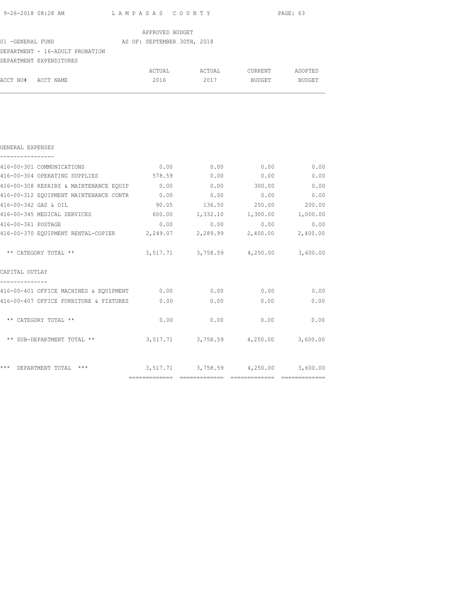|                                                                                                                                                                |                 |                                     |               | PAGE: 63 |
|----------------------------------------------------------------------------------------------------------------------------------------------------------------|-----------------|-------------------------------------|---------------|----------|
|                                                                                                                                                                | APPROVED BUDGET |                                     |               |          |
| 01 -GENERAL FUND XX AS OF: SEPTEMBER 30TH, 2018                                                                                                                |                 |                                     |               |          |
| DEPARTMENT - 16-ADULT PROBATION                                                                                                                                |                 |                                     |               |          |
| DEPARTMENT EXPENDITURES                                                                                                                                        |                 |                                     |               |          |
|                                                                                                                                                                |                 |                                     |               |          |
| ACCT NO# ACCT NAME                                                                                                                                             | 2016            | 2017                                | BUDGET BUDGET |          |
|                                                                                                                                                                |                 |                                     |               |          |
|                                                                                                                                                                |                 |                                     |               |          |
| GENERAL EXPENSES                                                                                                                                               |                 |                                     |               |          |
| 416-00-301 COMMUNICATIONS                                                                                                                                      | 0.00            | 0.00                                | 0.00          | 0.00     |
| 416-00-304 OPERATING SUPPLIES 578.59 0.00                                                                                                                      |                 |                                     | 0.00          | 0.00     |
| 416-00-308 REPAIRS & MAINTENANCE EQUIP                                                                                                                         | 0.00            |                                     | $0.00$ 300.00 | 0.00     |
| 416-00-312 EQUIPMENT MAINTENANCE CONTR                                                                                                                         | 0.00            | 0.00                                | 0.00          | 0.00     |
| 416-00-342 GAS & OIL                                                                                                                                           | 90.05           | 136.50                              | 250.00        | 200.00   |
| 416-00-345 MEDICAL SERVICES                                                                                                                                    | 600.00          | 1,332.10                            | 1,300.00      | 1,000.00 |
| 416-00-361 POSTAGE                                                                                                                                             | 0.00            | 0.00                                | 0.00          | 0.00     |
| 416-00-370 EQUIPMENT RENTAL-COPIER                                                                                                                             | 2,249.07        | 2,289.99                            | 2,400.00      | 2,400.00 |
| ** CATEGORY TOTAL **                                                                                                                                           |                 | 3,517.71 3,758.59 4,250.00 3,600.00 |               |          |
| CAPITAL OUTLAY                                                                                                                                                 |                 |                                     |               |          |
|                                                                                                                                                                |                 |                                     |               |          |
|                                                                                                                                                                |                 |                                     |               |          |
|                                                                                                                                                                |                 | $0.00$ $0.00$ $0.00$ $0.00$         |               |          |
| ** CATEGORY TOTAL **                                                                                                                                           | 0.00            | 0.00                                | 0.00          | 0.00     |
| --------------<br>416-00-401 OFFICE MACHINES & EQUIPMENT 0.00 0.00 0.00 0.00 0.00<br>416-00-407 OFFICE FURNITURE & FIXTURES 0.00<br>** SUB-DEPARTMENT TOTAL ** |                 | 3,517.71 3,758.59 4,250.00 3,600.00 |               |          |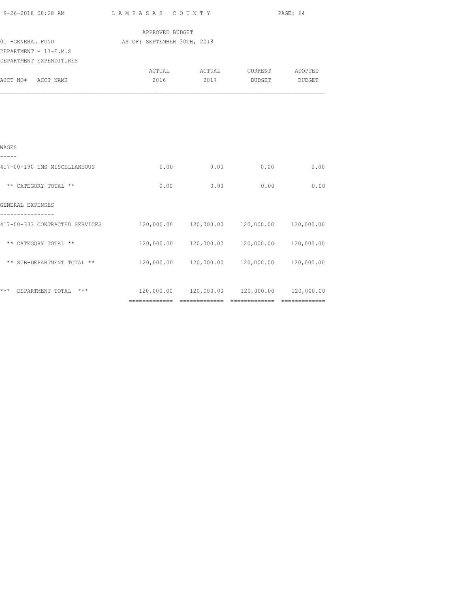|                                                                                           |                                                     |      |                                                | PAGE: 64   |
|-------------------------------------------------------------------------------------------|-----------------------------------------------------|------|------------------------------------------------|------------|
| 01 - GENERAL FUND                                                                         | APPROVED BUDGET<br>AS OF: SEPTEMBER 30TH, 2018      |      |                                                |            |
| DEPARTMENT - 17-E.M.S<br>DEPARTMENT EXPENDITURES                                          |                                                     |      |                                                |            |
|                                                                                           |                                                     |      | ACTUAL ACTUAL CURRENT ADOPTED                  |            |
| ACCT NO# ACCT NAME                                                                        | 2016                                                | 2017 | BUDGET BUDGET                                  |            |
|                                                                                           |                                                     |      |                                                |            |
|                                                                                           |                                                     |      |                                                |            |
|                                                                                           |                                                     |      |                                                |            |
|                                                                                           |                                                     |      |                                                |            |
| WAGES                                                                                     |                                                     |      |                                                |            |
| -----<br>417-00-190 EMS MISCELLANEOUS                                                     | 0.00                                                | 0.00 | 0.00                                           | 0.00       |
|                                                                                           |                                                     |      |                                                |            |
| ** CATEGORY TOTAL **                                                                      | 0.00                                                | 0.00 | 0.00                                           | 0.00       |
| GENERAL EXPENSES                                                                          |                                                     |      |                                                |            |
| ----------------                                                                          |                                                     |      |                                                |            |
| 417-00-333 CONTRACTED SERVICES                                                            | $120,000.00$ $120,000.00$ $120,000.00$ $120,000.00$ |      |                                                |            |
| ** CATEGORY TOTAL **                                                                      |                                                     |      | 120,000.00  120,000.00  120,000.00             | 120,000.00 |
|                                                                                           |                                                     |      |                                                |            |
| ** SUB-DEPARTMENT TOTAL **                                                                |                                                     |      | 120,000.00  120,000.00  120,000.00  120,000.00 |            |
|                                                                                           |                                                     |      |                                                |            |
| *** DEPARTMENT TOTAL *** $120,000.00$ $120,000.00$ $120,000.00$ $120,000.00$ $120,000.00$ |                                                     |      |                                                |            |

============= ============= ============= =============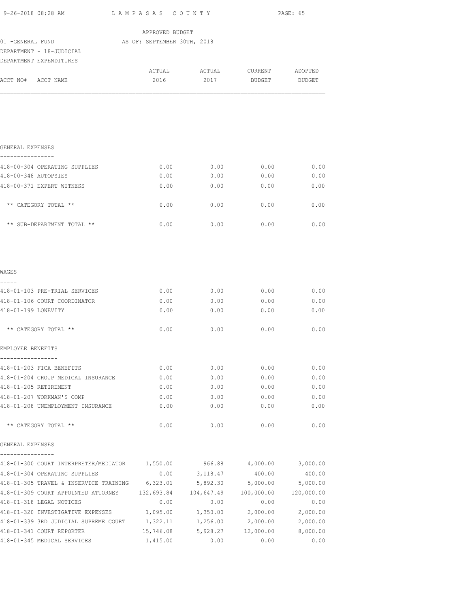| 9-26-2018 08:28 AM                                                                                                                                         | LAMPASAS COUNTY                       |                                       | PAGE: 65                 |          |  |
|------------------------------------------------------------------------------------------------------------------------------------------------------------|---------------------------------------|---------------------------------------|--------------------------|----------|--|
|                                                                                                                                                            | APPROVED BUDGET                       |                                       |                          |          |  |
| 01 -GENERAL FUND                                                                                                                                           | AS OF: SEPTEMBER 30TH, 2018           |                                       |                          |          |  |
| DEPARTMENT - 18-JUDICIAL                                                                                                                                   |                                       |                                       |                          |          |  |
| DEPARTMENT EXPENDITURES                                                                                                                                    |                                       |                                       |                          |          |  |
|                                                                                                                                                            | 2016                                  | ACTUAL ACTUAL CURRENT ADOPTED<br>2017 |                          |          |  |
| ACCT NO# ACCT NAME                                                                                                                                         |                                       |                                       | BUDGET                   | BUDGET   |  |
|                                                                                                                                                            |                                       |                                       |                          |          |  |
| GENERAL EXPENSES<br>----------------                                                                                                                       |                                       |                                       |                          |          |  |
| 418-00-304 OPERATING SUPPLIES                                                                                                                              | 0.00                                  | 0.00                                  | 0.00                     | 0.00     |  |
| 418-00-348 AUTOPSIES                                                                                                                                       | 0.00                                  | 0.00                                  | 0.00                     | 0.00     |  |
| 418-00-371 EXPERT WITNESS                                                                                                                                  | 0.00                                  | 0.00                                  | 0.00                     | 0.00     |  |
| ** CATEGORY TOTAL **                                                                                                                                       | 0.00                                  | 0.00                                  | 0.00                     | 0.00     |  |
| ** SUB-DEPARTMENT TOTAL **                                                                                                                                 | 0.00                                  | 0.00                                  | 0.00                     | 0.00     |  |
| WAGES<br>-----                                                                                                                                             |                                       |                                       |                          |          |  |
| 418-01-103 PRE-TRIAL SERVICES                                                                                                                              | 0.00                                  |                                       | $0.00$ 0.00              | 0.00     |  |
| 418-01-106 COURT COORDINATOR                                                                                                                               | 0.00                                  | 0.00                                  | 0.00                     | 0.00     |  |
| 418-01-199 LONEVITY                                                                                                                                        | 0.00                                  | 0.00                                  | 0.00                     | 0.00     |  |
| ** CATEGORY TOTAL **                                                                                                                                       | 0.00                                  | 0.00                                  | 0.00                     | 0.00     |  |
| EMPLOYEE BENEFITS                                                                                                                                          |                                       |                                       |                          |          |  |
| 418-01-203 FICA BENEFITS                                                                                                                                   | 0.00                                  | 0.00                                  | 0.00                     | 0.00     |  |
| 418-01-204 GROUP MEDICAL INSURANCE                                                                                                                         | 0.00                                  | 0.00                                  | 0.00                     | 0.00     |  |
| 418-01-205 RETIREMENT                                                                                                                                      | 0.00                                  | 0.00                                  | 0.00                     | 0.00     |  |
| 418-01-207 WORKMAN'S COMP                                                                                                                                  | 0.00                                  | 0.00                                  | 0.00                     | 0.00     |  |
| 418-01-208 UNEMPLOYMENT INSURANCE                                                                                                                          | 0.00                                  | 0.00                                  | 0.00                     | 0.00     |  |
| ** CATEGORY TOTAL **                                                                                                                                       | 0.00                                  | 0.00                                  | 0.00                     | 0.00     |  |
| GENERAL EXPENSES<br>--------------                                                                                                                         |                                       |                                       |                          |          |  |
| 418-01-300 COURT INTERPRETER/MEDIATOR 1,550.00                                                                                                             |                                       |                                       | 966.88 4,000.00 3,000.00 |          |  |
| 418-01-304 OPERATING SUPPLIES                                                                                                                              | 0.00                                  | 3,118.47                              | 400.00                   | 400.00   |  |
| 418-01-305 TRAVEL & INSERVICE TRAINING 6,323.01                                                                                                            |                                       |                                       | 5,892.30 5,000.00        | 5,000.00 |  |
| 418-01-309 COURT APPOINTED ATTORNEY 132, 693.84 104, 647.49 100, 000.00 120, 000.00                                                                        |                                       |                                       |                          |          |  |
| 418-01-318 LEGAL NOTICES                                                                                                                                   | 0.00                                  | 0.00                                  | 0.00                     | 0.00     |  |
| 418-01-320 INVESTIGATIVE EXPENSES $1,095.00$ $1,350.00$ $2,000.00$ $2,000.00$<br>418-01-339 3RD JUDICIAL SUPREME COURT 1,322.11 1,256.00 2,000.00 2,000.00 |                                       |                                       |                          |          |  |
| 418-01-341 COURT REPORTER                                                                                                                                  | 15,746.08 5,928.27 12,000.00 8,000.00 |                                       |                          |          |  |
| 418-01-345 MEDICAL SERVICES                                                                                                                                | 1,415.00                              | 0.00                                  | 0.00                     | 0.00     |  |
|                                                                                                                                                            |                                       |                                       |                          |          |  |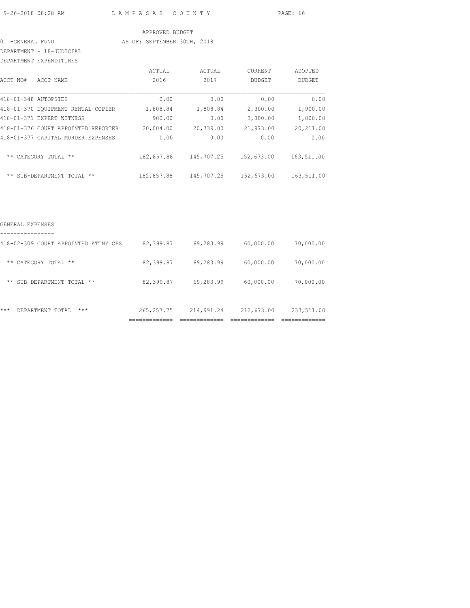9-26-2018 08:28 AM L A M P A S A S C O U N T Y PAGE: 66

#### APPROVED BUDGET

#### 01 -GENERAL FUND AS OF: SEPTEMBER 30TH, 2018

DEPARTMENT - 18-JUDICIAL

| <b>DEPARTMENT</b>    | EXPENDITURES                        |            |            |                |               |
|----------------------|-------------------------------------|------------|------------|----------------|---------------|
|                      |                                     | ACTUAL     | ACTUAL     | <b>CURRENT</b> | ADOPTED       |
| ACCT NO#             | ACCT NAME                           | 2016       | 2017       | <b>BUDGET</b>  | <b>BUDGET</b> |
| 418-01-348 AUTOPSIES |                                     | 0.00       | 0.00       | 0.00           | 0.00          |
|                      | 418-01-370 EOUIPMENT RENTAL-COPIER  | 1,808.84   | 1,808.84   | 2,300.00       | 1,900.00      |
|                      | 418-01-371 EXPERT WITNESS           | 900.00     | 0.00       | 3,000.00       | 1,000.00      |
|                      | 418-01-376 COURT APPOINTED REPORTER | 20,004.00  | 20,739.00  | 21,973.00      | 20,211.00     |
|                      | 418-01-377 CAPITAL MURDER EXPENSES  | 0.00       | 0.00       | 0.00           | 0.00          |
| $***$                | CATEGORY TOTAL **                   | 182,857.88 | 145,707.25 | 152,673.00     | 163,511.00    |
|                      | ** SUB-DEPARTMENT TOTAL<br>$***$    | 182,857.88 | 145,707.25 | 152,673.00     | 163,511.00    |

| $***$ | $***$<br>DEPARTMENT<br>TOTAL         | 265, 257. 75 | 214,991.24 | 212,673.00 | 233,511.00 |
|-------|--------------------------------------|--------------|------------|------------|------------|
|       | ** SUB-DEPARTMENT TOTAL<br>$***$     | 82,399.87    | 69,283.99  | 60,000.00  | 70,000.00  |
| $***$ | CATEGORY TOTAL **                    | 82,399.87    | 69,283.99  | 60,000.00  | 70,000.00  |
|       | 418-02-309 COURT APPOINTED ATTNY CPS | 82,399.87    | 69,283.99  | 60,000.00  | 70,000.00  |
|       |                                      |              |            |            |            |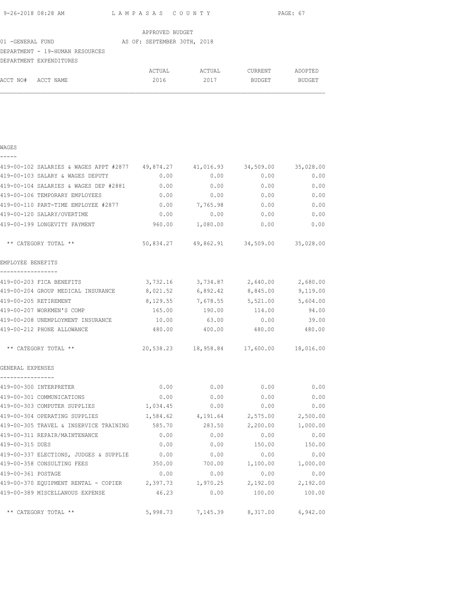| 9-26-2018 08:28 AM | LAMPASAS COUNTY | PAGE: 67 |
|--------------------|-----------------|----------|
|                    |                 |          |

|                                 | APPROVED BUDGET             |        |         |         |
|---------------------------------|-----------------------------|--------|---------|---------|
| 01 -GENERAL FUND                | AS OF: SEPTEMBER 30TH, 2018 |        |         |         |
| DEPARTMENT - 19-HUMAN RESOURCES |                             |        |         |         |
| DEPARTMENT EXPENDITURES         |                             |        |         |         |
|                                 | ACTUAL                      | ACTUAL | CURRENT | ADOPTED |

ACCT NO# ACCT NAME 2016 2017 BUDGET BUDGET

|  | ż.<br>×<br>I |  |  |
|--|--------------|--|--|
|  |              |  |  |

| 419-00-102 SALARIES & WAGES APPT #2877 49,874.27              |          | 41,016.93                                  | 34,509.00       | 35,028.00 |
|---------------------------------------------------------------|----------|--------------------------------------------|-----------------|-----------|
| 419-00-103 SALARY & WAGES DEPUTY                              | 0.00     | 0.00                                       | 0.00            | 0.00      |
| 419-00-104 SALARIES & WAGES DEP #2881                         | 0.00     | 0.00                                       | 0.00            | 0.00      |
| 419-00-106 TEMPORARY EMPLOYEES                                | 0.00     | 0.00                                       | 0.00            | 0.00      |
| 419-00-110 PART-TIME EMPLOYEE #2877                           | 0.00     | 7,765.98                                   | 0.00            | 0.00      |
| 419-00-120 SALARY/OVERTIME                                    | 0.00     | 0.00                                       | 0.00            | 0.00      |
| 419-00-199 LONGEVITY PAYMENT                                  |          | 960.00 1,080.00                            | 0.00            | 0.00      |
| ** CATEGORY TOTAL **                                          |          | 50,834.27  49,862.91  34,509.00  35,028.00 |                 |           |
| EMPLOYEE BENEFITS                                             |          |                                            |                 |           |
| 419-00-203 FICA BENEFITS                                      |          | 3,732.16 3,734.87 2,640.00 2,680.00        |                 |           |
| 419-00-204 GROUP MEDICAL INSURANCE 8,021.52 6,892.42 8,845.00 |          |                                            |                 | 9,119.00  |
| 419-00-205 RETIREMENT                                         |          | 8,129.55 7,678.55 5,521.00 5,604.00        |                 |           |
| 419-00-207 WORKMEN'S COMP                                     | 165.00   | 190.00                                     | 114.00          | 94.00     |
| 419-00-208 UNEMPLOYMENT INSURANCE 10.00 63.00                 |          |                                            | 0.00            | 39.00     |
| 419-00-212 PHONE ALLOWANCE                                    |          | 480.00 400.00 480.00                       |                 | 480.00    |
| ** CATEGORY TOTAL **                                          |          | 20,538.23  18,958.84  17,600.00  18,016.00 |                 |           |
| GENERAL EXPENSES                                              |          |                                            |                 |           |
| ----------------<br>419-00-300 INTERPRETER                    | 0.00     | 0.00                                       | 0.00            | 0.00      |
| 419-00-301 COMMUNICATIONS                                     | 0.00     | 0.00                                       | 0.00            | 0.00      |
| 419-00-303 COMPUTER SUPPLIES                                  | 1,034.45 | 0.00                                       | 0.00            | 0.00      |
| 419-00-304 OPERATING SUPPLIES                                 |          | 1,584.62 4,191.64 2,575.00 2,500.00        |                 |           |
| 419-00-305 TRAVEL & INSERVICE TRAINING 585.70                 |          |                                            | 283.50 2,200.00 | 1,000.00  |
| 419-00-311 REPAIR/MAINTENANCE                                 | 0.00     | 0.00                                       | 0.00            | 0.00      |
| 419-00-315 DUES                                               | 0.00     |                                            | $0.00$ 150.00   | 150.00    |
| 419-00-337 ELECTIONS, JUDGES & SUPPLIE                        | 0.00     | 0.00                                       | 0.00            | 0.00      |
| 419-00-358 CONSULTING FEES                                    | 350.00   | 700.00                                     | 1,100.00        | 1,000.00  |
| 419-00-361 POSTAGE                                            | 0.00     | 0.00                                       | 0.00            | 0.00      |
| $419-00-370$ EQUIPMENT RENTAL - COPIER $2,397.73$             |          | 1,970.25                                   | 2,192.00        | 2,192.00  |
| 419-00-389 MISCELLANOUS EXPENSE                               | 46.23    | 0.00                                       | 100.00          | 100.00    |
| ** CATEGORY TOTAL **                                          |          | 5,998.73 7,145.39 8,317.00                 |                 | 6,942.00  |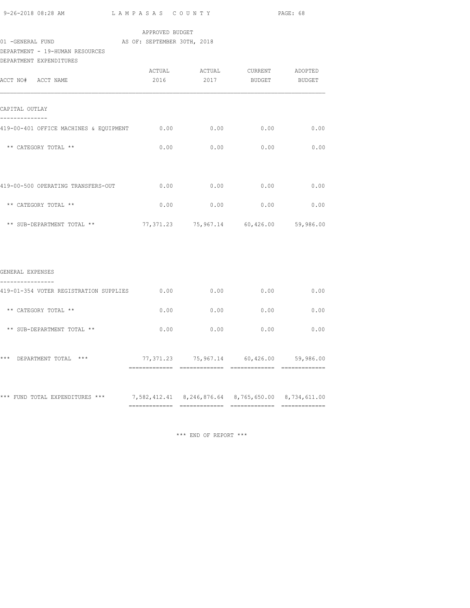| 9-26-2018 08:28 AM |  |  |  |
|--------------------|--|--|--|

### APPROVED BUDGET

# 01 -GENERAL FUND AS OF: SEPTEMBER 30TH, 2018

DEPARTMENT - 19-HUMAN RESOURCES

| DEPARTMENT EXPENDITURES                     |      |                                         |                    |      |
|---------------------------------------------|------|-----------------------------------------|--------------------|------|
|                                             |      | ACTUAL ACTUAL CURRENT ADOPTED           |                    |      |
| ACCT NO# ACCT NAME                          | 2016 |                                         | 2017 BUDGET BUDGET |      |
| CAPITAL OUTLAY                              |      |                                         |                    |      |
| 419-00-401 OFFICE MACHINES & EQUIPMENT 0.00 |      | 0.00                                    | 0.00               | 0.00 |
| ** CATEGORY TOTAL **                        | 0.00 | 0.00                                    | 0.00               | 0.00 |
|                                             |      |                                         |                    |      |
| 419-00-500 OPERATING TRANSFERS-OUT          | 0.00 | 0.00                                    | 0.00               | 0.00 |
| ** CATEGORY TOTAL **                        | 0.00 | 0.00                                    | 0.00               | 0.00 |
| ** SUB-DEPARTMENT TOTAL **                  |      | 77,371.23 75,967.14 60,426.00 59,986.00 |                    |      |
|                                             |      |                                         |                    |      |
| GENERAL EXPENSES                            |      |                                         |                    |      |
| 419-01-354 VOTER REGISTRATION SUPPLIES      | 0.00 | 0.00                                    | 0.00               | 0.00 |
| ** CATEGORY TOTAL **                        | 0.00 | 0.00                                    | 0.00               | 0.00 |

|       | ** SUB-DEPARTMENT TOTAL ** | 0.00      | 0.00      | 0.00      | 0.00      |
|-------|----------------------------|-----------|-----------|-----------|-----------|
| $***$ | $***$<br>DEPARTMENT TOTAL  | 77,371.23 | 75,967.14 | 60,426.00 | 59,986.00 |
|       |                            |           |           |           |           |

\*\*\* FUND TOTAL EXPENDITURES \*\*\* 7,582,412.41 8,246,876.64 8,765,650.00 8,734,611.00  $=$ 

\*\*\* END OF REPORT \*\*\*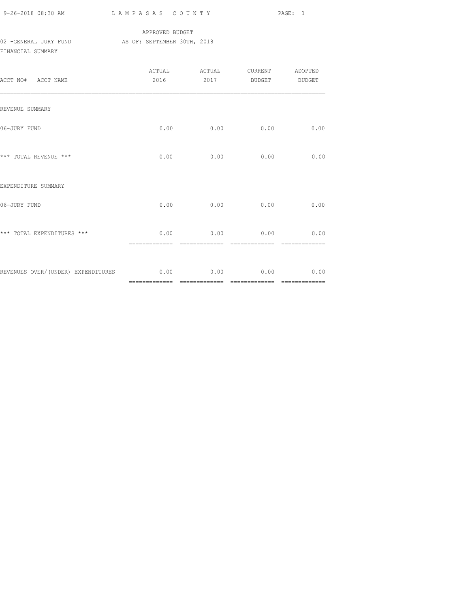| 9-26-2018 08:30 AM |  |
|--------------------|--|

## APPROVED BUDGET 02 -GENERAL JURY FUND AS OF: SEPTEMBER 30TH, 2018 FINANCIAL SUMMARY

| ACCT NO# ACCT NAME                                       | 2016 |                                   | 2017 BUDGET BUDGET |      |
|----------------------------------------------------------|------|-----------------------------------|--------------------|------|
| REVENUE SUMMARY                                          |      |                                   |                    |      |
| 06-JURY FUND                                             | 0.00 | 0.00                              | 0.00               | 0.00 |
| *** TOTAL REVENUE ***                                    | 0.00 | 0.00                              | 0.00               | 0.00 |
| EXPENDITURE SUMMARY                                      |      |                                   |                    |      |
| 06-JURY FUND                                             |      | $0.00$ $0.00$                     | 0.00               | 0.00 |
| *** TOTAL EXPENDITURES ***                               |      | $0.00$ 0.00 0.00<br>------------- |                    | 0.00 |
| REVENUES OVER/(UNDER) EXPENDITURES $0.00$ 0.00 0.00 0.00 |      |                                   |                    | 0.00 |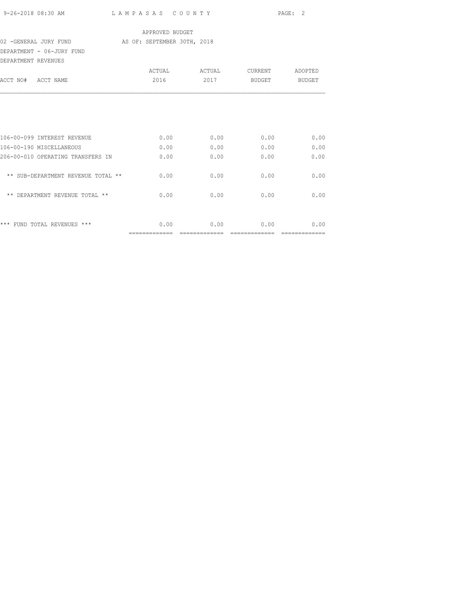|                                                                                   |                 |              |                    | PAGE: 2      |
|-----------------------------------------------------------------------------------|-----------------|--------------|--------------------|--------------|
|                                                                                   | APPROVED BUDGET |              |                    |              |
| 02 -GENERAL JURY FUND <a> 62 -<a> AS<br/> 62 -<a> GEREMBER 30TH, 2018</a></a></a> |                 |              |                    |              |
| DEPARTMENT - 06-JURY FUND<br>DEPARTMENT REVENUES                                  |                 |              |                    |              |
|                                                                                   |                 |              |                    |              |
| ACCT NO# ACCT NAME                                                                | 2016            |              | 2017 BUDGET BUDGET |              |
| 106-00-099 INTEREST REVENUE                                                       | 0.00            | 0.00         | 0.00               | 0.00         |
|                                                                                   |                 |              |                    |              |
| 106-00-190 MISCELLANEOUS                                                          | 0.00            | 0.00         | 0.00               | 0.00         |
| 206-00-010 OPERATING TRANSFERS IN<br>** SUB-DEPARTMENT REVENUE TOTAL **           | 0.00<br>0.00    | 0.00<br>0.00 | 0.00<br>0.00       | 0.00<br>0.00 |
| ** DEPARTMENT REVENUE TOTAL **                                                    | 0.00            | 0.00         | 0.00               | 0.00         |
| *** FUND TOTAL REVENUES ***                                                       | 0.00            | 0.00         | 0.00               | 0.00         |

============= ============= ============= =============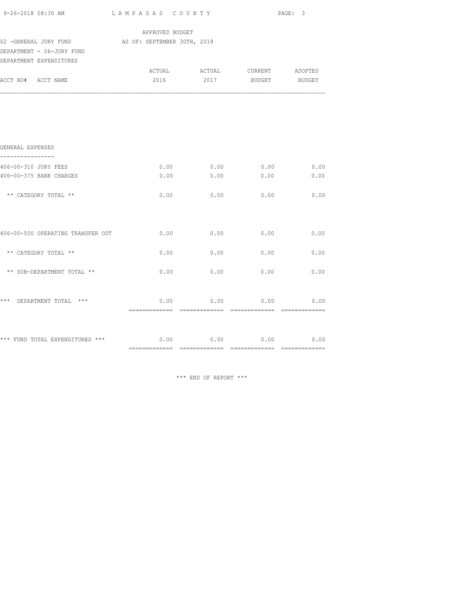| 9-26-2018 08:30 AM                                                 | LAMPASAS COUNTY |                               | PAGE: 3       |                       |
|--------------------------------------------------------------------|-----------------|-------------------------------|---------------|-----------------------|
|                                                                    | APPROVED BUDGET |                               |               |                       |
| 02 - GENERAL JURY FUND AS OF: SEPTEMBER 30TH, 2018                 |                 |                               |               |                       |
| DEPARTMENT - 06-JURY FUND                                          |                 |                               |               |                       |
| DEPARTMENT EXPENDITURES                                            |                 |                               |               |                       |
|                                                                    |                 | ACTUAL ACTUAL CURRENT ADOPTED |               |                       |
| ACCT NO# ACCT NAME                                                 | 2016            | 2017                          | BUDGET BUDGET |                       |
|                                                                    |                 |                               |               |                       |
| GENERAL EXPENSES                                                   |                 |                               |               |                       |
| 406-00-310 JURY FEES                                               |                 | $0.00$ 0.00                   | 0.00          | 0.00                  |
| 406-00-375 BANK CHARGES                                            | 0.00            | 0.00                          | 0.00          | 0.00                  |
| ** CATEGORY TOTAL **                                               | 0.00            | 0.00                          | 0.00          | 0.00                  |
| 406-00-500 OPERATING TRANSFER OUT                                  | 0.00            | 0.00                          | 0.00          | 0.00                  |
| ** CATEGORY TOTAL **                                               | 0.00            | 0.00                          | 0.00          | 0.00                  |
| ** SUB-DEPARTMENT TOTAL **                                         | 0.00            | 0.00                          | 0.00          | 0.00                  |
| *** DEPARTMENT TOTAL ***                                           | 0.00            | 0.00                          | 0.00          | 0.00<br>============= |
|                                                                    |                 |                               |               |                       |
| *** FUND TOTAL EXPENDITURES *** $0.00$ $0.00$ $0.00$ $0.00$ $0.00$ |                 |                               |               |                       |
|                                                                    |                 |                               |               |                       |

\*\*\* END OF REPORT \*\*\*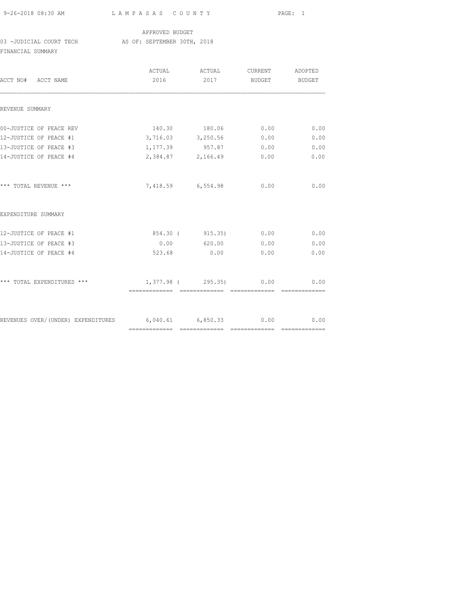| 9-26-2018 08:30 AM |  |
|--------------------|--|

# APPROVED BUDGET

03 -JUDICIAL COURT TECH AS OF: SEPTEMBER 30TH, 2018 FINANCIAL SUMMARY

| ACCT NO# ACCT NAME                                                  | 2016              | ACTUAL ACTUAL<br>2017     | CURRENT<br><b>BUDGET</b> | ADOPTED<br><b>BUDGET</b> |
|---------------------------------------------------------------------|-------------------|---------------------------|--------------------------|--------------------------|
| REVENUE SUMMARY                                                     |                   |                           |                          |                          |
| 00-JUSTICE OF PEACE REV                                             |                   | 140.30 180.06             | 0.00                     | 0.00                     |
| 12-JUSTICE OF PEACE #1                                              | 3,716.03 3,250.56 |                           | 0.00                     | 0.00                     |
| 13-JUSTICE OF PEACE #3                                              |                   | 1,177.39 957.87           | 0.00                     | 0.00                     |
| 14-JUSTICE OF PEACE #4                                              |                   | 2,384.87 2,166.49         | 0.00                     | 0.00                     |
| *** TOTAL REVENUE ***                                               |                   | 7,418.59 6,554.98         | 0.00                     | 0.00                     |
| EXPENDITURE SUMMARY                                                 |                   |                           |                          |                          |
| 12-JUSTICE OF PEACE #1                                              |                   | 854.30 (915.35) 0.00      |                          | 0.00                     |
| 13-JUSTICE OF PEACE #3                                              |                   | $0.00$ 620.00 0.00        |                          | 0.00                     |
| 14-JUSTICE OF PEACE #4                                              | 523.68            | 0.00                      | 0.00                     | 0.00                     |
| *** TOTAL EXPENDITURES ***                                          |                   | $1,377.98$ ( 295.35) 0.00 |                          | 0.00                     |
| REVENUES OVER/(UNDER) EXPENDITURES 6,040.61 6,850.33 0.00 0.00 0.00 |                   |                           |                          |                          |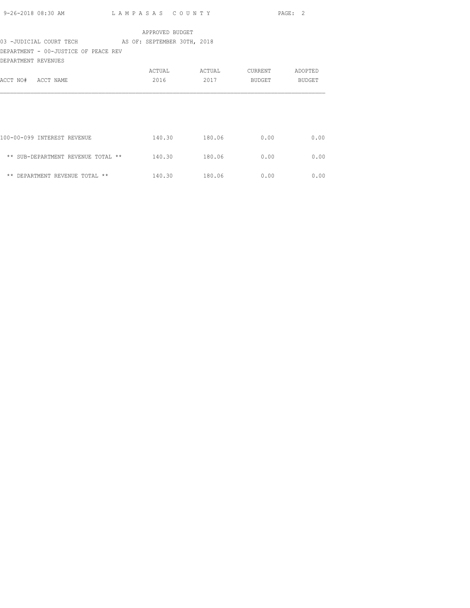|                     | 9-26-2018 08:30 AM                                  | LAMPASAS COUNTY |                 |         | PAGE: 2 |
|---------------------|-----------------------------------------------------|-----------------|-----------------|---------|---------|
|                     |                                                     |                 | APPROVED BUDGET |         |         |
|                     | 03 -JUDICIAL COURT TECH AS OF: SEPTEMBER 30TH, 2018 |                 |                 |         |         |
|                     | DEPARTMENT - 00-JUSTICE OF PEACE REV                |                 |                 |         |         |
| DEPARTMENT REVENUES |                                                     |                 |                 |         |         |
|                     |                                                     | ACTUAL          | ACTUAL          | CURRENT | ADOPTED |
| ACCT NO# ACCT NAME  |                                                     | 2016            | 2017            | BUDGET  | BUDGET  |
|                     |                                                     |                 |                 |         |         |
|                     | 100-00-099 INTEREST REVENUE                         |                 | 140.30 180.06   | 0.00    | 0.00    |
|                     | ** SUB-DEPARTMENT REVENUE TOTAL ** 140.30 180.06    |                 |                 | 0.00    | 0.00    |
|                     | ** DEPARTMENT REVENUE TOTAL **                      |                 | 140.30 180.06   | 0.00    | 0.00    |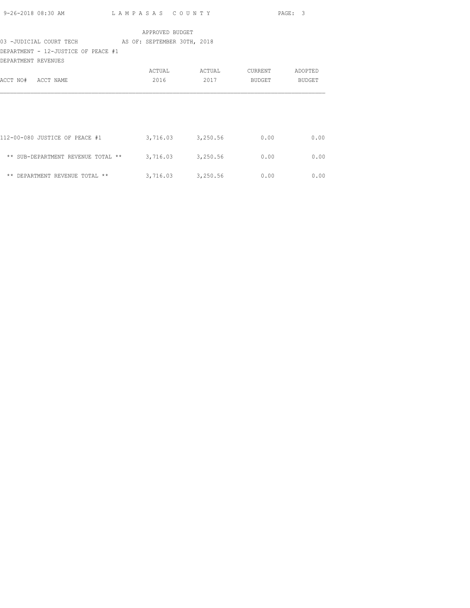| 9-26-2018 08:30 AM | LAMPASAS COUNTY | PAGE: 3 |
|--------------------|-----------------|---------|
|                    |                 |         |

## 03 -JUDICIAL COURT TECH AS OF: SEPTEMBER 30TH, 2018

DEPARTMENT - 12-JUSTICE OF PEACE #1

| DEPARTMENT REVENUES                            |          |          |         |         |
|------------------------------------------------|----------|----------|---------|---------|
|                                                | ACTUAL   | ACTUAL   | CURRENT | ADOPTED |
| ACCT NAME<br>ACCT NO#                          | 2016     | 2017     | BUDGET  | BUDGET  |
|                                                |          |          |         |         |
|                                                |          |          |         |         |
| 112-00-080 JUSTICE OF PEACE #1                 | 3,716.03 | 3,250.56 | 0.00    | 0.00    |
| $***$<br>SUB-DEPARTMENT REVENUE TOTAL<br>$***$ | 3,716.03 | 3,250.56 | 0.00    | 0.00    |
| $\star\star$<br>DEPARTMENT REVENUE TOTAL **    | 3,716.03 | 3,250.56 | 0.00    | 0.00    |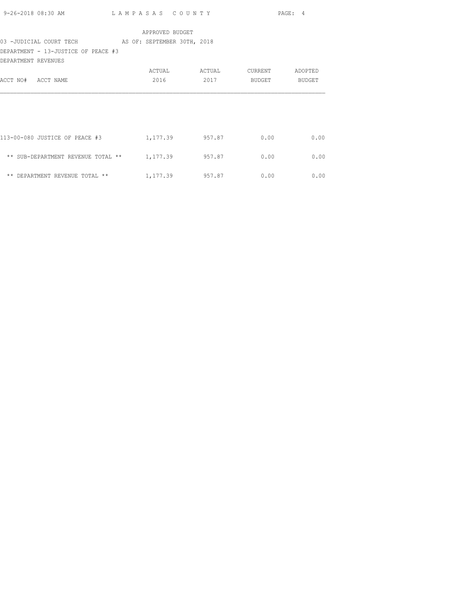| 9-26-2018 08:30 AM | LAMPASAS COUNTY | PAGE: 4 |
|--------------------|-----------------|---------|
|                    |                 |         |

### 03 -JUDICIAL COURT TECH AS OF: SEPTEMBER 30TH, 2018

DEPARTMENT - 13-JUSTICE OF PEACE #3 DEPARTMENT REVENUES

| DEFARIMENT KEVENUES                  |          |        |         |               |
|--------------------------------------|----------|--------|---------|---------------|
|                                      | ACTUAL   | ACTUAL | CURRENT | ADOPTED       |
| ACCT NO#<br>ACCT NAME                | 2016     | 2017   | BUDGET  | <b>BUDGET</b> |
|                                      |          |        |         |               |
|                                      |          |        |         |               |
| 113-00-080 JUSTICE OF PEACE #3       | 1,177.39 | 957.87 | 0.00    | 0.00          |
| ** SUB-DEPARTMENT REVENUE TOTAL **   | 1,177.39 | 957.87 | 0.00    | 0.00          |
| $***$<br>DEPARTMENT REVENUE TOTAL ** | 1,177.39 | 957.87 | 0.00    | 0.00          |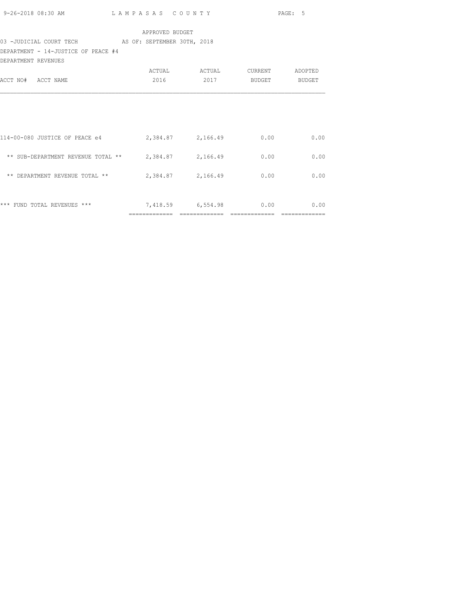|                                                            |                 |                   |               | PAGE: 5 |
|------------------------------------------------------------|-----------------|-------------------|---------------|---------|
|                                                            | APPROVED BUDGET |                   |               |         |
| 03 -JUDICIAL COURT TECH AS OF: SEPTEMBER 30TH, 2018        |                 |                   |               |         |
| DEPARTMENT - 14-JUSTICE OF PEACE #4<br>DEPARTMENT REVENUES |                 |                   |               |         |
|                                                            |                 |                   |               |         |
| ACCT NO# ACCT NAME                                         | 2016            | 2017              | BUDGET BUDGET |         |
| 114-00-080 JUSTICE OF PEACE e4 2,384.87 2,166.49           |                 |                   | 0.00          | 0.00    |
| ** SUB-DEPARTMENT REVENUE TOTAL ** $2,384.87$ $2,166.49$   |                 |                   | 0.00          | 0.00    |
| ** DEPARTMENT REVENUE TOTAL **                             |                 | 2,384.87 2,166.49 | 0.00          | 0.00    |
| *** FUND TOTAL REVENUES *** 7,418.59 6,554.98              |                 |                   | 0.00          | 0.00    |

============= ============= ============= =============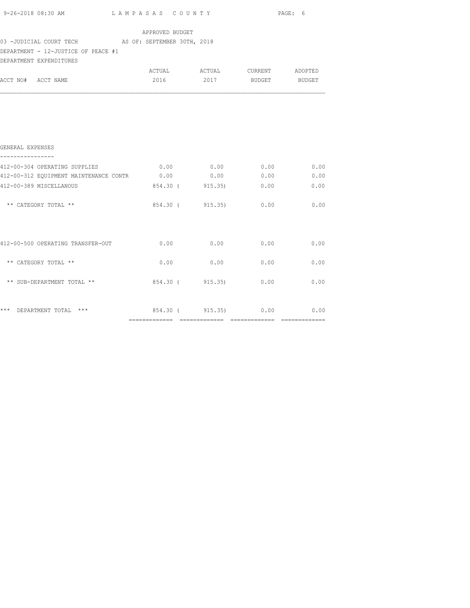| 9-26-2018 08:30 AM LAMPASAS COUNTY                              |                 |                               |      | PAGE: 6 |
|-----------------------------------------------------------------|-----------------|-------------------------------|------|---------|
|                                                                 | APPROVED BUDGET |                               |      |         |
| 03 -JUDICIAL COURT TECH AS OF: SEPTEMBER 30TH, 2018             |                 |                               |      |         |
| DEPARTMENT - 12-JUSTICE OF PEACE #1                             |                 |                               |      |         |
| DEPARTMENT EXPENDITURES                                         |                 |                               |      |         |
|                                                                 |                 | ACTUAL ACTUAL CURRENT ADOPTED |      |         |
| ACCT NO# ACCT NAME                                              |                 | 2016 2017 BUDGET BUDGET       |      |         |
|                                                                 |                 |                               |      |         |
|                                                                 |                 |                               |      |         |
|                                                                 |                 |                               |      |         |
| GENERAL EXPENSES                                                |                 |                               |      |         |
|                                                                 |                 |                               |      |         |
| 412-00-304 OPERATING SUPPLIES                                   |                 | $0.00$ $0.00$ $0.00$ $0.00$   |      | 0.00    |
|                                                                 |                 |                               |      |         |
| 412-00-389 MISCELLANOUS                                         |                 | 854.30 (915.35) 0.00 0.00     |      |         |
| ** CATEGORY TOTAL **                                            |                 | 854.30 (915.35) 0.00 0.00     |      |         |
|                                                                 |                 |                               |      |         |
| $412-00-500$ OPERATING TRANSFER-OUT $0.00$ $0.00$ $0.00$ $0.00$ |                 |                               |      | 0.00    |
|                                                                 |                 |                               |      |         |
| ** CATEGORY TOTAL **                                            | 0.00            | 0.00                          | 0.00 | 0.00    |
| ** SUB-DEPARTMENT TOTAL **                                      |                 | 854.30 (915.35) 0.00 0.00     |      |         |
|                                                                 |                 |                               |      |         |
| *** DEPARTMENT TOTAL *** $854.30$ ( $915.35$ ) 0.00 0.00        |                 |                               |      |         |
|                                                                 |                 |                               |      |         |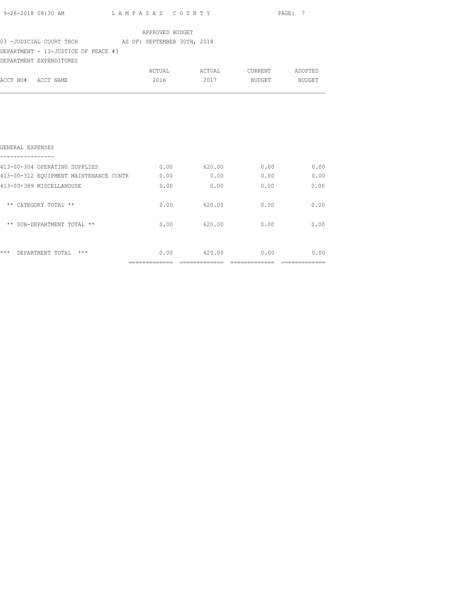| 9-26-2018 08:30 AM | LAMPASAS COUNTY | --<br>PAGE: |
|--------------------|-----------------|-------------|
|                    |                 |             |

### 03 -JUDICIAL COURT TECH AS OF: SEPTEMBER 30TH, 2018

## DEPARTMENT - 13-JUSTICE OF PEACE #3

|                    | DEPARTMENT EXPENDITURES |        |        |         |         |
|--------------------|-------------------------|--------|--------|---------|---------|
|                    |                         | ACTUAL | ACTUAL | CURRENT | ADOPTED |
| ACCT NO# ACCT NAME |                         | 2016   | 2017   | BUDGET  | BUDGET  |

| 0.00 | 620.00 | 0.00 | 0.00 |
|------|--------|------|------|
| 0.00 | 620.00 | 0.00 | 0.00 |
| 0.00 | 620.00 | 0.00 | 0.00 |
| 0.00 | 0.00   | 0.00 | 0.00 |
| 0.00 | 0.00   | 0.00 | 0.00 |
| 0.00 | 620.00 | 0.00 | 0.00 |
|      |        |      |      |
|      |        |      |      |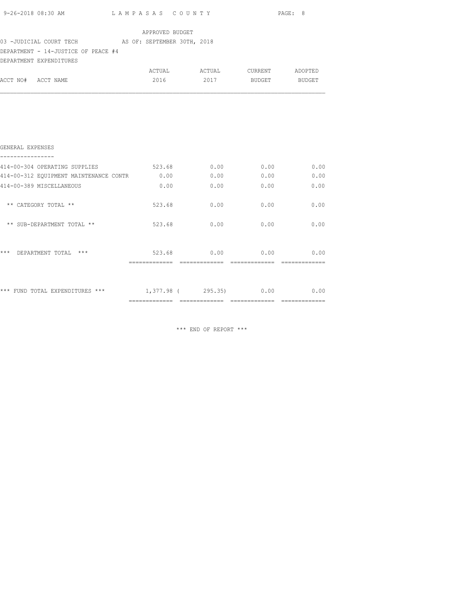|                                                                                            |                         |                                                          |                             | PAGE: 8     |
|--------------------------------------------------------------------------------------------|-------------------------|----------------------------------------------------------|-----------------------------|-------------|
| 03 -JUDICIAL COURT TECH AS OF: SEPTEMBER 30TH, 2018<br>DEPARTMENT - 14-JUSTICE OF PEACE #4 | APPROVED BUDGET         |                                                          |                             |             |
| DEPARTMENT EXPENDITURES<br>ACCT NO# ACCT NAME                                              |                         | ACTUAL ACTUAL CURRENT ADOPTED<br>2016 2017 BUDGET BUDGET |                             |             |
|                                                                                            |                         |                                                          |                             |             |
| GENERAL EXPENSES<br>----------------                                                       |                         |                                                          |                             |             |
| 414-00-304 OPERATING SUPPLIES 623.68 0.00 0.00 0.00 0.00                                   |                         |                                                          |                             |             |
| 414-00-312 EQUIPMENT MAINTENANCE CONTR 0.00                                                |                         |                                                          | $0.00$ $0.00$ $0.00$ $0.00$ |             |
| 414-00-389 MISCELLANEOUS                                                                   | $0.00$ 0.00             |                                                          | 0.00                        | 0.00        |
| ** CATEGORY TOTAL **                                                                       |                         | 523.68 0.00                                              |                             | $0.00$ 0.00 |
| ** SUB-DEPARTMENT TOTAL **                                                                 | 523.68                  | 0.00                                                     |                             | $0.00$ 0.00 |
| *** DEPARTMENT TOTAL ***                                                                   | $523.68$ 0.00 0.00 0.00 |                                                          |                             |             |
| *** FUND TOTAL EXPENDITURES *** 1,377.98 (295.35) 0.00 0.00                                |                         |                                                          |                             |             |

\*\*\* END OF REPORT \*\*\*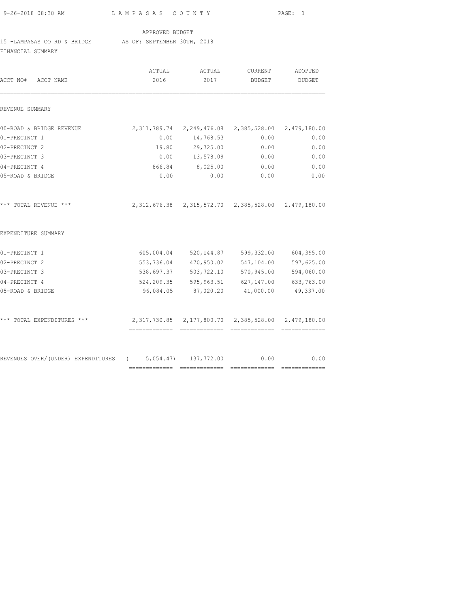| 9-26-2018 08:30 AM                                       | LAMPASAS COUNTY |                                                           |                                     | PAGE: 1    |  |
|----------------------------------------------------------|-----------------|-----------------------------------------------------------|-------------------------------------|------------|--|
|                                                          | APPROVED BUDGET |                                                           |                                     |            |  |
| 15 -LAMPASAS CO RD & BRIDGE AS OF: SEPTEMBER 30TH, 2018  |                 |                                                           |                                     |            |  |
| FINANCIAL SUMMARY                                        |                 |                                                           |                                     |            |  |
|                                                          | ACTUAL          | ACTUAL                                                    | CURRENT                             | ADOPTED    |  |
| ACCT NO# ACCT NAME                                       | 2016            | 2017                                                      | BUDGET                              | BUDGET     |  |
| REVENUE SUMMARY                                          |                 |                                                           |                                     |            |  |
| 00-ROAD & BRIDGE REVENUE                                 |                 | 2,311,789.74   2,249,476.08   2,385,528.00   2,479,180.00 |                                     |            |  |
| 01-PRECINCT 1                                            | 0.00            | 14,768.53                                                 | 0.00                                | 0.00       |  |
| 02-PRECINCT 2                                            | 19.80           | 29,725.00                                                 | 0.00                                | 0.00       |  |
| 03-PRECINCT 3                                            | 0.00            | 13,578.09                                                 | 0.00                                | 0.00       |  |
| 04-PRECINCT 4                                            | 866.84          | 8,025.00                                                  | 0.00                                | 0.00       |  |
| 05-ROAD & BRIDGE                                         | 0.00            | 0.00                                                      | 0.00                                | 0.00       |  |
| *** TOTAL REVENUE ***                                    |                 | 2,312,676.38 2,315,572.70 2,385,528.00 2,479,180.00       |                                     |            |  |
| EXPENDITURE SUMMARY                                      |                 |                                                           |                                     |            |  |
| 01-PRECINCT 1                                            |                 | 605,004.04 520,144.87 599,332.00                          |                                     | 604,395.00 |  |
| 02-PRECINCT 2                                            |                 | 553,736.04 470,950.02                                     | 547,104.00                          | 597,625.00 |  |
| 03-PRECINCT 3                                            | 538,697.37      | 503,722.10                                                | 570,945.00                          | 594,060.00 |  |
| 04-PRECINCT 4                                            |                 | 524,209.35 595,963.51 627,147.00                          |                                     | 633,763.00 |  |
| 05-ROAD & BRIDGE                                         | 96,084.05       | 87,020.20                                                 | 41,000.00                           | 49,337.00  |  |
| *** TOTAL EXPENDITURES ***                               |                 | 2,317,730.85  2,177,800.70  2,385,528.00  2,479,180.00    |                                     |            |  |
| REVENUES OVER/(UNDER) EXPENDITURES (5,054.47) 137,772.00 |                 | =============================                             | 0.00<br>=========================== | 0.00       |  |
|                                                          |                 |                                                           |                                     |            |  |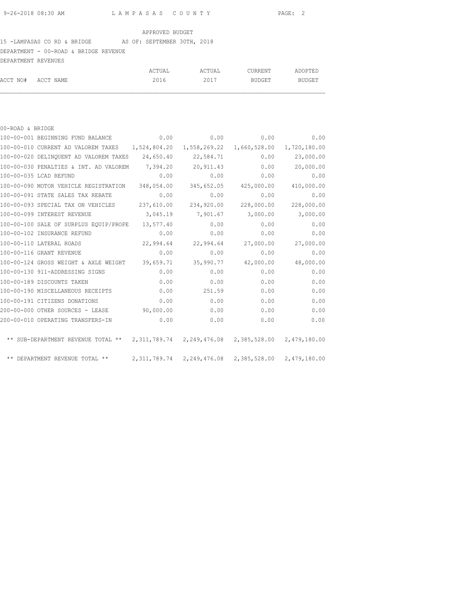## 15 -LAMPASAS CO RD & BRIDGE AS OF: SEPTEMBER 30TH, 2018

DEPARTMENT - 00-ROAD & BRIDGE REVENUE

| DEPARTMENT REVENUES |        |        |         |               |
|---------------------|--------|--------|---------|---------------|
|                     | ACTUAL | ACTUAL | CURRENT | ADOPTED       |
| ACCT NO# ACCT NAME  | 2016   | 2017   | BUDGET  | <b>BUDGET</b> |

| 00-ROAD & BRIDGE |                                                                                        |            |                                                             |              |              |
|------------------|----------------------------------------------------------------------------------------|------------|-------------------------------------------------------------|--------------|--------------|
|                  | 100-00-001 BEGINNING FUND BALANCE                                                      | 0.00       | 0.00                                                        | 0.00         | 0.00         |
|                  | 100-00-010 CURRENT AD VALOREM TAXES 1,524,804.20                                       |            | 1,558,269.22                                                | 1,660,528.00 | 1,720,180.00 |
|                  | 100-00-020 DELINQUENT AD VALOREM TAXES                                                 | 24,650.40  | 22,584.71                                                   | 0.00         | 23,000.00    |
|                  | 100-00-030 PENALTIES & INT. AD VALOREM                                                 | 7,394.20   | 20,911.43                                                   | 0.00         | 20,000.00    |
|                  | 100-00-035 LCAD REFUND                                                                 | 0.00       | 0.00                                                        | 0.00         | 0.00         |
|                  | 100-00-090 MOTOR VEHICLE REGISTRATION                                                  | 348,054.00 | 345,652.05                                                  | 425,000.00   | 410,000.00   |
|                  | 100-00-091 STATE SALES TAX REBATE                                                      | 0.00       | 0.00                                                        | 0.00         | 0.00         |
|                  | 100-00-093 SPECIAL TAX ON VEHICLES                                                     | 237,610.00 | 234,920.00                                                  | 228,000.00   | 228,000.00   |
|                  | 100-00-099 INTEREST REVENUE                                                            | 3,045.19   | 7,901.67                                                    | 3,000.00     | 3,000.00     |
|                  | 100-00-100 SALE OF SURPLUS EQUIP/PROPE                                                 | 13,577.40  | 0.00                                                        | 0.00         | 0.00         |
|                  | 100-00-102 INSURANCE REFUND                                                            | 0.00       | 0.00                                                        | 0.00         | 0.00         |
|                  | 100-00-110 LATERAL ROADS                                                               | 22,994.64  | 22,994.64                                                   | 27,000.00    | 27,000.00    |
|                  | 100-00-116 GRANT REVENUE                                                               | 0.00       | 0.00                                                        | 0.00         | 0.00         |
|                  | 100-00-124 GROSS WEIGHT & AXLE WEIGHT                                                  | 39,659.71  | 35,990.77                                                   | 42,000.00    | 48,000.00    |
|                  | 100-00-130 911-ADDRESSING SIGNS                                                        | 0.00       | 0.00                                                        | 0.00         | 0.00         |
|                  | 100-00-189 DISCOUNTS TAKEN                                                             | 0.00       | 0.00                                                        | 0.00         | 0.00         |
|                  | 100-00-190 MISCELLANEOUS RECEIPTS                                                      | 0.00       | 251.59                                                      | 0.00         | 0.00         |
|                  | 100-00-191 CITIZENS DONATIONS                                                          | 0.00       | 0.00                                                        | 0.00         | 0.00         |
|                  | 200-00-000 OTHER SOURCES - LEASE                                                       | 90,000.00  | 0.00                                                        | 0.00         | 0.00         |
|                  | 200-00-010 OPERATING TRANSFERS-IN                                                      | 0.00       | 0.00                                                        | 0.00         | 0.00         |
|                  | ** SUB-DEPARTMENT REVENUE TOTAL ** 2,311,789.74 2,249,476.08 2,385,528.00 2,479,180.00 |            |                                                             |              |              |
|                  | ** DEPARTMENT REVENUE TOTAL **                                                         |            | 2, 311, 789.74 2, 249, 476.08 2, 385, 528.00 2, 479, 180.00 |              |              |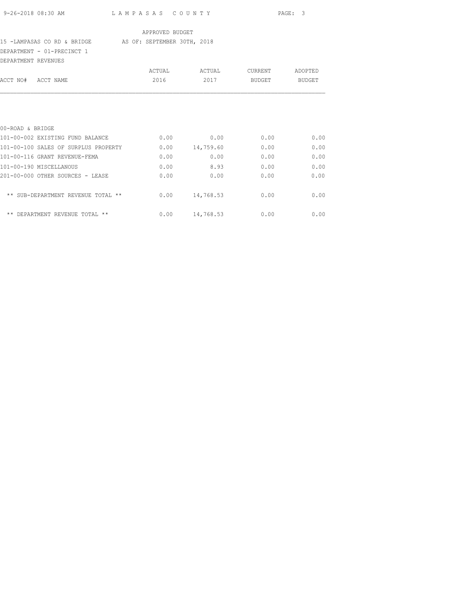### 15 -LAMPASAS CO RD & BRIDGE AS OF: SEPTEMBER 30TH, 2018

DEPARTMENT - 01-PRECINCT 1

| DEPARTMENT REVENUES                        |        |           |         |         |
|--------------------------------------------|--------|-----------|---------|---------|
|                                            | ACTUAL | ACTUAL    | CURRENT | ADOPTED |
| ACCT NO#<br>ACCT NAME                      | 2016   | 2017      | BUDGET  | BUDGET  |
|                                            |        |           |         |         |
| 00-ROAD & BRIDGE                           |        |           |         |         |
| 101-00-002 EXISTING FUND BALANCE           | 0.00   | 0.00      | 0.00    | 0.00    |
| 101-00-100 SALES OF SURPLUS PROPERTY       | 0.00   | 14,759.60 | 0.00    | 0.00    |
| 101-00-116 GRANT REVENUE-FEMA              | 0.00   | 0.00      | 0.00    | 0.00    |
| 101-00-190 MISCELLANOUS                    | 0.00   | 8.93      | 0.00    | 0.00    |
| 201-00-000 OTHER SOURCES - LEASE           | 0.00   | 0.00      | 0.00    | 0.00    |
| ** SUB-DEPARTMENT REVENUE TOTAL **         | 0.00   | 14,768.53 | 0.00    | 0.00    |
| $***$<br>REVENUE<br>TOTAL **<br>DEPARTMENT | 0.00   | 14,768.53 | 0.00    | 0.00    |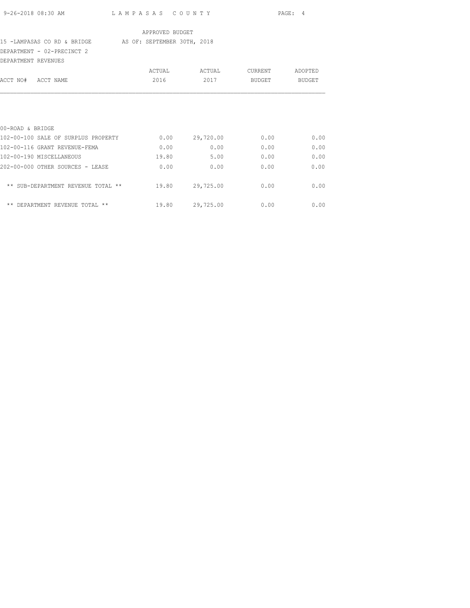|                                                         |                 |                 |         | PAGE: 4 |
|---------------------------------------------------------|-----------------|-----------------|---------|---------|
|                                                         | APPROVED BUDGET |                 |         |         |
| 15 -LAMPASAS CO RD & BRIDGE AS OF: SEPTEMBER 30TH, 2018 |                 |                 |         |         |
| DEPARTMENT - 02-PRECINCT 2                              |                 |                 |         |         |
| DEPARTMENT REVENUES                                     |                 |                 |         |         |
|                                                         | ACTUAL          | ACTUAL          | CURRENT | ADOPTED |
| ACCT NO# ACCT NAME                                      | 2016            | 2017            | BUDGET  | BUDGET  |
|                                                         |                 |                 |         |         |
| 00-ROAD & BRIDGE                                        |                 |                 |         |         |
| 102-00-100 SALE OF SURPLUS PROPERTY                     |                 | 0.00 29,720.00  | 0.00    | 0.00    |
| 102-00-116 GRANT REVENUE-FEMA                           | 0.00            | 0.00            | 0.00    | 0.00    |
| 102-00-190 MISCELLANEOUS                                | 19.80           | 5.00            | 0.00    | 0.00    |
| 202-00-000 OTHER SOURCES - LEASE                        | 0.00            | 0.00            | 0.00    | 0.00    |
| ** SUB-DEPARTMENT REVENUE TOTAL **                      |                 | 19.80 29,725.00 | 0.00    | 0.00    |
|                                                         |                 |                 |         |         |

\*\* DEPARTMENT REVENUE TOTAL \*\* 19.80 29,725.00 0.00 0.00 0.00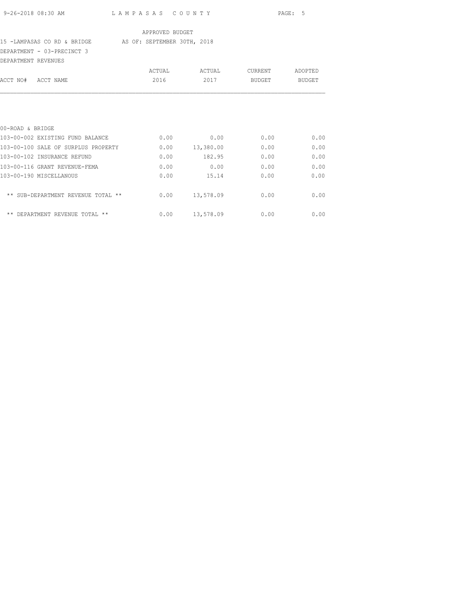### 15 -LAMPASAS CO RD & BRIDGE AS OF: SEPTEMBER 30TH, 2018

DEPARTMENT - 03-PRECINCT 3

| DEPARTMENT REVENUES                         |        |           |         |         |
|---------------------------------------------|--------|-----------|---------|---------|
|                                             | ACTUAL | ACTUAL    | CURRENT | ADOPTED |
| ACCT NAME<br>ACCT NO#                       | 2016   | 2017      | BUDGET  | BUDGET  |
|                                             |        |           |         |         |
| 00-ROAD & BRIDGE                            |        |           |         |         |
| 103-00-002 EXISTING FUND BALANCE            | 0.00   | 0.00      | 0.00    | 0.00    |
| 103-00-100 SALE OF SURPLUS PROPERTY         | 0.00   | 13,380.00 | 0.00    | 0.00    |
| 103-00-102 INSURANCE REFUND                 | 0.00   | 182.95    | 0.00    | 0.00    |
| 103-00-116 GRANT REVENUE-FEMA               | 0.00   | 0.00      | 0.00    | 0.00    |
| 103-00-190 MISCELLANOUS                     | 0.00   | 15.14     | 0.00    | 0.00    |
| ** SUB-DEPARTMENT REVENUE<br>$***$<br>TOTAL | 0.00   | 13,578.09 | 0.00    | 0.00    |
| $***$<br>REVENUE<br>TOTAL **<br>DEPARTMENT  | 0.00   | 13,578.09 | 0.00    | 0.00    |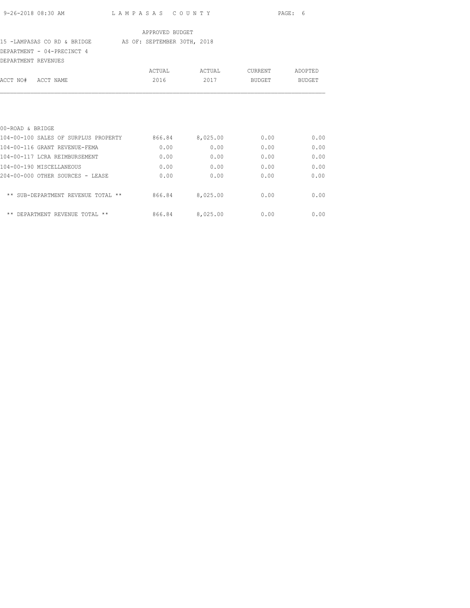| $9 - 26 - 2018$ 08:30 AM |  |
|--------------------------|--|

9-26-2018 08:30 AM L A M P A S A S C O U N T Y PAGE: 6

### APPROVED BUDGET

## 15 -LAMPASAS CO RD & BRIDGE AS OF: SEPTEMBER 30TH, 2018

DEPARTMENT - 04-PRECINCT 4

| DEPARTMENT REVENUES |                                          |        |          |         |         |
|---------------------|------------------------------------------|--------|----------|---------|---------|
|                     |                                          | ACTUAL | ACTUAL   | CURRENT | ADOPTED |
| ACCT NO#            | ACCT NAME                                | 2016   | 2017     | BUDGET  | BUDGET  |
|                     |                                          |        |          |         |         |
| 00-ROAD & BRIDGE    |                                          |        |          |         |         |
|                     | 104-00-100 SALES OF SURPLUS PROPERTY     | 866.84 | 8,025.00 | 0.00    | 0.00    |
|                     | 104-00-116 GRANT REVENUE-FEMA            | 0.00   | 0.00     | 0.00    | 0.00    |
|                     | 104-00-117 LCRA REIMBURSEMENT            | 0.00   | 0.00     | 0.00    | 0.00    |
|                     | 104-00-190 MISCELLANEOUS                 | 0.00   | 0.00     | 0.00    | 0.00    |
|                     | 204-00-000 OTHER SOURCES - LEASE         | 0.00   | 0.00     | 0.00    | 0.00    |
|                     | ** SUB-DEPARTMENT REVENUE TOTAL<br>$***$ | 866.84 | 8,025.00 | 0.00    | 0.00    |

\*\* DEPARTMENT REVENUE TOTAL \*\* 866.84 8,025.00 0.00 0.00 0.00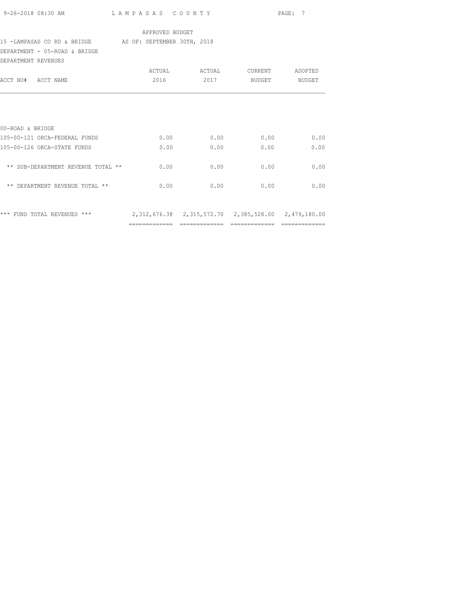| 9-26-2018 08:30 AM                                      | LAMPASAS COUNTY |                                                             |         | PAGE: 7 |  |  |
|---------------------------------------------------------|-----------------|-------------------------------------------------------------|---------|---------|--|--|
|                                                         | APPROVED BUDGET |                                                             |         |         |  |  |
| 15 -LAMPASAS CO RD & BRIDGE AS OF: SEPTEMBER 30TH, 2018 |                 |                                                             |         |         |  |  |
| DEPARTMENT - 05-ROAD & BRIDGE                           |                 |                                                             |         |         |  |  |
| DEPARTMENT REVENUES                                     |                 |                                                             |         |         |  |  |
|                                                         | ACTUAL          | ACTUAL                                                      | CURRENT | ADOPTED |  |  |
| ACCT NO# ACCT NAME                                      | 2016            | 2017                                                        | BUDGET  | BUDGET  |  |  |
| 00-ROAD & BRIDGE<br>105-00-121 ORCA-FEDERAL FUNDS       | 0.00            | 0.00                                                        | 0.00    | 0.00    |  |  |
|                                                         |                 |                                                             |         |         |  |  |
| 105-00-126 ORCA-STATE FUNDS                             | 0.00            | 0.00                                                        | 0.00    | 0.00    |  |  |
| ** SUB-DEPARTMENT REVENUE TOTAL **                      | 0.00            | 0.00                                                        | 0.00    | 0.00    |  |  |
| ** DEPARTMENT REVENUE TOTAL **                          | 0.00            | 0.00                                                        | 0.00    | 0.00    |  |  |
| *** FUND TOTAL REVENUES ***                             |                 | 2, 312, 676.38 2, 315, 572.70 2, 385, 528.00 2, 479, 180.00 |         |         |  |  |

============= ============= ============= =============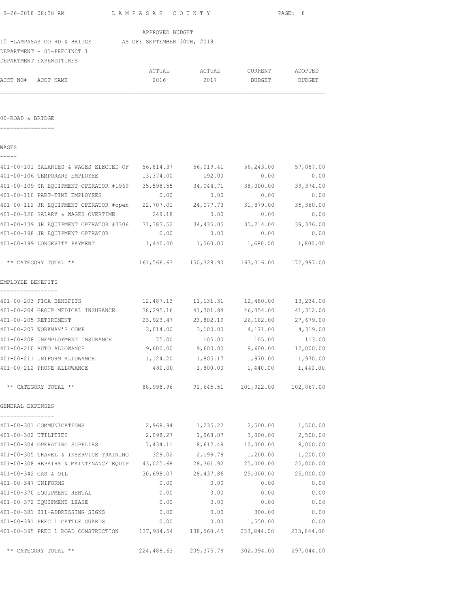|                      | 9-26-2018 08:30 AM                                      | LAMPASAS COUNTY |                                             |                        | PAGE: 8    |
|----------------------|---------------------------------------------------------|-----------------|---------------------------------------------|------------------------|------------|
|                      |                                                         | APPROVED BUDGET |                                             |                        |            |
|                      | 15 -LAMPASAS CO RD & BRIDGE AS OF: SEPTEMBER 30TH, 2018 |                 |                                             |                        |            |
|                      | DEPARTMENT - 01-PRECINCT 1                              |                 |                                             |                        |            |
|                      | DEPARTMENT EXPENDITURES                                 |                 |                                             |                        |            |
|                      |                                                         | ACTUAL          | ACTUAL                                      | CURRENT                | ADOPTED    |
| ACCT NO# ACCT NAME   |                                                         | 2016            | 2017                                        | BUDGET                 | BUDGET     |
|                      |                                                         |                 |                                             |                        |            |
| 00-ROAD & BRIDGE     |                                                         |                 |                                             |                        |            |
| ----------------     |                                                         |                 |                                             |                        |            |
| WAGES                |                                                         |                 |                                             |                        |            |
|                      | 401-00-101 SALARIES & WAGES ELECTED OF 56,814.37        |                 |                                             | 56,019.41 56,243.00    | 57,087.00  |
|                      | 401-00-106 TEMPORARY EMPLOYEE                           | 13,374.00       | 192.00                                      | 0.00                   | 0.00       |
|                      | 401-00-109 SR EQUIPMENT OPERATOR #1969                  | 35,598.55       | 34,044.71                                   | 38,000.00              | 39,374.00  |
|                      | 401-00-110 PART-TIME EMPLOYEES                          | 0.00            | 0.00                                        | 0.00                   | 0.00       |
|                      | 401-00-112 JR EQUIPMENT OPERATOR #open                  | 22,707.01       | 24,077.73                                   | 31,879.00              | 35,360.00  |
|                      | 401-00-120 SALARY & WAGES OVERTIME                      | 249.18          | 0.00                                        | 0.00                   | 0.00       |
|                      | 401-00-139 JR EQUIPMENT OPERATOR #0306 31,383.52        |                 | 34,435.05                                   | 35,214.00              | 39,376.00  |
|                      | 401-00-198 JR EQUIPMENT OPERATOR                        | 0.00            | 0.00                                        | 0.00                   | 0.00       |
|                      | 401-00-199 LONGEVITY PAYMENT                            | 1,440.00        | 1,560.00                                    | 1,680.00               | 1,800.00   |
|                      | ** CATEGORY TOTAL **                                    |                 | 161,566.63 150,328.90 163,016.00 172,997.00 |                        |            |
| EMPLOYEE BENEFITS    |                                                         |                 |                                             |                        |            |
| -----------------    |                                                         |                 |                                             |                        |            |
|                      | 401-00-203 FICA BENEFITS                                | 12,487.13       |                                             | 11, 131. 31 12, 480.00 | 13,234.00  |
|                      | 401-00-204 GROUP MEDICAL INSURANCE                      | 38,295.16       | 41,301.84                                   | 46,054.00              | 41,312.00  |
|                      | 401-00-205 RETIREMENT                                   | 23,923.47       | 23,802.19                                   | 26,102.00              | 27,679.00  |
|                      | 401-00-207 WORKMAN'S COMP                               | 3,014.00        | 3,100.00                                    | 4,171.00               | 4,319.00   |
|                      | 401-00-208 UNEMPLOYMENT INSURANCE                       | 75.00           | 105.00                                      | 105.00                 | 113.00     |
|                      | 401-00-210 AUTO ALLOWANCE                               | 9,600.00        | 9,600.00                                    | 9,600.00               | 12,000.00  |
|                      | 401-00-211 UNIFORM ALLOWANCE                            |                 | 1, 124.20 1, 805.17 1, 970.00 1, 970.00     |                        |            |
|                      | 401-00-212 PHONE ALLOWANCE                              |                 | 480.00 1,800.00 1,440.00 1,440.00           |                        |            |
|                      | ** CATEGORY TOTAL **                                    | 88,998.96       |                                             | 92,645.51 101,922.00   | 102,067.00 |
| GENERAL EXPENSES     |                                                         |                 |                                             |                        |            |
|                      | 401-00-301 COMMUNICATIONS                               | 2,968.94        | 1,235.22                                    | 2,500.00               | 1,500.00   |
| 401-00-302 UTILITIES |                                                         | 2,098.27        | 1,968.07                                    | 3,000.00               | 2,500.00   |
|                      | 401-00-304 OPERATING SUPPLIES                           | 7,434.11        | 8,612.49                                    | 10,000.00              | 8,000.00   |
|                      | 401-00-305 TRAVEL & INSERVICE TRAINING                  | 329.02          | 2,199.78                                    | 1,200.00               | 1,200.00   |
|                      | 401-00-308 REPAIRS & MAINTENANCE EQUIP 43,025.68        |                 | 28,361.92                                   | 25,000.00              | 25,000.00  |
| 401-00-342 GAS & OIL |                                                         | 30,698.07       | 28,437.86                                   | 25,000.00              | 25,000.00  |
| 401-00-347 UNIFORMS  |                                                         | 0.00            | 0.00                                        | 0.00                   | 0.00       |
|                      | 401-00-370 EQUIPMENT RENTAL                             | 0.00            | 0.00                                        | 0.00                   | 0.00       |
|                      | 401-00-372 EQUIPMENT LEASE                              | 0.00            | 0.00                                        | 0.00                   | 0.00       |
|                      | 401-00-381 911-ADDRESSING SIGNS                         | 0.00            | 0.00                                        | 300.00                 | 0.00       |
|                      | 401-00-391 PREC 1 CATTLE GUARDS                         | 0.00            | 0.00                                        | 1,550.00               | 0.00       |

401-00-395 PREC 1 ROAD CONSTRUCTION 137,934.54 138,560.45 233,844.00 233,844.00

\*\* CATEGORY TOTAL \*\* 224,488.63 209,375.79 302,394.00 297,044.00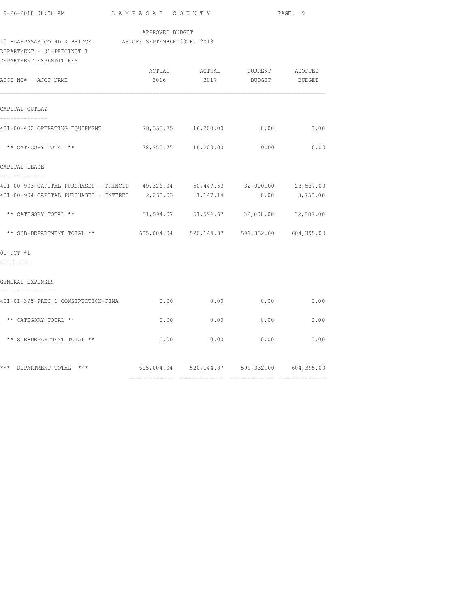|  | 9-26-2018 08:30 AM |  |
|--|--------------------|--|

## APPROVED BUDGET

### 15 -LAMPASAS CO RD & BRIDGE AS OF: SEPTEMBER 30TH, 2018

DEPARTMENT - 01-PRECINCT 1

| DEPARTMENT EXPENDITURES                                                        |      |             |                                                          |                 |
|--------------------------------------------------------------------------------|------|-------------|----------------------------------------------------------|-----------------|
| ACCT NO# ACCT NAME                                                             |      |             | ACTUAL ACTUAL CURRENT ADOPTED<br>2016 2017 BUDGET BUDGET |                 |
| CAPITAL OUTLAY                                                                 |      |             |                                                          |                 |
| --------------<br>401-00-402 OPERATING EQUIPMENT 78,355.75 16,200.00 0.00      |      |             |                                                          | 0.00            |
| ** CATEGORY TOTAL **                                                           |      |             | 78,355.75 16,200.00 0.00                                 | 0.00            |
| CAPITAL LEASE<br>-------------                                                 |      |             |                                                          |                 |
| 401-00-903 CAPITAL PURCHASES - PRINCIP 49,326.04 50,447.53 32,000.00 28,537.00 |      |             |                                                          |                 |
| $401-00-904$ CAPITAL PURCHASES - INTERES $2,268.03$ 1,147.14                   |      |             |                                                          | $0.00$ 3,750.00 |
| ** CATEGORY TOTAL **                                                           |      |             | 51,594.07 51,594.67 32,000.00 32,287.00                  |                 |
| ** SUB-DEPARTMENT TOTAL **                                                     |      |             | 605,004.04 520,144.87 599,332.00 604,395.00              |                 |
| $01-PCT$ #1<br>=========                                                       |      |             |                                                          |                 |
| GENERAL EXPENSES                                                               |      |             |                                                          |                 |
| ----------------<br>401-01-395 PREC 1 CONSTRUCTION-FEMA                        |      |             | $0.00$ 0.00 0.00                                         | 0.00            |
| ** CATEGORY TOTAL **                                                           |      | $0.00$ 0.00 | 0.00                                                     | 0.00            |
| ** SUB-DEPARTMENT TOTAL **                                                     | 0.00 |             | $0.00$ 0.00                                              | 0.00            |
| *** DEPARTMENT TOTAL ***                                                       |      |             | $605,004.04$ $520,144.87$ $599,332.00$ $604,395.00$      |                 |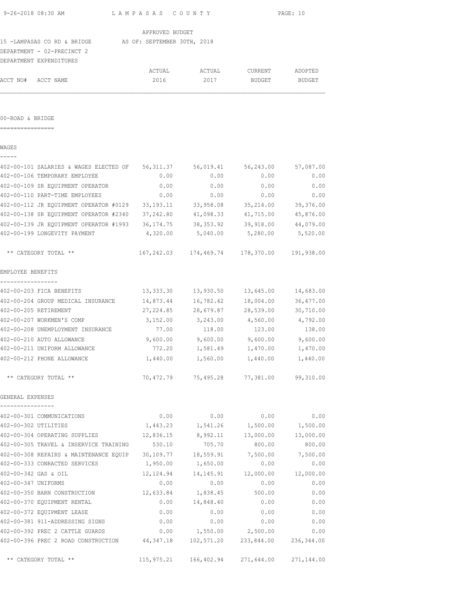|           |                          |                                                                                                                                                                  | PAGE: 10                                                                                                                                                                                                                                                                                                                                                                                                                                                                                                                                                                                                                                          |
|-----------|--------------------------|------------------------------------------------------------------------------------------------------------------------------------------------------------------|---------------------------------------------------------------------------------------------------------------------------------------------------------------------------------------------------------------------------------------------------------------------------------------------------------------------------------------------------------------------------------------------------------------------------------------------------------------------------------------------------------------------------------------------------------------------------------------------------------------------------------------------------|
|           |                          |                                                                                                                                                                  |                                                                                                                                                                                                                                                                                                                                                                                                                                                                                                                                                                                                                                                   |
|           |                          |                                                                                                                                                                  |                                                                                                                                                                                                                                                                                                                                                                                                                                                                                                                                                                                                                                                   |
|           |                          |                                                                                                                                                                  |                                                                                                                                                                                                                                                                                                                                                                                                                                                                                                                                                                                                                                                   |
|           |                          |                                                                                                                                                                  |                                                                                                                                                                                                                                                                                                                                                                                                                                                                                                                                                                                                                                                   |
| ACTUAL    | ACTUAL                   | CURRENT                                                                                                                                                          | ADOPTED                                                                                                                                                                                                                                                                                                                                                                                                                                                                                                                                                                                                                                           |
|           |                          |                                                                                                                                                                  | BUDGET                                                                                                                                                                                                                                                                                                                                                                                                                                                                                                                                                                                                                                            |
|           |                          |                                                                                                                                                                  |                                                                                                                                                                                                                                                                                                                                                                                                                                                                                                                                                                                                                                                   |
|           |                          |                                                                                                                                                                  |                                                                                                                                                                                                                                                                                                                                                                                                                                                                                                                                                                                                                                                   |
|           |                          |                                                                                                                                                                  |                                                                                                                                                                                                                                                                                                                                                                                                                                                                                                                                                                                                                                                   |
| 0.00      | 0.00                     |                                                                                                                                                                  | 0.00                                                                                                                                                                                                                                                                                                                                                                                                                                                                                                                                                                                                                                              |
|           |                          |                                                                                                                                                                  | 0.00                                                                                                                                                                                                                                                                                                                                                                                                                                                                                                                                                                                                                                              |
| 0.00      | 0.00                     |                                                                                                                                                                  | 0.00                                                                                                                                                                                                                                                                                                                                                                                                                                                                                                                                                                                                                                              |
|           |                          |                                                                                                                                                                  | 39,376.00                                                                                                                                                                                                                                                                                                                                                                                                                                                                                                                                                                                                                                         |
|           |                          |                                                                                                                                                                  | 41,715.00 45,876.00                                                                                                                                                                                                                                                                                                                                                                                                                                                                                                                                                                                                                               |
|           |                          |                                                                                                                                                                  |                                                                                                                                                                                                                                                                                                                                                                                                                                                                                                                                                                                                                                                   |
|           |                          |                                                                                                                                                                  |                                                                                                                                                                                                                                                                                                                                                                                                                                                                                                                                                                                                                                                   |
|           |                          |                                                                                                                                                                  |                                                                                                                                                                                                                                                                                                                                                                                                                                                                                                                                                                                                                                                   |
|           |                          |                                                                                                                                                                  |                                                                                                                                                                                                                                                                                                                                                                                                                                                                                                                                                                                                                                                   |
|           |                          |                                                                                                                                                                  | 14,683.00                                                                                                                                                                                                                                                                                                                                                                                                                                                                                                                                                                                                                                         |
|           |                          |                                                                                                                                                                  | 36,477.00                                                                                                                                                                                                                                                                                                                                                                                                                                                                                                                                                                                                                                         |
|           |                          |                                                                                                                                                                  | 30,710.00                                                                                                                                                                                                                                                                                                                                                                                                                                                                                                                                                                                                                                         |
| 3,152.00  |                          |                                                                                                                                                                  | 4,792.00                                                                                                                                                                                                                                                                                                                                                                                                                                                                                                                                                                                                                                          |
| 77.00     | 118.00                   | 123.00                                                                                                                                                           | 138.00                                                                                                                                                                                                                                                                                                                                                                                                                                                                                                                                                                                                                                            |
|           |                          |                                                                                                                                                                  | 9,600.00                                                                                                                                                                                                                                                                                                                                                                                                                                                                                                                                                                                                                                          |
| 772.20    |                          |                                                                                                                                                                  | 1,470.00                                                                                                                                                                                                                                                                                                                                                                                                                                                                                                                                                                                                                                          |
| 1,440.00  | 1,560.00                 | 1,440.00                                                                                                                                                         | 1,440.00                                                                                                                                                                                                                                                                                                                                                                                                                                                                                                                                                                                                                                          |
|           |                          |                                                                                                                                                                  | 99,310.00                                                                                                                                                                                                                                                                                                                                                                                                                                                                                                                                                                                                                                         |
|           |                          |                                                                                                                                                                  |                                                                                                                                                                                                                                                                                                                                                                                                                                                                                                                                                                                                                                                   |
| 0.00      | 0.00                     | 0.00                                                                                                                                                             | 0.00                                                                                                                                                                                                                                                                                                                                                                                                                                                                                                                                                                                                                                              |
| 1,443.23  |                          | 1,500.00                                                                                                                                                         | 1,500.00                                                                                                                                                                                                                                                                                                                                                                                                                                                                                                                                                                                                                                          |
| 12,836.15 | 8,992.11                 | 13,000.00                                                                                                                                                        | 13,000.00                                                                                                                                                                                                                                                                                                                                                                                                                                                                                                                                                                                                                                         |
| 530.10    | 705.70                   | 800.00                                                                                                                                                           | 800.00                                                                                                                                                                                                                                                                                                                                                                                                                                                                                                                                                                                                                                            |
| 30,109.77 | 18,559.91                | 7,500.00                                                                                                                                                         | 7,500.00                                                                                                                                                                                                                                                                                                                                                                                                                                                                                                                                                                                                                                          |
| 1,950.00  | 1,650.00                 | 0.00                                                                                                                                                             | 0.00                                                                                                                                                                                                                                                                                                                                                                                                                                                                                                                                                                                                                                              |
| 12,124.94 |                          | 12,000.00                                                                                                                                                        | 12,000.00                                                                                                                                                                                                                                                                                                                                                                                                                                                                                                                                                                                                                                         |
| 0.00      | 0.00                     | 0.00                                                                                                                                                             | 0.00                                                                                                                                                                                                                                                                                                                                                                                                                                                                                                                                                                                                                                              |
| 12,633.84 | 1,838.45                 | 500.00                                                                                                                                                           | 0.00                                                                                                                                                                                                                                                                                                                                                                                                                                                                                                                                                                                                                                              |
| 0.00      | 14,848.40                | 0.00                                                                                                                                                             | 0.00                                                                                                                                                                                                                                                                                                                                                                                                                                                                                                                                                                                                                                              |
| 0.00      | 0.00                     | 0.00                                                                                                                                                             | 0.00                                                                                                                                                                                                                                                                                                                                                                                                                                                                                                                                                                                                                                              |
| 0.00      | 0.00                     | 0.00                                                                                                                                                             | 0.00                                                                                                                                                                                                                                                                                                                                                                                                                                                                                                                                                                                                                                              |
|           | 2016<br>0.00<br>9,600.00 | LAMPASAS COUNTY<br>APPROVED BUDGET<br>15 -LAMPASAS CO RD & BRIDGE AS OF: SEPTEMBER 30TH, 2018<br>2017<br>0.00<br>14,873.44<br>27, 224.85<br>1,581.49<br>1,541.26 | BUDGET<br>402-00-101 SALARIES & WAGES ELECTED OF 56,311.37 56,019.41 56,243.00 57,087.00<br>0.00<br>0.00<br>0.00<br>402-00-112 JR EQUIPMENT OPERATOR #0129 33,193.11 33,958.08<br>35,214.00<br>402-00-138 SR EQUIPMENT OPERATOR #2340 37,242.80 41,098.33<br>402-00-139 JR EQUIPMENT OPERATOR #1993 36,174.75 38,353.92<br>39,918.00 44,079.00<br>$4,320.00$ $5,040.00$ $5,280.00$ $5,520.00$<br>167,242.03 174,469.74 178,370.00 191,938.00<br>13,333.30 13,930.50<br>13,645.00<br>16,782.42<br>18,004.00<br>28,679.87<br>28,539.00<br>3,243.00<br>4,560.00<br>$9,600.00$ $9,600.00$<br>1,470.00<br>70,472.79 75,495.28 77,381.00<br>14, 145. 91 |

402-00-392 PREC 2 CATTLE GUARDS 0.00 1,550.00 2,500.00 0.00 402-00-396 PREC 2 ROAD CONSTRUCTION 44,347.18 102,571.20 233,844.00 236,344.00

\*\* CATEGORY TOTAL \*\* 115,975.21 166,402.94 271,644.00 271,144.00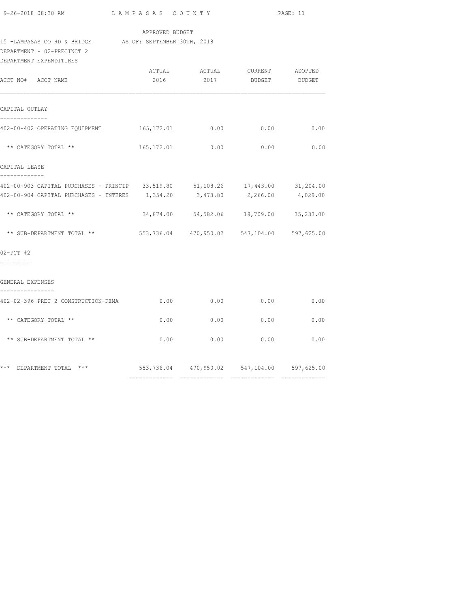|  | 9-26-2018 08:30 AM |  |
|--|--------------------|--|

## APPROVED BUDGET

# 15 -LAMPASAS CO RD & BRIDGE AS OF: SEPTEMBER 30TH, 2018

DEPARTMENT - 02-PRECINCT 2

| DEPARTMENT EXPENDITURES                                                        |      |      |                                             |               |
|--------------------------------------------------------------------------------|------|------|---------------------------------------------|---------------|
| ACCT NO# ACCT NAME                                                             | 2016 | 2017 | ACTUAL ACTUAL CURRENT ADOPTED               | BUDGET BUDGET |
|                                                                                |      |      |                                             |               |
| CAPITAL OUTLAY                                                                 |      |      |                                             |               |
| 402-00-402 OPERATING EOUIPMENT 165,172.01                                      |      | 0.00 | 0.00                                        | 0.00          |
| ** CATEGORY TOTAL **                                                           |      |      | 165,172.01 0.00 0.00 0.00                   |               |
| CAPITAL LEASE                                                                  |      |      |                                             |               |
| 402-00-903 CAPITAL PURCHASES - PRINCIP 33,519.80 51,108.26 17,443.00 31,204.00 |      |      |                                             |               |
| 402-00-904 CAPITAL PURCHASES - INTERES 1,354.20 3,473.80 2,266.00 4,029.00     |      |      |                                             |               |
| ** CATEGORY TOTAL **                                                           |      |      | 34,874.00 54,582.06 19,709.00 35,233.00     |               |
| ** SUB-DEPARTMENT TOTAL **                                                     |      |      | 553,736.04 470,950.02 547,104.00 597,625.00 |               |
| $02-PCT$ #2                                                                    |      |      |                                             |               |
| =========                                                                      |      |      |                                             |               |
| GENERAL EXPENSES                                                               |      |      |                                             |               |
| 402-02-396 PREC 2 CONSTRUCTION-FEMA                                            | 0.00 | 0.00 | 0.00                                        | 0.00          |
| ** CATEGORY TOTAL **                                                           | 0.00 | 0.00 | 0.00                                        | 0.00          |
| ** SUB-DEPARTMENT TOTAL **                                                     | 0.00 | 0.00 | 0.00                                        | 0.00          |
| *** DEPARTMENT TOTAL ***                                                       |      |      | 553,736.04 470,950.02 547,104.00 597,625.00 |               |
|                                                                                |      |      |                                             |               |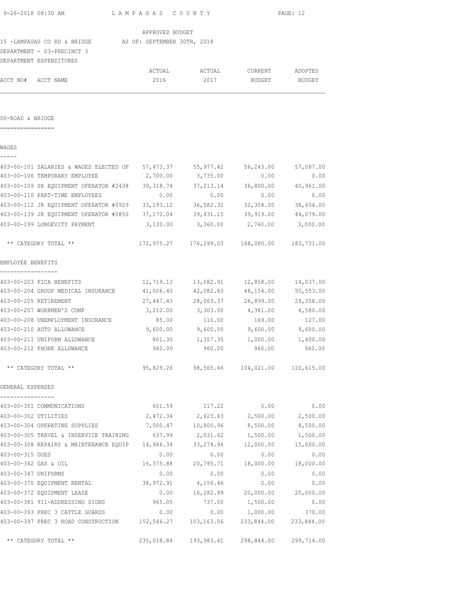|                                                     |                                    | PAGE: 12                                                                                                                                                                                               |                                                                                                 |  |  |
|-----------------------------------------------------|------------------------------------|--------------------------------------------------------------------------------------------------------------------------------------------------------------------------------------------------------|-------------------------------------------------------------------------------------------------|--|--|
|                                                     |                                    |                                                                                                                                                                                                        |                                                                                                 |  |  |
|                                                     |                                    |                                                                                                                                                                                                        |                                                                                                 |  |  |
|                                                     |                                    |                                                                                                                                                                                                        |                                                                                                 |  |  |
|                                                     |                                    |                                                                                                                                                                                                        |                                                                                                 |  |  |
| ACTUAL                                              | ACTUAL                             | CURRENT                                                                                                                                                                                                | ADOPTED                                                                                         |  |  |
| 2016                                                | 2017                               | BUDGET                                                                                                                                                                                                 | BUDGET                                                                                          |  |  |
|                                                     |                                    |                                                                                                                                                                                                        |                                                                                                 |  |  |
|                                                     |                                    |                                                                                                                                                                                                        |                                                                                                 |  |  |
|                                                     |                                    |                                                                                                                                                                                                        |                                                                                                 |  |  |
| 403-00-101 SALARIES & WAGES ELECTED OF              | 55,977.42                          | 56,243.00                                                                                                                                                                                              | 57,087.00                                                                                       |  |  |
| 2,700.00                                            | 3,735.00                           | 0.00                                                                                                                                                                                                   | 0.00                                                                                            |  |  |
| 403-00-109 SR EQUIPMENT OPERATOR #2438<br>39,318.74 | 37, 213.14                         | 36,800.00                                                                                                                                                                                              | 40,961.00                                                                                       |  |  |
| 0.00                                                | 0.00                               | 0.00                                                                                                                                                                                                   | 0.00                                                                                            |  |  |
| 403-00-112 JR EQUIPMENT OPERATOR #0929 33,193.12    |                                    | 32,358.00                                                                                                                                                                                              | 38,604.00                                                                                       |  |  |
| 403-00-139 JR EQUIPMENT OPERATOR #0850 37,170.04    |                                    | 39,919.00                                                                                                                                                                                              | 44,079.00                                                                                       |  |  |
| 3,120.00                                            | 3,360.00                           | 2,760.00                                                                                                                                                                                               | 3,000.00                                                                                        |  |  |
|                                                     |                                    |                                                                                                                                                                                                        | 183,731.00                                                                                      |  |  |
|                                                     |                                    |                                                                                                                                                                                                        |                                                                                                 |  |  |
|                                                     |                                    |                                                                                                                                                                                                        | 14,037.00                                                                                       |  |  |
|                                                     |                                    |                                                                                                                                                                                                        | 50, 553.00                                                                                      |  |  |
|                                                     |                                    | 26,899.00                                                                                                                                                                                              | 29,358.00                                                                                       |  |  |
|                                                     | 3,303.00                           | 4,381.00                                                                                                                                                                                               | 4,580.00                                                                                        |  |  |
| 85.00                                               | 116.00                             | 169.00                                                                                                                                                                                                 | 127.00                                                                                          |  |  |
| 9,600.00                                            | 9,600.00                           | 9,600.00                                                                                                                                                                                               | 9,600.00                                                                                        |  |  |
| 801.30                                              | 1,357.35                           | 1,000.00                                                                                                                                                                                               | 1,400.00                                                                                        |  |  |
| 960.00                                              | 960.00                             | 960.00                                                                                                                                                                                                 | 960.00                                                                                          |  |  |
|                                                     |                                    |                                                                                                                                                                                                        |                                                                                                 |  |  |
|                                                     |                                    |                                                                                                                                                                                                        |                                                                                                 |  |  |
| 601.59                                              | 117.22                             | 0.00                                                                                                                                                                                                   | 0.00                                                                                            |  |  |
| 2,472.34                                            | 2,623.63                           | 2,500.00                                                                                                                                                                                               | 2,500.00                                                                                        |  |  |
| 7,500.47                                            | 10,800.96                          | 8,500.00                                                                                                                                                                                               | 8,500.00                                                                                        |  |  |
| 403-00-305 TRAVEL & INSERVICE TRAINING<br>637.99    | 2,031.62                           | 1,500.00                                                                                                                                                                                               | 1,500.00                                                                                        |  |  |
| 403-00-308 REPAIRS & MAINTENANCE EQUIP<br>14,946.34 | 33, 274.96                         | 12,000.00                                                                                                                                                                                              | 15,000.00                                                                                       |  |  |
| 0.00                                                | 0.00                               | 0.00                                                                                                                                                                                                   | 0.00                                                                                            |  |  |
| 16,375.88                                           | 20,795.71                          | 18,000.00                                                                                                                                                                                              | 18,000.00                                                                                       |  |  |
| 0.00                                                | 0.00                               | 0.00                                                                                                                                                                                                   | 0.00                                                                                            |  |  |
| 38,972.91                                           | 4,156.46                           | 0.00                                                                                                                                                                                                   | 0.00                                                                                            |  |  |
| 0.00                                                | 16,282.99                          | 20,000.00                                                                                                                                                                                              | 20,000.00                                                                                       |  |  |
| 965.05                                              | 737.00                             | 1,500.00                                                                                                                                                                                               | 0.00                                                                                            |  |  |
|                                                     | 41,006.40<br>27,447.43<br>3,210.00 | LAMPASAS COUNTY<br>APPROVED BUDGET<br>15 -LAMPASAS CO RD & BRIDGE AS OF: SEPTEMBER 30TH, 2018<br>57,473.37<br>36,582.32<br>39,431.15<br>172,975.27<br>12,719.13<br>13,082.91<br>42,082.83<br>28,063.37 | 168,080.00<br>176,299.03<br>12,858.00<br>48,154.00<br>95,829.26 98,565.46 104,021.00 110,615.00 |  |  |

403-00-393 PREC 3 CATTLE GUARDS 0.00 0.00 1,000.00 370.00 403-00-397 PREC 3 ROAD CONSTRUCTION 152,546.27 103,163.06 233,844.00 233,844.00

\*\* CATEGORY TOTAL \*\* 235,018.84 193,983.61 298,844.00 299,714.00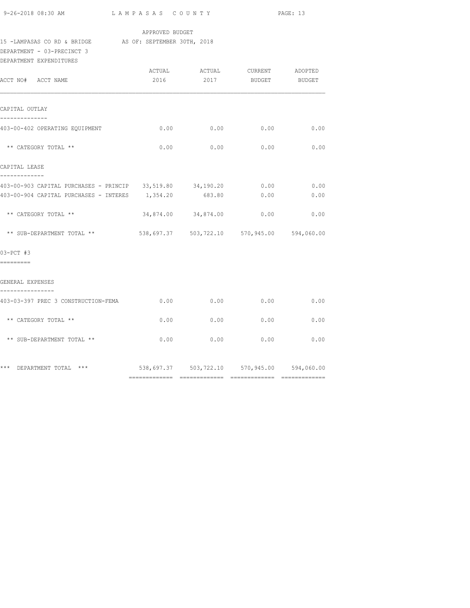|  |  | 9-26-2018 08:30 AM |  |
|--|--|--------------------|--|
|  |  |                    |  |

## APPROVED BUDGET

# 15 -LAMPASAS CO RD & BRIDGE AS OF: SEPTEMBER 30TH, 2018

DEPARTMENT - 03-PRECINCT 3

| DEPARTMENT EXPENDITURES                                                                                       |      |                     |                                                           |              |
|---------------------------------------------------------------------------------------------------------------|------|---------------------|-----------------------------------------------------------|--------------|
| ACCT NO# ACCT NAME                                                                                            |      |                     | ACTUAL ACTUAL CURRENT ADOPTED<br>2016  2017 BUDGET BUDGET |              |
| CAPITAL OUTLAY                                                                                                |      |                     |                                                           |              |
| .<br>403-00-402 OPERATING EQUIPMENT                                                                           |      | $0.00$ 0.00         | 0.00                                                      | 0.00         |
| ** CATEGORY TOTAL **                                                                                          | 0.00 | 0.00                | 0.00                                                      | 0.00         |
| CAPITAL LEASE<br>_____________                                                                                |      |                     |                                                           |              |
| 403-00-903 CAPITAL PURCHASES - PRINCIP 33,519.80 34,190.20<br>403-00-904 CAPITAL PURCHASES - INTERES 1,354.20 |      | 683.80              | 0.00<br>0.00                                              | 0.00<br>0.00 |
| ** CATEGORY TOTAL **                                                                                          |      | 34,874.00 34,874.00 | 0.00                                                      | 0.00         |
| ** SUB-DEPARTMENT TOTAL **                                                                                    |      |                     | 538,697.37   503,722.10   570,945.00   594,060.00         |              |
| 03-PCT #3<br>----------                                                                                       |      |                     |                                                           |              |
| GENERAL EXPENSES                                                                                              |      |                     |                                                           |              |
| ----------------<br>403-03-397 PREC 3 CONSTRUCTION-FEMA                                                       | 0.00 | 0.00                | 0.00                                                      | 0.00         |
| ** CATEGORY TOTAL **                                                                                          | 0.00 | 0.00                | 0.00                                                      | 0.00         |
| ** SUB-DEPARTMENT TOTAL **                                                                                    | 0.00 | 0.00                | 0.00                                                      | 0.00         |
| *** DEPARTMENT TOTAL ***                                                                                      |      |                     | 538,697.37 503,722.10 570,945.00 594,060.00               |              |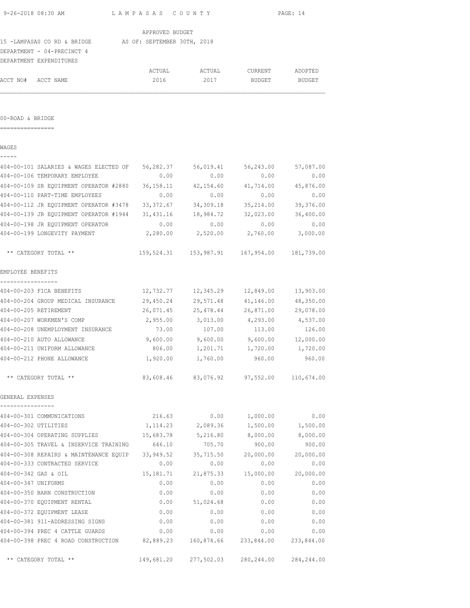| 9-26-2018 08:30 AM    | LAMPASAS COUNTY                                                            |                 |                                          |           | PAGE: 14          |
|-----------------------|----------------------------------------------------------------------------|-----------------|------------------------------------------|-----------|-------------------|
|                       |                                                                            | APPROVED BUDGET |                                          |           |                   |
|                       | 15 -LAMPASAS CO RD & BRIDGE AS OF: SEPTEMBER 30TH, 2018                    |                 |                                          |           |                   |
|                       | DEPARTMENT - 04-PRECINCT 4                                                 |                 |                                          |           |                   |
|                       | DEPARTMENT EXPENDITURES                                                    |                 |                                          |           |                   |
|                       |                                                                            | ACTUAL          | ACTUAL                                   | CURRENT   | ADOPTED           |
| ACCT NO# ACCT NAME    |                                                                            | 2016            | 2017                                     | BUDGET    | BUDGET            |
| 00-ROAD & BRIDGE      |                                                                            |                 |                                          |           |                   |
|                       |                                                                            |                 |                                          |           |                   |
| WAGES                 |                                                                            |                 |                                          |           |                   |
|                       | 404-00-101 SALARIES & WAGES ELECTED OF                                     |                 | 56,282.37 56,019.41                      | 56,243.00 | 57,087.00         |
|                       | 404-00-106 TEMPORARY EMPLOYEE                                              | 0.00            | 0.00                                     | 0.00      | 0.00              |
|                       | 404-00-109 SR EQUIPMENT OPERATOR #2880                                     | 36,158.11       | 42,154.60                                | 41,714.00 | 45,876.00         |
|                       | 404-00-110 PART-TIME EMPLOYEES                                             | 0.00            | 0.00                                     | 0.00      | 0.00              |
|                       | 404-00-112 JR EQUIPMENT OPERATOR #3478                                     | 33,372.67       | 34,309.18                                | 35,214.00 | 39,376.00         |
|                       | 404-00-139 JR EQUIPMENT OPERATOR #1944 31,431.16 18,984.72                 |                 |                                          | 32,023.00 | 36,400.00         |
|                       | 404-00-198 JR EQUIPMENT OPERATOR                                           | 0.00            | 0.00                                     | 0.00      | 0.00              |
|                       | 404-00-199 LONGEVITY PAYMENT                                               | 2,280.00        | 2,520.00 2,760.00                        |           | 3,000.00          |
|                       | ** CATEGORY TOTAL **                                                       |                 |                                          |           | 181,739.00        |
| EMPLOYEE BENEFITS     |                                                                            |                 |                                          |           |                   |
|                       | 404-00-203 FICA BENEFITS                                                   |                 | 12,732.77    12,345.29    12,849.00      |           | 13,903.00         |
|                       | 404-00-204 GROUP MEDICAL INSURANCE                                         |                 | 29,450.24 29,571.48 41,146.00            |           | 48,350.00         |
| 404-00-205 RETIREMENT |                                                                            |                 | 26,071.45 25,478.44 26,871.00 29,078.00  |           |                   |
|                       | 404-00-207 WORKMEN'S COMP                                                  |                 | 2,955.00 3,013.00 4,293.00 4,537.00      |           |                   |
|                       | 404-00-208 UNEMPLOYMENT INSURANCE                                          | 73.00           | 107.00                                   | 113.00    | 126.00            |
|                       | 404-00-210 AUTO ALLOWANCE                                                  | 9,600.00        | $9,600.00$ $9,600.00$                    |           | 12,000.00         |
|                       | 404-00-211 UNIFORM ALLOWANCE                                               | 806.00          | 1,201.71                                 |           | 1,720.00 1,720.00 |
|                       | 404-00-212 PHONE ALLOWANCE                                                 |                 | 1,920.00 1,760.00                        | 960.00    | 960.00            |
|                       | ** CATEGORY TOTAL **                                                       |                 | 83,608.46 83,076.92 97,552.00 110,674.00 |           |                   |
| GENERAL EXPENSES      |                                                                            |                 |                                          |           |                   |
|                       | 404-00-301 COMMUNICATIONS                                                  | 216.63          | 0.00                                     | 1,000.00  | 0.00              |
| 404-00-302 UTILITIES  |                                                                            |                 | 1, 114.23 2, 089.36 1, 500.00 1, 500.00  |           |                   |
|                       | 404-00-304 OPERATING SUPPLIES $15,683.78$ $5,216.80$ $8,000.00$ $8,000.00$ |                 |                                          |           |                   |
|                       | 404-00-305 TRAVEL & INSERVICE TRAINING 646.10                              |                 | 705.70                                   | 900.00    | 900.00            |
|                       | 404-00-308 REPAIRS & MAINTENANCE EQUIP 33,949.52 35,715.50                 |                 |                                          | 20,000.00 | 20,000.00         |
|                       | 404-00-333 CONTRACTED SERVICE                                              | 0.00            | 0.00                                     | 0.00      | 0.00              |
| 404-00-342 GAS & OIL  |                                                                            |                 | 15, 181. 71 21, 875. 33                  | 15,000.00 | 20,000.00         |
| 404-00-347 UNIFORMS   |                                                                            | 0.00            | 0.00                                     | 0.00      | 0.00              |
|                       | 404-00-350 BARN CONSTRUCTION                                               | 0.00            | 0.00                                     | 0.00      | 0.00              |
|                       | 404-00-370 EQUIPMENT RENTAL                                                | 0.00            | 51,024.68                                | 0.00      | 0.00              |
|                       | 404-00-372 EQUIPMENT LEASE                                                 | 0.00            | 0.00                                     | 0.00      | 0.00              |
|                       | 404-00-381 911-ADDRESSING SIGNS                                            | 0.00            | 0.00                                     | 0.00      | 0.00              |
|                       | 404-00-394 PREC 4 CATTLE GUARDS                                            | 0.00            | 0.00                                     | 0.00      | 0.00              |
|                       | 404-00-398 PREC 4 ROAD CONSTRUCTION 82,889.23 160,874.66 233,844.00        |                 |                                          |           | 233,844.00        |
|                       |                                                                            |                 |                                          |           |                   |

\*\* CATEGORY TOTAL \*\* 149,681.20 277,502.03 280,244.00 284,244.00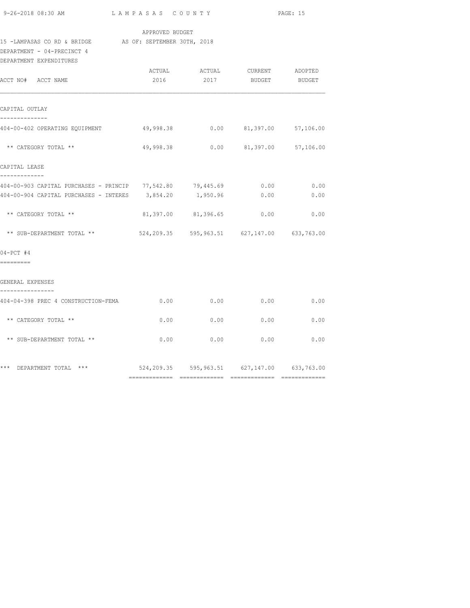|                                                                                       | APPROVED BUDGET |                                    |      |
|---------------------------------------------------------------------------------------|-----------------|------------------------------------|------|
| 15 -LAMPASAS CO RD & BRIDGE AS OF: SEPTEMBER 30TH, 2018<br>DEPARTMENT - 04-PRECINCT 4 |                 |                                    |      |
| DEPARTMENT EXPENDITURES                                                               |                 |                                    |      |
| ACCT NO# ACCT NAME                                                                    |                 | 2016 2017 BUDGET BUDGET            |      |
| CAPITAL OUTLAY                                                                        |                 |                                    |      |
| 404-00-402 OPERATING EQUIPMENT 49,998.38 0.00 81,397.00 57,106.00                     |                 |                                    |      |
| ** CATEGORY TOTAL **                                                                  |                 | 49,998.38 0.00 81,397.00 57,106.00 |      |
| CAPITAL LEASE                                                                         |                 |                                    |      |
| 404-00-903 CAPITAL PURCHASES - PRINCIP 77,542.80 79,445.69 0.00 0.00 0.00             |                 |                                    |      |
| 404-00-904 CAPITAL PURCHASES - INTERES 3,854.20 1,950.96 0.00                         |                 |                                    | 0.00 |
| ** CATEGORY TOTAL **                                                                  |                 | 81,397.00 81,396.65 0.00           | 0.00 |
| ** SUB-DEPARTMENT TOTAL ** 524,209.35 595,963.51 627,147.00 633,763.00                |                 |                                    |      |

04-PCT #4

=========

## GENERAL EXPENSES

| 404-04-398 PREC 4 CONSTRUCTION-FEMA | 0.00       | 0.00       | 0.00       | 0.00       |
|-------------------------------------|------------|------------|------------|------------|
| ** CATEGORY TOTAL **                | 0.00       | 0.00       | 0.00       | 0.00       |
| ** SUB-DEPARTMENT TOTAL **          | 0.00       | 0.00       | 0.00       | 0.00       |
| $***$<br>$***$<br>DEPARTMENT TOTAL  | 524,209.35 | 595,963.51 | 627,147.00 | 633,763.00 |

============= ============= ============= =============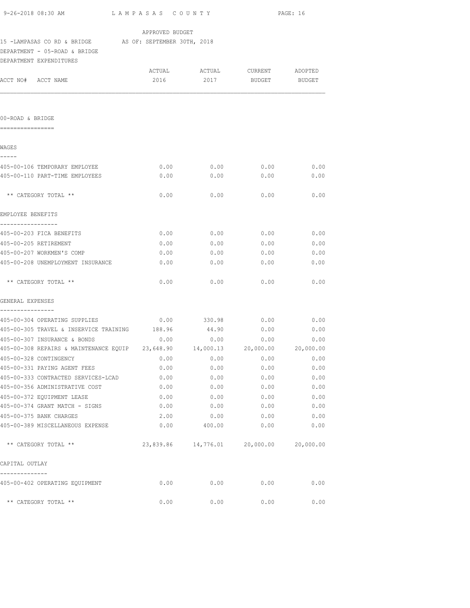| 9-26-2018 08:30 AM<br>LAMPASAS COUNTY                                              |                 | PAGE: 16                                |               |      |
|------------------------------------------------------------------------------------|-----------------|-----------------------------------------|---------------|------|
|                                                                                    | APPROVED BUDGET |                                         |               |      |
| 15 -LAMPASAS CO RD & BRIDGE AS OF: SEPTEMBER 30TH, 2018                            |                 |                                         |               |      |
| DEPARTMENT - 05-ROAD & BRIDGE                                                      |                 |                                         |               |      |
| DEPARTMENT EXPENDITURES                                                            |                 |                                         |               |      |
|                                                                                    |                 |                                         |               |      |
| ACCT NO# ACCT NAME                                                                 | 2016            | 2017                                    | BUDGET BUDGET |      |
|                                                                                    |                 |                                         |               |      |
| 00-ROAD & BRIDGE                                                                   |                 |                                         |               |      |
| ================                                                                   |                 |                                         |               |      |
| WAGES<br>-----                                                                     |                 |                                         |               |      |
| 405-00-106 TEMPORARY EMPLOYEE                                                      | 0.00            | 0.00                                    | 0.00          | 0.00 |
| 405-00-110 PART-TIME EMPLOYEES                                                     | 0.00            | 0.00                                    | 0.00          | 0.00 |
|                                                                                    |                 |                                         |               |      |
| ** CATEGORY TOTAL **                                                               | 0.00            | 0.00                                    | 0.00          | 0.00 |
| EMPLOYEE BENEFITS                                                                  |                 |                                         |               |      |
| -----------------                                                                  |                 |                                         |               |      |
| 405-00-203 FICA BENEFITS                                                           | 0.00            | 0.00                                    | 0.00          | 0.00 |
| 405-00-205 RETIREMENT                                                              | 0.00            | 0.00                                    | 0.00          | 0.00 |
| 405-00-207 WORKMEN'S COMP                                                          | 0.00            | 0.00                                    | 0.00          | 0.00 |
| 405-00-208 UNEMPLOYMENT INSURANCE                                                  | 0.00            | 0.00                                    | 0.00          | 0.00 |
| ** CATEGORY TOTAL **                                                               | 0.00            | 0.00                                    | 0.00          | 0.00 |
| GENERAL EXPENSES<br>----------------                                               |                 |                                         |               |      |
| 405-00-304 OPERATING SUPPLIES                                                      |                 | $0.00$ 330.98                           | 0.00          | 0.00 |
| 405-00-305 TRAVEL & INSERVICE TRAINING 188.96                                      |                 | 44.90                                   | 0.00          | 0.00 |
| 405-00-307 INSURANCE & BONDS                                                       | 0.00            | 0.00                                    | 0.00          | 0.00 |
| 405-00-308 REPAIRS & MAINTENANCE EQUIP  23,648.90  14,000.13  20,000.00  20,000.00 |                 |                                         |               |      |
| 405-00-328 CONTINGENCY                                                             | 0.00            | 0.00                                    | 0.00          | 0.00 |
| 405-00-331 PAYING AGENT FEES                                                       | 0.00            | 0.00                                    | 0.00          | 0.00 |
| 405-00-333 CONTRACTED SERVICES-LCAD                                                | 0.00            | 0.00                                    | 0.00          | 0.00 |
| 405-00-356 ADMINISTRATIVE COST                                                     | 0.00            | 0.00                                    | 0.00          | 0.00 |
| 405-00-372 EQUIPMENT LEASE                                                         | 0.00            | 0.00                                    | 0.00          | 0.00 |
| 405-00-374 GRANT MATCH - SIGNS                                                     | 0.00            | 0.00                                    | 0.00          | 0.00 |
| 405-00-375 BANK CHARGES                                                            | 2.00            | 0.00                                    | 0.00          | 0.00 |
| 405-00-389 MISCELLANEOUS EXPENSE                                                   | 0.00            | 400.00                                  | 0.00          | 0.00 |
| ** CATEGORY TOTAL **                                                               |                 | 23,839.86 14,776.01 20,000.00 20,000.00 |               |      |
| CAPITAL OUTLAY                                                                     |                 |                                         |               |      |
| 405-00-402 OPERATING EQUIPMENT                                                     | 0.00            | 0.00                                    | 0.00          | 0.00 |
| ** CATEGORY TOTAL **                                                               | 0.00            | 0.00                                    | 0.00          | 0.00 |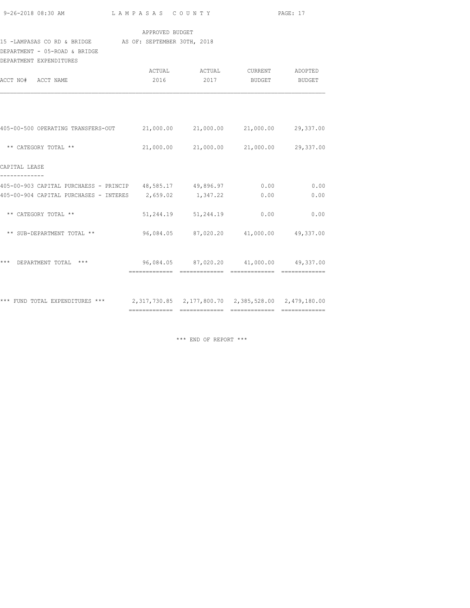| 9-26-2018 08:30 AM |  |  |  |  |  |  |
|--------------------|--|--|--|--|--|--|

9-26-2018 08:30 AM L A M P A S A S C O U N T Y PAGE: 17

### APPROVED BUDGET

### 15 -LAMPASAS CO RD & BRIDGE AS OF: SEPTEMBER 30TH, 2018

DEPARTMENT - 05-ROAD & BRIDGE

| DEPARTMENT EXPENDITURES                                                             |                |                                         |        |                   |
|-------------------------------------------------------------------------------------|----------------|-----------------------------------------|--------|-------------------|
| ACCT NO# ACCT NAME                                                                  | 2016           | ACTUAL ACTUAL CURRENT<br>2017           | BUDGET | ADOPTED<br>BUDGET |
|                                                                                     |                |                                         |        |                   |
| 405-00-500 OPERATING TRANSFERS-OUT 21,000.00 21,000.00 21,000.00 29,337.00          |                |                                         |        |                   |
| ** CATEGORY TOTAL **                                                                |                | 21,000.00 21,000.00 21,000.00 29,337.00 |        |                   |
| CAPITAL LEASE                                                                       |                |                                         |        |                   |
| 405-00-903 CAPITAL PURCHAESS - PRINCIP 48,585.17 49,896.97 0.00                     |                |                                         |        | 0.00              |
| 405-00-904 CAPITAL PURCHASES - INTERES 2,659.02 1,347.22                            |                |                                         | 0.00   | 0.00              |
| ** CATEGORY TOTAL **                                                                |                | 51, 244.19 51, 244.19                   | 0.00   | 0.00              |
| ** SUB-DEPARTMENT TOTAL **                                                          |                | 96,084.05 87,020.20 41,000.00 49,337.00 |        |                   |
| ***<br>DEPARTMENT TOTAL ***                                                         |                | 96,084.05 87,020.20 41,000.00 49,337.00 |        |                   |
|                                                                                     |                |                                         |        |                   |
| *** FUND TOTAL EXPENDITURES *** 2,317,730.85 2,177,800.70 2,385,528.00 2,479,180.00 | -------------- |                                         |        |                   |

\*\*\* END OF REPORT \*\*\*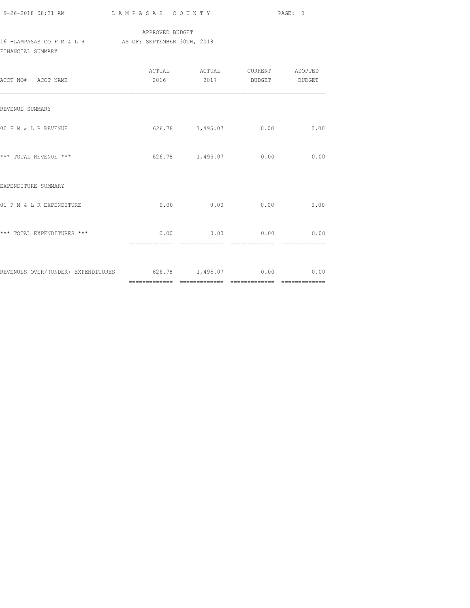| 9-26-2018 08:31 AM |  |
|--------------------|--|

## APPROVED BUDGET 16 -LAMPASAS CO F M & L R AS OF: SEPTEMBER 30TH, 2018 FINANCIAL SUMMARY

| ACCT NO# ACCT NAME                                            | 2016 2017 BUDGET BUDGET |      |
|---------------------------------------------------------------|-------------------------|------|
| REVENUE SUMMARY                                               |                         |      |
| 00 F M & L R REVENUE                                          | 626.78 1,495.07 0.00    | 0.00 |
| *** TOTAL REVENUE ***                                         | 626.78 1,495.07 0.00    | 0.00 |
| EXPENDITURE SUMMARY                                           |                         |      |
| 01 F M & L R EXPENDITURE                                      | $0.00$ 0.00 0.00        | 0.00 |
| *** TOTAL EXPENDITURES ***                                    | $0.00$ 0.00 0.00 0.00   |      |
| REVENUES OVER/(UNDER) EXPENDITURES 626.78 1,495.07 0.00 00 00 |                         |      |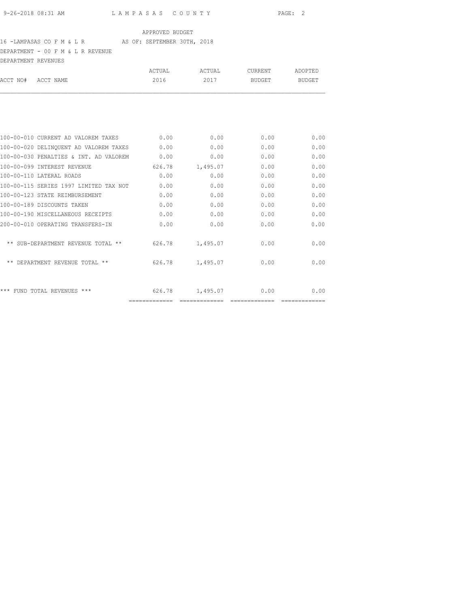### 16 -LAMPASAS CO F M & L R AS OF: SEPTEMBER 30TH, 2018

DEPARTMENT - 00 F M & L R REVENUE

| DEPARTMENT REVENUES |                                        |        |          |         |                        |
|---------------------|----------------------------------------|--------|----------|---------|------------------------|
|                     |                                        | ACTUAL | ACTUAL   | CURRENT | ADOPTED                |
| ACCT NO#            | ACCT NAME                              | 2016   | 2017     | BUDGET  | <b>BUDGET</b>          |
|                     |                                        |        |          |         |                        |
|                     | 100-00-010 CURRENT AD VALOREM TAXES    | 0.00   | 0.00     | 0.00    | 0.00                   |
|                     | 100-00-020 DELINQUENT AD VALOREM TAXES | 0.00   | 0.00     | 0.00    | 0.00                   |
|                     | 100-00-030 PENALTIES & INT. AD VALOREM | 0.00   | 0.00     | 0.00    | 0.00                   |
|                     | 100-00-099 INTEREST REVENUE            | 626.78 | 1,495.07 | 0.00    | 0.00                   |
|                     | 100-00-110 LATERAL ROADS               | 0.00   | 0.00     | 0.00    | 0.00                   |
|                     | 100-00-115 SERIES 1997 LIMITED TAX NOT | 0.00   | 0.00     | 0.00    | 0.00                   |
|                     | 100-00-123 STATE REIMBURSEMENT         | 0.00   | 0.00     | 0.00    | 0.00                   |
|                     | 100-00-189 DISCOUNTS TAKEN             | 0.00   | 0.00     | 0.00    | 0.00                   |
|                     | 100-00-190 MISCELLANEOUS RECEIPTS      | 0.00   | 0.00     | 0.00    | 0.00                   |
|                     | 200-00-010 OPERATING TRANSFERS-IN      | 0.00   | 0.00     | 0.00    | 0.00                   |
|                     | ** SUB-DEPARTMENT REVENUE TOTAL **     | 626.78 | 1,495.07 | 0.00    | 0.00                   |
|                     | ** DEPARTMENT REVENUE TOTAL **         | 626.78 | 1,495.07 | 0.00    | 0.00                   |
|                     | *** FUND TOTAL REVENUES ***            | 626.78 | 1,495.07 | 0.00    | 0.00<br>-------------- |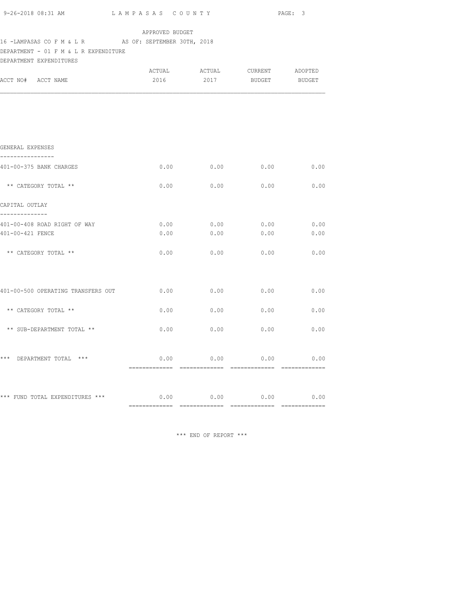|                                                                  |                 |      |                                    | PAGE: 3 |
|------------------------------------------------------------------|-----------------|------|------------------------------------|---------|
| 16 -LAMPASAS CO F M & L R AS OF: SEPTEMBER 30TH, 2018            | APPROVED BUDGET |      |                                    |         |
| DEPARTMENT - 01 F M & L R EXPENDITURE<br>DEPARTMENT EXPENDITURES |                 |      |                                    |         |
|                                                                  |                 |      | ACTUAL ACTUAL CURRENT ADOPTED      |         |
| ACCT NO# ACCT NAME                                               |                 |      | 2016 2017 BUDGET BUDGET            |         |
|                                                                  |                 |      |                                    |         |
|                                                                  |                 |      |                                    |         |
| GENERAL EXPENSES                                                 |                 |      |                                    |         |
| ---------------<br>401-00-375 BANK CHARGES                       |                 |      | $0.00$ $0.00$ $0.00$ $0.00$ $0.00$ |         |
| ** CATEGORY TOTAL **                                             |                 |      | $0.00$ 0.00 0.00 0.00 0.00         |         |
| CAPITAL OUTLAY                                                   |                 |      |                                    |         |
| --------------<br>401-00-408 ROAD RIGHT OF WAY                   |                 |      | $0.00$ 0.00 0.00 0.00 0.00         |         |
| 401-00-421 FENCE                                                 | 0.00            | 0.00 | 0.00                               | 0.00    |
| ** CATEGORY TOTAL **                                             |                 |      | $0.00$ 0.00 0.00 0.00 0.00         |         |
|                                                                  |                 |      |                                    |         |
| 401-00-500 OPERATING TRANSFERS OUT $0.00$ 0.00 0.00 0.00         |                 |      |                                    | 0.00    |
| ** CATEGORY TOTAL **                                             |                 |      | $0.00$ $0.00$ $0.00$ $0.00$ $0.00$ |         |
| ** SUB-DEPARTMENT TOTAL **                                       |                 |      | $0.00$ $0.00$ $0.00$ $0.00$        | 0.00    |
|                                                                  |                 |      |                                    |         |
| *** DEPARTMENT TOTAL ***                                         |                 |      | $0.00$ 0.00 0.00 0.00              |         |
|                                                                  |                 |      |                                    |         |
| *** FUND TOTAL EXPENDITURES *** $0.00$ 0.00 0.00 0.00 0.00       |                 |      |                                    |         |
|                                                                  |                 |      |                                    |         |

\*\*\* END OF REPORT \*\*\*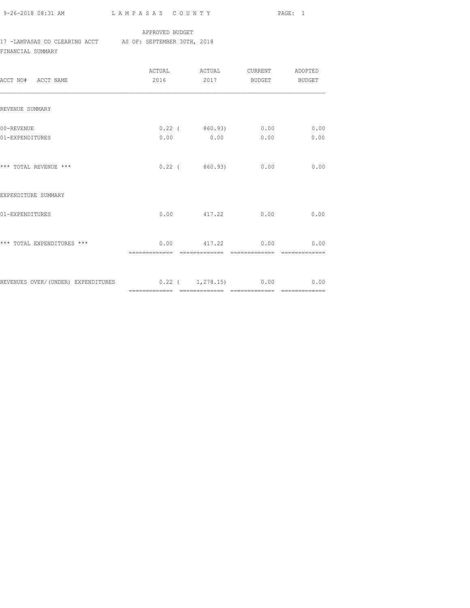9-26-2018 08:31 AM L A M P A S A S C O U N T Y PAGE: 1

### APPROVED BUDGET

### 17 -LAMPASAS CO CLEARING ACCT AS OF: SEPTEMBER 30TH, 2018

FINANCIAL SUMMARY

| ACCT NO# ACCT NAME                                            | ACTUAL ACTUAL CURRENT ADOPTED<br>2016 2017 BUDGET BUDGET |      |
|---------------------------------------------------------------|----------------------------------------------------------|------|
| REVENUE SUMMARY                                               |                                                          |      |
| 00-REVENUE<br>01-EXPENDITURES                                 | $0.22$ ( $860.93$ ) 0.00 0.00<br>$0.00$ 0.00 0.00        | 0.00 |
| *** TOTAL REVENUE ***                                         | $0.22$ ( $860.93$ ) 0.00                                 | 0.00 |
| EXPENDITURE SUMMARY                                           |                                                          |      |
| 01-EXPENDITURES                                               | $0.00$ $417.22$ $0.00$                                   | 0.00 |
| *** TOTAL EXPENDITURES ***                                    | $0.00$ 417.22 0.00 0.00                                  |      |
| REVENUES OVER/(UNDER) EXPENDITURES 0.22 ( 1,278.15) 0.00 0.00 |                                                          |      |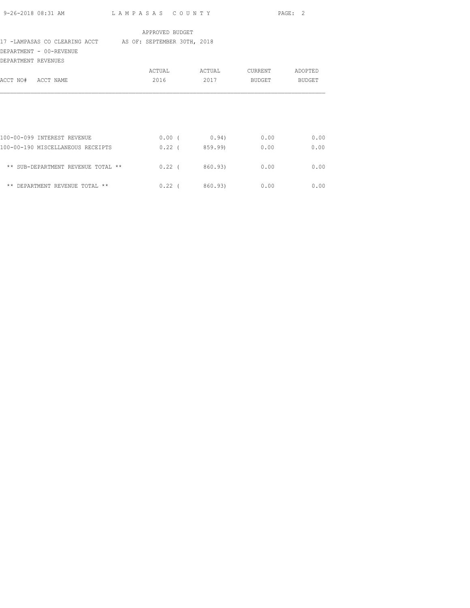| 9-26-2018 08:31 AM                                        | LAMPASAS COUNTY |                               |             | PAGE: 2 |
|-----------------------------------------------------------|-----------------|-------------------------------|-------------|---------|
|                                                           | APPROVED BUDGET |                               |             |         |
| 17 -LAMPASAS CO CLEARING ACCT AS OF: SEPTEMBER 30TH, 2018 |                 |                               |             |         |
| DEPARTMENT - 00-REVENUE                                   |                 |                               |             |         |
| DEPARTMENT REVENUES                                       |                 |                               |             |         |
|                                                           | ACTUAL          | ACTUAL CURRENT ADOPTED        |             |         |
| ACCT NO# ACCT NAME                                        | 2016            |                               | 2017 BUDGET | BUDGET  |
|                                                           |                 |                               |             |         |
|                                                           |                 |                               |             |         |
|                                                           |                 |                               |             |         |
|                                                           |                 |                               |             |         |
| 100-00-099 INTEREST REVENUE                               |                 | $0.00$ ( $0.94$ ) $0.00$ 0.00 |             |         |
| 100-00-190 MISCELLANEOUS RECEIPTS                         |                 | $0.22$ ( 859.99) 0.00         |             | 0.00    |
|                                                           |                 |                               |             |         |
| ** SUB-DEPARTMENT REVENUE TOTAL **                        |                 | $0.22$ ( $860.93$ ) 0.00      |             | 0.00    |
|                                                           |                 |                               |             |         |
| ** DEPARTMENT REVENUE TOTAL **                            |                 | $0.22$ ( 860.93) 0.00 0.00    |             |         |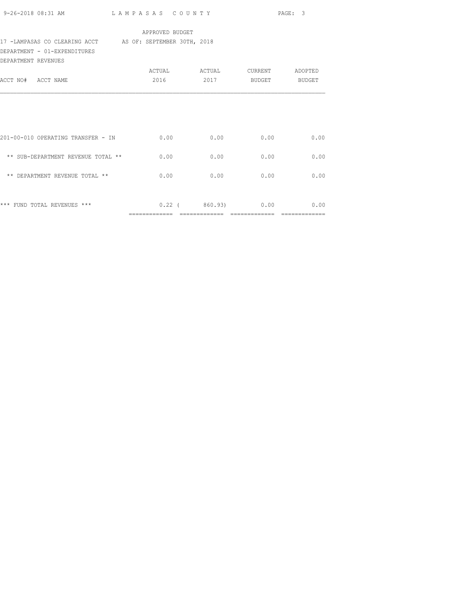|                                                           |                 |                          |               | PAGE: 3 |
|-----------------------------------------------------------|-----------------|--------------------------|---------------|---------|
|                                                           | APPROVED BUDGET |                          |               |         |
| 17 -LAMPASAS CO CLEARING ACCT AS OF: SEPTEMBER 30TH, 2018 |                 |                          |               |         |
| DEPARTMENT - 01-EXPENDITURES                              |                 |                          |               |         |
| DEPARTMENT REVENUES                                       |                 |                          |               |         |
|                                                           |                 |                          |               |         |
| ACCT NO# ACCT NAME                                        |                 | 2016 2017                | BUDGET BUDGET |         |
|                                                           |                 |                          |               |         |
| 201-00-010 OPERATING TRANSFER - IN                        | 0.00            | 0.00                     | 0.00          | 0.00    |
| ** SUB-DEPARTMENT REVENUE TOTAL **                        | 0.00            | 0.00                     | 0.00          | 0.00    |
| ** DEPARTMENT REVENUE TOTAL **                            | 0.00            | 0.00                     | 0.00          | 0.00    |
|                                                           |                 |                          |               |         |
| *** FUND TOTAL REVENUES ***                               |                 | $0.22$ ( $860.93$ ) 0.00 |               | 0.00    |

============= ============= ============= =============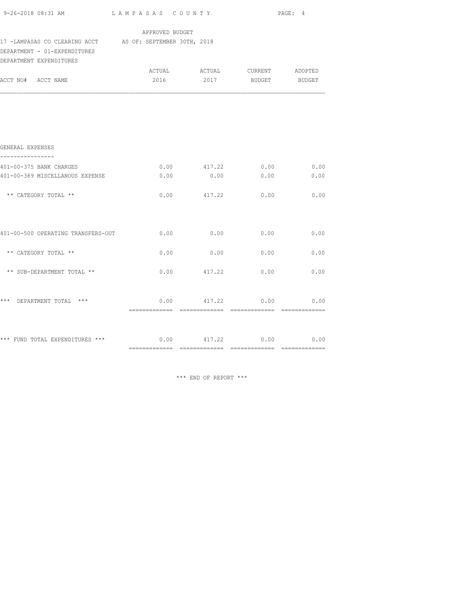| $9-26-2018$ 08:31 AM $\qquad$ LAMPASAS COUNTY PAGE: 4                                     |                 |                         |                                                     |              |
|-------------------------------------------------------------------------------------------|-----------------|-------------------------|-----------------------------------------------------|--------------|
| 17 -LAMPASAS CO CLEARING ACCT AS OF: SEPTEMBER 30TH, 2018<br>DEPARTMENT - 01-EXPENDITURES | APPROVED BUDGET |                         |                                                     |              |
| DEPARTMENT EXPENDITURES<br>ACCT NO# ACCT NAME                                             | 2016            |                         | ACTUAL ACTUAL CURRENT ADOPTED<br>2017 BUDGET BUDGET |              |
|                                                                                           |                 |                         |                                                     |              |
| GENERAL EXPENSES                                                                          |                 |                         |                                                     |              |
| 401-00-375 BANK CHARGES<br>401-00-389 MISCELLANOUS EXPENSE                                | 0.00            | $0.00$ $417.22$<br>0.00 | 0.00<br>0.00                                        | 0.00<br>0.00 |
| ** CATEGORY TOTAL **                                                                      |                 | $0.00$ $417.22$         | 0.00                                                | 0.00         |
| 401-00-500 OPERATING TRANSFERS-OUT $0.00$ $0.00$ $0.00$ $0.00$ $0.00$ $0.00$              |                 |                         |                                                     |              |
| ** CATEGORY TOTAL **                                                                      | 0.00            | 0.00                    | 0.00                                                | 0.00         |
| ** SUB-DEPARTMENT TOTAL **                                                                | 0.00            | 417.22                  | 0.00                                                | 0.00         |
| *** DEPARTMENT TOTAL ***                                                                  |                 |                         | $0.00$ $417.22$ $0.00$ $0.00$                       |              |
| *** FUND TOTAL EXPENDITURES *** $0.00$ $417.22$ $0.00$ $0.00$ $0.00$                      |                 |                         |                                                     |              |

\*\*\* END OF REPORT \*\*\*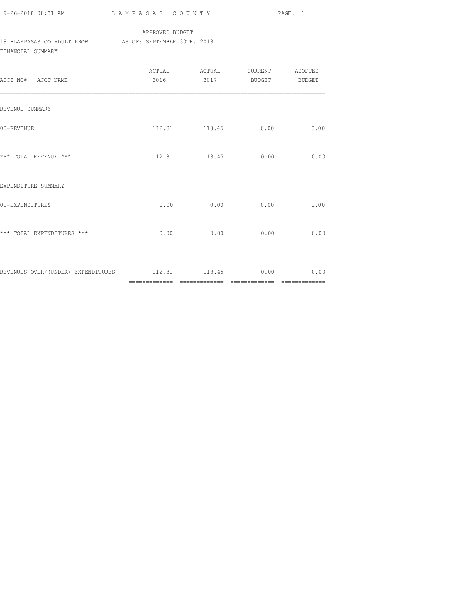| 9-26-2018 08:31 AM |  |
|--------------------|--|

## APPROVED BUDGET 19 -LAMPASAS CO ADULT PROB AS OF: SEPTEMBER 30TH, 2018 FINANCIAL SUMMARY

| ACCT NO# ACCT NAME                                    |               | 2016  2017 BUDGET BUDGET                     |               |               |
|-------------------------------------------------------|---------------|----------------------------------------------|---------------|---------------|
| REVENUE SUMMARY                                       |               |                                              |               |               |
| 00-REVENUE                                            |               | 112.81 118.45 0.00                           |               | 0.00          |
| *** TOTAL REVENUE ***                                 |               | 112.81 118.45 0.00                           |               | 0.00          |
| EXPENDITURE SUMMARY                                   |               |                                              |               |               |
| 01-EXPENDITURES                                       |               | $0.00$ 0.00                                  | 0.00          | 0.00          |
| *** TOTAL EXPENDITURES ***                            | ============= | $0.00$ 0.00 0.00 0.00 0.00<br>-------------- | ------------- | ============= |
| REVENUES OVER/(UNDER) EXPENDITURES 112.81 118.45 0.00 |               |                                              |               | 0.00          |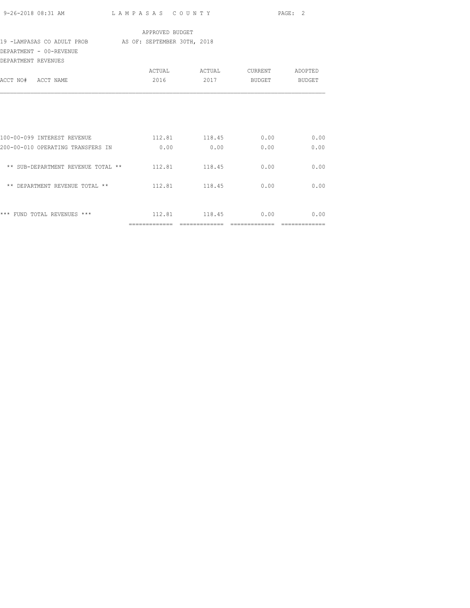|                                                                                                                         |                 |                         |      | PAGE: 2 |
|-------------------------------------------------------------------------------------------------------------------------|-----------------|-------------------------|------|---------|
| 19 -LAMPASAS CO ADULT PROB AS OF: SEPTEMBER 30TH, 2018                                                                  | APPROVED BUDGET |                         |      |         |
| DEPARTMENT - 00-REVENUE<br>DEPARTMENT REVENUES                                                                          |                 |                         |      |         |
| ACCT NO# ACCT NAME                                                                                                      |                 | 2016 2017 BUDGET BUDGET |      |         |
|                                                                                                                         |                 |                         |      |         |
|                                                                                                                         |                 |                         |      |         |
| 100-00-099 INTEREST REVENUE                           112.81             118.45                 0.00               0.00 |                 |                         |      |         |
| 200-00-010 OPERATING TRANSFERS IN 0.00                                                                                  |                 | 0.00                    | 0.00 | 0.00    |
| ** SUB-DEPARTMENT REVENUE TOTAL ** 112.81 118.45                                                                        |                 |                         | 0.00 | 0.00    |
| ** DEPARTMENT REVENUE TOTAL **                                                                                          |                 | 112.81 118.45           | 0.00 | 0.00    |
|                                                                                                                         |                 |                         |      | 0.00    |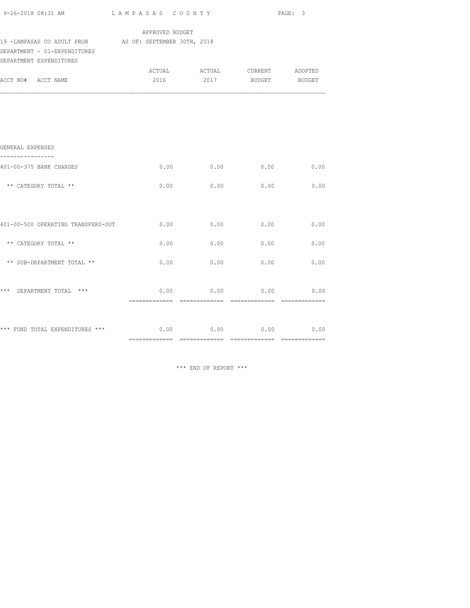|                                                                                                                   |                 |                               |      | PAGE: 3 |
|-------------------------------------------------------------------------------------------------------------------|-----------------|-------------------------------|------|---------|
|                                                                                                                   | APPROVED BUDGET |                               |      |         |
| 19 -LAMPASAS CO ADULT PROB AS OF: SEPTEMBER 30TH, 2018<br>DEPARTMENT - 01-EXPENDITURES<br>DEPARTMENT EXPENDITURES |                 |                               |      |         |
|                                                                                                                   |                 | ACTUAL ACTUAL CURRENT ADOPTED |      |         |
| ACCT NO# ACCT NAME                                                                                                |                 | 2016 2017 BUDGET BUDGET       |      |         |
|                                                                                                                   |                 |                               |      |         |
|                                                                                                                   |                 |                               |      |         |
| GENERAL EXPENSES<br>----------                                                                                    |                 |                               |      |         |
| 401-00-375 BANK CHARGES                                                                                           | 0.00            | 0.00                          | 0.00 | 0.00    |
| ** CATEGORY TOTAL **                                                                                              | 0.00            | 0.00                          | 0.00 | 0.00    |
|                                                                                                                   |                 |                               |      |         |
| 401-00-500 OPERATING TRANSFERS-OUT                                                                                | 0.00            | 0.00                          | 0.00 | 0.00    |
| ** CATEGORY TOTAL **                                                                                              | 0.00            | 0.00                          | 0.00 | 0.00    |
| ** SUB-DEPARTMENT TOTAL **                                                                                        | 0.00            | 0.00                          | 0.00 | 0.00    |
| *** DEPARTMENT TOTAL ***                                                                                          |                 | $0.00$ 0.00 0.00 0.00         |      |         |
|                                                                                                                   |                 |                               |      |         |
| *** FUND TOTAL EXPENDITURES *** $0.00$ $0.00$ $0.00$ $0.00$ $0.00$ $0.00$                                         |                 |                               |      |         |
|                                                                                                                   |                 |                               |      |         |

\*\*\* END OF REPORT \*\*\*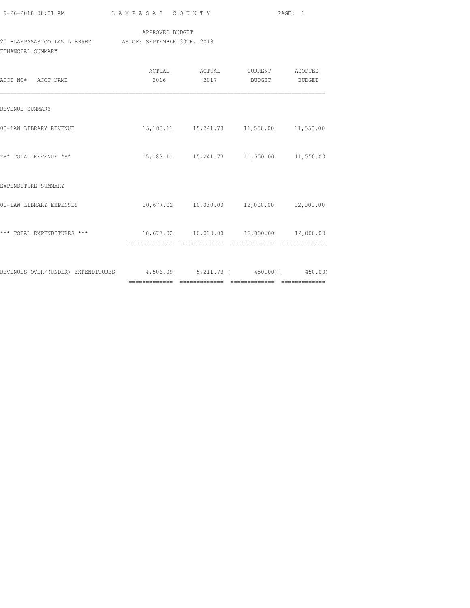| 9-26-2018 08:31 AM |  |
|--------------------|--|

## APPROVED BUDGET 20 -LAMPASAS CO LAW LIBRARY AS OF: SEPTEMBER 30TH, 2018 FINANCIAL SUMMARY

| ACCT NO# ACCT NAME                                                     | ACTUAL<br>2016 | ACTUAL<br>2017                                                | CURRENT ADOPTED<br>BUDGET | <b>BUDGET</b> |
|------------------------------------------------------------------------|----------------|---------------------------------------------------------------|---------------------------|---------------|
| REVENUE SUMMARY                                                        |                |                                                               |                           |               |
| 00-LAW LIBRARY REVENUE                                                 |                | 15, 183.11 15, 241.73 11, 550.00 11, 550.00                   |                           |               |
| *** TOTAL REVENUE ***                                                  |                | 15, 183.11 15, 241.73 11, 550.00 11, 550.00                   |                           |               |
| EXPENDITURE SUMMARY                                                    |                |                                                               |                           |               |
| 01-LAW LIBRARY EXPENSES                                                |                | $10,677.02$ $10,030.00$ $12,000.00$ $12,000.00$               |                           |               |
| *** TOTAL EXPENDITURES ***                                             |                | 10,677.02  10,030.00  12,000.00  12,000.00<br>- ============= | =============             | -----------   |
| REVENUES OVER/(UNDER) EXPENDITURES 4,506.09 5,211.73 (450.00) (450.00) |                |                                                               |                           |               |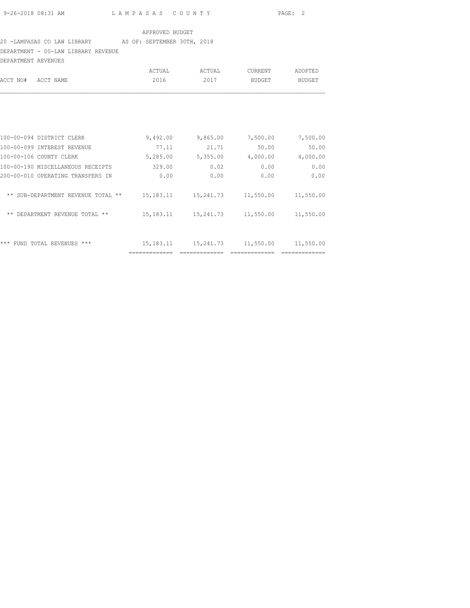## 20 -LAMPASAS CO LAW LIBRARY AS OF: SEPTEMBER 30TH, 2018

DEPARTMENT - 00-LAW LIBRARY REVENUE

| DEPARTMENT REVENUES                |             |           |                |           |
|------------------------------------|-------------|-----------|----------------|-----------|
|                                    | ACTUAL      | ACTUAL    | <b>CURRENT</b> | ADOPTED   |
| ACCT NO#<br>ACCT NAME              | 2016        | 2017      | <b>BUDGET</b>  | BUDGET    |
|                                    |             |           |                |           |
| 100-00-094 DISTRICT CLERK          | 9,492.00    | 9,865.00  | 7,500.00       | 7,500.00  |
| 100-00-099 INTEREST REVENUE        | 77.11       | 21.71     | 50.00          | 50.00     |
| 100-00-106 COUNTY CLERK            | 5,285.00    | 5,355.00  | 4,000.00       | 4,000.00  |
| 100-00-190 MISCELLANEOUS RECEIPTS  | 329.00      | 0.02      | 0.00           | 0.00      |
| 200-00-010 OPERATING TRANSFERS IN  | 0.00        | 0.00      | 0.00           | 0.00      |
| ** SUB-DEPARTMENT REVENUE TOTAL ** | 15,183.11   | 15,241.73 | 11,550.00      | 11,550.00 |
| ** DEPARTMENT REVENUE TOTAL **     | 15, 183. 11 | 15,241.73 | 11,550.00      | 11,550.00 |
|                                    |             |           |                |           |

============= ============= ============= =============

\*\*\* FUND TOTAL REVENUES \*\*\* 15,183.11 15,241.73 11,550.00 11,550.00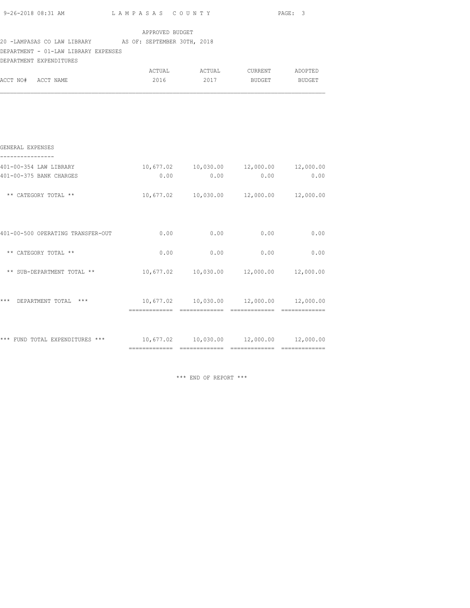|                                                                                                 |                                                 |      | PAGE: 3                                                 |      |
|-------------------------------------------------------------------------------------------------|-------------------------------------------------|------|---------------------------------------------------------|------|
| 20 -LAMPASAS CO LAW LIBRARY AS OF: SEPTEMBER 30TH, 2018<br>DEPARTMENT - 01-LAW LIBRARY EXPENSES | APPROVED BUDGET                                 |      |                                                         |      |
| DEPARTMENT EXPENDITURES<br>ACCT NO# ACCT NAME                                                   |                                                 |      | 2016 2017 BUDGET BUDGET                                 |      |
|                                                                                                 |                                                 |      |                                                         |      |
| GENERAL EXPENSES                                                                                |                                                 |      |                                                         |      |
| ----------------<br>401-00-354 LAW LIBRARY<br>401-00-375 BANK CHARGES                           | 0.00                                            | 0.00 | $10,677.02$ $10,030.00$ $12,000.00$ $12,000.00$<br>0.00 | 0.00 |
| ** CATEGORY TOTAL **                                                                            |                                                 |      | $10,677.02$ $10,030.00$ $12,000.00$ $12,000.00$         |      |
| 401-00-500 OPERATING TRANSFER-OUT                                                               | 0.00                                            |      | $0.00$ 0.00 0.00                                        |      |
| ** CATEGORY TOTAL **                                                                            | 0.00                                            | 0.00 | 0.00                                                    | 0.00 |
| ** SUB-DEPARTMENT TOTAL **                                                                      | $10,677.02$ $10,030.00$ $12,000.00$ $12,000.00$ |      |                                                         |      |
| *** DEPARTMENT TOTAL ***                                                                        | $10,677.02$ $10,030.00$ $12,000.00$ $12,000.00$ |      |                                                         |      |
| *** FUND TOTAL EXPENDITURES *** $10,677.02$ $10,030.00$ $12,000.00$ $12,000.00$                 |                                                 |      |                                                         |      |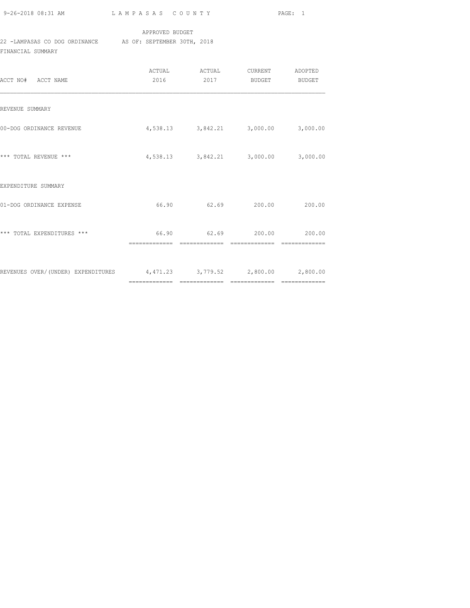| 9-26-2018 08:31 AM |  |
|--------------------|--|
|                    |  |

## APPROVED BUDGET

# 22 -LAMPASAS CO DOG ORDINANCE AS OF: SEPTEMBER 30TH, 2018

FINANCIAL SUMMARY

| ACCT NO# ACCT NAME                                                     | 2016 | ACTUAL ACTUAL<br>2017               | CURRENT ADOPTED<br><b>BUDGET</b> | BUDGET |
|------------------------------------------------------------------------|------|-------------------------------------|----------------------------------|--------|
| REVENUE SUMMARY                                                        |      |                                     |                                  |        |
| 00-DOG ORDINANCE REVENUE                                               |      | 4,538.13 3,842.21 3,000.00 3,000.00 |                                  |        |
| *** TOTAL REVENUE ***                                                  |      | 4,538.13 3,842.21 3,000.00 3,000.00 |                                  |        |
| EXPENDITURE SUMMARY                                                    |      |                                     |                                  |        |
| 01-DOG ORDINANCE EXPENSE                                               |      | 66.90 62.69 200.00                  |                                  | 200.00 |
| *** TOTAL EXPENDITURES ***                                             |      | 66.90 62.69 200.00 200.00           |                                  |        |
| REVENUES OVER/(UNDER) EXPENDITURES 4,471.23 3,779.52 2,800.00 2,800.00 |      |                                     |                                  |        |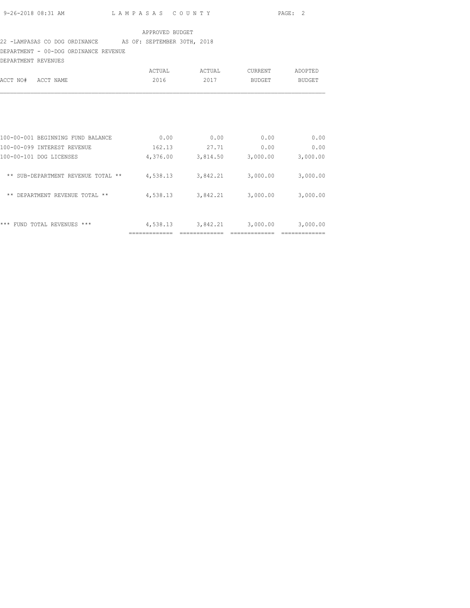## 22 -LAMPASAS CO DOG ORDINANCE AS OF: SEPTEMBER 30TH, 2018

DEPARTMENT - 00-DOG ORDINANCE REVENUE

| DEPARTMENT REVENUES                |          |          |               |               |
|------------------------------------|----------|----------|---------------|---------------|
|                                    | ACTUAL   | ACTUAL   | CURRENT       | ADOPTED       |
| ACCT NO#<br>ACCT NAME              | 2016     | 2017     | <b>BUDGET</b> | <b>BUDGET</b> |
|                                    |          |          |               |               |
|                                    |          |          |               |               |
|                                    |          |          |               |               |
| 100-00-001 BEGINNING FUND BALANCE  | 0.00     | 0.00     | 0.00          | 0.00          |
| 100-00-099 INTEREST REVENUE        | 162.13   | 27.71    | 0.00          | 0.00          |
| 100-00-101 DOG LICENSES            | 4,376.00 | 3,814.50 | 3,000.00      | 3,000.00      |
| ** SUB-DEPARTMENT REVENUE TOTAL ** | 4,538.13 | 3,842.21 | 3,000.00      | 3,000.00      |
| ** DEPARTMENT REVENUE TOTAL **     | 4,538.13 | 3,842.21 | 3,000.00      | 3,000.00      |
|                                    |          |          |               |               |
| ***<br>FUND TOTAL REVENUES ***     | 4,538.13 | 3,842.21 | 3,000.00      | 3,000.00      |
|                                    |          |          |               |               |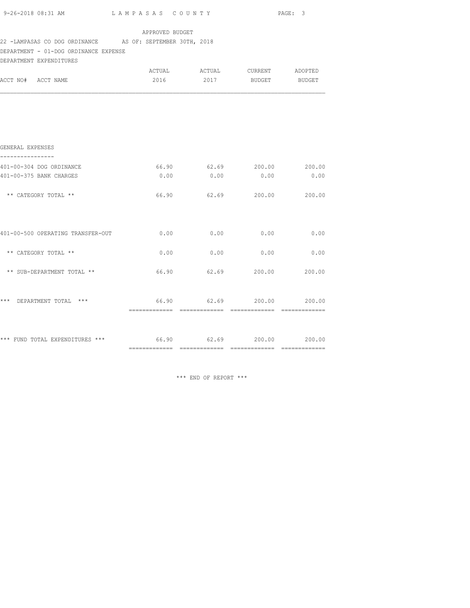|                                                                                                    |                 |      |                     | PAGE: 3                   |
|----------------------------------------------------------------------------------------------------|-----------------|------|---------------------|---------------------------|
| 22 -LAMPASAS CO DOG ORDINANCE AS OF: SEPTEMBER 30TH, 2018<br>DEPARTMENT - 01-DOG ORDINANCE EXPENSE | APPROVED BUDGET |      |                     |                           |
| DEPARTMENT EXPENDITURES<br>ACCT NO# ACCT NAME                                                      | 2016            |      | 2017 BUDGET         | <b>BUDGET</b>             |
|                                                                                                    |                 |      |                     |                           |
| GENERAL EXPENSES                                                                                   |                 |      |                     |                           |
| 401-00-304 DOG ORDINANCE                                                                           | 66.90           |      |                     | 62.69 200.00 200.00       |
| 401-00-375 BANK CHARGES                                                                            | 0.00            | 0.00 | 0.00                | 0.00                      |
| ** CATEGORY TOTAL **                                                                               |                 |      |                     | 66.90 62.69 200.00 200.00 |
|                                                                                                    |                 |      |                     |                           |
| ** CATEGORY TOTAL **                                                                               | 0.00            | 0.00 | 0.00                | 0.00                      |
| ** SUB-DEPARTMENT TOTAL **                                                                         | 66.90           |      | 62.69 200.00 200.00 |                           |
| *** DEPARTMENT TOTAL ***                                                                           |                 |      |                     | 66.90 62.69 200.00 200.00 |
| *** FUND TOTAL EXPENDITURES *** $66.90$ $62.69$ $200.00$ $200.00$                                  |                 |      |                     |                           |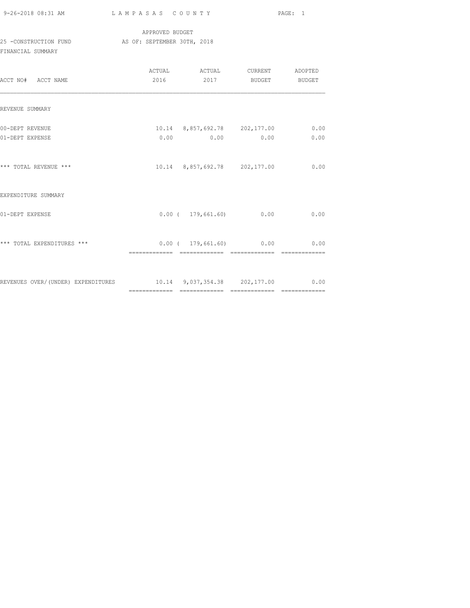| 9-26-2018 08:31 AM |  |  |
|--------------------|--|--|

### APPROVED BUDGET 25 -CONSTRUCTION FUND AS OF: SEPTEMBER 30TH, 2018 FINANCIAL SUMMARY

| ACCT NO# ACCT NAME                                                    | 2016 2017 BUDGET BUDGET                                      |              |
|-----------------------------------------------------------------------|--------------------------------------------------------------|--------------|
| REVENUE SUMMARY                                                       |                                                              |              |
| 00-DEPT REVENUE<br>01-DEPT EXPENSE                                    | 10.14 8,857,692.78 202,177.00<br>$0.00$ $0.00$ $0.00$ $0.00$ | 0.00<br>0.00 |
| *** TOTAL REVENUE ***                                                 | 10.14 8,857,692.78 202,177.00                                | 0.00         |
| EXPENDITURE SUMMARY                                                   |                                                              |              |
| 01-DEPT EXPENSE                                                       | $0.00$ ( $179,661.60$ ) 0.00                                 | 0.00         |
| *** TOTAL EXPENDITURES ***                                            | $0.00$ ( 179,661.60) 0.00 0.00                               |              |
| REVENUES OVER/(UNDER) EXPENDITURES 10.14 9,037,354.38 202,177.00 0.00 |                                                              |              |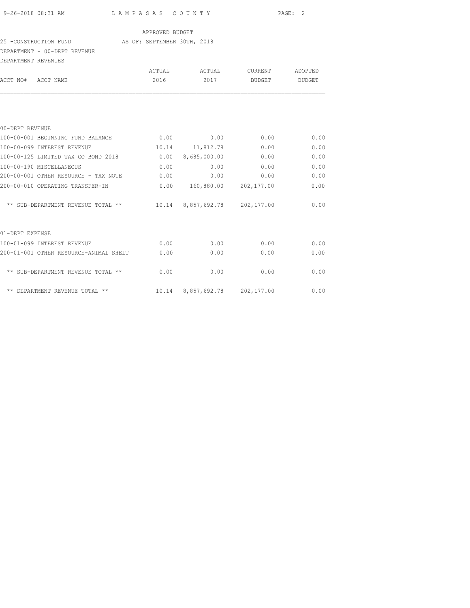#### 25 -CONSTRUCTION FUND AS OF: SEPTEMBER 30TH, 2018

### DEPARTMENT - 00-DEPT REVENUE

| DEPARTMENT - UU-DEPT REVENUE           |        |                               |         |         |
|----------------------------------------|--------|-------------------------------|---------|---------|
| DEPARTMENT REVENUES                    |        |                               |         |         |
|                                        | ACTUAL | ACTUAL                        | CURRENT | ADOPTED |
| ACCT NAME<br>ACCT NO#                  | 2016   | 2017                          | BUDGET  | BUDGET  |
|                                        |        |                               |         |         |
| 00-DEPT REVENUE                        |        |                               |         |         |
| 100-00-001 BEGINNING FUND BALANCE      | 0.00   | 0.00                          | 0.00    | 0.00    |
| 100-00-099 INTEREST REVENUE            |        | 10.14 11,812.78               | 0.00    | 0.00    |
| 100-00-125 LIMITED TAX GO BOND 2018    | 0.00   | 8,685,000.00                  | 0.00    | 0.00    |
| 100-00-190 MISCELLANEOUS               | 0.00   | 0.00                          | 0.00    | 0.00    |
| 200-00-001 OTHER RESOURCE - TAX NOTE   | 0.00   | 0.00                          | 0.00    | 0.00    |
| 200-00-010 OPERATING TRANSFER-IN       | 0.00   | 160,880.00 202,177.00         |         | 0.00    |
| ** SUB-DEPARTMENT REVENUE TOTAL **     |        | 10.14 8,857,692.78 202,177.00 |         | 0.00    |
| 01-DEPT EXPENSE                        |        |                               |         |         |
| 100-01-099 INTEREST REVENUE            | 0.00   | 0.00                          | 0.00    | 0.00    |
| 200-01-001 OTHER RESOURCE-ANIMAL SHELT | 0.00   | 0.00                          | 0.00    | 0.00    |

| tvv vi v <i>jj</i> inimuli inivil      | . <i>. .</i> | . . <i>.</i>       | .          | .    |
|----------------------------------------|--------------|--------------------|------------|------|
| 200-01-001 OTHER RESOURCE-ANIMAL SHELT | 0.00         | 0.00               | 0.00       | 0.00 |
| ** SUB-DEPARTMENT REVENUE TOTAL **     | 0.00         | 0.00               | 0.00       | 0.00 |
| ** DEPARTMENT REVENUE TOTAL **         |              | 10.14 8,857,692.78 | 202,177.00 | 0.00 |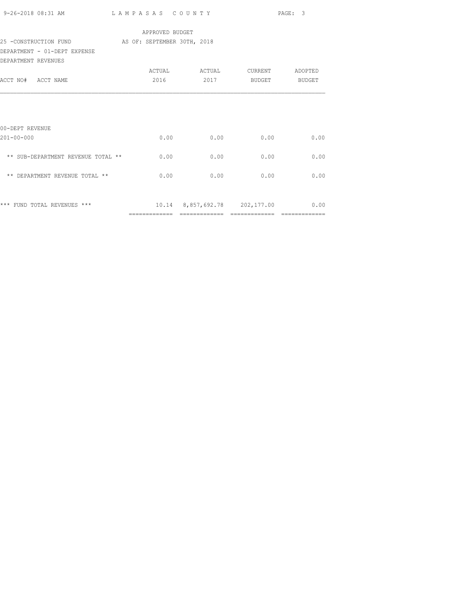| 9-26-2018 08:31 AM                                | LAMPASAS COUNTY |      |                                    | PAGE: 3 |
|---------------------------------------------------|-----------------|------|------------------------------------|---------|
|                                                   | APPROVED BUDGET |      |                                    |         |
| 25 -CONSTRUCTION FUND AS OF: SEPTEMBER 30TH, 2018 |                 |      |                                    |         |
| DEPARTMENT - 01-DEPT EXPENSE                      |                 |      |                                    |         |
| DEPARTMENT REVENUES                               |                 |      |                                    |         |
|                                                   |                 |      | ACTUAL ACTUAL CURRENT              | ADOPTED |
| ACCT NO# ACCT NAME                                | 2016            |      | 2017 BUDGET BUDGET                 |         |
|                                                   |                 |      |                                    |         |
|                                                   |                 |      |                                    |         |
|                                                   |                 |      |                                    |         |
|                                                   |                 |      |                                    |         |
| 00-DEPT REVENUE                                   |                 |      |                                    |         |
| $201 - 00 - 000$                                  | 0.00            |      | $0.00$ 0.00                        | 0.00    |
|                                                   |                 |      |                                    |         |
| ** SUB-DEPARTMENT REVENUE TOTAL **                | 0.00            | 0.00 | 0.00                               | 0.00    |
|                                                   |                 |      |                                    |         |
| ** DEPARTMENT REVENUE TOTAL **                    | 0.00            | 0.00 | 0.00                               | 0.00    |
|                                                   |                 |      |                                    |         |
|                                                   |                 |      |                                    |         |
| *** FUND TOTAL REVENUES ***                       |                 |      | 10.14 8,857,692.78 202,177.00 0.00 |         |
|                                                   | =============   |      | -------------- --------------      |         |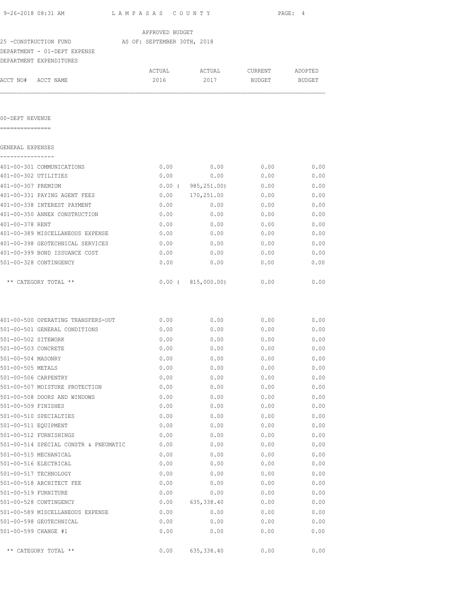| 9-26-2018 08:31 AM                    | LAMPASAS COUNTY             |                         |         | PAGE: 4 |
|---------------------------------------|-----------------------------|-------------------------|---------|---------|
|                                       | APPROVED BUDGET             |                         |         |         |
| 25 -CONSTRUCTION FUND                 | AS OF: SEPTEMBER 30TH, 2018 |                         |         |         |
| DEPARTMENT - 01-DEPT EXPENSE          |                             |                         |         |         |
| DEPARTMENT EXPENDITURES               |                             |                         |         |         |
|                                       | ACTUAL                      | ACTUAL                  | CURRENT | ADOPTED |
| ACCT NO# ACCT NAME                    | 2016                        | 2017                    | BUDGET  | BUDGET  |
| 00-DEPT REVENUE                       |                             |                         |         |         |
|                                       |                             |                         |         |         |
| GENERAL EXPENSES<br>----------        |                             |                         |         |         |
| 401-00-301 COMMUNICATIONS             | 0.00                        | 0.00                    | 0.00    | 0.00    |
| 401-00-302 UTILITIES                  | 0.00                        | 0.00                    | 0.00    | 0.00    |
| 401-00-307 PREMIUM                    |                             | $0.00$ ( $985,251.00$ ) | 0.00    | 0.00    |
| 401-00-331 PAYING AGENT FEES          |                             | 0.00 170, 251.00        | 0.00    | 0.00    |
| 401-00-338 INTEREST PAYMENT           | 0.00                        | 0.00                    | 0.00    | 0.00    |
| 401-00-350 ANNEX CONSTRUCTION         | 0.00                        | 0.00                    | 0.00    | 0.00    |
| 401-00-378 RENT                       | 0.00                        | 0.00                    | 0.00    | 0.00    |
| 401-00-389 MISCELLANEOUS EXPENSE      | 0.00                        | 0.00                    | 0.00    | 0.00    |
| 401-00-398 GEOTECHNICAL SERVICES      | 0.00                        | 0.00                    | 0.00    | 0.00    |
| 401-00-399 BOND ISSUANCE COST         | 0.00                        | 0.00                    | 0.00    | 0.00    |
| 501-00-328 CONTINGENCY                | 0.00                        | 0.00                    | 0.00    | 0.00    |
| ** CATEGORY TOTAL **                  |                             | $0.00$ ( $815,000.00$ ) | 0.00    | 0.00    |
| 401-00-500 OPERATING TRANSFERS-OUT    | 0.00                        | 0.00                    | 0.00    | 0.00    |
| 501-00-501 GENERAL CONDITIONS         | 0.00                        | 0.00                    | 0.00    | 0.00    |
| 501-00-502 SITEWORK                   | 0.00                        | 0.00                    | 0.00    | 0.00    |
| 501-00-503 CONCRETE                   | 0.00                        | 0.00                    | 0.00    | 0.00    |
| 501-00-504 MASONRY                    | 0.00                        | 0.00                    | 0.00    | 0.00    |
| 501-00-505 METALS                     | 0.00                        | 0.00                    | 0.00    | 0.00    |
| 501-00-506 CARPENTRY                  | 0.00                        | 0.00                    | 0.00    | 0.00    |
| 501-00-507 MOISTURE PROTECTION        | 0.00                        | 0.00                    | 0.00    | 0.00    |
| 501-00-508 DOORS AND WINDOWS          | 0.00                        | 0.00                    | 0.00    | 0.00    |
| 501-00-509 FINISHES                   | 0.00                        | 0.00                    | 0.00    | 0.00    |
| 501-00-510 SPECIALTIES                | 0.00                        | 0.00                    | 0.00    | 0.00    |
| 501-00-511 EQUIPMENT                  | 0.00                        | 0.00                    | 0.00    | 0.00    |
| 501-00-512 FURNISHINGS                | 0.00                        | 0.00                    | 0.00    | 0.00    |
| 501-00-514 SPECIAL CONSTR & PNEUMATIC | 0.00                        | 0.00                    | 0.00    | 0.00    |
| 501-00-515 MECHANICAL                 | 0.00                        | 0.00                    | 0.00    | 0.00    |
| 501-00-516 ELECTRICAL                 | 0.00                        | 0.00                    | 0.00    | 0.00    |
| 501-00-517 TECHNOLOGY                 | 0.00                        | 0.00                    | 0.00    | 0.00    |
| 501-00-518 ARCHITECT FEE              | 0.00                        | 0.00                    | 0.00    | 0.00    |
| 501-00-519 FURNITURE                  | 0.00                        | 0.00                    | 0.00    | 0.00    |
| 501-00-528 CONTINGENCY                | 0.00                        | 635,338.40              | 0.00    | 0.00    |
| 501-00-589 MISCELLANEOUS EXPENSE      | 0.00                        | 0.00                    | 0.00    | 0.00    |

|                      | 501-00-508 DOORS AND WINDOWS          | 0.00 | 0.00       | 0.00 | 0.00 |
|----------------------|---------------------------------------|------|------------|------|------|
| 501-00-509 FINISHES  |                                       | 0.00 | 0.00       | 0.00 | 0.00 |
|                      | 501-00-510 SPECIALTIES                | 0.00 | 0.00       | 0.00 | 0.00 |
| 501-00-511 EOUIPMENT |                                       | 0.00 | 0.00       | 0.00 | 0.00 |
|                      | 501-00-512 FURNISHINGS                | 0.00 | 0.00       | 0.00 | 0.00 |
|                      | 501-00-514 SPECIAL CONSTR & PNEUMATIC | 0.00 | 0.00       | 0.00 | 0.00 |
|                      | 501-00-515 MECHANICAL                 | 0.00 | 0.00       | 0.00 | 0.00 |
|                      | 501-00-516 ELECTRICAL                 | 0.00 | 0.00       | 0.00 | 0.00 |
|                      | 501-00-517 TECHNOLOGY                 | 0.00 | 0.00       | 0.00 | 0.00 |
|                      | 501-00-518 ARCHITECT FEE              | 0.00 | 0.00       | 0.00 | 0.00 |
| 501-00-519 FURNITURE |                                       | 0.00 | 0.00       | 0.00 | 0.00 |
|                      | 501-00-528 CONTINGENCY                | 0.00 | 635,338.40 | 0.00 | 0.00 |
|                      | 501-00-589 MISCELLANEOUS EXPENSE      | 0.00 | 0.00       | 0.00 | 0.00 |
|                      | 501-00-598 GEOTECHNICAL               | 0.00 | 0.00       | 0.00 | 0.00 |
| 501-00-599 CHANGE #1 |                                       | 0.00 | 0.00       | 0.00 | 0.00 |

\*\* CATEGORY TOTAL \*\* 0.00 635,338.40 0.00 0.00 0.00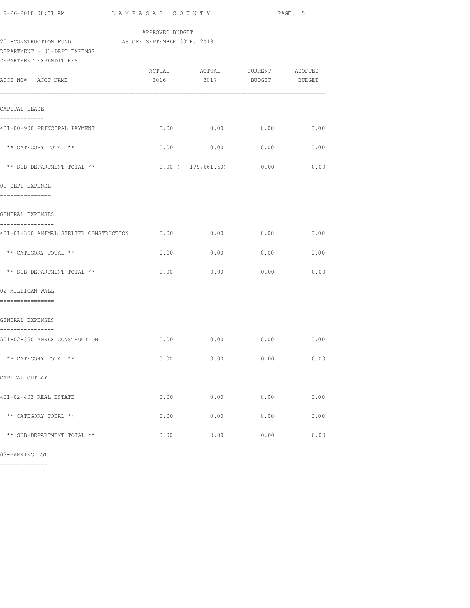| 9-26-2018 08:31 AM                                                                                            | LAMPASAS COUNTY |                                    |               | PAGE: 5       |
|---------------------------------------------------------------------------------------------------------------|-----------------|------------------------------------|---------------|---------------|
|                                                                                                               | APPROVED BUDGET |                                    |               |               |
| 25 - CONSTRUCTION FUND AS OF: SEPTEMBER 30TH, 2018<br>DEPARTMENT - 01-DEPT EXPENSE<br>DEPARTMENT EXPENDITURES |                 |                                    |               |               |
| ACCT NO# ACCT NAME                                                                                            | 2016            | 2017                               | <b>BUDGET</b> | <b>BUDGET</b> |
| CAPITAL LEASE<br>-------------                                                                                |                 |                                    |               |               |
| 401-00-900 PRINCIPAL PAYMENT                                                                                  |                 | $0.00$ 0.00 0.00 0.00              |               |               |
| ** CATEGORY TOTAL **                                                                                          | 0.00            | 0.00                               | 0.00          | 0.00          |
| ** SUB-DEPARTMENT TOTAL **                                                                                    |                 | $0.00$ ( 179,661.60)               | 0.00          | 0.00          |
| 01-DEPT EXPENSE<br>----------------                                                                           |                 |                                    |               |               |
| GENERAL EXPENSES                                                                                              |                 |                                    |               |               |
| ----------------<br>401-01-350 ANIMAL SHELTER CONSTRUCTION $0.00$ $0.00$ $0.00$ $0.00$ $0.00$                 |                 |                                    |               |               |
| ** CATEGORY TOTAL **                                                                                          | 0.00            | 0.00                               | 0.00          | 0.00          |
| ** SUB-DEPARTMENT TOTAL **                                                                                    | 0.00            | 0.00                               | 0.00          | 0.00          |
| 02-MILLICAN WALL<br>================                                                                          |                 |                                    |               |               |
| GENERAL EXPENSES<br>----------------                                                                          |                 |                                    |               |               |
| 501-02-350 ANNEX CONSTRUCTION                                                                                 |                 | $0.00$ $0.00$ $0.00$ $0.00$ $0.00$ |               |               |
| ** CATEGORY TOTAL **                                                                                          | 0.00            | 0.00                               | 0.00          | 0.00          |
| CAPITAL OUTLAY                                                                                                |                 |                                    |               |               |
| 401-02-403 REAL ESTATE                                                                                        | 0.00            | 0.00                               | 0.00          | 0.00          |
| ** CATEGORY TOTAL **                                                                                          | 0.00            | 0.00                               | 0.00          | 0.00          |
| ** SUB-DEPARTMENT TOTAL **                                                                                    | 0.00            | 0.00                               | 0.00          | 0.00          |

03-PARKING LOT

==============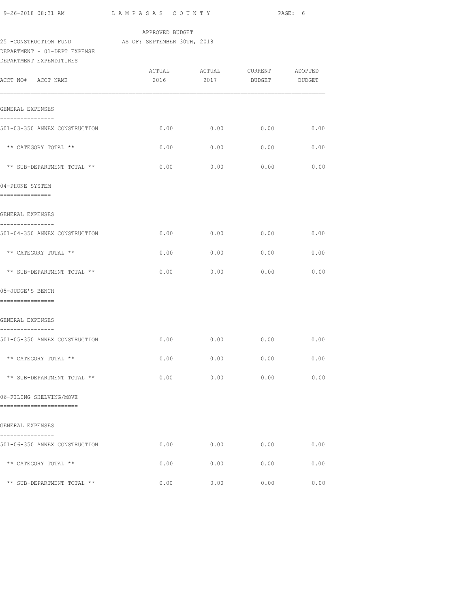| 9-26-2018 08:31 AM                                                                                           | LAMPASAS COUNTY |                         |      | PAGE: 6 |
|--------------------------------------------------------------------------------------------------------------|-----------------|-------------------------|------|---------|
| 25 -CONSTRUCTION FUND AS OF: SEPTEMBER 30TH, 2018<br>DEPARTMENT - 01-DEPT EXPENSE<br>DEPARTMENT EXPENDITURES | APPROVED BUDGET |                         |      |         |
| ACCT NO# ACCT NAME                                                                                           |                 | 2016 2017 BUDGET BUDGET |      |         |
| GENERAL EXPENSES                                                                                             |                 |                         |      |         |
| ----------------<br>501-03-350 ANNEX CONSTRUCTION                                                            | 0.00            | 0.00                    | 0.00 | 0.00    |
| ** CATEGORY TOTAL **                                                                                         | 0.00            | 0.00                    | 0.00 | 0.00    |
| ** SUB-DEPARTMENT TOTAL **                                                                                   | 0.00            | 0.00                    | 0.00 | 0.00    |
| 04-PHONE SYSTEM<br>---------------                                                                           |                 |                         |      |         |
| GENERAL EXPENSES                                                                                             |                 |                         |      |         |
| ----------------<br>501-04-350 ANNEX CONSTRUCTION                                                            | 0.00            | 0.00                    | 0.00 | 0.00    |
| ** CATEGORY TOTAL **                                                                                         | 0.00            | 0.00                    | 0.00 | 0.00    |
| ** SUB-DEPARTMENT TOTAL **                                                                                   | 0.00            | 0.00                    | 0.00 | 0.00    |
| 05-JUDGE'S BENCH<br>----------------                                                                         |                 |                         |      |         |
| GENERAL EXPENSES                                                                                             |                 |                         |      |         |
| ----------------<br>501-05-350 ANNEX CONSTRUCTION                                                            |                 | $0.00$ 0.00 0.00 0.00   |      |         |
| ** CATEGORY TOTAL **                                                                                         | 0.00            | 0.00                    | 0.00 | 0.00    |
| ** SUB-DEPARTMENT TOTAL **                                                                                   | 0.00            | 0.00                    | 0.00 | 0.00    |
| 06-FILING SHELVING/MOVE<br>------------------------                                                          |                 |                         |      |         |
| GENERAL EXPENSES<br>---------                                                                                |                 |                         |      |         |
| 501-06-350 ANNEX CONSTRUCTION                                                                                | 0.00            | 0.00                    | 0.00 | 0.00    |
| ** CATEGORY TOTAL **                                                                                         | 0.00            | 0.00                    | 0.00 | 0.00    |
| ** SUB-DEPARTMENT TOTAL **                                                                                   | 0.00            | 0.00                    | 0.00 | 0.00    |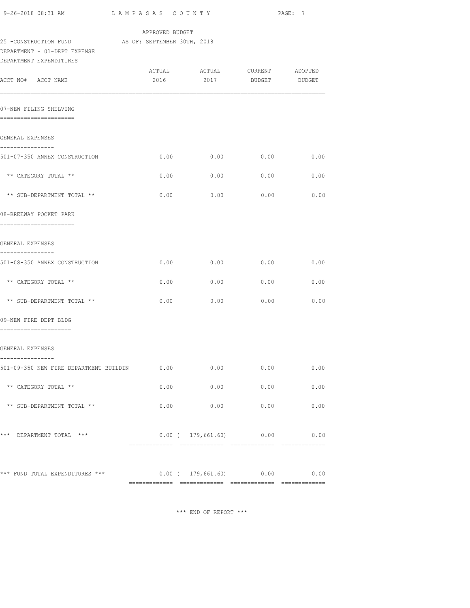| 9-26-2018 08:31 AM                                                                | LAMPASAS COUNTY |                               |               | PAGE: 7 |
|-----------------------------------------------------------------------------------|-----------------|-------------------------------|---------------|---------|
|                                                                                   | APPROVED BUDGET |                               |               |         |
| 25 -CONSTRUCTION FUND AS OF: SEPTEMBER 30TH, 2018<br>DEPARTMENT - 01-DEPT EXPENSE |                 |                               |               |         |
| DEPARTMENT EXPENDITURES                                                           |                 |                               |               |         |
|                                                                                   |                 | ACTUAL ACTUAL CURRENT ADOPTED |               |         |
| ACCT NO# ACCT NAME                                                                | 2016            | 2017                          | BUDGET BUDGET |         |
| 07-NEW FILING SHELVING<br>======================                                  |                 |                               |               |         |
| GENERAL EXPENSES                                                                  |                 |                               |               |         |
| ----------------<br>501-07-350 ANNEX CONSTRUCTION                                 | 0.00            | 0.00                          | 0.00          | 0.00    |
| ** CATEGORY TOTAL **                                                              | 0.00            | 0.00                          | 0.00          | 0.00    |
| ** SUB-DEPARTMENT TOTAL **                                                        | 0.00            | 0.00                          | 0.00          | 0.00    |
| 08-BREEWAY POCKET PARK<br>======================                                  |                 |                               |               |         |
| GENERAL EXPENSES                                                                  |                 |                               |               |         |
| ----------------<br>501-08-350 ANNEX CONSTRUCTION                                 | 0.00            | 0.00                          | 0.00          | 0.00    |
| ** CATEGORY TOTAL **                                                              | 0.00            | 0.00                          | 0.00          | 0.00    |
| ** SUB-DEPARTMENT TOTAL **                                                        | 0.00            | 0.00                          | 0.00          | 0.00    |
| 09-NEW FIRE DEPT BLDG<br>----------------------                                   |                 |                               |               |         |
| GENERAL EXPENSES                                                                  |                 |                               |               |         |
| ----------------<br>501-09-350 NEW FIRE DEPARTMENT BUILDIN                        | 0.00            | 0.00                          | 0.00          | 0.00    |
| ** CATEGORY TOTAL **                                                              | 0.00            | 0.00                          | 0.00          | 0.00    |
| ** SUB-DEPARTMENT TOTAL **                                                        | 0.00            | 0.00                          | 0.00          | 0.00    |
| *** DEPARTMENT TOTAL ***                                                          |                 | $0.00$ ( $179,661.60$ ) 0.00  |               | 0.00    |
| *** FUND TOTAL EXPENDITURES ***                                                   |                 | $0.00$ ( $179,661.60$ ) 0.00  |               | 0.00    |
|                                                                                   |                 |                               |               |         |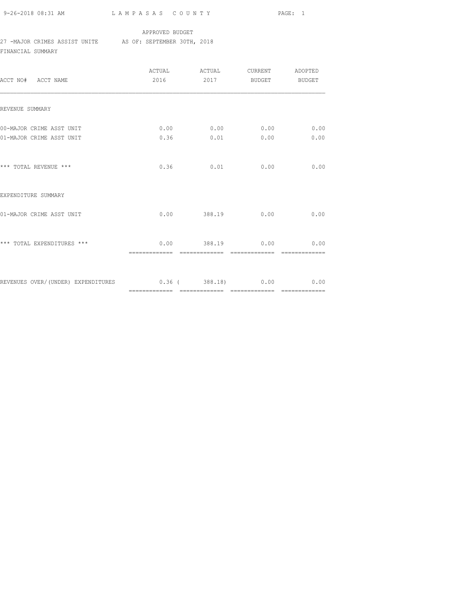9-26-2018 08:31 AM L A M P A S A S C O U N T Y PAGE: 1

#### APPROVED BUDGET

### 27 -MAJOR CRIMES ASSIST UNITE AS OF: SEPTEMBER 30TH, 2018

FINANCIAL SUMMARY

| ACCT NO# ACCT NAME                                              | 2016 |                            | 2017 BUDGET BUDGET |      |
|-----------------------------------------------------------------|------|----------------------------|--------------------|------|
| REVENUE SUMMARY                                                 |      |                            |                    |      |
| 00-MAJOR CRIME ASST UNIT<br>01-MAJOR CRIME ASST UNIT            |      | $0.00$ 0.00 0.00 0.00 0.00 |                    |      |
|                                                                 |      | $0.36$ $0.01$ $0.00$       |                    | 0.00 |
| *** TOTAL REVENUE ***                                           |      | $0.36$ $0.01$              | 0.00               | 0.00 |
| EXPENDITURE SUMMARY                                             |      |                            |                    |      |
| 01-MAJOR CRIME ASST UNIT                                        |      | $0.00$ 388.19 $0.00$       |                    | 0.00 |
| *** TOTAL EXPENDITURES ***                                      |      | $0.00$ 388.19 $0.00$ 0.00  |                    |      |
| REVENUES OVER/(UNDER) EXPENDITURES 0.36 (388.18) 0.00 0.00 0.00 |      |                            |                    |      |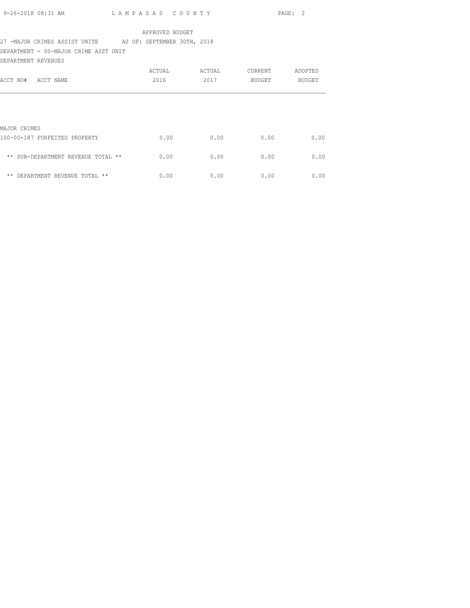| 9-26-2018 08:31 AM | LAMPASAS COUNTY | PAGE: 2 |  |
|--------------------|-----------------|---------|--|
|                    |                 |         |  |

## 27 -MAJOR CRIMES ASSIST UNITE AS OF: SEPTEMBER 30TH, 2018

DEPARTMENT - 00-MAJOR CRIME ASST UNIT

| DEPARTMENT REVENUES                  |        |        |         |               |
|--------------------------------------|--------|--------|---------|---------------|
|                                      | ACTUAL | ACTUAL | CURRENT | ADOPTED       |
| ACCT NO#<br>ACCT NAME                | 2016   | 2017   | BUDGET  | <b>BUDGET</b> |
|                                      |        |        |         |               |
|                                      |        |        |         |               |
| MAJOR CRIMES                         |        |        |         |               |
| 100-00-187 FORFEITED PROPERTY        | 0.00   | 0.00   | 0.00    | 0.00          |
| ** SUB-DEPARTMENT REVENUE TOTAL **   | 0.00   | 0.00   | 0.00    | 0.00          |
| $***$<br>DEPARTMENT REVENUE TOTAL ** | 0.00   | 0.00   | 0.00    | 0.00          |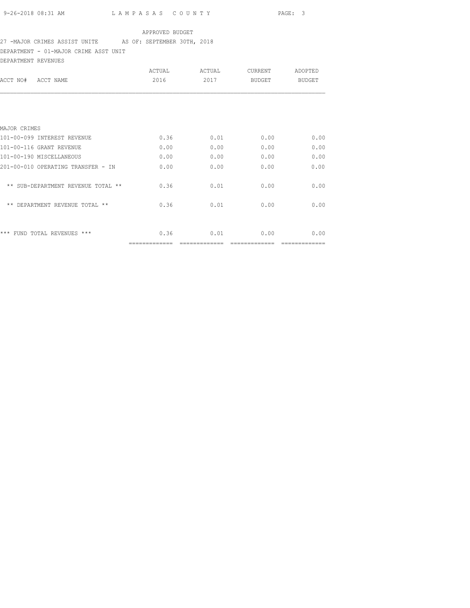# 27 -MAJOR CRIMES ASSIST UNITE AS OF: SEPTEMBER 30TH, 2018

DEPARTMENT - 01-MAJOR CRIME ASST UNIT

| DEPARTMENT REVENUES                |               |        |                |         |
|------------------------------------|---------------|--------|----------------|---------|
|                                    | ACTUAL        | ACTUAL | <b>CURRENT</b> | ADOPTED |
| ACCT NAME<br>ACCT NO#              | 2016          | 2017   | BUDGET         | BUDGET  |
|                                    |               |        |                |         |
| MAJOR CRIMES                       |               |        |                |         |
| 101-00-099 INTEREST REVENUE        | 0.36          | 0.01   | 0.00           | 0.00    |
| 101-00-116 GRANT REVENUE           | 0.00          | 0.00   | 0.00           | 0.00    |
| 101-00-190 MISCELLANEOUS           | 0.00          | 0.00   | 0.00           | 0.00    |
| 201-00-010 OPERATING TRANSFER - IN | 0.00          | 0.00   | 0.00           | 0.00    |
| ** SUB-DEPARTMENT REVENUE TOTAL ** | 0.36          | 0.01   | 0.00           | 0.00    |
| ** DEPARTMENT REVENUE TOTAL **     | 0.36          | 0.01   | 0.00           | 0.00    |
| *** FUND TOTAL REVENUES ***        | 0.36          | 0.01   | 0.00           | 0.00    |
|                                    | ------------- |        |                |         |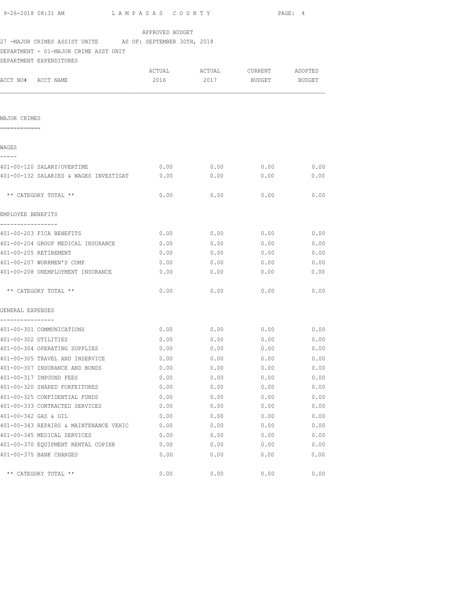|                              | 9-26-2018 08:31 AM                                        | LAMPASAS COUNTY |                               |               | PAGE: 4 |
|------------------------------|-----------------------------------------------------------|-----------------|-------------------------------|---------------|---------|
|                              |                                                           | APPROVED BUDGET |                               |               |         |
|                              | 27 -MAJOR CRIMES ASSIST UNITE AS OF: SEPTEMBER 30TH, 2018 |                 |                               |               |         |
|                              | DEPARTMENT - 01-MAJOR CRIME ASST UNIT                     |                 |                               |               |         |
|                              | DEPARTMENT EXPENDITURES                                   |                 |                               |               |         |
|                              |                                                           |                 | ACTUAL ACTUAL CURRENT ADOPTED |               |         |
|                              | ACCT NO# ACCT NAME                                        | 2016            | 2017                          | BUDGET BUDGET |         |
|                              |                                                           |                 |                               |               |         |
| MAJOR CRIMES<br>============ |                                                           |                 |                               |               |         |
| WAGES                        |                                                           |                 |                               |               |         |
| -----                        | 401-00-120 SALARY/OVERTIME                                | 0.00            | 0.00                          | 0.00          | 0.00    |
|                              | 401-00-132 SALARIES & WAGES INVESTIGAT                    | 0.00            | 0.00                          | 0.00          | 0.00    |
|                              | ** CATEGORY TOTAL **                                      | 0.00            | 0.00                          | 0.00          | 0.00    |
| EMPLOYEE BENEFITS            |                                                           |                 |                               |               |         |
| -----------------            | 401-00-203 FICA BENEFITS                                  | 0.00            |                               | $0.00$ 0.00   | 0.00    |
|                              | 401-00-204 GROUP MEDICAL INSURANCE                        | 0.00            | 0.00                          | 0.00          | 0.00    |
|                              | 401-00-205 RETIREMENT                                     | 0.00            | 0.00                          | 0.00          | 0.00    |
|                              | 401-00-207 WORKMEN'S COMP                                 | 0.00            | 0.00                          | 0.00          | 0.00    |
|                              | 401-00-208 UNEMPLOYMENT INSURANCE                         | 0.00            | 0.00                          | 0.00          | 0.00    |
|                              | ** CATEGORY TOTAL **                                      | 0.00            | 0.00                          | 0.00          | 0.00    |
| GENERAL EXPENSES             |                                                           |                 |                               |               |         |
| ----------------             |                                                           |                 |                               |               |         |
|                              | 401-00-301 COMMUNICATIONS                                 | 0.00            |                               | $0.00$ 0.00   | 0.00    |
|                              | 401-00-302 UTILITIES                                      | 0.00            |                               | $0.00$ 0.00   | 0.00    |
|                              | 401-00-304 OPERATING SUPPLIES                             | 0.00            | $0.00$ 0.00                   |               | 0.00    |
|                              | 401-00-305 TRAVEL AND INSERVICE                           | 0.00            | 0.00                          | 0.00          | 0.00    |
|                              | 401-00-307 INSURANCE AND BONDS                            | 0.00            | 0.00                          | 0.00          | 0.00    |
|                              | 401-00-317 IMPOUND FEES                                   | 0.00            | 0.00                          | 0.00          | 0.00    |
|                              | 401-00-320 SHARED FORFEITURES                             | 0.00            | 0.00                          | 0.00          | 0.00    |
|                              | 401-00-325 CONFIDENTIAL FUNDS                             | 0.00            | 0.00                          | 0.00          | 0.00    |
|                              | 401-00-333 CONTRACTED SERVICES                            | 0.00            | 0.00                          | 0.00          | 0.00    |
|                              | 401-00-342 GAS & OIL                                      | 0.00            | 0.00                          | 0.00          | 0.00    |
|                              | 401-00-343 REPAIRS & MAINTENANCE VEHIC                    | 0.00            | 0.00                          | 0.00          | 0.00    |
|                              | 401-00-345 MEDICAL SERVICES                               | 0.00            | 0.00                          | 0.00          | 0.00    |
|                              | 401-00-370 EQUIPMENT RENTAL COPIER                        | 0.00            | 0.00                          | 0.00          | 0.00    |
|                              |                                                           |                 |                               |               |         |

 $\star\star$  CATEGORY TOTAL  $\star\star$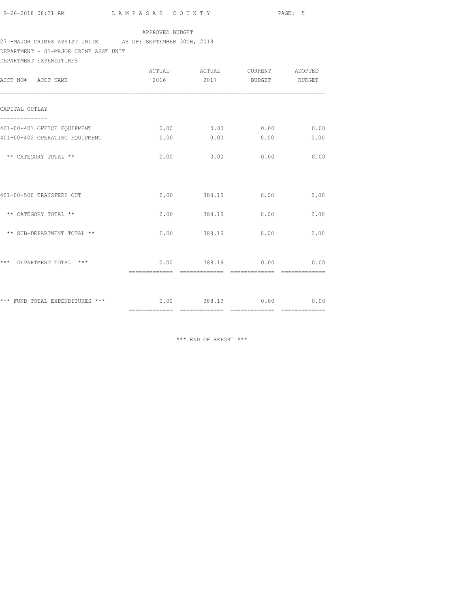## 27 -MAJOR CRIMES ASSIST UNITE AS OF: SEPTEMBER 30TH, 2018

DEPARTMENT - 01-MAJOR CRIME ASST UNIT

DEPARTMENT EXPENDITURES

| ACCT NO# ACCT NAME                                            | ACTUAL<br>2016       | ACTUAL<br>2017       | CURRENT<br>BUDGET | ADOPTED<br><b>BUDGET</b> |
|---------------------------------------------------------------|----------------------|----------------------|-------------------|--------------------------|
| CAPITAL OUTLAY                                                |                      |                      |                   |                          |
|                                                               |                      |                      |                   |                          |
| 401-00-401 OFFICE EQUIPMENT<br>401-00-402 OPERATING EQUIPMENT | 0.00<br>0.00         | 0.00<br>0.00         | 0.00<br>0.00      | 0.00<br>0.00             |
| ** CATEGORY TOTAL **                                          | 0.00                 | 0.00                 | 0.00              | 0.00                     |
| 401-00-500 TRANSFERS OUT                                      | 0.00                 | 388.19               | 0.00              | 0.00                     |
| ** CATEGORY TOTAL **                                          | 0.00                 | 388.19               | 0.00              | 0.00                     |
| ** SUB-DEPARTMENT TOTAL **                                    | 0.00                 | 388.19               | 0.00              | 0.00                     |
| ***<br>DEPARTMENT TOTAL ***                                   |                      | $0.00$ 388.19 $0.00$ |                   | 0.00                     |
| *** FUND TOTAL EXPENDITURES ***                               | $0.00$ 388.19 $0.00$ |                      |                   | 0.00                     |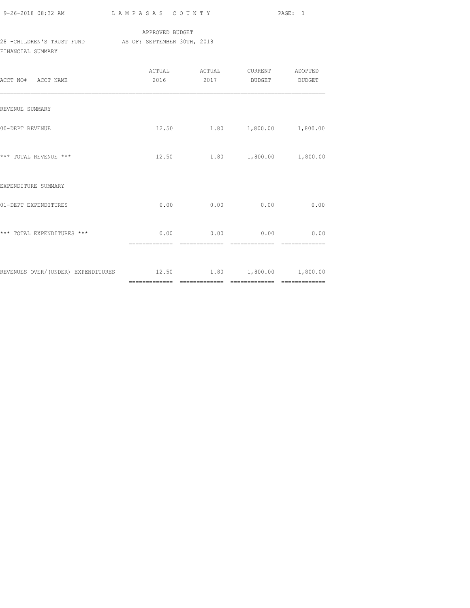| 9-26-2018 08:32 AM |  |
|--------------------|--|

### APPROVED BUDGET 28 -CHILDREN'S TRUST FUND AS OF: SEPTEMBER 30TH, 2018 FINANCIAL SUMMARY

| ACCT NO# ACCT NAME                                                      | ACTUAL<br>2016 | ACTUAL<br>2017                         | CURRENT ADOPTED<br><b>BUDGET</b> | <b>BUDGET</b> |
|-------------------------------------------------------------------------|----------------|----------------------------------------|----------------------------------|---------------|
| REVENUE SUMMARY                                                         |                |                                        |                                  |               |
| 00-DEPT REVENUE                                                         |                | 12.50 1.80 1,800.00                    |                                  | 1,800.00      |
| *** TOTAL REVENUE ***                                                   |                | 12.50 1.80 1,800.00 1,800.00           |                                  |               |
| EXPENDITURE SUMMARY                                                     |                |                                        |                                  |               |
| 01-DEPT EXPENDITURES                                                    |                | $0.00$ 0.00                            | 0.00                             | 0.00          |
| *** TOTAL EXPENDITURES ***                                              | =============  | $0.00$ 0.00 0.00 0.00<br>============= | =============                    |               |
| REVENUES OVER/(UNDER) EXPENDITURES $12.50$ $1.80$ $1,800.00$ $1,800.00$ |                |                                        |                                  |               |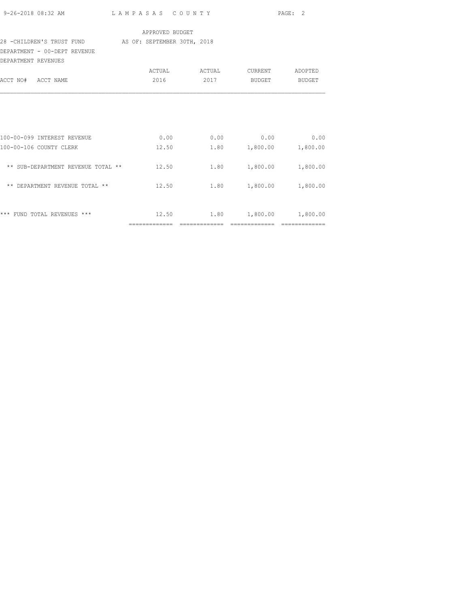| APPROVED BUDGET<br>28 - CHILDREN'S TRUST FUND AS OF: SEPTEMBER 30TH, 2018<br>2016 2017 BUDGET BUDGET<br>$0.00$ $0.00$ $0.00$ $0.00$ $0.00$<br>1.80 1,800.00 1,800.00<br>12.50<br>** SUB-DEPARTMENT REVENUE TOTAL ** 12.50 1.80 1,800.00 1,800.00<br>** DEPARTMENT REVENUE TOTAL **<br>12.50 1.80 1,800.00 1,800.00<br>*** FUND TOTAL REVENUES ***<br>$12.50$ $1.80$ $1,800.00$ $1,800.00$ |                              |  | PAGE: 2 |
|-------------------------------------------------------------------------------------------------------------------------------------------------------------------------------------------------------------------------------------------------------------------------------------------------------------------------------------------------------------------------------------------|------------------------------|--|---------|
|                                                                                                                                                                                                                                                                                                                                                                                           |                              |  |         |
|                                                                                                                                                                                                                                                                                                                                                                                           |                              |  |         |
|                                                                                                                                                                                                                                                                                                                                                                                           | DEPARTMENT - 00-DEPT REVENUE |  |         |
|                                                                                                                                                                                                                                                                                                                                                                                           | DEPARTMENT REVENUES          |  |         |
|                                                                                                                                                                                                                                                                                                                                                                                           |                              |  |         |
|                                                                                                                                                                                                                                                                                                                                                                                           | ACCT NO# ACCT NAME           |  |         |
|                                                                                                                                                                                                                                                                                                                                                                                           |                              |  |         |
|                                                                                                                                                                                                                                                                                                                                                                                           |                              |  |         |
|                                                                                                                                                                                                                                                                                                                                                                                           |                              |  |         |
|                                                                                                                                                                                                                                                                                                                                                                                           |                              |  |         |
|                                                                                                                                                                                                                                                                                                                                                                                           | 100-00-099 INTEREST REVENUE  |  |         |
|                                                                                                                                                                                                                                                                                                                                                                                           | 100-00-106 COUNTY CLERK      |  |         |
|                                                                                                                                                                                                                                                                                                                                                                                           |                              |  |         |
|                                                                                                                                                                                                                                                                                                                                                                                           |                              |  |         |
|                                                                                                                                                                                                                                                                                                                                                                                           |                              |  |         |
|                                                                                                                                                                                                                                                                                                                                                                                           |                              |  |         |
|                                                                                                                                                                                                                                                                                                                                                                                           |                              |  |         |
|                                                                                                                                                                                                                                                                                                                                                                                           |                              |  |         |
|                                                                                                                                                                                                                                                                                                                                                                                           |                              |  |         |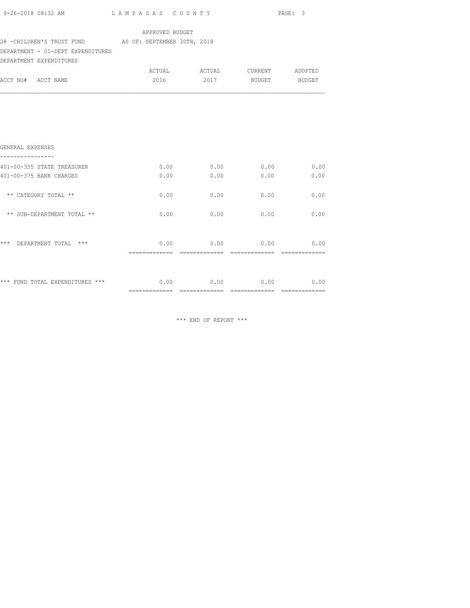| 9-26-2018 08:32 AM LAMPASAS COUNTY                                                         |                 |                                    |      | PAGE: 3 |
|--------------------------------------------------------------------------------------------|-----------------|------------------------------------|------|---------|
| 28 -CHILDREN'S TRUST FUND AS OF: SEPTEMBER 30TH, 2018<br>DEPARTMENT - 01-DEPT EXPENDITURES | APPROVED BUDGET |                                    |      |         |
| DEPARTMENT EXPENDITURES                                                                    |                 |                                    |      |         |
| ACCT NO# ACCT NAME                                                                         |                 | 2016 2017 BUDGET BUDGET            |      |         |
| GENERAL EXPENSES                                                                           |                 |                                    |      |         |
| ----------------                                                                           |                 |                                    |      |         |
| 401-00-355 STATE TREASURER                                                                 |                 | $0.00$ $0.00$ $0.00$ $0.00$ $0.00$ |      |         |
| 401-00-375 BANK CHARGES                                                                    | 0.00            | 0.00                               | 0.00 | 0.00    |
| ** CATEGORY TOTAL **                                                                       |                 | $0.00$ 0.00                        | 0.00 | 0.00    |
| ** SUB-DEPARTMENT TOTAL **                                                                 |                 | $0.00$ 0.00                        | 0.00 | 0.00    |
| *** DEPARTMENT TOTAL ***                                                                   |                 | $0.00$ 0.00 0.00 0.00              |      |         |
|                                                                                            |                 |                                    |      |         |
| *** FUND TOTAL EXPENDITURES *** $0.00$ $0.00$ $0.00$ $0.00$ $0.00$ $0.00$                  |                 |                                    |      |         |
|                                                                                            |                 |                                    |      |         |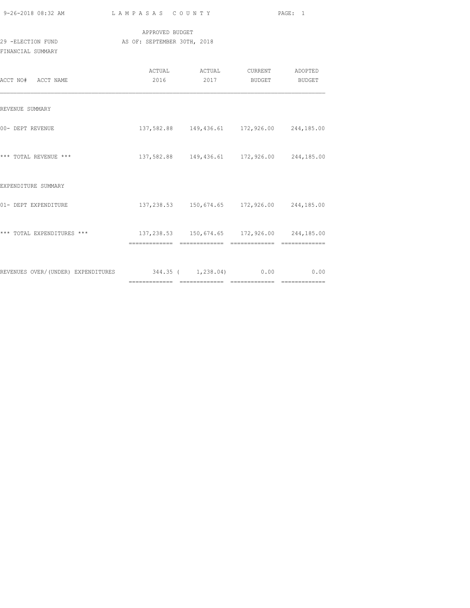| 9-26-2018 08:32 AM                                                   | LAMPASAS COUNTY                                |                                                          | PAGE: 1 |
|----------------------------------------------------------------------|------------------------------------------------|----------------------------------------------------------|---------|
| 29 -ELECTION FUND<br>FINANCIAL SUMMARY                               | APPROVED BUDGET<br>AS OF: SEPTEMBER 30TH, 2018 |                                                          |         |
| ACCT NO# ACCT NAME                                                   |                                                | ACTUAL ACTUAL CURRENT ADOPTED<br>2016 2017 BUDGET BUDGET |         |
| REVENUE SUMMARY                                                      |                                                |                                                          |         |
| 00- DEPT REVENUE                                                     |                                                | 137,582.88  149,436.61  172,926.00  244,185.00           |         |
| *** TOTAL REVENUE ***                                                |                                                | 137,582.88 149,436.61 172,926.00 244,185.00              |         |
| EXPENDITURE SUMMARY                                                  |                                                |                                                          |         |
| 01- DEPT EXPENDITURE                                                 |                                                | 137, 238.53 150, 674.65 172, 926.00 244, 185.00          |         |
|                                                                      |                                                |                                                          |         |
| REVENUES OVER/(UNDER) EXPENDITURES 344.35 ( 1,238.04) 0.00 0.00 0.00 |                                                |                                                          |         |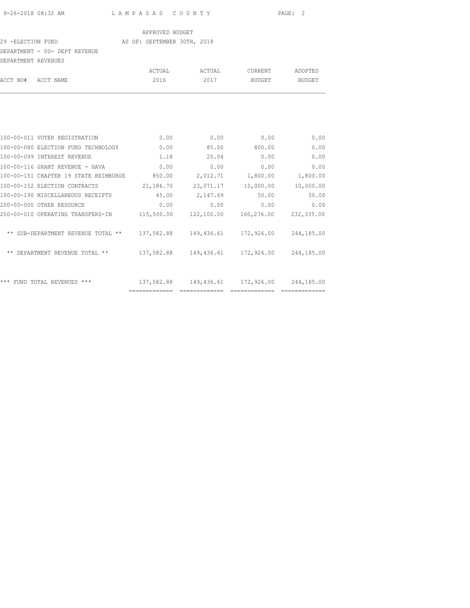#### 29 -ELECTION FUND **AS OF: SEPTEMBER 30TH, 2018**

### DEPARTMENT - 00- DEPT REVENUE

| DEPARTMENT REVENUES |           |        |        |         |               |
|---------------------|-----------|--------|--------|---------|---------------|
|                     |           | ACTUAL | ACTUAL | CURRENT | ADOPTED       |
| ACCT NO#            | ACCT NAME | 2016   | 2017   | BUDGET  | <b>BUDGET</b> |
|                     |           |        |        |         |               |
|                     |           |        |        |         |               |
|                     |           |        |        |         |               |
|                     |           |        |        |         |               |

| 100-00-011 VOTER REGISTRATION         | 0.00       | 0.00       | 0.00       | 0.00       |
|---------------------------------------|------------|------------|------------|------------|
| 100-00-080 ELECTION FUND TECHNOLOGY   | 0.00       | 85.00      | 800.00     | 0.00       |
| 100-00-099 INTEREST REVENUE           | 1.18       | 20.04      | 0.00       | 0.00       |
| 100-00-116 GRANT REVENUE - HAVA       | 0.00       | 0.00       | 0.00       | 0.00       |
| 100-00-151 CHAPTER 19 STATE REIMBURSE | 850.00     | 2,012.71   | 1,800.00   | 1,800.00   |
| 100-00-152 ELECTION CONTRACTS         | 21,186.70  | 23,071.17  | 10,000.00  | 10,000.00  |
| 100-00-190 MISCELLANEOUS RECEIPTS     | 45.00      | 2,147.69   | 50.00      | 50.00      |
| 200-00-000 OTHER RESOURCE             | 0.00       | 0.00       | 0.00       | 0.00       |
| 200-00-010 OPERATING TRANSFERS-IN     | 115,500.00 | 122,100.00 | 160,276.00 | 232,335.00 |
| ** SUB-DEPARTMENT REVENUE TOTAL **    | 137,582.88 | 149,436.61 | 172,926.00 | 244,185.00 |
| ** DEPARTMENT REVENUE TOTAL **        | 137,582.88 | 149,436.61 | 172,926.00 | 244,185.00 |
|                                       |            |            |            |            |
| *** FUND TOTAL REVENUES ***           | 137,582.88 | 149,436.61 | 172,926.00 | 244,185.00 |
|                                       |            |            |            |            |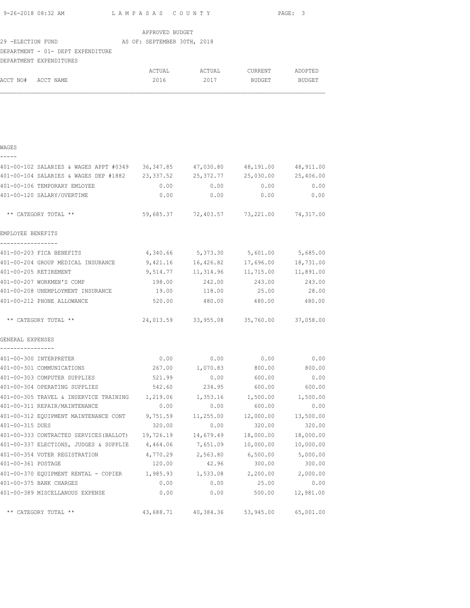|                                      | 9-26-2018 08:32 AM                                                             | LAMPASAS COUNTY |                                             |               | PAGE: 3   |
|--------------------------------------|--------------------------------------------------------------------------------|-----------------|---------------------------------------------|---------------|-----------|
|                                      |                                                                                | APPROVED BUDGET |                                             |               |           |
|                                      | 29 -ELECTION FUND NO AS OF: SEPTEMBER 30TH, 2018                               |                 |                                             |               |           |
|                                      | DEPARTMENT - 01- DEPT EXPENDITURE                                              |                 |                                             |               |           |
|                                      | DEPARTMENT EXPENDITURES                                                        |                 |                                             |               |           |
|                                      |                                                                                |                 |                                             |               |           |
| ACCT NO# ACCT NAME                   |                                                                                |                 | 2016 2017 BUDGET BUDGET                     |               |           |
|                                      |                                                                                |                 |                                             |               |           |
|                                      |                                                                                |                 |                                             |               |           |
|                                      |                                                                                |                 |                                             |               |           |
|                                      |                                                                                |                 |                                             |               |           |
|                                      |                                                                                |                 |                                             |               |           |
| WAGES                                |                                                                                |                 |                                             |               |           |
| -----                                |                                                                                |                 |                                             |               |           |
|                                      | 401-00-102 SALARIES & WAGES APPT #0349 36,347.85 47,030.80 48,191.00 48,911.00 |                 |                                             |               |           |
|                                      | 401-00-104 SALARIES & WAGES DEP #1882 23,337.52 25,372.77 25,030.00 25,406.00  |                 |                                             |               |           |
|                                      | 401-00-106 TEMPORARY EMLOYEE                                                   | 0.00            |                                             | $0.00$ 0.00   | 0.00      |
|                                      | 401-00-120 SALARY/OVERTIME                                                     | 0.00            | 0.00                                        | 0.00          | 0.00      |
|                                      |                                                                                |                 |                                             |               |           |
|                                      | ** CATEGORY TOTAL **                                                           |                 | 59,685.37 72,403.57 73,221.00 74,317.00     |               |           |
| EMPLOYEE BENEFITS                    |                                                                                |                 |                                             |               |           |
| -----------------                    |                                                                                |                 |                                             |               |           |
|                                      | 401-00-203 FICA BENEFITS                                                       |                 | 4,340.66 5,373.30 5,601.00 5,685.00         |               |           |
|                                      | 401-00-204 GROUP MEDICAL INSURANCE                                             |                 | $9,421.16$ 16,426.82 17,696.00 18,731.00    |               |           |
|                                      | 401-00-205 RETIREMENT                                                          |                 | $9,514.77$ 11, 314.96 11, 715.00 11, 891.00 |               |           |
|                                      | 401-00-207 WORKMEN'S COMP                                                      | 198.00          |                                             | 242.00 243.00 | 243.00    |
|                                      | 401-00-208 UNEMPLOYMENT INSURANCE 19.00 118.00 25.00 28.00                     |                 |                                             |               |           |
|                                      | 401-00-212 PHONE ALLOWANCE                                                     |                 | 520.00 480.00 480.00 480.00                 |               |           |
|                                      |                                                                                |                 |                                             |               |           |
|                                      | ** CATEGORY TOTAL **                                                           |                 | 24,013.59 33,955.08 35,760.00 37,058.00     |               |           |
|                                      |                                                                                |                 |                                             |               |           |
| GENERAL EXPENSES<br>---------------- |                                                                                |                 |                                             |               |           |
|                                      | 401-00-300 INTERPRETER                                                         | 0.00            | 0.00                                        | 0.00          | 0.00      |
|                                      | 401-00-301 COMMUNICATIONS                                                      | 267.00          | 1,070.83                                    | 800.00        | 800.00    |
|                                      | 401-00-303 COMPUTER SUPPLIES                                                   | 521.99          | 0.00                                        | 600.00        | 0.00      |
|                                      | 401-00-304 OPERATING SUPPLIES                                                  | 542.60          | 234.95                                      | 600.00        | 600.00    |
|                                      | 401-00-305 TRAVEL & INSERVICE TRAINING 1,219.06                                |                 | 1,353.16                                    | 1,500.00      | 1,500.00  |
|                                      | 401-00-311 REPAIR/MAINTENANCE                                                  | 0.00            | 0.00                                        | 600.00        | 0.00      |
|                                      | 401-00-312 EQUIPMENT MAINTENANCE CONT                                          | 9,751.59        | 11,255.00                                   | 12,000.00     | 13,500.00 |
| 401-00-315 DUES                      |                                                                                | 320.00          | 0.00                                        | 320.00        | 320.00    |
|                                      | 401-00-333 CONTRACTED SERVICES (BALLOT) 19,726.19 14,679.49 18,000.00          |                 |                                             |               | 18,000.00 |
|                                      | 401-00-337 ELECTIONS, JUDGES & SUPPLIE 4,464.06 7,651.09 10,000.00             |                 |                                             |               | 10,000.00 |
|                                      | 401-00-354 VOTER REGISTRATION                                                  | 4,770.29        | 2,563.80                                    | 6,500.00      | 5,000.00  |
| 401-00-361 POSTAGE                   |                                                                                | 120.00          | 42.96                                       | 300.00        | 300.00    |
|                                      | 401-00-370 EQUIPMENT RENTAL - COPIER 1,985.93                                  |                 | 1,533.08                                    | 2,200.00      | 2,000.00  |
|                                      | 401-00-375 BANK CHARGES                                                        | 0.00            | 0.00                                        | 25.00         | 0.00      |
|                                      | 401-00-389 MISCELLANOUS EXPENSE                                                | 0.00            | 0.00                                        | 500.00        | 12,981.00 |
|                                      |                                                                                |                 |                                             |               |           |
|                                      | ** CATEGORY TOTAL **                                                           | 43,688.71       | 40,384.36                                   | 53,945.00     | 65,001.00 |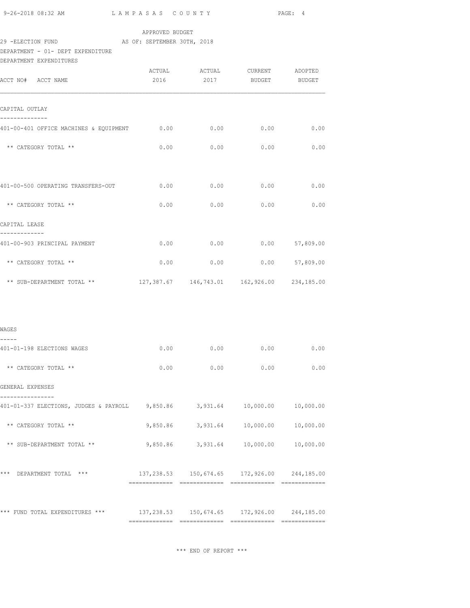| 9-26-2018 08:32 AM | LAMPASAS COUNTY | PAGE: 4 |
|--------------------|-----------------|---------|
|                    |                 |         |

### 29 -ELECTION FUND **AS OF: SEPTEMBER 30TH, 2018** DEPARTMENT - 01- DEPT EXPENDITURE

| <b>DEPARTMENT</b> | EXPENDITIRES |
|-------------------|--------------|
|                   |              |

| ACCT NO# ACCT NAME                                                                              |      |                   | ACTUAL ACTUAL CURRENT ADOPTED<br>2016  2017  BUDGET     | <b>BUDGET</b>    |
|-------------------------------------------------------------------------------------------------|------|-------------------|---------------------------------------------------------|------------------|
| CAPITAL OUTLAY<br>----------                                                                    |      |                   |                                                         |                  |
| 401-00-401 OFFICE MACHINES & EQUIPMENT                                                          | 0.00 | 0.00              | 0.00                                                    | 0.00             |
| ** CATEGORY TOTAL **                                                                            | 0.00 | 0.00              | 0.00                                                    | 0.00             |
| 401-00-500 OPERATING TRANSFERS-OUT                                                              | 0.00 | 0.00              | 0.00                                                    | 0.00             |
| ** CATEGORY TOTAL **                                                                            |      | 0.00<br>0.00      | 0.00                                                    | 0.00             |
| CAPITAL LEASE                                                                                   |      |                   |                                                         |                  |
| ----------<br>401-00-903 PRINCIPAL PAYMENT                                                      | 0.00 | 0.00              |                                                         | $0.00$ 57,809.00 |
| ** CATEGORY TOTAL **                                                                            | 0.00 | 0.00              |                                                         | $0.00$ 57,809.00 |
| ** SUB-DEPARTMENT TOTAL **                                                                      |      |                   | 127,387.67  146,743.01  162,926.00  234,185.00          |                  |
| WAGES                                                                                           |      |                   |                                                         |                  |
| 401-01-198 ELECTIONS WAGES                                                                      | 0.00 | 0.00              | 0.00                                                    | 0.00             |
| ** CATEGORY TOTAL **                                                                            | 0.00 | 0.00              | 0.00                                                    | 0.00             |
| GENERAL EXPENSES                                                                                |      |                   |                                                         |                  |
| _______________<br>401-01-337 ELECTIONS, JUDGES & PAYROLL 9,850.86 3,931.64 10,000.00 10,000.00 |      |                   |                                                         |                  |
| ** CATEGORY TOTAL **                                                                            |      |                   | $9,850.86$ $3,931.64$ $10,000.00$ $10,000.00$           |                  |
| ** SUB-DEPARTMENT TOTAL **                                                                      |      | 9,850.86 3,931.64 | 10,000.00                                               | 10,000.00        |
| *** DEPARTMENT TOTAL ***                                                                        |      |                   | $137, 238.53$ $150, 674.65$ $172, 926.00$ $244, 185.00$ |                  |
| *** FUND TOTAL EXPENDITURES ***                                                                 |      |                   | 137,238.53 150,674.65 172,926.00 244,185.00             |                  |
|                                                                                                 |      |                   |                                                         |                  |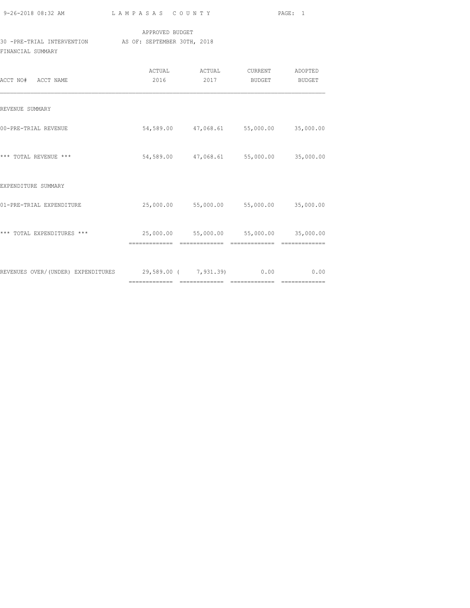| 9-26-2018 08:32 AM |  |
|--------------------|--|

### APPROVED BUDGET 30 -PRE-TRIAL INTERVENTION AS OF: SEPTEMBER 30TH, 2018 FINANCIAL SUMMARY

| ACCT NO# ACCT NAME                                           | ACTUAL<br>2016 | ACTUAL<br>2017 | CURRENT<br>BUDGET                       | ADOPTED<br>BUDGET |
|--------------------------------------------------------------|----------------|----------------|-----------------------------------------|-------------------|
| REVENUE SUMMARY                                              |                |                |                                         |                   |
| 00-PRE-TRIAL REVENUE                                         |                |                | 54,589.00 47,068.61 55,000.00 35,000.00 |                   |
| *** TOTAL REVENUE ***                                        |                |                | 54,589.00 47,068.61 55,000.00           | 35,000.00         |
| EXPENDITURE SUMMARY                                          |                |                |                                         |                   |
| 01-PRE-TRIAL EXPENDITURE                                     |                |                | 25,000.00 55,000.00 55,000.00 35,000.00 |                   |
| *** TOTAL EXPENDITURES ***                                   |                |                | 25,000.00 55,000.00 55,000.00 35,000.00 |                   |
| REVENUES OVER/(UNDER) EXPENDITURES 29,589.00 (7,931.39) 0.00 |                |                |                                         | 0.00              |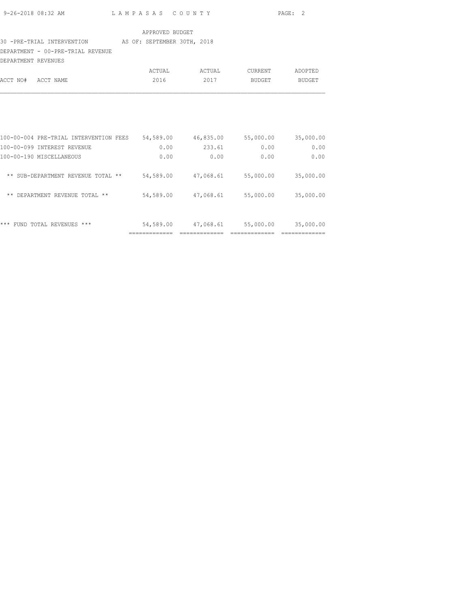| 9-26-2018 08:32 AM | LAMPASAS COUNTY | PAGE: 2 |  |
|--------------------|-----------------|---------|--|

#### 30 -PRE-TRIAL INTERVENTION AS OF: SEPTEMBER 30TH, 2018

DEPARTMENT - 00-PRE-TRIAL REVENUE

| DEPARTMENT REVENUES |        |        |         |         |
|---------------------|--------|--------|---------|---------|
|                     | ACTUAL | ACTUAL | CURRENT | ADOPTED |
| ACCT NO# ACCT NAME  | 2016   | 2017   | BUDGET  | BUDGET  |
|                     |        |        |         |         |

| ***<br>$***$<br>REVENUES<br>TOTAL.<br>FIIND. | 54,589.00 | 47,068.61 | 55,000.00 | 35,000.00 |
|----------------------------------------------|-----------|-----------|-----------|-----------|
| $***$<br>DEPARTMENT REVENUE TOTAL **         | 54,589.00 | 47,068.61 | 55,000.00 | 35,000.00 |
| ** SUB-DEPARTMENT<br>**<br>REVENUE<br>TOTAL. | 54,589.00 | 47,068.61 | 55,000.00 | 35,000.00 |
| 100-00-190 MISCELLANEOUS                     | 0.00      | 0.00      | 0.00      | 0.00      |
| 100-00-099 INTEREST REVENUE                  | 0.00      | 233.61    | 0.00      | 0.00      |
| 100-00-004 PRE-TRIAL INTERVENTION FEES       | 54,589.00 | 46,835.00 | 55,000.00 | 35,000.00 |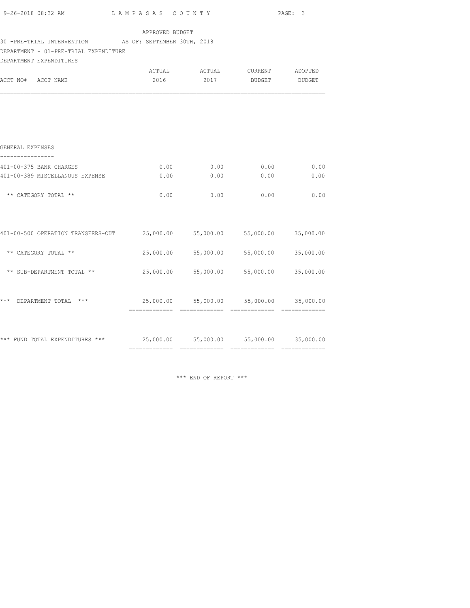|                                                                                                                            |                 |                                         |               | PAGE: 3             |
|----------------------------------------------------------------------------------------------------------------------------|-----------------|-----------------------------------------|---------------|---------------------|
|                                                                                                                            | APPROVED BUDGET |                                         |               |                     |
| 30 -PRE-TRIAL INTERVENTION AS OF: SEPTEMBER 30TH, 2018<br>DEPARTMENT - 01-PRE-TRIAL EXPENDITURE<br>DEPARTMENT EXPENDITURES |                 |                                         |               |                     |
| ACCT NO# ACCT NAME                                                                                                         | 2016            | ACTUAL ACTUAL CURRENT ADOPTED<br>2017   | <b>BUDGET</b> | BUDGET              |
|                                                                                                                            |                 |                                         |               |                     |
|                                                                                                                            |                 |                                         |               |                     |
| GENERAL EXPENSES                                                                                                           |                 |                                         |               |                     |
| 401-00-375 BANK CHARGES                                                                                                    | 0.00            | 0.00                                    | 0.00          | 0.00                |
| 401-00-389 MISCELLANOUS EXPENSE                                                                                            | 0.00            | 0.00                                    | 0.00          | 0.00                |
| ** CATEGORY TOTAL **                                                                                                       | 0.00            | 0.00                                    | 0.00          | 0.00                |
| 401-00-500 OPERATION TRANSFERS-OUT $25,000.00$ 55,000.00 55,000.00 35,000.00                                               |                 |                                         |               |                     |
| ** CATEGORY TOTAL **                                                                                                       |                 | 25,000.00 55,000.00 55,000.00 35,000.00 |               |                     |
| ** SUB-DEPARTMENT TOTAL **                                                                                                 | 25,000.00       | 55,000.00                               |               | 55,000.00 35,000.00 |
| *** DEPARTMENT TOTAL ***                                                                                                   |                 | 25,000.00 55,000.00 55,000.00 35,000.00 |               |                     |
|                                                                                                                            |                 |                                         |               |                     |
|                                                                                                                            |                 |                                         |               |                     |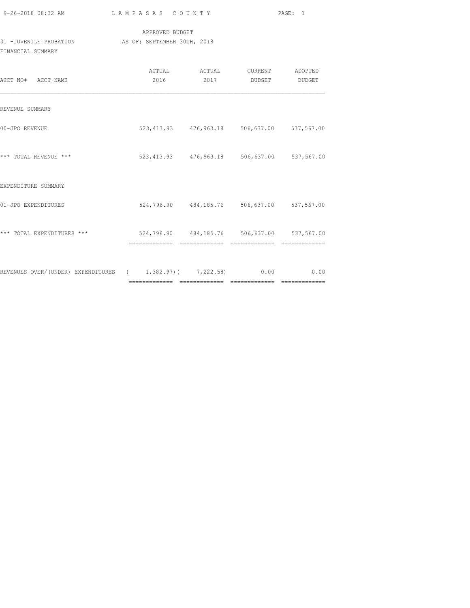|                                                                                             |  |                                                          | PAGE: 1 |  |  |  |  |
|---------------------------------------------------------------------------------------------|--|----------------------------------------------------------|---------|--|--|--|--|
| APPROVED BUDGET<br>31 - JUVENILE PROBATION AS OF: SEPTEMBER 30TH, 2018<br>FINANCIAL SUMMARY |  |                                                          |         |  |  |  |  |
| ACCT NO# ACCT NAME                                                                          |  | ACTUAL ACTUAL CURRENT ADOPTED<br>2016 2017 BUDGET BUDGET |         |  |  |  |  |
| REVENUE SUMMARY                                                                             |  |                                                          |         |  |  |  |  |
| 00-JPO REVENUE                                                                              |  | 523, 413.93 476, 963.18 506, 637.00 537, 567.00          |         |  |  |  |  |
| *** TOTAL REVENUE ***                                                                       |  | 523, 413.93 476, 963.18 506, 637.00 537, 567.00          |         |  |  |  |  |
| EXPENDITURE SUMMARY                                                                         |  |                                                          |         |  |  |  |  |
| 01-JPO EXPENDITURES                                                                         |  | 524,796.90 484,185.76 506,637.00 537,567.00              |         |  |  |  |  |
| *** TOTAL EXPENDITURES *** 624,796.90 484,185.76 506,637.00 537,567.00                      |  |                                                          |         |  |  |  |  |
| REVENUES OVER/(UNDER) EXPENDITURES ( 1,382.97)( 7,222.58) 0.00 0.00                         |  |                                                          |         |  |  |  |  |

============= ============= ============= =============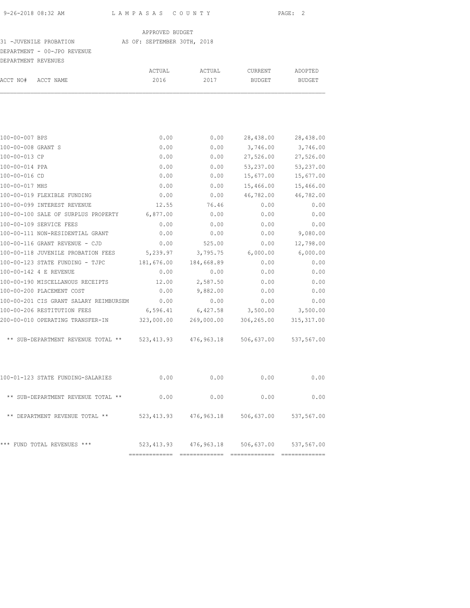#### 31 -JUVENILE PROBATION AS OF: SEPTEMBER 30TH, 2018

## DEPARTMENT - 00-JPO REVENUE

| DEPARTMENT REVENUES |                    |        |        |         |               |
|---------------------|--------------------|--------|--------|---------|---------------|
|                     |                    | ACTUAL | ACTUAL | CURRENT | ADOPTED       |
|                     | ACCT NO# ACCT NAME | 2016   | 2017   | BUDGET  | <b>BUDGET</b> |
|                     |                    |        |        |         |               |

| 28,438.00  | 0.00       | 0.00       |                                              | 100-00-007 BPS                                                                                                                                    |
|------------|------------|------------|----------------------------------------------|---------------------------------------------------------------------------------------------------------------------------------------------------|
| 3,746.00   | 0.00       | 0.00       |                                              | 100-00-008 GRANT S                                                                                                                                |
| 27,526.00  | 0.00       | 0.00       |                                              | 100-00-013 CP                                                                                                                                     |
| 53,237.00  | 0.00       | 0.00       |                                              | 100-00-014 PPA                                                                                                                                    |
| 15,677.00  | 0.00       | 0.00       |                                              | 100-00-016 CD                                                                                                                                     |
| 15,466.00  | 0.00       | 0.00       |                                              | 100-00-017 MHS                                                                                                                                    |
| 46,782.00  | 0.00       | 0.00       | 100-00-019 FLEXIBLE FUNDING                  |                                                                                                                                                   |
| 0.00       | 76.46      | 12.55      | 100-00-099 INTEREST REVENUE                  |                                                                                                                                                   |
| 0.00       | 0.00       |            | 100-00-100 SALE OF SURPLUS PROPERTY 6,877.00 |                                                                                                                                                   |
| 0.00       | 0.00       | 0.00       | 100-00-109 SERVICE FEES                      |                                                                                                                                                   |
| 0.00       | 0.00       | 0.00       | 100-00-111 NON-RESIDENTIAL GRANT             |                                                                                                                                                   |
| 0.00       | 525.00     | 0.00       | 100-00-116 GRANT REVENUE - CJD               |                                                                                                                                                   |
| 6,000.00   | 3,795.75   |            | 100-00-118 JUVENILE PROBATION FEES 5,239.97  |                                                                                                                                                   |
| 0.00       | 184,668.89 | 181,676.00 | 100-00-123 STATE FUNDING - TJPC              |                                                                                                                                                   |
| 0.00       | 0.00       | 0.00       | 100-00-142 4 E REVENUE                       |                                                                                                                                                   |
| 0.00       | 2,587.50   | 12.00      | 100-00-190 MISCELLANOUS RECEIPTS             |                                                                                                                                                   |
| 0.00       | 9,882.00   | 0.00       | 100-00-200 PLACEMENT COST                    |                                                                                                                                                   |
| 0.00       | 0.00       | 0.00       | 100-00-201 CIS GRANT SALARY REIMBURSEM       |                                                                                                                                                   |
| 3,500.00   | 6,427.58   | 6,596.41   | 100-00-206 RESTITUTION FEES                  |                                                                                                                                                   |
| 306,265.00 | 269,000.00 |            | 200-00-010 OPERATING TRANSFER-IN 323,000.00  |                                                                                                                                                   |
|            |            |            |                                              |                                                                                                                                                   |
| 0.00       | 0.00       | 0.00       | 100-01-123 STATE FUNDING-SALARIES            |                                                                                                                                                   |
| 0.00       | 0.00       | 0.00       | ** SUB-DEPARTMENT REVENUE TOTAL **           |                                                                                                                                                   |
|            |            |            |                                              |                                                                                                                                                   |
|            |            |            | *** FUND TOTAL REVENUES ***                  |                                                                                                                                                   |
|            |            |            | 523,413.93 476,963.18 506,637.00 537,567.00  | ** SUB-DEPARTMENT REVENUE TOTAL ** 523,413.93 476,963.18 506,637.00 537,567.00<br>** DEPARTMENT REVENUE TOTAL ** 523,413.93 476,963.18 506,637.00 |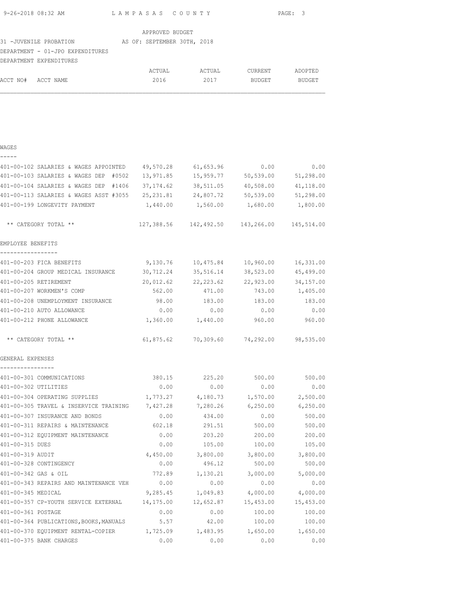| 9-26-2018 08:32 AM | LAMPASAS COUNTY | PAGE: 3 |  |
|--------------------|-----------------|---------|--|
|                    |                 |         |  |

ACCT NO# ACCT NAME 2016 2017 BUDGET BUDGET

|                                  | APPROVED BUDGET             |        |         |         |
|----------------------------------|-----------------------------|--------|---------|---------|
| 31 -JUVENILE PROBATION           | AS OF: SEPTEMBER 30TH, 2018 |        |         |         |
| DEPARTMENT - 01-JPO EXPENDITURES |                             |        |         |         |
| DEPARTMENT EXPENDITURES          |                             |        |         |         |
|                                  | ACTUAL                      | ACTUAL | CURRENT | ADOPTED |

| WAGES<br>-----                                                             |           |                                                |               |           |
|----------------------------------------------------------------------------|-----------|------------------------------------------------|---------------|-----------|
| 401-00-102 SALARIES & WAGES APPOINTED 49,570.28 61,653.96                  |           |                                                | 0.00          | 0.00      |
| 401-00-103 SALARIES & WAGES DEP #0502 13,971.85 15,959.77 50,539.00        |           |                                                |               | 51,298.00 |
| 401-00-104 SALARIES & WAGES DEP #1406 37,174.62 38,511.05                  |           |                                                | 40,508.00     | 41,118.00 |
| 401-00-113 SALARIES & WAGES ASST #3055 25,231.81 24,807.72                 |           |                                                | 50,539.00     | 51,298.00 |
| 401-00-199 LONGEVITY PAYMENT                                               | 1,440.00  | 1,560.00                                       | 1,680.00      | 1,800.00  |
| ** CATEGORY TOTAL **                                                       |           | 127,388.56  142,492.50  143,266.00  145,514.00 |               |           |
| EMPLOYEE BENEFITS                                                          |           |                                                |               |           |
| -----------------                                                          |           |                                                |               |           |
| 401-00-203 FICA BENEFITS                                                   |           |                                                |               | 16,331.00 |
| 401-00-204 GROUP MEDICAL INSURANCE 30,712.24 35,516.14                     |           |                                                | 38,523.00     | 45,499.00 |
| 401-00-205 RETIREMENT                                                      |           | 20,012.62 22,223.62                            | 22,923.00     | 34,157.00 |
| 401-00-207 WORKMEN'S COMP                                                  | 562.00    | 471.00                                         | 743.00        | 1,405.00  |
| 401-00-208 UNEMPLOYMENT INSURANCE                                          | 98.00     | 183.00                                         | 183.00        | 183.00    |
| 401-00-210 AUTO ALLOWANCE                                                  | 0.00      | 0.00                                           | 0.00          | 0.00      |
| 401-00-212 PHONE ALLOWANCE                                                 |           | 1,360.00 1,440.00                              | 960.00        | 960.00    |
| ** CATEGORY TOTAL **                                                       |           |                                                |               |           |
| GENERAL EXPENSES<br>----------                                             |           |                                                |               |           |
| 401-00-301 COMMUNICATIONS                                                  |           | 380.15 225.20 500.00                           |               | 500.00    |
| 401-00-302 UTILITIES                                                       |           | $0.00$ 0.00                                    | 0.00          | 0.00      |
| 401-00-304 OPERATING SUPPLIES                                              |           | $1,773.27$ $4,180.73$ $1,570.00$ $2,500.00$    |               |           |
| 401-00-305 TRAVEL & INSERVICE TRAINING 7,427.28 7,280.26 6,250.00 6,250.00 |           |                                                |               |           |
| 401-00-307 INSURANCE AND BONDS                                             | 0.00      | 434.00                                         | 0.00          | 500.00    |
| 401-00-311 REPAIRS & MAINTENANCE                                           | 602.18    |                                                | 291.51 500.00 | 500.00    |
| 401-00-312 EQUIPMENT MAINTENANCE                                           | 0.00      | 203.20                                         | 200.00        | 200.00    |
| 401-00-315 DUES                                                            | 0.00      | 105.00                                         | 100.00        | 105.00    |
| 401-00-319 AUDIT                                                           | 4,450.00  | 3,800.00                                       | 3,800.00      | 3,800.00  |
| 401-00-328 CONTINGENCY                                                     | 0.00      | 496.12                                         | 500.00        | 500.00    |
| 401-00-342 GAS & OIL                                                       | 772.89    | 1,130.21                                       | 3,000.00      | 5,000.00  |
| 401-00-343 REPAIRS AND MAINTENANCE VEH                                     | 0.00      | 0.00                                           | 0.00          | 0.00      |
| 401-00-345 MEDICAL                                                         | 9,285.45  | 1,049.83                                       | 4,000.00      | 4,000.00  |
| 401-00-357 CP-YOUTH SERVICE EXTERNAL                                       | 14,175.00 | 12,652.87                                      | 15,453.00     | 15,453.00 |
| 401-00-361 POSTAGE                                                         | 0.00      | 0.00                                           | 100.00        | 100.00    |
| 401-00-364 PUBLICATIONS, BOOKS, MANUALS                                    | 5.57      | 42.00                                          | 100.00        | 100.00    |
| 401-00-370 EQUIPMENT RENTAL-COPIER                                         | 1,725.09  | 1,483.95                                       | 1,650.00      | 1,650.00  |
| 401-00-375 BANK CHARGES                                                    | 0.00      | 0.00                                           | 0.00          | 0.00      |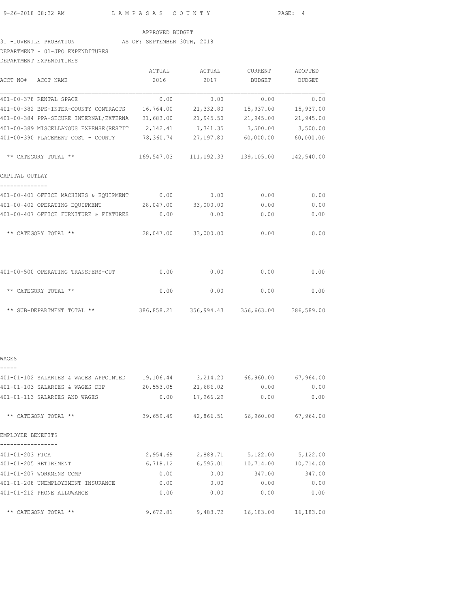#### 31 -JUVENILE PROBATION AS OF: SEPTEMBER 30TH, 2018

### DEPARTMENT - 01-JPO EXPENDITURES

| DEPARTMENT EXPENDITURES                                               |           |                     |                                             |               |
|-----------------------------------------------------------------------|-----------|---------------------|---------------------------------------------|---------------|
|                                                                       | ACTUAL    | ACTUAL              | CURRENT                                     | ADOPTED       |
| ACCT NO# ACCT NAME                                                    | 2016      | 2017                | <b>BUDGET</b>                               | <b>BUDGET</b> |
| 401-00-378 RENTAL SPACE                                               | 0.00      | 0.00                | 0.00                                        | 0.00          |
| 401-00-382 BPS-INTER-COUNTY CONTRACTS                                 | 16,764.00 | 21,332.80           | 15,937.00                                   | 15,937.00     |
| 401-00-384 PPA-SECURE INTERNAL/EXTERNA                                | 31,683.00 | 21,945.50           | 21,945.00                                   | 21,945.00     |
| 401-00-389 MISCELLANOUS EXPENSE (RESTIT 2, 142.41 7, 341.35 3, 500.00 |           |                     |                                             | 3,500.00      |
| 401-00-390 PLACEMENT COST - COUNTY 78,360.74                          |           | 27,197.80           | 60,000.00                                   | 60,000.00     |
| ** CATEGORY TOTAL **                                                  |           |                     | 169,547.03 111,192.33 139,105.00 142,540.00 |               |
| CAPITAL OUTLAY                                                        |           |                     |                                             |               |
| 401-00-401 OFFICE MACHINES & EQUIPMENT 0.00                           |           | 0.00                | 0.00                                        | 0.00          |
| 401-00-402 OPERATING EOUIPMENT 28,047.00                              |           | 33,000.00           | 0.00                                        | 0.00          |
| 401-00-407 OFFICE FURNITURE & FIXTURES                                | 0.00      | 0.00                | 0.00                                        | 0.00          |
| ** CATEGORY TOTAL **                                                  |           | 28,047.00 33,000.00 | 0.00                                        | 0.00          |
|                                                                       |           |                     |                                             |               |
| 401-00-500 OPERATING TRANSFERS-OUT                                    | 0.00      | 0.00                | 0.00                                        | 0.00          |
| ** CATEGORY TOTAL **                                                  | 0.00      | 0.00                | 0.00                                        | 0.00          |
| ** SUB-DEPARTMENT TOTAL **                                            |           |                     | 386,858.21 356,994.43 356,663.00 386,589.00 |               |

### WAGES -----

| 401-01-102 SALARIES & WAGES APPOINTED | 19,106.44 | 3,214.20  | 66,960.00 | 67,964.00 |
|---------------------------------------|-----------|-----------|-----------|-----------|
| 401-01-103 SALARIES & WAGES DEP       | 20,553.05 | 21,686.02 | 0.00      | 0.00      |
| 401-01-113 SALARIES AND WAGES         | 0.00      | 17,966.29 | 0.00      | 0.00      |
| ** CATEGORY TOTAL **                  | 39,659.49 | 42,866.51 | 66,960.00 | 67,964.00 |
| EMPLOYEE BENEFITS                     |           |           |           |           |
| 401-01-203 FICA                       | 2,954.69  | 2,888.71  | 5,122.00  | 5,122.00  |
| 401-01-205 RETIREMENT                 | 6,718.12  | 6,595.01  | 10,714.00 | 10,714.00 |
| 401-01-207 WORKMENS COMP              | 0.00      | 0.00      | 347.00    | 347.00    |
| 401-01-208 UNEMPLOYEMENT INSURANCE    | 0.00      | 0.00      | 0.00      | 0.00      |
| 401-01-212 PHONE ALLOWANCE            | 0.00      | 0.00      | 0.00      | 0.00      |
| ** CATEGORY TOTAL **                  | 9,672.81  | 9,483.72  | 16,183.00 | 16,183.00 |
|                                       |           |           |           |           |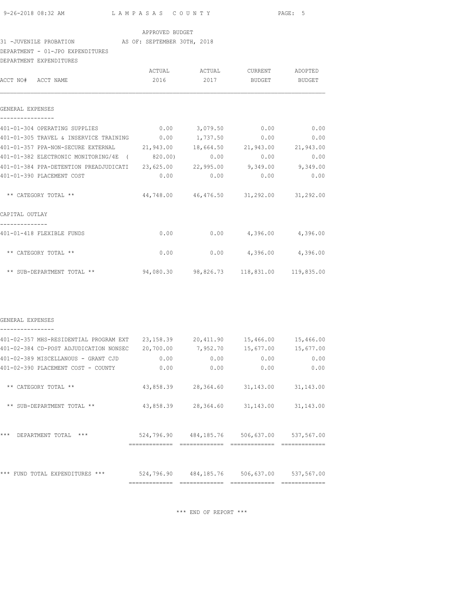## 31 -JUVENILE PROBATION AS OF: SEPTEMBER 30TH, 2018

### DEPARTMENT - 01-JPO EXPENDITURES

| DEPARTMENT EXPENDITURES                                                      |      |      |                                                   |        |
|------------------------------------------------------------------------------|------|------|---------------------------------------------------|--------|
|                                                                              |      |      | ACTUAL ACTUAL CURRENT ADOPTED                     |        |
| ACCT NO# ACCT NAME                                                           | 2016 | 2017 | <b>BUDGET</b>                                     | BUDGET |
|                                                                              |      |      |                                                   |        |
| GENERAL EXPENSES                                                             |      |      |                                                   |        |
| 401-01-304 OPERATING SUPPLIES                                                |      |      | $0.00$ $3.079.50$ $0.00$ $0.00$                   |        |
| 401-01-305 TRAVEL & INSERVICE TRAINING 0.00 1,737.50                         |      |      | 0.00                                              | 0.00   |
| 401-01-357 PPA-NON-SECURE EXTERNAL 21,943.00 18,664.50 21,943.00 21,943.00   |      |      |                                                   |        |
| 401-01-382 ELECTRONIC MONITORING/4E (820.00)                                 |      | 0.00 | 0.00                                              | 0.00   |
| 401-01-384 PPA-DETENTION PREADJUDICATI 23,625.00 22,995.00 9,349.00 9,349.00 |      |      |                                                   |        |
| 401-01-390 PLACEMENT COST                                                    | 0.00 | 0.00 | 0.00                                              | 0.00   |
| ** CATEGORY TOTAL **                                                         |      |      | 44,748.00  46,476.50  31,292.00  31,292.00        |        |
| CAPITAL OUTLAY                                                               |      |      |                                                   |        |
| 401-01-418 FLEXIBLE FUNDS                                                    |      |      | $0.00$ 0.00 $4,396.00$ 4,396.00                   |        |
| ** CATEGORY TOTAL **                                                         | 0.00 |      | $0.00$ 4,396.00 4,396.00                          |        |
| ** SUB-DEPARTMENT TOTAL **                                                   |      |      | $94,080.30$ $98,826.73$ $118,831.00$ $119,835.00$ |        |

#### GENERAL EXPENSES ----------------

| 401-02-357 MHS-RESIDENTIAL PROGRAM EXT | 23, 158.39                 | 20,411.90                 | 15,466.00                   | 15,466.00                |
|----------------------------------------|----------------------------|---------------------------|-----------------------------|--------------------------|
| 401-02-384 CD-POST ADJUDICATION NONSEC | 20,700.00                  | 7,952.70                  | 15,677.00                   | 15,677.00                |
| 401-02-389 MISCELLANOUS - GRANT CJD    | 0.00                       | 0.00                      | 0.00                        | 0.00                     |
| 401-02-390 PLACEMENT COST - COUNTY     | 0.00                       | 0.00                      | 0.00                        | 0.00                     |
| CATEGORY TOTAL **<br>$***$             | 43,858.39                  | 28,364.60                 | 31,143.00                   | 31, 143.00               |
| SUB-DEPARTMENT TOTAL **<br>$***$       | 43,858.39                  | 28,364.60                 | 31, 143.00                  | 31, 143.00               |
| $***$<br>$***$<br>DEPARTMENT TOTAL     | 524,796.90<br>------------ | 484,185.76<br>----------- | 506,637.00<br>------------- | 537,567.00<br>---------- |
| ***<br>$***$<br>EXPENDITHRES<br>TOTAI. | 524,796.90<br>-----------  | 484,185.76                | 506,637.00                  | 537,567.00               |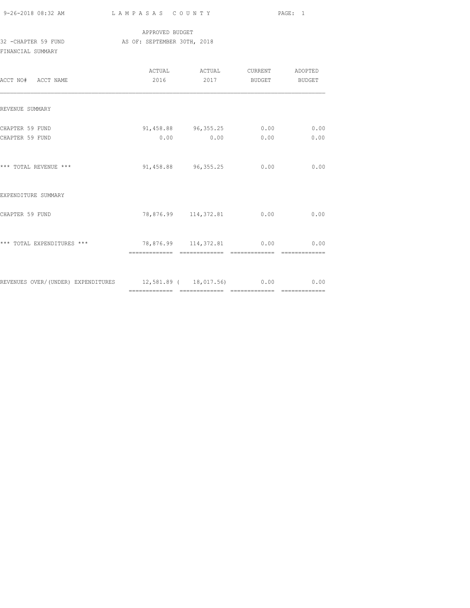9-26-2018 08:32 AM L A M P A S A S C O U N T Y PAGE: 1

### APPROVED BUDGET 32 -CHAPTER 59 FUND AS OF: SEPTEMBER 30TH, 2018

FINANCIAL SUMMARY

| ACCT NO# ACCT NAME                                             | 2016 | ACTUAL ACTUAL<br>2017                   | CURRENT ADOPTED<br><b>BUDGET</b> | BUDGET       |
|----------------------------------------------------------------|------|-----------------------------------------|----------------------------------|--------------|
| REVENUE SUMMARY                                                |      |                                         |                                  |              |
| CHAPTER 59 FUND<br>CHAPTER 59 FUND                             |      | 91,458.88 96,355.25 0.00<br>$0.00$ 0.00 | 0.00                             | 0.00<br>0.00 |
| *** TOTAL REVENUE ***                                          |      | 91,458.88 96,355.25                     | 0.00                             | 0.00         |
| EXPENDITURE SUMMARY                                            |      |                                         |                                  |              |
| CHAPTER 59 FUND                                                |      | 78,876.99 114,372.81 0.00               |                                  | 0.00         |
| *** TOTAL EXPENDITURES ***                                     |      | 78,876.99 114,372.81 0.00               |                                  | 0.00         |
| REVENUES OVER/(UNDER) EXPENDITURES 12,581.89 ( 18,017.56) 0.00 |      |                                         |                                  | 0.00         |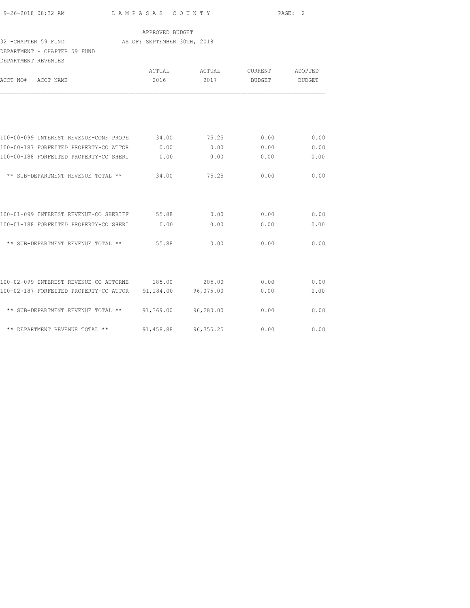| 9-26-2018 08:32 AM |  |
|--------------------|--|

## APPROVED BUDGET

### 32 -CHAPTER 59 FUND AS OF: SEPTEMBER 30TH, 2018

DEPARTMENT - CHAPTER 59 FUND

| DEPARTMENT REVENUES                    |           |            |               |         |
|----------------------------------------|-----------|------------|---------------|---------|
|                                        | ACTUAL    | ACTUAL     | CURRENT       | ADOPTED |
| ACCT NO#<br>ACCT NAME                  | 2016      | 2017       | <b>BUDGET</b> | BUDGET  |
|                                        |           |            |               |         |
| 100-00-099 INTEREST REVENUE-CONF PROPE | 34.00     | 75.25      | 0.00          | 0.00    |
| 100-00-187 FORFEITED PROPERTY-CO ATTOR | 0.00      | 0.00       | 0.00          | 0.00    |
| 100-00-188 FORFEITED PROPERTY-CO SHERI | 0.00      | 0.00       | 0.00          | 0.00    |
| ** SUB-DEPARTMENT REVENUE TOTAL **     | 34.00     | 75.25      | 0.00          | 0.00    |
| 100-01-099 INTEREST REVENUE-CO SHERIFF | 55.88     | 0.00       | 0.00          | 0.00    |
| 100-01-188 FORFEITED PROPERTY-CO SHERI | 0.00      | 0.00       | 0.00          | 0.00    |
| ** SUB-DEPARTMENT REVENUE TOTAL **     | 55.88     | 0.00       | 0.00          | 0.00    |
|                                        |           |            |               |         |
| 100-02-099 INTEREST REVENUE-CO ATTORNE | 185.00    | 205.00     | 0.00          | 0.00    |
| 100-02-187 FORFEITED PROPERTY-CO ATTOR | 91,184.00 | 96,075.00  | 0.00          | 0.00    |
| ** SUB-DEPARTMENT REVENUE TOTAL **     | 91,369.00 | 96,280.00  | 0.00          | 0.00    |
| ** DEPARTMENT REVENUE TOTAL **         | 91,458.88 | 96, 355.25 | 0.00          | 0.00    |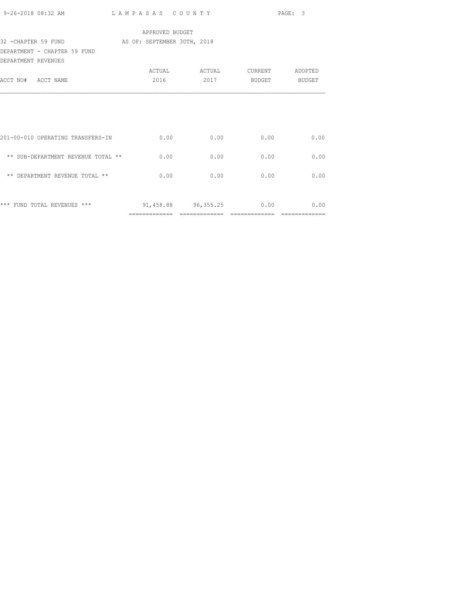|                                                  |                 |                                   |                    | PAGE: 3       |
|--------------------------------------------------|-----------------|-----------------------------------|--------------------|---------------|
|                                                  | APPROVED BUDGET |                                   |                    |               |
| 32 - CHAPTER 59 FUND AS OF: SEPTEMBER 30TH, 2018 |                 |                                   |                    |               |
| DEPARTMENT - CHAPTER 59 FUND                     |                 |                                   |                    |               |
| DEPARTMENT REVENUES                              |                 |                                   |                    |               |
|                                                  |                 |                                   |                    |               |
| ACCT NO# ACCT NAME                               |                 | 2016 70                           | 2017 BUDGET BUDGET |               |
|                                                  |                 |                                   |                    |               |
|                                                  |                 |                                   |                    |               |
|                                                  |                 |                                   |                    |               |
|                                                  |                 |                                   |                    |               |
| 201-00-010 OPERATING TRANSFERS-IN                | 0.00            | 0.00                              | 0.00               | 0.00          |
| ** SUB-DEPARTMENT REVENUE TOTAL **               | 0.00            | 0.00                              |                    | $0.00$ 0.00   |
|                                                  |                 |                                   |                    |               |
| ** DEPARTMENT REVENUE TOTAL **                   | 0.00            | 0.00                              | 0.00               | 0.00          |
|                                                  |                 |                                   |                    |               |
|                                                  |                 |                                   |                    |               |
| *** FUND TOTAL REVENUES ***                      |                 | $91,458.88$ $96,355.25$ 0.00 0.00 |                    |               |
|                                                  |                 |                                   |                    | ============= |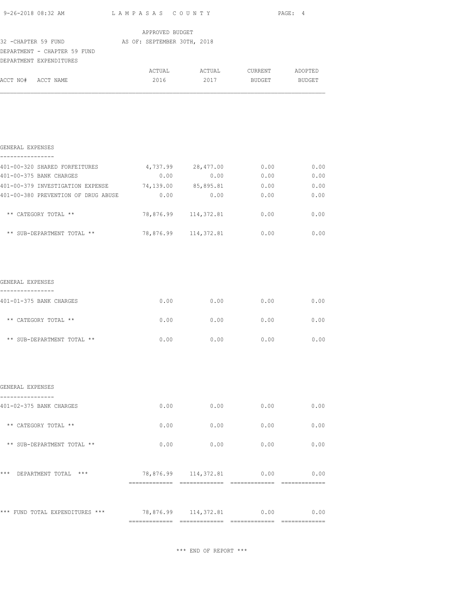|                                                                                                             |                           |                           | PAGE: 4 |      |
|-------------------------------------------------------------------------------------------------------------|---------------------------|---------------------------|---------|------|
|                                                                                                             | APPROVED BUDGET           |                           |         |      |
| 32 - CHAPTER 59 FUND AS OF: SEPTEMBER 30TH, 2018<br>DEPARTMENT - CHAPTER 59 FUND<br>DEPARTMENT EXPENDITURES |                           |                           |         |      |
| ACCT NO# ACCT NAME                                                                                          |                           | 2016 2017 BUDGET BUDGET   |         |      |
|                                                                                                             |                           |                           |         |      |
|                                                                                                             |                           |                           |         |      |
| GENERAL EXPENSES                                                                                            |                           |                           |         |      |
| ----------------<br>401-00-320 SHARED FORFEITURES 4,737.99 28,477.00                                        |                           |                           | 0.00    | 0.00 |
| 401-00-375 BANK CHARGES                                                                                     | 0.00                      | 0.00                      | 0.00    | 0.00 |
| 401-00-379 INVESTIGATION EXPENSE 74,139.00 85,895.81 0.00                                                   |                           |                           |         | 0.00 |
| 401-00-380 PREVENTION OF DRUG ABUSE                                                                         |                           | $0.00$ 0.00 0.00          |         | 0.00 |
| ** CATEGORY TOTAL **                                                                                        |                           | 78,876.99 114,372.81 0.00 |         | 0.00 |
| ** SUB-DEPARTMENT TOTAL **                                                                                  |                           | 78,876.99 114,372.81      | 0.00    | 0.00 |
|                                                                                                             |                           |                           |         |      |
| GENERAL EXPENSES                                                                                            |                           |                           |         |      |
| ----------------<br>401-01-375 BANK CHARGES                                                                 |                           | $0.00$ 0.00               | 0.00    | 0.00 |
| ** CATEGORY TOTAL **                                                                                        |                           | $0.00$ 0.00               | 0.00    | 0.00 |
| ** SUB-DEPARTMENT TOTAL **                                                                                  | 0.00                      | 0.00                      | 0.00    | 0.00 |
|                                                                                                             |                           |                           |         |      |
| GENERAL EXPENSES                                                                                            |                           |                           |         |      |
|                                                                                                             |                           |                           |         |      |
| 401-02-375 BANK CHARGES                                                                                     |                           | $0.00$ 0.00               | 0.00    | 0.00 |
| ** CATEGORY TOTAL **                                                                                        | 0.00                      | 0.00                      | 0.00    | 0.00 |
| ** SUB-DEPARTMENT TOTAL **                                                                                  | 0.00                      | 0.00                      | 0.00    | 0.00 |
| *** DEPARTMENT TOTAL ***                                                                                    |                           | 78,876.99 114,372.81 0.00 |         | 0.00 |
|                                                                                                             |                           |                           |         |      |
| *** FUND TOTAL EXPENDITURES ***                                                                             | 78,876.99 114,372.81 0.00 |                           |         | 0.00 |
|                                                                                                             |                           |                           |         |      |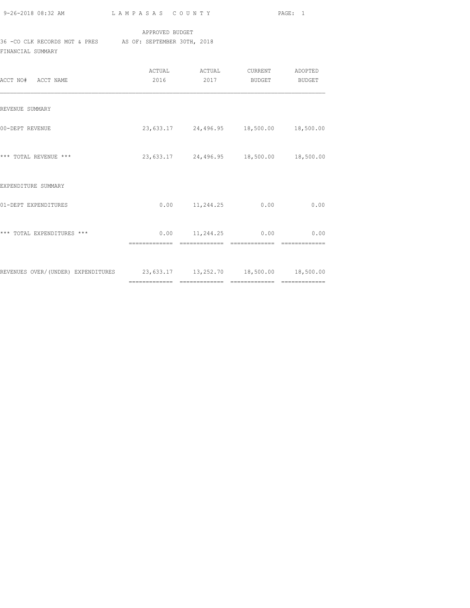| 9-26-2018 08:32 AM |  |
|--------------------|--|

### APPROVED BUDGET

# 36 -CO CLK RECORDS MGT & PRES AS OF: SEPTEMBER 30TH, 2018

FINANCIAL SUMMARY

| ACCT NO# ACCT NAME                                                         | 2016 | ACTUAL ACTUAL<br>2017                       | CURRENT ADOPTED<br><b>BUDGET</b> | BUDGET |
|----------------------------------------------------------------------------|------|---------------------------------------------|----------------------------------|--------|
| REVENUE SUMMARY                                                            |      |                                             |                                  |        |
| 00-DEPT REVENUE                                                            |      | 23, 633.17 24, 496.95 18, 500.00 18, 500.00 |                                  |        |
| *** TOTAL REVENUE ***                                                      |      | 23,633.17 24,496.95 18,500.00 18,500.00     |                                  |        |
| EXPENDITURE SUMMARY                                                        |      |                                             |                                  |        |
| 01-DEPT EXPENDITURES                                                       | 0.00 | 11,244.25                                   | 0.00                             | 0.00   |
| *** TOTAL EXPENDITURES ***                                                 |      | $0.00$ $11,244.25$                          | 0.00                             | 0.00   |
| REVENUES OVER/(UNDER) EXPENDITURES 23,633.17 13,252.70 18,500.00 18,500.00 |      |                                             |                                  |        |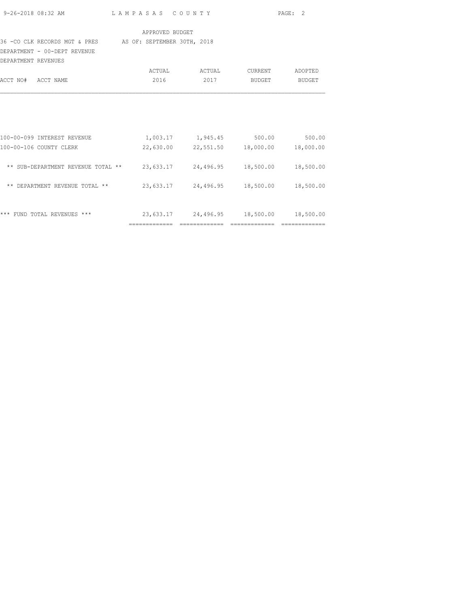|                     | 9-26-2018 08:32 AM                                                             | LAMPASAS COUNTY |                                         |                | PAGE: 2       |
|---------------------|--------------------------------------------------------------------------------|-----------------|-----------------------------------------|----------------|---------------|
|                     |                                                                                | APPROVED BUDGET |                                         |                |               |
|                     | 36 -CO CLK RECORDS MGT & PRES AS OF: SEPTEMBER 30TH, 2018                      |                 |                                         |                |               |
|                     | DEPARTMENT - 00-DEPT REVENUE                                                   |                 |                                         |                |               |
| DEPARTMENT REVENUES |                                                                                |                 |                                         |                |               |
|                     |                                                                                |                 | ACTUAL ACTUAL                           | <b>CURRENT</b> | ADOPTED       |
| ACCT NO# ACCT NAME  |                                                                                | 2016            | 2017                                    |                | BUDGET BUDGET |
|                     | 100-00-099 INTEREST REVENUE                                                    |                 | 1,003.17 1,945.45 500.00                |                | 500.00        |
|                     | 100-00-106 COUNTY CLERK                                                        |                 | 22,630.00 22,551.50 18,000.00 18,000.00 |                |               |
|                     | ** SUB-DEPARTMENT REVENUE TOTAL ** 23,633.17 24,496.95 18,500.00 18,500.00     |                 |                                         |                |               |
|                     | ** DEPARTMENT REVENUE TOTAL ** $23,633.17$ $24,496.95$ $18,500.00$ $18,500.00$ |                 |                                         |                |               |
|                     |                                                                                |                 |                                         |                |               |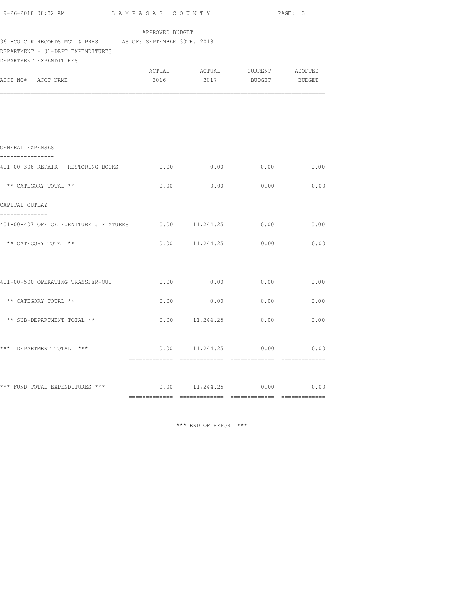|                                                                                                                                                                                |  |                    | PAGE: 3                      |      |  |  |  |
|--------------------------------------------------------------------------------------------------------------------------------------------------------------------------------|--|--------------------|------------------------------|------|--|--|--|
| APPROVED BUDGET<br>36 - CO CLK RECORDS MGT & PRES AS OF: SEPTEMBER 30TH, 2018<br>DEPARTMENT - 01-DEPT EXPENDITURES<br>DEPARTMENT EXPENDITURES<br>ACTUAL ACTUAL CURRENT ADOPTED |  |                    |                              |      |  |  |  |
| ACCT NO# ACCT NAME                                                                                                                                                             |  |                    | 2016 2017 BUDGET BUDGET      |      |  |  |  |
|                                                                                                                                                                                |  |                    |                              |      |  |  |  |
| GENERAL EXPENSES                                                                                                                                                               |  |                    |                              |      |  |  |  |
| ----------------<br>401-00-308 REPAIR - RESTORING BOOKS 0.00                                                                                                                   |  |                    | $0.00$ 0.00                  | 0.00 |  |  |  |
| ** CATEGORY TOTAL **                                                                                                                                                           |  |                    | $0.00$ 0.00 0.00 0.00 0.00   |      |  |  |  |
| CAPITAL OUTLAY                                                                                                                                                                 |  |                    |                              |      |  |  |  |
| --------------<br>401-00-407 OFFICE FURNITURE & FIXTURES 0.00 11,244.25 0.00 0.00 0.00                                                                                         |  |                    |                              |      |  |  |  |
| ** CATEGORY TOTAL **                                                                                                                                                           |  |                    | $0.00$ 11, 244. 25 0.00 0.00 |      |  |  |  |
|                                                                                                                                                                                |  |                    |                              |      |  |  |  |
| 401-00-500 OPERATING TRANSFER-OUT $0.00$ $0.00$ $0.00$ $0.00$ $0.00$                                                                                                           |  |                    |                              |      |  |  |  |
| ** CATEGORY TOTAL **                                                                                                                                                           |  | $0.00$ 0.00        | 0.00                         | 0.00 |  |  |  |
| ** SUB-DEPARTMENT TOTAL **                                                                                                                                                     |  | $0.00$ $11,244.25$ | 0.00                         | 0.00 |  |  |  |
|                                                                                                                                                                                |  |                    |                              |      |  |  |  |
| *** DEPARTMENT TOTAL ***                                                                                                                                                       |  |                    | $0.00$ 11,244.25 0.00 0.00   |      |  |  |  |
|                                                                                                                                                                                |  |                    |                              |      |  |  |  |
| *** FUND TOTAL EXPENDITURES *** $0.00$ 11,244.25 $0.00$ 0.00 $0.00$                                                                                                            |  |                    |                              |      |  |  |  |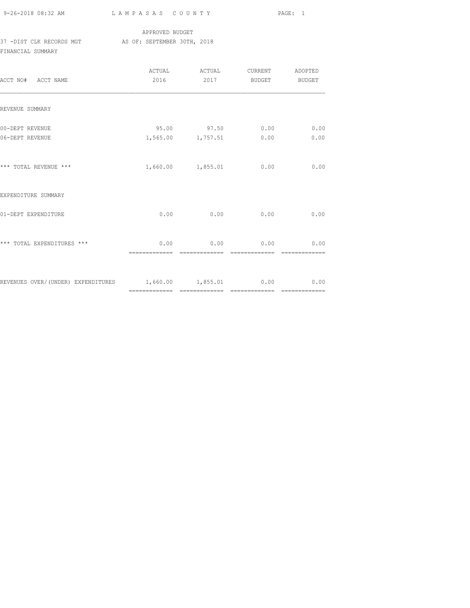## APPROVED BUDGET 37 -DIST CLK RECORDS MGT AS OF: SEPTEMBER 30TH, 2018 FINANCIAL SUMMARY

| ACCT NO# ACCT NAME                                        | ACTUAL<br>2016        | ACTUAL<br>2017                   | CURRENT<br>BUDGET      | ADOPTED<br>BUDGET |
|-----------------------------------------------------------|-----------------------|----------------------------------|------------------------|-------------------|
| REVENUE SUMMARY                                           |                       |                                  |                        |                   |
| 00-DEPT REVENUE<br>06-DEPT REVENUE                        |                       | 95.00 97.50<br>1,565.00 1,757.51 | 0.00<br>0.00           | 0.00<br>0.00      |
| *** TOTAL REVENUE ***                                     |                       | 1,660.00 1,855.01                | 0.00                   | 0.00              |
| EXPENDITURE SUMMARY                                       |                       |                                  |                        |                   |
| 01-DEPT EXPENDITURE                                       | 0.00                  | 0.00                             | 0.00                   | 0.00              |
| *** TOTAL EXPENDITURES ***                                | 0.00<br>============= | 0.00<br>--------------           | 0.00<br>-------------- | 0.00              |
| REVENUES OVER/(UNDER) EXPENDITURES 1,660.00 1,855.01 0.00 |                       |                                  |                        | 0.00              |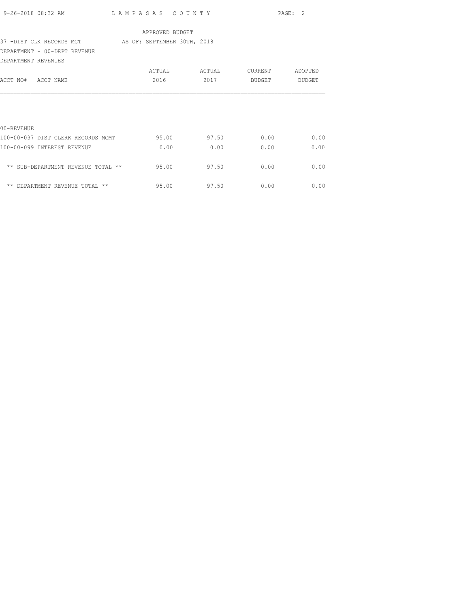| 9-26-2018 08:32 AM                 | LAMPASAS COUNTY             |        |         | PAGE: 2       |
|------------------------------------|-----------------------------|--------|---------|---------------|
|                                    | APPROVED BUDGET             |        |         |               |
| 37 -DIST CLK RECORDS MGT           | AS OF: SEPTEMBER 30TH, 2018 |        |         |               |
| DEPARTMENT - 00-DEPT REVENUE       |                             |        |         |               |
| DEPARTMENT REVENUES                |                             |        |         |               |
|                                    | ACTUAL                      | ACTUAL | CURRENT | ADOPTED       |
| ACCT NO# ACCT NAME                 | 2016                        | 2017   | BUDGET  | <b>BUDGET</b> |
|                                    |                             |        |         |               |
|                                    |                             |        |         |               |
|                                    |                             |        |         |               |
| 00-REVENUE                         |                             |        |         |               |
| 100-00-037 DIST CLERK RECORDS MGMT | 95.00                       | 97.50  | 0.00    | 0.00          |
| 100-00-099 INTEREST REVENUE        | 0.00                        | 0.00   | 0.00    | 0.00          |
|                                    |                             |        |         |               |
| ** SUB-DEPARTMENT REVENUE TOTAL ** | 95.00                       | 97.50  | 0.00    | 0.00          |
|                                    |                             |        |         |               |
| ** DEPARTMENT REVENUE TOTAL **     | 95.00                       | 97.50  | 0.00    | 0.00          |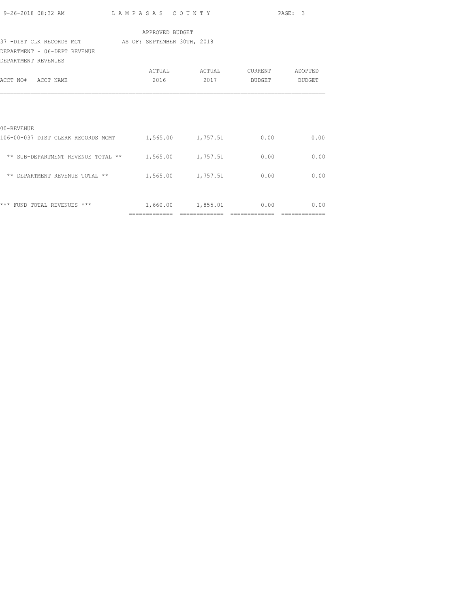|                                                                                                                                          |                 |                               |               | PAGE: 3      |
|------------------------------------------------------------------------------------------------------------------------------------------|-----------------|-------------------------------|---------------|--------------|
|                                                                                                                                          | APPROVED BUDGET |                               |               |              |
| 37 -DIST CLK RECORDS MGT AS OF: SEPTEMBER 30TH, 2018                                                                                     |                 |                               |               |              |
| DEPARTMENT - 06-DEPT REVENUE<br>DEPARTMENT REVENUES                                                                                      |                 |                               |               |              |
|                                                                                                                                          |                 |                               |               |              |
| ACCT NO# ACCT NAME                                                                                                                       | 2016            | 2017                          | <b>BUDGET</b> | BUDGET       |
| 00-REVENUE<br>106-00-037 DIST CLERK RECORDS MGMT 1,565.00 1,757.51 0.00<br>** SUB-DEPARTMENT REVENUE TOTAL ** $1,565.00$ $1,757.51$ 0.00 |                 |                               |               | 0.00<br>0.00 |
| ** DEPARTMENT REVENUE TOTAL ** $1,565.00$ $1,757.51$ 0.00                                                                                |                 |                               |               | 0.00         |
| *** FUND TOTAL REVENUES ***                                                                                                              |                 | -------------- -------------- | ============= | 0.00         |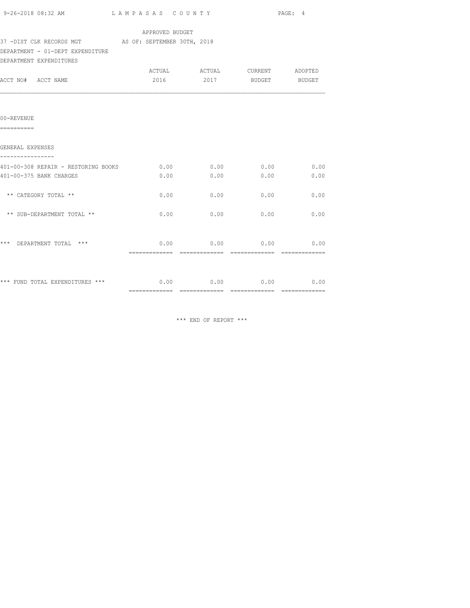| 9-26-2018 08:32 AM                                   | LAMPASAS COUNTY                           | PAGE: 4                            |      |      |
|------------------------------------------------------|-------------------------------------------|------------------------------------|------|------|
|                                                      | APPROVED BUDGET                           |                                    |      |      |
| 37 -DIST CLK RECORDS MGT AS OF: SEPTEMBER 30TH, 2018 |                                           |                                    |      |      |
| DEPARTMENT - 01-DEPT EXPENDITURE                     |                                           |                                    |      |      |
| DEPARTMENT EXPENDITURES                              |                                           |                                    |      |      |
|                                                      |                                           | ACTUAL ACTUAL CURRENT ADOPTED      |      |      |
| ACCT NO# ACCT NAME                                   |                                           | 2016 2017 BUDGET BUDGET            |      |      |
|                                                      |                                           |                                    |      |      |
| 00-REVENUE<br>==========                             |                                           |                                    |      |      |
| GENERAL EXPENSES                                     |                                           |                                    |      |      |
|                                                      |                                           |                                    |      |      |
| 401-00-308 REPAIR - RESTORING BOOKS                  |                                           | $0.00$ $0.00$ $0.00$ $0.00$ $0.00$ |      |      |
| 401-00-375 BANK CHARGES                              | 0.00                                      | 0.00                               | 0.00 | 0.00 |
|                                                      |                                           |                                    |      |      |
| ** CATEGORY TOTAL **                                 | 0.00                                      | 0.00                               | 0.00 | 0.00 |
|                                                      |                                           |                                    |      |      |
| ** SUB-DEPARTMENT TOTAL **                           | 0.00                                      | 0.00                               | 0.00 | 0.00 |
|                                                      |                                           |                                    |      |      |
| *** DEPARTMENT TOTAL ***                             |                                           | $0.00$ 0.00 0.00 0.00              |      |      |
|                                                      |                                           |                                    |      |      |
| *** FUND TOTAL EXPENDITURES ***                      | $0.00$ $0.00$ $0.00$ $0.00$ $0.00$ $0.00$ |                                    |      |      |
|                                                      |                                           |                                    |      |      |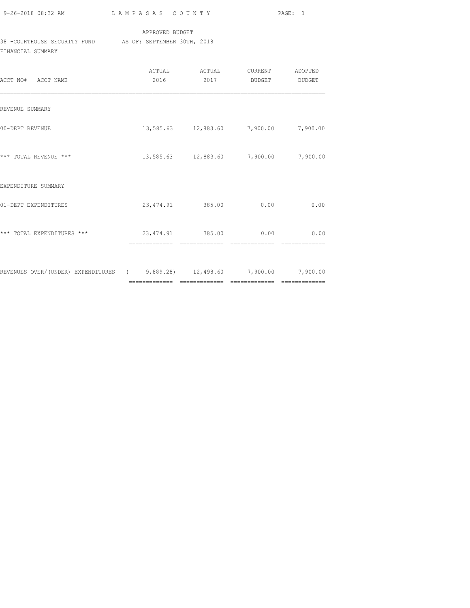| 9-26-2018 08:32 AM |  |
|--------------------|--|

## APPROVED BUDGET

38 -COURTHOUSE SECURITY FUND AS OF: SEPTEMBER 30TH, 2018 FINANCIAL SUMMARY

| ACCT NO# ACCT NAME                                                        | 2016          | ACTUAL<br>ACTUAL<br>2017              | CURRENT<br>BUDGET     | ADOPTED<br>BUDGET |
|---------------------------------------------------------------------------|---------------|---------------------------------------|-----------------------|-------------------|
| REVENUE SUMMARY                                                           |               |                                       |                       |                   |
| 00-DEPT REVENUE                                                           |               | 13,585.63 12,883.60 7,900.00          |                       | 7,900.00          |
| *** TOTAL REVENUE ***                                                     |               | 13,585.63 12,883.60 7,900.00 7,900.00 |                       |                   |
| EXPENDITURE SUMMARY                                                       |               |                                       |                       |                   |
| 01-DEPT EXPENDITURES                                                      |               | 23,474.91 385.00                      | 0.00                  | 0.00              |
| *** TOTAL EXPENDITURES ***                                                | ============= | 23,474.91 385.00<br>=============     | 0.00<br>============= | 0.00              |
| REVENUES OVER/(UNDER) EXPENDITURES (3,889.28) 12,498.60 7,900.00 7,900.00 |               |                                       |                       |                   |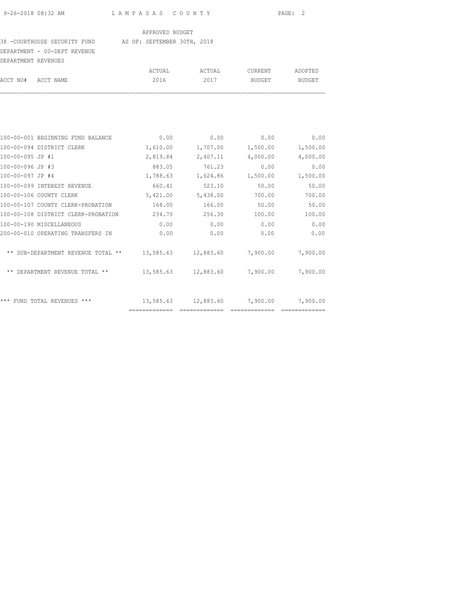#### 38 -COURTHOUSE SECURITY FUND AS OF: SEPTEMBER 30TH, 2018

DEPARTMENT - 00-DEPT REVENUE

| DEPARTMENT REVENUES |                                   |          |          |                |          |
|---------------------|-----------------------------------|----------|----------|----------------|----------|
|                     |                                   | ACTUAL   | ACTUAL   | <b>CURRENT</b> | ADOPTED  |
| ACCT NO#            | ACCT NAME                         | 2016     | 2017     | <b>BUDGET</b>  | BUDGET   |
|                     |                                   |          |          |                |          |
|                     | 100-00-001 BEGINNING FUND BALANCE | 0.00     | 0.00     | 0.00           | 0.00     |
|                     | 100-00-094 DISTRICT CLERK         | 1,610.00 | 1,707.00 | 1,500.00       | 1,500.00 |
| 100-00-095 JP #1    |                                   | 2,819.84 | 2,407.11 | 4,000.00       | 4,000.00 |
| 100-00-096 JP #3    |                                   | 883.05   | 761.23   | 0.00           | 0.00     |
| 100-00-097 JP #4    |                                   | 1,788.63 | 1,624.86 | 1,500.00       | 1,500.00 |
|                     |                                   |          |          |                |          |

| 100-00-096 JP #3                            | 883.05    | 761.23    | 0.00     | 0.00     |
|---------------------------------------------|-----------|-----------|----------|----------|
| 100-00-097 JP #4                            | 1,788.63  | 1,624.86  | 1,500.00 | 1,500.00 |
| 100-00-099 INTEREST REVENUE                 | 660.41    | 523.10    | 50.00    | 50.00    |
| 100-00-106 COUNTY CLERK                     | 5,421.00  | 5,438.00  | 700.00   | 700.00   |
| 100-00-107 COUNTY CLERK-PROBATION           | 168.00    | 166.00    | 50.00    | 50.00    |
| 100-00-108 DISTRICT CLERK-PROBATION         | 234.70    | 256.30    | 100.00   | 100.00   |
| 100-00-190 MISCELLANEOUS                    | 0.00      | 0.00      | 0.00     | 0.00     |
| 200-00-010 OPERATING TRANSFERS IN           | 0.00      | 0.00      | 0.00     | 0.00     |
| ** SUB-DEPARTMENT REVENUE TOTAL **          | 13,585.63 | 12,883.60 | 7,900.00 | 7,900.00 |
| DEPARTMENT REVENUE TOTAL **<br>$\star\star$ | 13,585.63 | 12,883.60 | 7,900.00 | 7,900.00 |
| ***<br>$***$<br>REVENUES<br>TOTAL.<br>FUND  | 13,585.63 | 12,883.60 | 7,900.00 | 7,900.00 |
|                                             |           |           |          |          |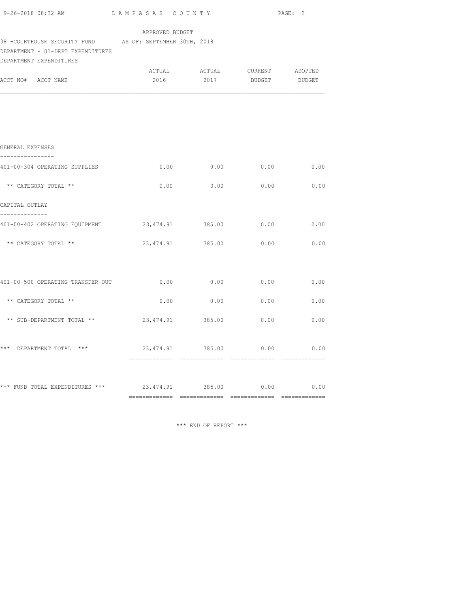|                                                                                                                          |                       |                                                          |      | PAGE: 3 |
|--------------------------------------------------------------------------------------------------------------------------|-----------------------|----------------------------------------------------------|------|---------|
| 38 -COURTHOUSE SECURITY FUND AS OF: SEPTEMBER 30TH, 2018<br>DEPARTMENT - 01-DEPT EXPENDITURES<br>DEPARTMENT EXPENDITURES | APPROVED BUDGET       |                                                          |      |         |
| ACCT NO# ACCT NAME                                                                                                       |                       | ACTUAL ACTUAL CURRENT ADOPTED<br>2016 2017 BUDGET BUDGET |      |         |
|                                                                                                                          |                       |                                                          |      |         |
|                                                                                                                          |                       |                                                          |      |         |
| GENERAL EXPENSES<br>----------------                                                                                     |                       |                                                          |      |         |
| 401-00-304 OPERATING SUPPLIES                                                                                            | 0.00                  | 0.00                                                     | 0.00 | 0.00    |
| ** CATEGORY TOTAL **                                                                                                     |                       | $0.00$ 0.00 0.00 0.00 0.00                               |      |         |
| CAPITAL OUTLAY                                                                                                           |                       |                                                          |      |         |
| --------------<br>401-00-402 OPERATING EQUIPMENT $23,474.91$ 385.00 0.00 0.00                                            |                       |                                                          |      |         |
| ** CATEGORY TOTAL **                                                                                                     |                       | 23,474.91 385.00 0.00 0.00                               |      |         |
|                                                                                                                          |                       |                                                          |      |         |
| 401-00-500 OPERATING TRANSFER-OUT $0.00$ $0.00$ $0.00$ $0.00$ $0.00$                                                     |                       |                                                          |      |         |
| ** CATEGORY TOTAL **                                                                                                     |                       | $0.00$ 0.00 0.00                                         |      | 0.00    |
| ** SUB-DEPARTMENT TOTAL ** $23,474.91$ 385.00 0.00                                                                       |                       |                                                          |      | 0.00    |
|                                                                                                                          |                       |                                                          |      |         |
| *** DEPARTMENT TOTAL ***                                                                                                 | 23,474.91 385.00 0.00 |                                                          |      | 0.00    |
|                                                                                                                          |                       |                                                          |      |         |
| *** FUND TOTAL EXPENDITURES *** $23,474.91$ 385.00 $0.00$ 0.00 $0.00$                                                    |                       |                                                          |      |         |
|                                                                                                                          |                       |                                                          |      |         |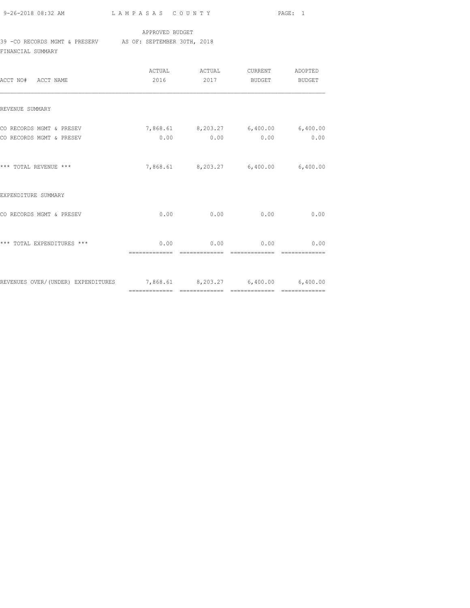#### APPROVED BUDGET

## 39 -CO RECORDS MGMT & PRESERV AS OF: SEPTEMBER 30TH, 2018

FINANCIAL SUMMARY

| ACCT NO# ACCT NAME                                                     | 2016                  | ACTUAL ACTUAL<br>2017 | <b>CURRENT</b><br>BUDGET                    | ADOPTED<br>BUDGET |
|------------------------------------------------------------------------|-----------------------|-----------------------|---------------------------------------------|-------------------|
| REVENUE SUMMARY                                                        |                       |                       |                                             |                   |
| CO RECORDS MGMT & PRESEV<br>CO RECORDS MGMT & PRESEV                   | 0.00                  | 0.00                  | 7,868.61 8,203.27 6,400.00 6,400.00<br>0.00 | 0.00              |
| *** TOTAL REVENUE ***                                                  |                       |                       | 7,868.61 8,203.27 6,400.00 6,400.00         |                   |
| EXPENDITURE SUMMARY                                                    |                       |                       |                                             |                   |
| CO RECORDS MGMT & PRESEV                                               | 0.00                  | 0.00                  | 0.00                                        | 0.00              |
| *** TOTAL EXPENDITURES ***                                             | 0.00<br>------------- | 0.00                  | 0.00                                        | 0.00              |
| REVENUES OVER/(UNDER) EXPENDITURES 7,868.61 8,203.27 6,400.00 6,400.00 |                       |                       |                                             |                   |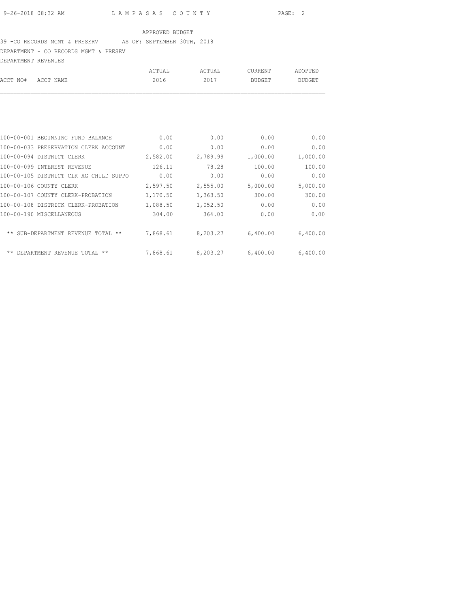### 39 -CO RECORDS MGMT & PRESERV AS OF: SEPTEMBER 30TH, 2018

DEPARTMENT - CO RECORDS MGMT & PRESEV

| DEPARTMENT REVENUES |        |        |         |         |
|---------------------|--------|--------|---------|---------|
|                     | ACTUAL | ACTUAL | CURRENT | ADOPTED |
| ACCT NO# ACCT NAME  | 2016   | 2017   | BUDGET  | BUDGET  |
|                     |        |        |         |         |

| 100-00-001 BEGINNING FUND BALANCE            | 0.00     | 0.00     | 0.00     | 0.00     |
|----------------------------------------------|----------|----------|----------|----------|
| 100-00-033 PRESERVATION CLERK ACCOUNT        | 0.00     | 0.00     | 0.00     | 0.00     |
| 100-00-094 DISTRICT CLERK                    | 2,582.00 | 2,789.99 | 1,000.00 | 1,000.00 |
| 100-00-099 INTEREST REVENUE                  | 126.11   | 78.28    | 100.00   | 100.00   |
| 100-00-105 DISTRICT CLK AG CHILD SUPPO       | 0.00     | 0.00     | 0.00     | 0.00     |
| 100-00-106 COUNTY CLERK                      | 2,597.50 | 2,555.00 | 5,000.00 | 5,000.00 |
| 100-00-107 COUNTY CLERK-PROBATION            | 1,170.50 | 1,363.50 | 300.00   | 300.00   |
| 100-00-108 DISTRICK CLERK-PROBATION          | 1,088.50 | 1,052.50 | 0.00     | 0.00     |
| 100-00-190 MISCELLANEOUS                     | 304.00   | 364.00   | 0.00     | 0.00     |
| ** SUB-DEPARTMENT REVENUE<br>$***$<br>TOTAL. | 7,868.61 | 8,203.27 | 6,400.00 | 6,400.00 |
| ** DEPARTMENT REVENUE TOTAL<br>$***$         | 7,868.61 | 8,203.27 | 6,400.00 | 6,400.00 |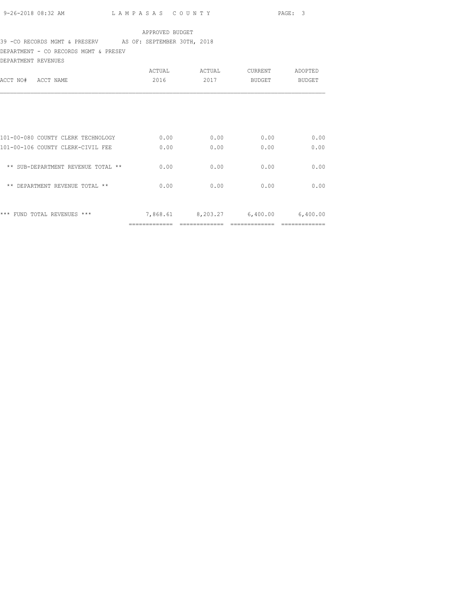### 39 -CO RECORDS MGMT & PRESERV AS OF: SEPTEMBER 30TH, 2018

DEPARTMENT - CO RECORDS MGMT & PRESEV

| DEPARTMENT REVENUES                |        |                            |         |          |
|------------------------------------|--------|----------------------------|---------|----------|
|                                    | ACTUAL | ACTUAL                     | CURRENT | ADOPTED  |
| ACCT NO#<br>ACCT NAME              | 2016   | 2017                       | BUDGET  | BUDGET   |
|                                    |        |                            |         |          |
|                                    |        |                            |         |          |
| 101-00-080 COUNTY CLERK TECHNOLOGY | 0.00   | 0.00                       | 0.00    | 0.00     |
| 101-00-106 COUNTY CLERK-CIVIL FEE  | 0.00   | 0.00                       | 0.00    | 0.00     |
| ** SUB-DEPARTMENT REVENUE TOTAL ** | 0.00   | 0.00                       | 0.00    | 0.00     |
| ** DEPARTMENT REVENUE TOTAL **     | 0.00   | 0.00                       | 0.00    | 0.00     |
| *** FUND TOTAL REVENUES ***        |        | 7,868.61 8,203.27 6,400.00 |         | 6,400.00 |
|                                    |        |                            |         |          |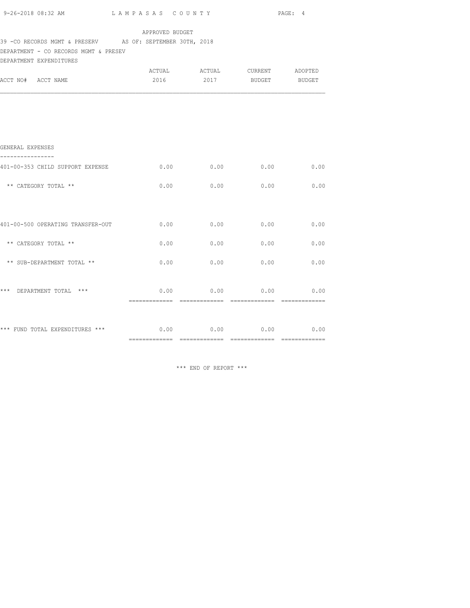| 9-26-2018 08:32 AM LAMPASAS COUNTY PAGE: 4<br>APPROVED BUDGET<br>39 - CO RECORDS MGMT & PRESERV AS OF: SEPTEMBER 30TH, 2018<br>DEPARTMENT - CO RECORDS MGMT & PRESEV |
|----------------------------------------------------------------------------------------------------------------------------------------------------------------------|
|                                                                                                                                                                      |
|                                                                                                                                                                      |
| DEPARTMENT EXPENDITURES                                                                                                                                              |
| 2016  2017 BUDGET BUDGET<br>ACCT NO# ACCT NAME                                                                                                                       |
|                                                                                                                                                                      |
|                                                                                                                                                                      |
|                                                                                                                                                                      |
|                                                                                                                                                                      |
| GENERAL EXPENSES                                                                                                                                                     |
| 401-00-353 CHILD SUPPORT EXPENSE 6.00<br>0.00<br>$0.00$ 0.00                                                                                                         |
| $0.00$ 0.00 0.00 0.00 0.00<br>** CATEGORY TOTAL **                                                                                                                   |
|                                                                                                                                                                      |
|                                                                                                                                                                      |
| 401-00-500 OPERATING TRANSFER-OUT 0.00<br>0.00<br>0.00<br>0.00                                                                                                       |
| ** CATEGORY TOTAL **<br>0.00<br>0.00<br>0.00<br>0.00                                                                                                                 |
| ** SUB-DEPARTMENT TOTAL **<br>$0.00$ $0.00$ $0.00$ $0.00$ $0.00$                                                                                                     |
|                                                                                                                                                                      |
| *** DEPARTMENT TOTAL ***<br>$0.00$ $0.00$ $0.00$ $0.00$ $0.00$                                                                                                       |
|                                                                                                                                                                      |
|                                                                                                                                                                      |
| *** FUND TOTAL EXPENDITURES *** 0.00 0.00 0.00 0.00 0.00 0.00                                                                                                        |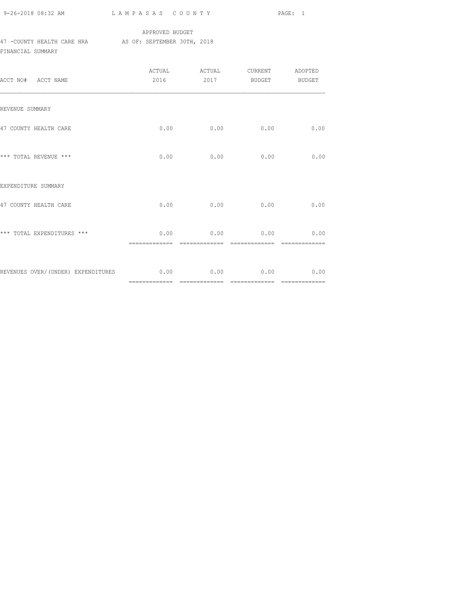|  | 9-26-2018 08:32 AM |  |
|--|--------------------|--|
|  |                    |  |

## APPROVED BUDGET 47 -COUNTY HEALTH CARE HRA AS OF: SEPTEMBER 30TH, 2018 FINANCIAL SUMMARY

| ACCT NO# ACCT NAME                                     |               | ACTUAL ACTUAL CURRENT ADOPTED<br>2016 2017 BUDGET BUDGET |                |               |
|--------------------------------------------------------|---------------|----------------------------------------------------------|----------------|---------------|
| REVENUE SUMMARY                                        |               |                                                          |                |               |
| 47 COUNTY HEALTH CARE                                  |               | $0.00$ 0.00                                              | 0.00           | 0.00          |
| *** TOTAL REVENUE ***                                  |               | $0.00$ 0.00                                              | 0.00           | 0.00          |
| EXPENDITURE SUMMARY                                    |               |                                                          |                |               |
| 47 COUNTY HEALTH CARE                                  |               | $0.00$ 0.00                                              | 0.00           | 0.00          |
| *** TOTAL EXPENDITURES ***                             | ============= | $0.00$ 0.00 0.00 0.00<br>=============                   | -------------- | ============= |
| REVENUES OVER/(UNDER) EXPENDITURES 6.00 0.00 0.00 0.00 |               |                                                          |                | 0.00          |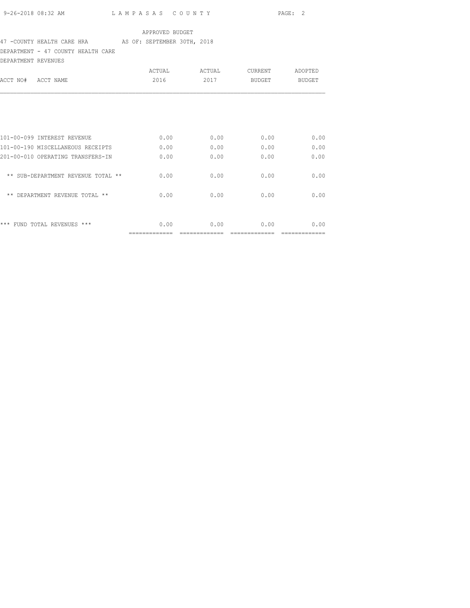# 47 -COUNTY HEALTH CARE HRA AS OF: SEPTEMBER 30TH, 2018

DEPARTMENT - 47 COUNTY HEALTH CARE

| DEPARTMENT REVENUES                |        |        |                |               |
|------------------------------------|--------|--------|----------------|---------------|
|                                    | ACTUAL | ACTUAL | <b>CURRENT</b> | ADOPTED       |
| ACCT NO#<br>ACCT NAME              | 2016   | 2017   | BUDGET         | <b>BUDGET</b> |
|                                    |        |        |                |               |
|                                    |        |        |                |               |
| 101-00-099 INTEREST REVENUE        | 0.00   | 0.00   | 0.00           | 0.00          |
| 101-00-190 MISCELLANEOUS RECEIPTS  | 0.00   | 0.00   | 0.00           | 0.00          |
| 201-00-010 OPERATING TRANSFERS-IN  | 0.00   | 0.00   | 0.00           | 0.00          |
| ** SUB-DEPARTMENT REVENUE TOTAL ** | 0.00   | 0.00   | 0.00           | 0.00          |
| ** DEPARTMENT REVENUE TOTAL **     | 0.00   | 0.00   | 0.00           | 0.00          |
|                                    |        |        |                |               |
| *** FUND TOTAL REVENUES ***        | 0.00   | 0.00   | 0.00           | 0.00          |
|                                    |        |        |                |               |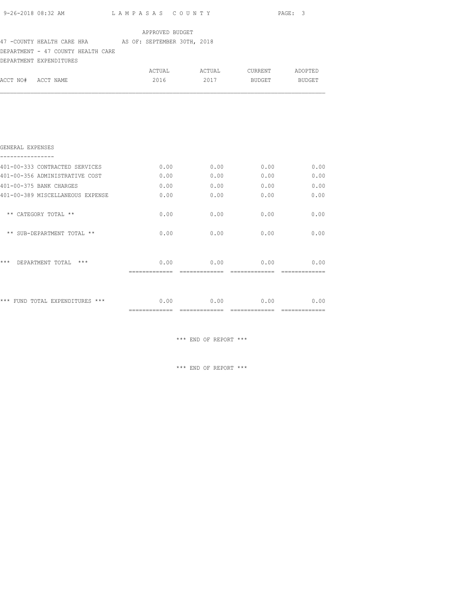|                                                         |                 |      |                               | PAGE: 3 |
|---------------------------------------------------------|-----------------|------|-------------------------------|---------|
|                                                         | APPROVED BUDGET |      |                               |         |
| 47 - COUNTY HEALTH CARE HRA AS OF: SEPTEMBER 30TH, 2018 |                 |      |                               |         |
| DEPARTMENT - 47 COUNTY HEALTH CARE                      |                 |      |                               |         |
| DEPARTMENT EXPENDITURES                                 |                 |      |                               |         |
|                                                         |                 |      | ACTUAL ACTUAL CURRENT ADOPTED |         |
| ACCT NO# ACCT NAME                                      |                 |      | 2016 2017 BUDGET BUDGET       |         |
|                                                         |                 |      |                               |         |
|                                                         |                 |      |                               |         |
|                                                         |                 |      |                               |         |
|                                                         |                 |      |                               |         |
| GENERAL EXPENSES                                        |                 |      |                               |         |
| 401-00-333 CONTRACTED SERVICES                          |                 |      | $0.00$ 0.00 0.00              | 0.00    |
| 401-00-356 ADMINISTRATIVE COST                          | 0.00            | 0.00 | 0.00                          | 0.00    |
| 401-00-375 BANK CHARGES                                 |                 |      | $0.00$ $0.00$ $0.00$ $0.00$   | 0.00    |
| 401-00-389 MISCELLANEOUS EXPENSE                        | 0.00            | 0.00 | 0.00                          | 0.00    |
| ** CATEGORY TOTAL **                                    | 0.00            | 0.00 | 0.00                          | 0.00    |
|                                                         |                 |      |                               |         |
| ** SUB-DEPARTMENT TOTAL **                              | 0.00            |      | $0.00$ 0.00                   | 0.00    |
|                                                         |                 |      |                               |         |
|                                                         |                 |      |                               |         |
| *** DEPARTMENT TOTAL ***                                |                 |      | $0.00$ 0.00 0.00              | 0.00    |
|                                                         |                 |      |                               |         |
|                                                         |                 |      |                               |         |
| *** FUND TOTAL EXPENDITURES ***                         |                 |      | $0.00$ 0.00 0.00 0.00         |         |

============= ============= ============= =============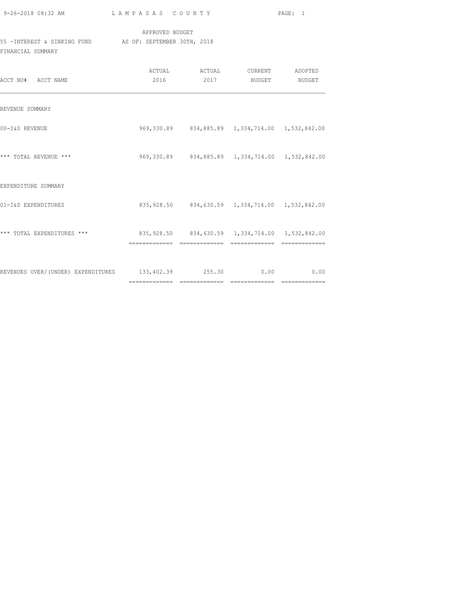|                                                                               |                                                 |                                                       | PAGE: 1 |
|-------------------------------------------------------------------------------|-------------------------------------------------|-------------------------------------------------------|---------|
| 55 - INTEREST & SINKING FUND AS OF: SEPTEMBER 30TH, 2018<br>FINANCIAL SUMMARY | APPROVED BUDGET                                 |                                                       |         |
| ACCT NO# ACCT NAME                                                            |                                                 | 2016 2017 BUDGET BUDGET                               |         |
| REVENUE SUMMARY                                                               |                                                 |                                                       |         |
| 00-I&S REVENUE                                                                |                                                 | 969, 330.89 834, 885.89 1, 334, 714.00 1, 532, 842.00 |         |
| *** TOTAL REVENUE ***                                                         | 969,330.89 834,885.89 1,334,714.00 1,532,842.00 |                                                       |         |
| EXPENDITURE SUMMARY                                                           |                                                 |                                                       |         |
| 01-I&S EXPENDITURES                                                           |                                                 | 835, 928.50 834, 630.59 1, 334, 714.00 1, 532, 842.00 |         |
| *** TOTAL EXPENDITURES *** 835,928.50 834,630.59 1,334,714.00 1,532,842.00    |                                                 |                                                       |         |
| REVENUES OVER/(UNDER) EXPENDITURES 133,402.39 255.30 0.00 0.00 0.00           |                                                 |                                                       |         |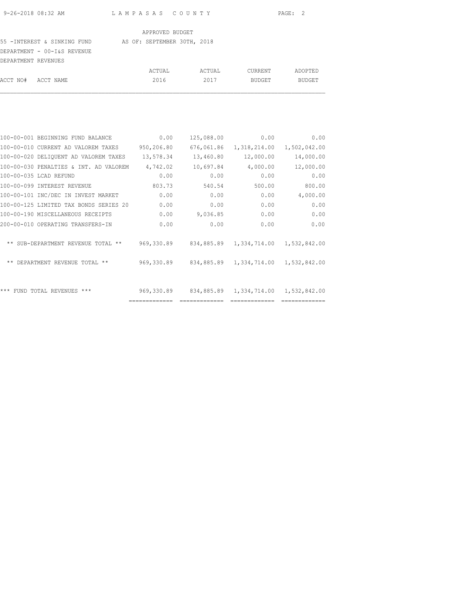#### 55 -INTEREST & SINKING FUND AS OF: SEPTEMBER 30TH, 2018

DEPARTMENT - 00-I&S REVENUE DEPARTMENT REVENUES

| DEFARIMENI REVENUES |        |        |         |         |
|---------------------|--------|--------|---------|---------|
|                     | ACTUAL | ACTUAL | CURRENT | ADOPTED |
| ACCT NO# ACCT NAME  | 2016   | 2017   | BUDGET  | BUDGET  |
|                     |        |        |         |         |

| 100-00-001 BEGINNING FUND BALANCE      | 0.00          | 125,088.00 | 0.00                                            | 0.00         |
|----------------------------------------|---------------|------------|-------------------------------------------------|--------------|
| 100-00-010 CURRENT AD VALOREM TAXES    | 950,206.80    | 676,061.86 | 1,318,214.00                                    | 1,502,042.00 |
| 100-00-020 DELIQUENT AD VALOREM TAXES  | 13,578.34     | 13,460.80  | 12,000.00                                       | 14,000.00    |
| 100-00-030 PENALTIES & INT. AD VALOREM | 4,742.02      | 10,697.84  | 4,000.00                                        | 12,000.00    |
| 100-00-035 LCAD REFUND                 | 0.00          | 0.00       | 0.00                                            | 0.00         |
| 100-00-099 INTEREST REVENUE            | 803.73        | 540.54     | 500.00                                          | 800.00       |
| 100-00-101 INC/DEC IN INVEST MARKET    | 0.00          | 0.00       | 0.00                                            | 4,000.00     |
| 100-00-125 LIMITED TAX BONDS SERIES 20 | 0.00          | 0.00       | 0.00                                            | 0.00         |
| 100-00-190 MISCELLANEOUS RECEIPTS      | 0.00          | 9,036.85   | 0.00                                            | 0.00         |
| 200-00-010 OPERATING TRANSFERS-IN      | 0.00          | 0.00       | 0.00                                            | 0.00         |
| ** SUB-DEPARTMENT REVENUE TOTAL **     | 969,330.89    | 834,885.89 | 1,334,714.00 1,532,842.00                       |              |
| ** DEPARTMENT REVENUE TOTAL **         |               |            | 969,330.89 834,885.89 1,334,714.00 1,532,842.00 |              |
| *** FUND TOTAL REVENUES ***            | 969,330.89    |            | 834,885.89 1,334,714.00                         | 1,532,842.00 |
|                                        | ============= |            |                                                 |              |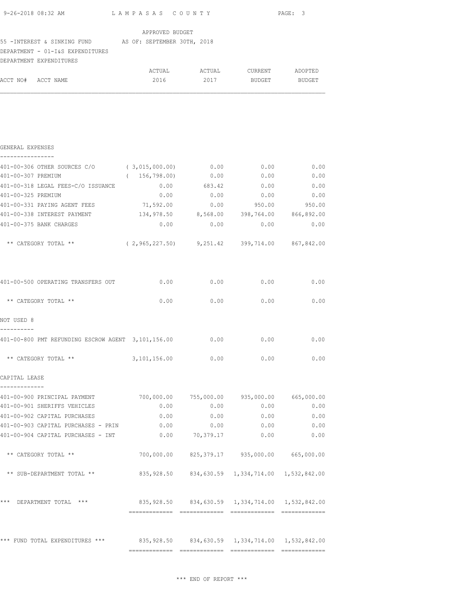| APPROVED BUDGET<br>55 - INTEREST & SINKING FUND AS OF: SEPTEMBER 30TH, 2018<br>DEPARTMENT - 01-I&S EXPENDITURES<br>DEPARTMENT EXPENDITURES<br>ACTUAL ACTUAL CURRENT ADOPTED<br>2017<br>2016<br>ACCT NO# ACCT NAME<br>BUDGET<br>BUDGET<br>GENERAL EXPENSES<br>----------------<br>401-00-306 OTHER SOURCES C/O (3,015,000.00) 0.00 0.00 0.00 0.00<br>401-00-307 PREMIUM<br>0.00<br>(156, 798.00)<br>0.00<br>401-00-318 LEGAL FEES-C/O ISSUANCE 0.00<br>683.42<br>0.00<br>0.00<br>401-00-325 PREMIUM<br>0.00<br>0.00<br>401-00-331 PAYING AGENT FEES 71,592.00<br>0.00<br>950.00<br>134,978.50 8,568.00 398,764.00 866,892.00<br>401-00-338 INTEREST PAYMENT<br>401-00-375 BANK CHARGES<br>0.00<br>0.00<br>0.00<br>** CATEGORY TOTAL ** (2,965,227.50) 9,251.42 399,714.00 867,842.00<br>401-00-500 OPERATING TRANSFERS OUT 0.00 0.00<br>0.00<br>** CATEGORY TOTAL **<br>0.00<br>0.00<br>0.00<br>NOT USED 8<br>----------<br>401-00-800 PMT REFUNDING ESCROW AGENT 3,101,156.00 0.00 0.00 0.00<br>** CATEGORY TOTAL **<br>3,101,156.00 0.00<br>0.00<br>CAPITAL LEASE<br>-------------<br>401-00-900 PRINCIPAL PAYMENT 700,000.00 755,000.00 935,000.00 665,000.00<br>0.00<br>0.00<br>401-00-901 SHERIFFS VEHICLES<br>0.00<br>401-00-902 CAPITAL PURCHASES<br>0.00<br>0.00<br>0.00<br>0.00<br>401-00-903 CAPITAL PURCHASES - PRIN<br>0.00<br>0.00<br>401-00-904 CAPITAL PURCHASES - INT<br>$0.00$ 70,379.17<br>0.00<br>** CATEGORY TOTAL **<br>700,000.00 825,379.17 935,000.00 665,000.00<br>** SUB-DEPARTMENT TOTAL **<br>835,928.50 834,630.59 1,334,714.00 1,532,842.00<br>*** DEPARTMENT TOTAL ***<br>835,928.50                834,630.59               1,334,714.00               1,532,842.00 |  |  | PAGE: 3 |
|----------------------------------------------------------------------------------------------------------------------------------------------------------------------------------------------------------------------------------------------------------------------------------------------------------------------------------------------------------------------------------------------------------------------------------------------------------------------------------------------------------------------------------------------------------------------------------------------------------------------------------------------------------------------------------------------------------------------------------------------------------------------------------------------------------------------------------------------------------------------------------------------------------------------------------------------------------------------------------------------------------------------------------------------------------------------------------------------------------------------------------------------------------------------------------------------------------------------------------------------------------------------------------------------------------------------------------------------------------------------------------------------------------------------------------------------------------------------------------------------------------------------------------------------------------------------------------------------------------------------------------------------------------------------------------------------------|--|--|---------|
|                                                                                                                                                                                                                                                                                                                                                                                                                                                                                                                                                                                                                                                                                                                                                                                                                                                                                                                                                                                                                                                                                                                                                                                                                                                                                                                                                                                                                                                                                                                                                                                                                                                                                                    |  |  |         |
|                                                                                                                                                                                                                                                                                                                                                                                                                                                                                                                                                                                                                                                                                                                                                                                                                                                                                                                                                                                                                                                                                                                                                                                                                                                                                                                                                                                                                                                                                                                                                                                                                                                                                                    |  |  |         |
|                                                                                                                                                                                                                                                                                                                                                                                                                                                                                                                                                                                                                                                                                                                                                                                                                                                                                                                                                                                                                                                                                                                                                                                                                                                                                                                                                                                                                                                                                                                                                                                                                                                                                                    |  |  |         |
|                                                                                                                                                                                                                                                                                                                                                                                                                                                                                                                                                                                                                                                                                                                                                                                                                                                                                                                                                                                                                                                                                                                                                                                                                                                                                                                                                                                                                                                                                                                                                                                                                                                                                                    |  |  |         |
|                                                                                                                                                                                                                                                                                                                                                                                                                                                                                                                                                                                                                                                                                                                                                                                                                                                                                                                                                                                                                                                                                                                                                                                                                                                                                                                                                                                                                                                                                                                                                                                                                                                                                                    |  |  |         |
|                                                                                                                                                                                                                                                                                                                                                                                                                                                                                                                                                                                                                                                                                                                                                                                                                                                                                                                                                                                                                                                                                                                                                                                                                                                                                                                                                                                                                                                                                                                                                                                                                                                                                                    |  |  |         |
|                                                                                                                                                                                                                                                                                                                                                                                                                                                                                                                                                                                                                                                                                                                                                                                                                                                                                                                                                                                                                                                                                                                                                                                                                                                                                                                                                                                                                                                                                                                                                                                                                                                                                                    |  |  |         |
|                                                                                                                                                                                                                                                                                                                                                                                                                                                                                                                                                                                                                                                                                                                                                                                                                                                                                                                                                                                                                                                                                                                                                                                                                                                                                                                                                                                                                                                                                                                                                                                                                                                                                                    |  |  | 0.00    |
|                                                                                                                                                                                                                                                                                                                                                                                                                                                                                                                                                                                                                                                                                                                                                                                                                                                                                                                                                                                                                                                                                                                                                                                                                                                                                                                                                                                                                                                                                                                                                                                                                                                                                                    |  |  | 0.00    |
|                                                                                                                                                                                                                                                                                                                                                                                                                                                                                                                                                                                                                                                                                                                                                                                                                                                                                                                                                                                                                                                                                                                                                                                                                                                                                                                                                                                                                                                                                                                                                                                                                                                                                                    |  |  | 0.00    |
|                                                                                                                                                                                                                                                                                                                                                                                                                                                                                                                                                                                                                                                                                                                                                                                                                                                                                                                                                                                                                                                                                                                                                                                                                                                                                                                                                                                                                                                                                                                                                                                                                                                                                                    |  |  | 950.00  |
|                                                                                                                                                                                                                                                                                                                                                                                                                                                                                                                                                                                                                                                                                                                                                                                                                                                                                                                                                                                                                                                                                                                                                                                                                                                                                                                                                                                                                                                                                                                                                                                                                                                                                                    |  |  |         |
|                                                                                                                                                                                                                                                                                                                                                                                                                                                                                                                                                                                                                                                                                                                                                                                                                                                                                                                                                                                                                                                                                                                                                                                                                                                                                                                                                                                                                                                                                                                                                                                                                                                                                                    |  |  | 0.00    |
|                                                                                                                                                                                                                                                                                                                                                                                                                                                                                                                                                                                                                                                                                                                                                                                                                                                                                                                                                                                                                                                                                                                                                                                                                                                                                                                                                                                                                                                                                                                                                                                                                                                                                                    |  |  |         |
|                                                                                                                                                                                                                                                                                                                                                                                                                                                                                                                                                                                                                                                                                                                                                                                                                                                                                                                                                                                                                                                                                                                                                                                                                                                                                                                                                                                                                                                                                                                                                                                                                                                                                                    |  |  | 0.00    |
|                                                                                                                                                                                                                                                                                                                                                                                                                                                                                                                                                                                                                                                                                                                                                                                                                                                                                                                                                                                                                                                                                                                                                                                                                                                                                                                                                                                                                                                                                                                                                                                                                                                                                                    |  |  | 0.00    |
|                                                                                                                                                                                                                                                                                                                                                                                                                                                                                                                                                                                                                                                                                                                                                                                                                                                                                                                                                                                                                                                                                                                                                                                                                                                                                                                                                                                                                                                                                                                                                                                                                                                                                                    |  |  |         |
|                                                                                                                                                                                                                                                                                                                                                                                                                                                                                                                                                                                                                                                                                                                                                                                                                                                                                                                                                                                                                                                                                                                                                                                                                                                                                                                                                                                                                                                                                                                                                                                                                                                                                                    |  |  |         |
|                                                                                                                                                                                                                                                                                                                                                                                                                                                                                                                                                                                                                                                                                                                                                                                                                                                                                                                                                                                                                                                                                                                                                                                                                                                                                                                                                                                                                                                                                                                                                                                                                                                                                                    |  |  | 0.00    |
|                                                                                                                                                                                                                                                                                                                                                                                                                                                                                                                                                                                                                                                                                                                                                                                                                                                                                                                                                                                                                                                                                                                                                                                                                                                                                                                                                                                                                                                                                                                                                                                                                                                                                                    |  |  | 0.00    |
|                                                                                                                                                                                                                                                                                                                                                                                                                                                                                                                                                                                                                                                                                                                                                                                                                                                                                                                                                                                                                                                                                                                                                                                                                                                                                                                                                                                                                                                                                                                                                                                                                                                                                                    |  |  |         |
|                                                                                                                                                                                                                                                                                                                                                                                                                                                                                                                                                                                                                                                                                                                                                                                                                                                                                                                                                                                                                                                                                                                                                                                                                                                                                                                                                                                                                                                                                                                                                                                                                                                                                                    |  |  |         |
|                                                                                                                                                                                                                                                                                                                                                                                                                                                                                                                                                                                                                                                                                                                                                                                                                                                                                                                                                                                                                                                                                                                                                                                                                                                                                                                                                                                                                                                                                                                                                                                                                                                                                                    |  |  | 0.00    |
|                                                                                                                                                                                                                                                                                                                                                                                                                                                                                                                                                                                                                                                                                                                                                                                                                                                                                                                                                                                                                                                                                                                                                                                                                                                                                                                                                                                                                                                                                                                                                                                                                                                                                                    |  |  | 0.00    |
|                                                                                                                                                                                                                                                                                                                                                                                                                                                                                                                                                                                                                                                                                                                                                                                                                                                                                                                                                                                                                                                                                                                                                                                                                                                                                                                                                                                                                                                                                                                                                                                                                                                                                                    |  |  | 0.00    |
|                                                                                                                                                                                                                                                                                                                                                                                                                                                                                                                                                                                                                                                                                                                                                                                                                                                                                                                                                                                                                                                                                                                                                                                                                                                                                                                                                                                                                                                                                                                                                                                                                                                                                                    |  |  | 0.00    |
|                                                                                                                                                                                                                                                                                                                                                                                                                                                                                                                                                                                                                                                                                                                                                                                                                                                                                                                                                                                                                                                                                                                                                                                                                                                                                                                                                                                                                                                                                                                                                                                                                                                                                                    |  |  |         |
|                                                                                                                                                                                                                                                                                                                                                                                                                                                                                                                                                                                                                                                                                                                                                                                                                                                                                                                                                                                                                                                                                                                                                                                                                                                                                                                                                                                                                                                                                                                                                                                                                                                                                                    |  |  |         |
|                                                                                                                                                                                                                                                                                                                                                                                                                                                                                                                                                                                                                                                                                                                                                                                                                                                                                                                                                                                                                                                                                                                                                                                                                                                                                                                                                                                                                                                                                                                                                                                                                                                                                                    |  |  |         |
|                                                                                                                                                                                                                                                                                                                                                                                                                                                                                                                                                                                                                                                                                                                                                                                                                                                                                                                                                                                                                                                                                                                                                                                                                                                                                                                                                                                                                                                                                                                                                                                                                                                                                                    |  |  |         |
| *** FUND TOTAL EXPENDITURES ***<br>835,928.50 834,630.59 1,334,714.00 1,532,842.00                                                                                                                                                                                                                                                                                                                                                                                                                                                                                                                                                                                                                                                                                                                                                                                                                                                                                                                                                                                                                                                                                                                                                                                                                                                                                                                                                                                                                                                                                                                                                                                                                 |  |  |         |

 $\star\star\star$  END OF REPORT  $\star\star\star$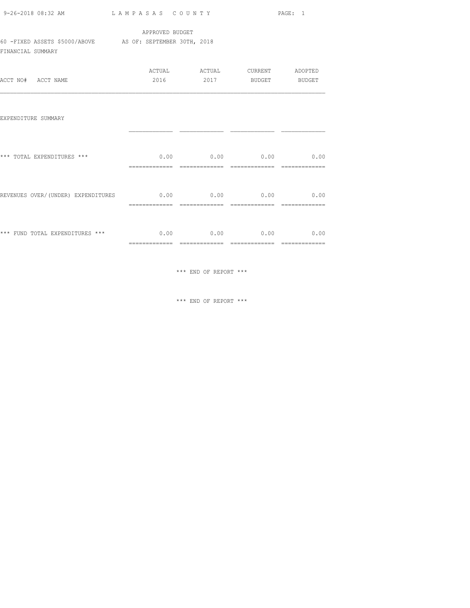|                                                                                |                 |                                                          | PAGE: 1 |
|--------------------------------------------------------------------------------|-----------------|----------------------------------------------------------|---------|
|                                                                                | APPROVED BUDGET |                                                          |         |
| 60 -FIXED ASSETS \$5000/ABOVE AS OF: SEPTEMBER 30TH, 2018<br>FINANCIAL SUMMARY |                 |                                                          |         |
| ACCT NO# ACCT NAME                                                             |                 | ACTUAL ACTUAL CURRENT ADOPTED<br>2016 2017 BUDGET BUDGET |         |
| EXPENDITURE SUMMARY                                                            |                 |                                                          |         |
| *** TOTAL EXPENDITURES ***                                                     |                 | $0.00$ 0.00 0.00 0.00 0.00                               |         |
|                                                                                |                 |                                                          |         |
| *** FUND TOTAL EXPENDITURES ***                                                |                 | $0.00$ 0.00 0.00 0.00                                    |         |

============= ============= ============= =============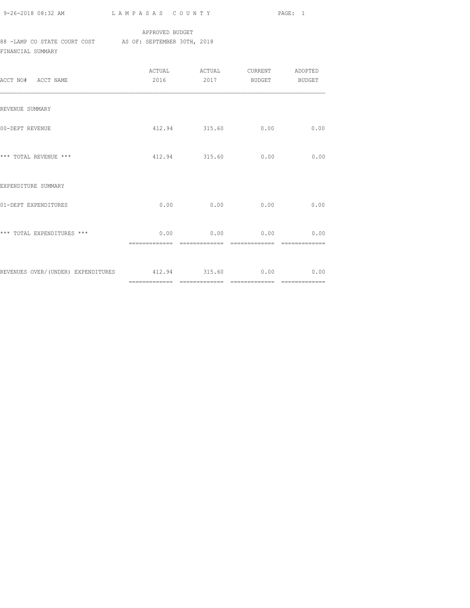| 9-26-2018 08:32 AM |  |
|--------------------|--|

## APPROVED BUDGET 88 -LAMP CO STATE COURT COST AS OF: SEPTEMBER 30TH, 2018

FINANCIAL SUMMARY

| ACCT NO# ACCT NAME                                    | ACTUAL<br>2016 | ACTUAL        | CURRENT ADOPTED<br>2017 BUDGET BUDGET |      |
|-------------------------------------------------------|----------------|---------------|---------------------------------------|------|
| REVENUE SUMMARY                                       |                |               |                                       |      |
| 00-DEPT REVENUE                                       |                | 412.94 315.60 | 0.00                                  | 0.00 |
| *** TOTAL REVENUE ***                                 |                | 412.94 315.60 | 0.00                                  | 0.00 |
| EXPENDITURE SUMMARY                                   |                |               |                                       |      |
| 01-DEPT EXPENDITURES                                  | 0.00           | 0.00          | 0.00                                  | 0.00 |
| *** TOTAL EXPENDITURES ***                            |                |               | $0.00$ 0.00 0.00 0.00 0.00            |      |
| REVENUES OVER/(UNDER) EXPENDITURES 412.94 315.60 0.00 |                |               |                                       | 0.00 |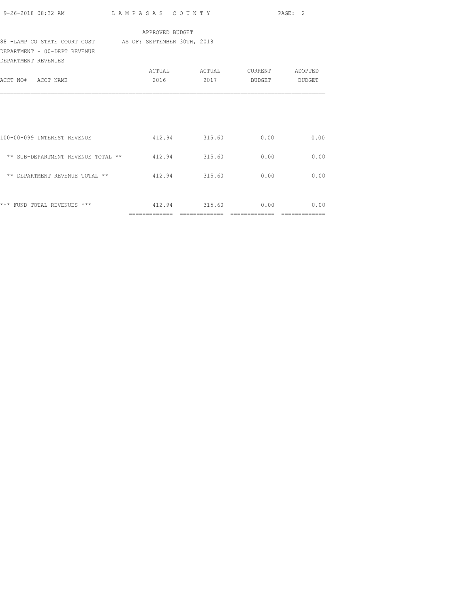|                                                                               |                 |                               |      | PAGE: 2 |
|-------------------------------------------------------------------------------|-----------------|-------------------------------|------|---------|
|                                                                               | APPROVED BUDGET |                               |      |         |
| 88 -LAMP CO STATE COURT COST AS OF: SEPTEMBER 30TH, 2018                      |                 |                               |      |         |
| DEPARTMENT - 00-DEPT REVENUE<br>DEPARTMENT REVENUES                           |                 |                               |      |         |
|                                                                               |                 | ACTUAL ACTUAL CURRENT ADOPTED |      |         |
| ACCT NO# ACCT NAME                                                            |                 | 2016 2017 BUDGET BUDGET       |      |         |
| 100-00-099 INTEREST REVENUE                                                   |                 | 412.94 315.60 0.00            |      | 0.00    |
| ** SUB-DEPARTMENT REVENUE TOTAL ** 412.94 315.60                              |                 |                               | 0.00 | 0.00    |
| ** DEPARTMENT REVENUE TOTAL ** $412.94$ 315.60                                |                 |                               | 0.00 | 0.00    |
| *** FUND TOTAL REVENUES ***                           412.94           315.60 |                 |                               | 0.00 | 0.00    |
|                                                                               |                 |                               |      |         |